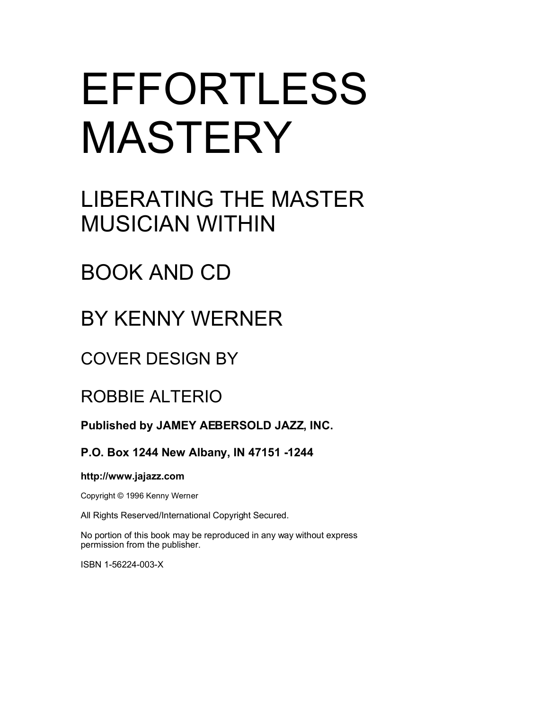# EFFORTLESS MASTERY

LIBERATING THE MASTER MUSICIAN WITHIN

# BOOK AND CD

# BY KENNY WERNER

# COVER DESIGN BY

# ROBBIE ALTERIO

# **Published by JAMEY AEBERSOLD JAZZ, INC.**

# **P.O. Box 1244 New Albany, IN 47151 -1244**

#### **http://www.jajazz.com**

Copyright © 1996 Kenny Werner

All Rights Reserved/International Copyright Secured.

No portion of this book may be reproduced in any way without express permission from the publisher.

ISBN 1-56224-003-X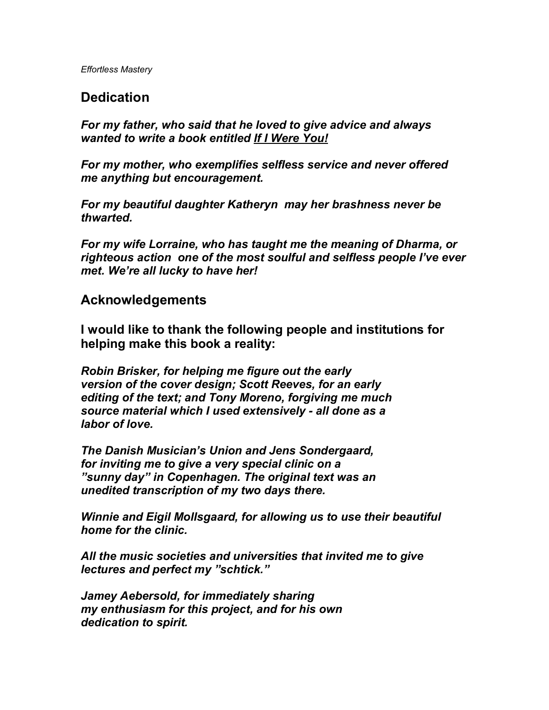### **Dedication**

*For my father, who said that he loved to give advice and always wanted to write a book entitled If I Were You!*

*For my mother, who exemplifies selfless service and never offered me anything but encouragement.*

*For my beautiful daughter Katheryn may her brashness never be thwarted.*

*For my wife Lorraine, who has taught me the meaning of Dharma, or righteous action one of the most soulful and selfless people I've ever met. We're all lucky to have her!*

### **Acknowledgements**

**I would like to thank the following people and institutions for helping make this book a reality:**

*Robin Brisker, for helping me figure out the early version of the cover design; Scott Reeves, for an early editing of the text; and Tony Moreno, forgiving me much source material which I used extensively - all done as a labor of love.*

*The Danish Musician's Union and Jens Sondergaard, for inviting me to give a very special clinic on a "sunny day" in Copenhagen. The original text was an unedited transcription of my two days there.*

*Winnie and Eigil Mollsgaard, for allowing us to use their beautiful home for the clinic.*

*All the music societies and universities that invited me to give lectures and perfect my "schtick."*

*Jamey Aebersold, for immediately sharing my enthusiasm for this project, and for his own dedication to spirit.*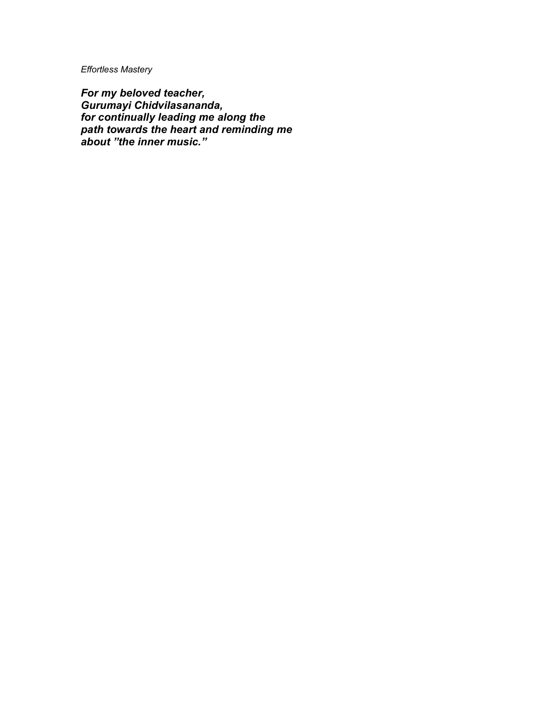*For my beloved teacher, Gurumayi Chidvilasananda, for continually leading me along the path towards the heart and reminding me about "the inner music."*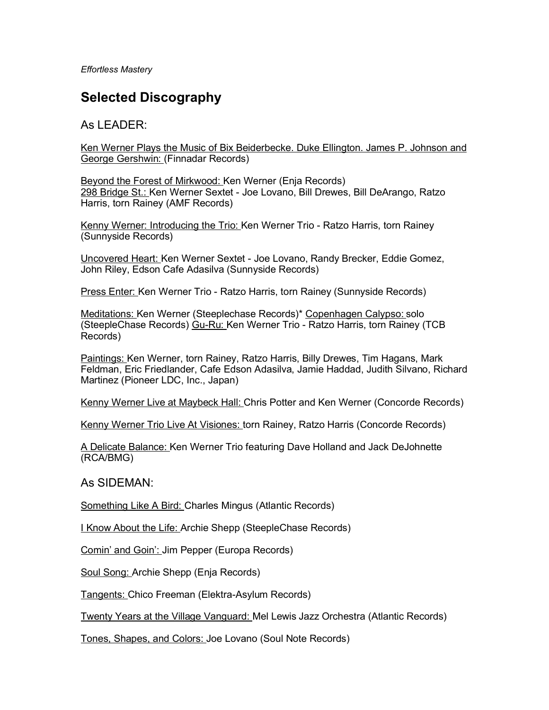# **Selected Discography**

As LEADER:

Ken Werner Plays the Music of Bix Beiderbecke. Duke Ellington. James P. Johnson and George Gershwin: (Finnadar Records)

Beyond the Forest of Mirkwood: Ken Werner (Enja Records) 298 Bridge St.: Ken Werner Sextet - Joe Lovano, Bill Drewes, Bill DeArango, Ratzo Harris, torn Rainey (AMF Records)

Kenny Werner: Introducing the Trio: Ken Werner Trio - Ratzo Harris, torn Rainey (Sunnyside Records)

Uncovered Heart: Ken Werner Sextet - Joe Lovano, Randy Brecker, Eddie Gomez, John Riley, Edson Cafe Adasilva (Sunnyside Records)

Press Enter: Ken Werner Trio - Ratzo Harris, torn Rainey (Sunnyside Records)

Meditations: Ken Werner (Steeplechase Records)\* Copenhagen Calypso: solo (SteepleChase Records) Gu-Ru: Ken Werner Trio - Ratzo Harris, torn Rainey (TCB Records)

Paintings: Ken Werner, torn Rainey, Ratzo Harris, Billy Drewes, Tim Hagans, Mark Feldman, Eric Friedlander, Cafe Edson Adasilva, Jamie Haddad, Judith Silvano, Richard Martinez (Pioneer LDC, Inc., Japan)

Kenny Werner Live at Maybeck Hall: Chris Potter and Ken Werner (Concorde Records)

Kenny Werner Trio Live At Visiones: torn Rainey, Ratzo Harris (Concorde Records)

A Delicate Balance: Ken Werner Trio featuring Dave Holland and Jack DeJohnette (RCA/BMG)

As SIDEMAN:

Something Like A Bird: Charles Mingus (Atlantic Records)

I Know About the Life: Archie Shepp (SteepleChase Records)

Comin' and Goin': Jim Pepper (Europa Records)

Soul Song: Archie Shepp (Enja Records)

Tangents: Chico Freeman (Elektra-Asylum Records)

Twenty Years at the Village Vanguard: Mel Lewis Jazz Orchestra (Atlantic Records)

Tones, Shapes, and Colors: Joe Lovano (Soul Note Records)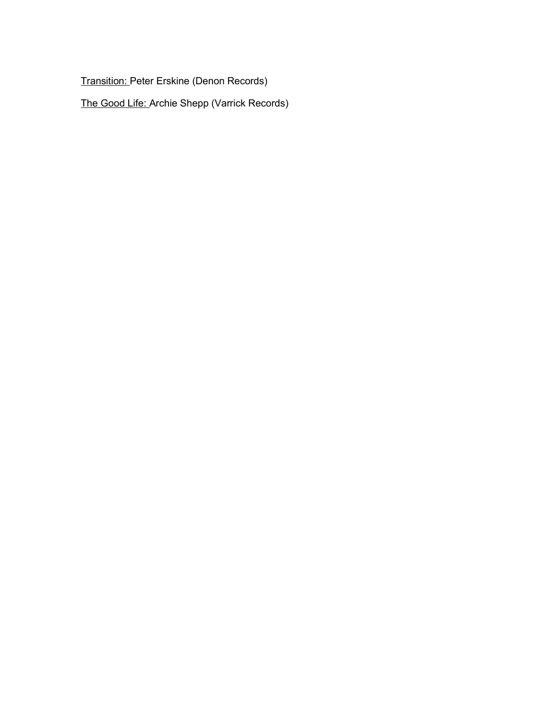Transition: Peter Erskine (Denon Records)

The Good Life: Archie Shepp (Varrick Records)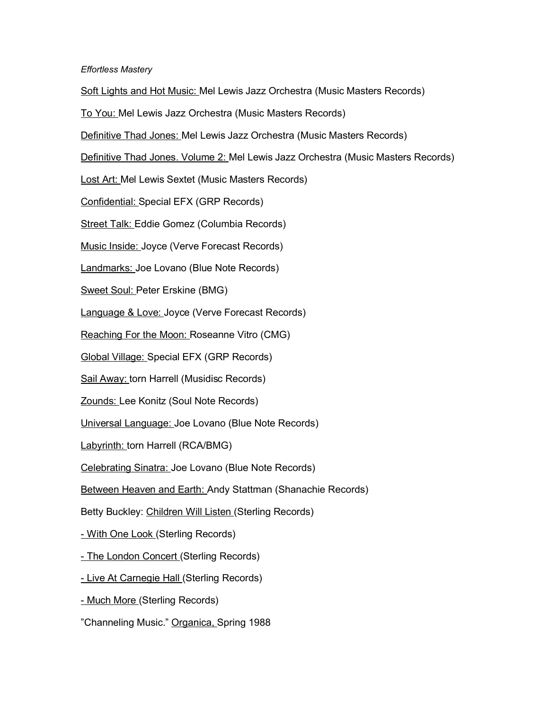Soft Lights and Hot Music: Mel Lewis Jazz Orchestra (Music Masters Records)

To You: Mel Lewis Jazz Orchestra (Music Masters Records)

Definitive Thad Jones: Mel Lewis Jazz Orchestra (Music Masters Records)

Definitive Thad Jones. Volume 2: Mel Lewis Jazz Orchestra (Music Masters Records)

Lost Art: Mel Lewis Sextet (Music Masters Records)

Confidential: Special EFX (GRP Records)

Street Talk: Eddie Gomez (Columbia Records)

Music Inside: Joyce (Verve Forecast Records)

Landmarks: Joe Lovano (Blue Note Records)

Sweet Soul: Peter Erskine (BMG)

**Language & Love: Joyce (Verve Forecast Records)** 

Reaching For the Moon: Roseanne Vitro (CMG)

Global Village: Special EFX (GRP Records)

Sail Away: torn Harrell (Musidisc Records)

Zounds: Lee Konitz (Soul Note Records)

Universal Language: Joe Lovano (Blue Note Records)

Labyrinth: torn Harrell (RCA/BMG)

Celebrating Sinatra: Joe Lovano (Blue Note Records)

Between Heaven and Earth: Andy Stattman (Shanachie Records)

Betty Buckley: Children Will Listen (Sterling Records)

- With One Look (Sterling Records)

- The London Concert (Sterling Records)

- Live At Carnegie Hall (Sterling Records)

- Much More (Sterling Records)

"Channeling Music." Organica, Spring 1988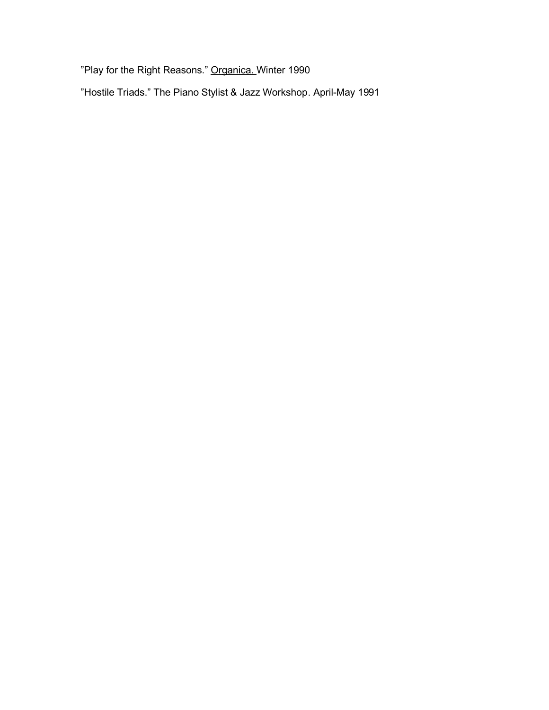"Play for the Right Reasons." Organica. Winter 1990

"Hostile Triads." The Piano Stylist & Jazz Workshop. April-May 1991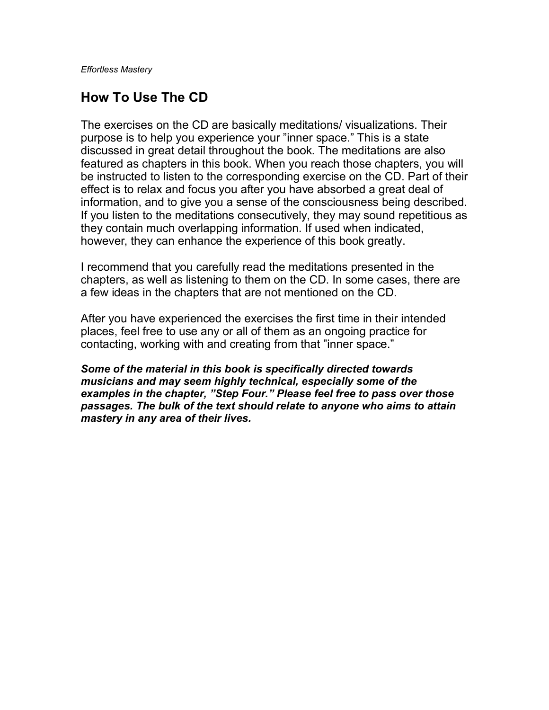### **How To Use The CD**

The exercises on the CD are basically meditations/ visualizations. Their purpose is to help you experience your "inner space." This is a state discussed in great detail throughout the book. The meditations are also featured as chapters in this book. When you reach those chapters, you will be instructed to listen to the corresponding exercise on the CD. Part of their effect is to relax and focus you after you have absorbed a great deal of information, and to give you a sense of the consciousness being described. If you listen to the meditations consecutively, they may sound repetitious as they contain much overlapping information. If used when indicated, however, they can enhance the experience of this book greatly.

I recommend that you carefully read the meditations presented in the chapters, as well as listening to them on the CD. In some cases, there are a few ideas in the chapters that are not mentioned on the CD.

After you have experienced the exercises the first time in their intended places, feel free to use any or all of them as an ongoing practice for contacting, working with and creating from that "inner space."

*Some of the material in this book is specifically directed towards musicians and may seem highly technical, especially some of the examples in the chapter, "Step Four." Please feel free to pass over those passages. The bulk of the text should relate to anyone who aims to attain mastery in any area of their lives.*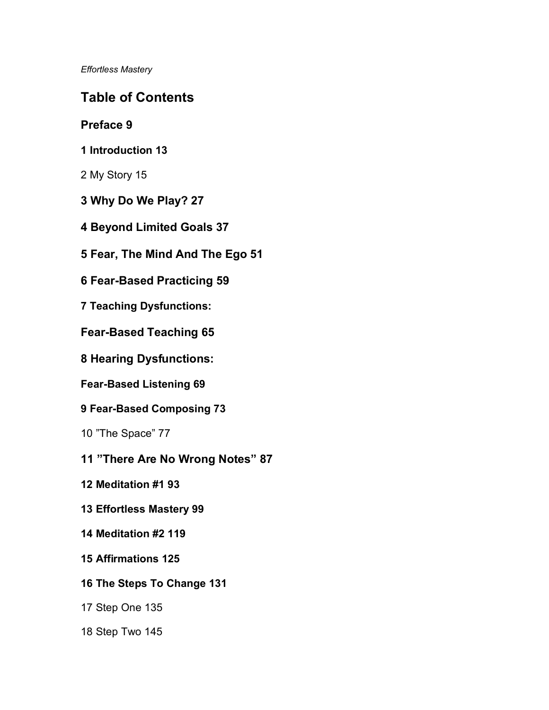# **Table of Contents**

**Preface 9**

**1 Introduction 13**

2 My Story 15

- **3 Why Do We Play? 27**
- **4 Beyond Limited Goals 37**

**5 Fear, The Mind And The Ego 51**

**6 Fear-Based Practicing 59**

**7 Teaching Dysfunctions:**

**Fear-Based Teaching 65**

**8 Hearing Dysfunctions:**

**Fear-Based Listening 69**

**9 Fear-Based Composing 73**

10 "The Space" 77

**11 "There Are No Wrong Notes" 87**

**12 Meditation #1 93**

- **13 Effortless Mastery 99**
- **14 Meditation #2 119**

**15 Affirmations 125**

**16 The Steps To Change 131**

17 Step One 135

18 Step Two 145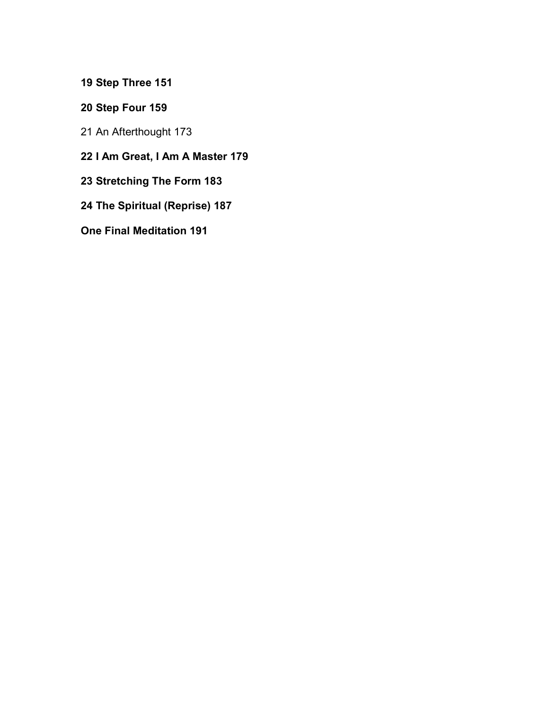**19 Step Three 151**

**20 Step Four 159**

21 An Afterthought 173

**22 I Am Great, I Am A Master 179**

**23 Stretching The Form 183**

**24 The Spiritual (Reprise) 187**

**One Final Meditation 191**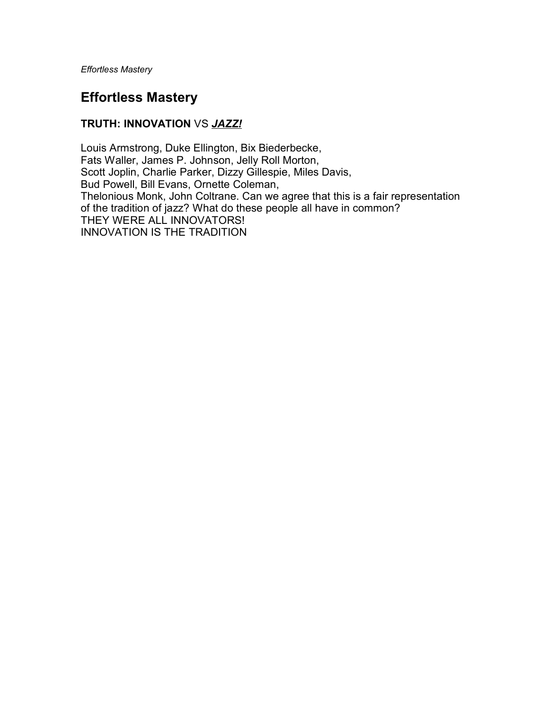# **Effortless Mastery**

#### **TRUTH: INNOVATION** VS *JAZZ!*

Louis Armstrong, Duke Ellington, Bix Biederbecke, Fats Waller, James P. Johnson, Jelly Roll Morton, Scott Joplin, Charlie Parker, Dizzy Gillespie, Miles Davis, Bud Powell, Bill Evans, Ornette Coleman, Thelonious Monk, John Coltrane. Can we agree that this is a fair representation of the tradition of jazz? What do these people all have in common? THEY WERE ALL INNOVATORS! INNOVATION IS THE TRADITION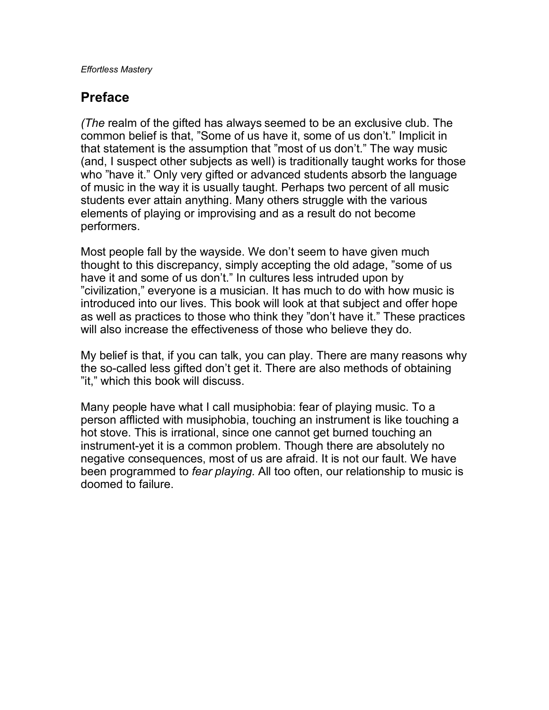## **Preface**

*(The* realm of the gifted has always seemed to be an exclusive club. The common belief is that, "Some of us have it, some of us don't." Implicit in that statement is the assumption that "most of us don't." The way music (and, I suspect other subjects as well) is traditionally taught works for those who "have it." Only very gifted or advanced students absorb the language of music in the way it is usually taught. Perhaps two percent of all music students ever attain anything. Many others struggle with the various elements of playing or improvising and as a result do not become performers.

Most people fall by the wayside. We don't seem to have given much thought to this discrepancy, simply accepting the old adage, "some of us have it and some of us don't." In cultures less intruded upon by "civilization," everyone is a musician. It has much to do with how music is introduced into our lives. This book will look at that subject and offer hope as well as practices to those who think they "don't have it." These practices will also increase the effectiveness of those who believe they do.

My belief is that, if you can talk, you can play. There are many reasons why the so-called less gifted don't get it. There are also methods of obtaining "it," which this book will discuss.

Many people have what I call musiphobia: fear of playing music. To a person afflicted with musiphobia, touching an instrument is like touching a hot stove. This is irrational, since one cannot get burned touching an instrument-yet it is a common problem. Though there are absolutely no negative consequences, most of us are afraid. It is not our fault. We have been programmed to *fear playing.* All too often, our relationship to music is doomed to failure.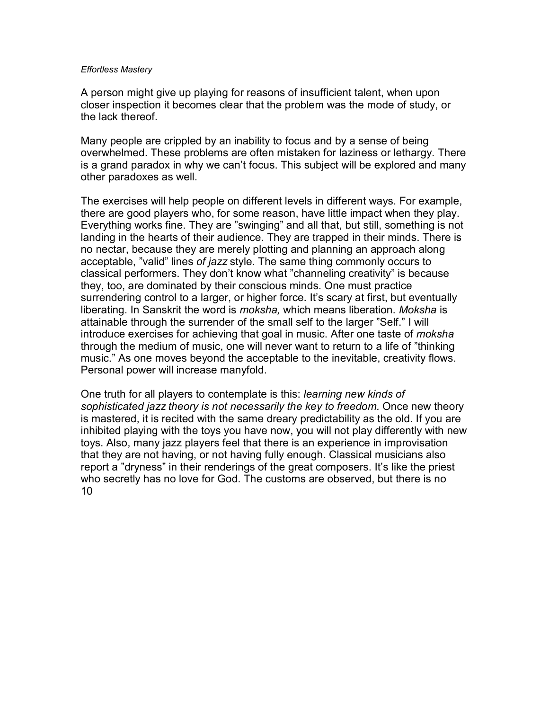A person might give up playing for reasons of insufficient talent, when upon closer inspection it becomes clear that the problem was the mode of study, or the lack thereof.

Many people are crippled by an inability to focus and by a sense of being overwhelmed. These problems are often mistaken for laziness or lethargy. There is a grand paradox in why we can't focus. This subject will be explored and many other paradoxes as well.

The exercises will help people on different levels in different ways. For example, there are good players who, for some reason, have little impact when they play. Everything works fine. They are "swinging" and all that, but still, something is not landing in the hearts of their audience. They are trapped in their minds. There is no nectar, because they are merely plotting and planning an approach along acceptable, "valid" lines *of jazz* style. The same thing commonly occurs to classical performers. They don't know what "channeling creativity" is because they, too, are dominated by their conscious minds. One must practice surrendering control to a larger, or higher force. It's scary at first, but eventually liberating. In Sanskrit the word is *moksha,* which means liberation. *Moksha* is attainable through the surrender of the small self to the larger "Self." I will introduce exercises for achieving that goal in music. After one taste of *moksha* through the medium of music, one will never want to return to a life of "thinking music." As one moves beyond the acceptable to the inevitable, creativity flows. Personal power will increase manyfold.

One truth for all players to contemplate is this: *learning new kinds of sophisticated jazz theory is not necessarily the key to freedom.* Once new theory is mastered, it is recited with the same dreary predictability as the old. If you are inhibited playing with the toys you have now, you will not play differently with new toys. Also, many jazz players feel that there is an experience in improvisation that they are not having, or not having fully enough. Classical musicians also report a "dryness" in their renderings of the great composers. It's like the priest who secretly has no love for God. The customs are observed, but there is no 10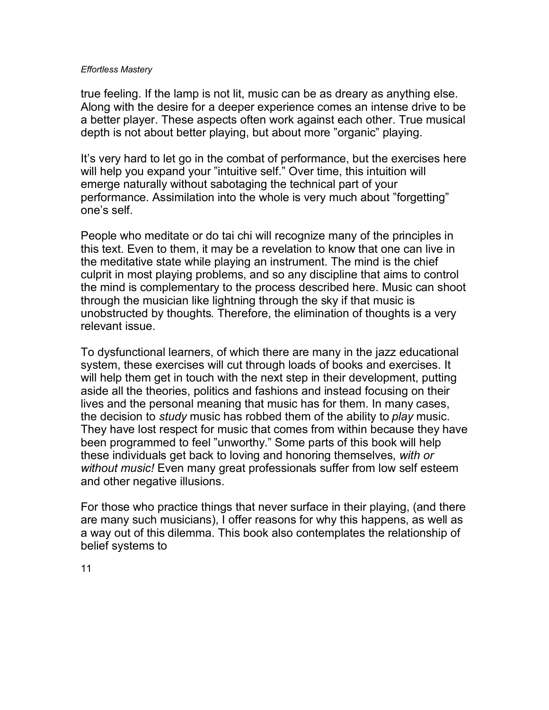true feeling. If the lamp is not lit, music can be as dreary as anything else. Along with the desire for a deeper experience comes an intense drive to be a better player. These aspects often work against each other. True musical depth is not about better playing, but about more "organic" playing.

It's very hard to let go in the combat of performance, but the exercises here will help you expand your "intuitive self." Over time, this intuition will emerge naturally without sabotaging the technical part of your performance. Assimilation into the whole is very much about "forgetting" one's self.

People who meditate or do tai chi will recognize many of the principles in this text. Even to them, it may be a revelation to know that one can live in the meditative state while playing an instrument. The mind is the chief culprit in most playing problems, and so any discipline that aims to control the mind is complementary to the process described here. Music can shoot through the musician like lightning through the sky if that music is unobstructed by thoughts. Therefore, the elimination of thoughts is a very relevant issue.

To dysfunctional learners, of which there are many in the jazz educational system, these exercises will cut through loads of books and exercises. It will help them get in touch with the next step in their development, putting aside all the theories, politics and fashions and instead focusing on their lives and the personal meaning that music has for them. In many cases, the decision to *study* music has robbed them of the ability to *play* music. They have lost respect for music that comes from within because they have been programmed to feel "unworthy." Some parts of this book will help these individuals get back to loving and honoring themselves, *with or without music!* Even many great professionals suffer from low self esteem and other negative illusions.

For those who practice things that never surface in their playing, (and there are many such musicians), I offer reasons for why this happens, as well as a way out of this dilemma. This book also contemplates the relationship of belief systems to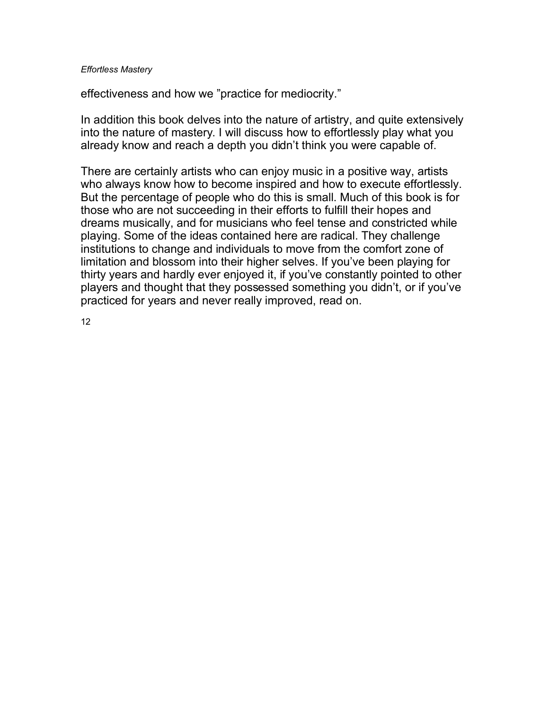effectiveness and how we "practice for mediocrity."

In addition this book delves into the nature of artistry, and quite extensively into the nature of mastery. I will discuss how to effortlessly play what you already know and reach a depth you didn't think you were capable of.

There are certainly artists who can enjoy music in a positive way, artists who always know how to become inspired and how to execute effortlessly. But the percentage of people who do this is small. Much of this book is for those who are not succeeding in their efforts to fulfill their hopes and dreams musically, and for musicians who feel tense and constricted while playing. Some of the ideas contained here are radical. They challenge institutions to change and individuals to move from the comfort zone of limitation and blossom into their higher selves. If you've been playing for thirty years and hardly ever enjoyed it, if you've constantly pointed to other players and thought that they possessed something you didn't, or if you've practiced for years and never really improved, read on.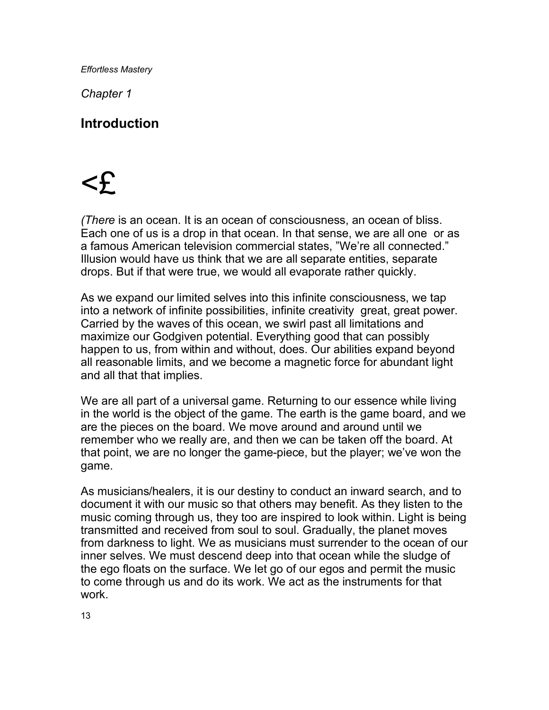*Chapter 1*

# **Introduction**

# <£

*(There* is an ocean. It is an ocean of consciousness, an ocean of bliss. Each one of us is a drop in that ocean. In that sense, we are all one or as a famous American television commercial states, "We're all connected." Illusion would have us think that we are all separate entities, separate drops. But if that were true, we would all evaporate rather quickly.

As we expand our limited selves into this infinite consciousness, we tap into a network of infinite possibilities, infinite creativity great, great power. Carried by the waves of this ocean, we swirl past all limitations and maximize our Godgiven potential. Everything good that can possibly happen to us, from within and without, does. Our abilities expand beyond all reasonable limits, and we become a magnetic force for abundant light and all that that implies.

We are all part of a universal game. Returning to our essence while living in the world is the object of the game. The earth is the game board, and we are the pieces on the board. We move around and around until we remember who we really are, and then we can be taken off the board. At that point, we are no longer the game-piece, but the player; we've won the game.

As musicians/healers, it is our destiny to conduct an inward search, and to document it with our music so that others may benefit. As they listen to the music coming through us, they too are inspired to look within. Light is being transmitted and received from soul to soul. Gradually, the planet moves from darkness to light. We as musicians must surrender to the ocean of our inner selves. We must descend deep into that ocean while the sludge of the ego floats on the surface. We let go of our egos and permit the music to come through us and do its work. We act as the instruments for that work.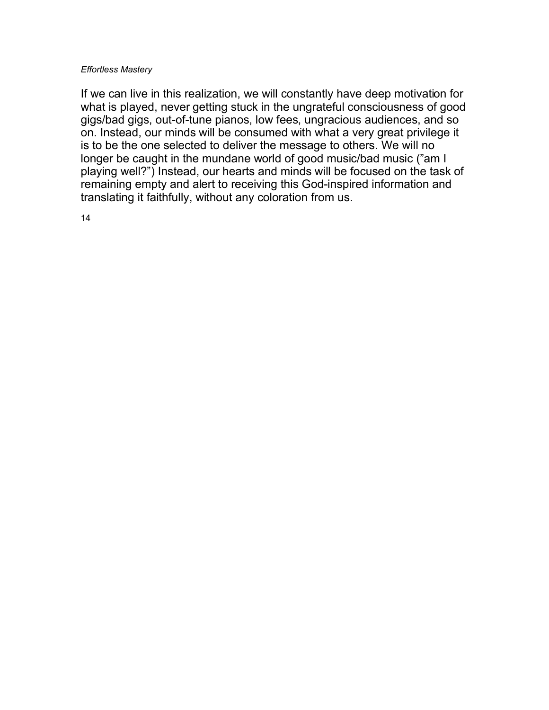If we can live in this realization, we will constantly have deep motivation for what is played, never getting stuck in the ungrateful consciousness of good gigs/bad gigs, out-of-tune pianos, low fees, ungracious audiences, and so on. Instead, our minds will be consumed with what a very great privilege it is to be the one selected to deliver the message to others. We will no longer be caught in the mundane world of good music/bad music ("am I playing well?") Instead, our hearts and minds will be focused on the task of remaining empty and alert to receiving this God-inspired information and translating it faithfully, without any coloration from us.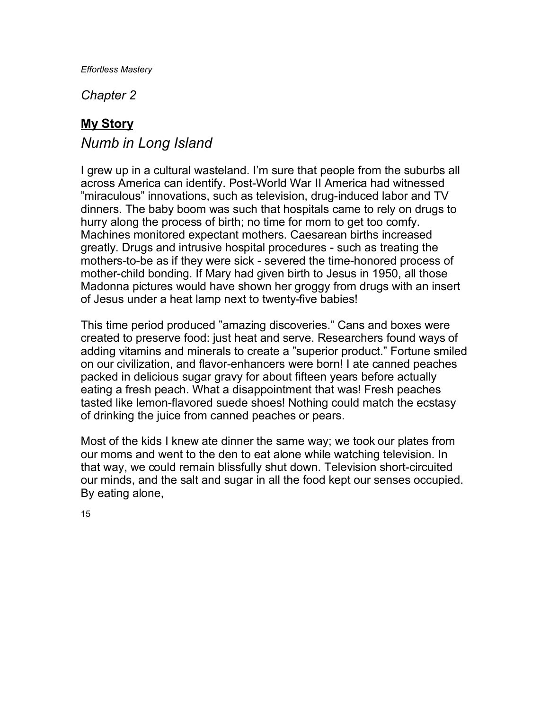*Chapter 2*

# **My Story** *Numb in Long Island*

I grew up in a cultural wasteland. I'm sure that people from the suburbs all across America can identify. Post-World War II America had witnessed "miraculous" innovations, such as television, drug-induced labor and TV dinners. The baby boom was such that hospitals came to rely on drugs to hurry along the process of birth; no time for mom to get too comfy. Machines monitored expectant mothers. Caesarean births increased greatly. Drugs and intrusive hospital procedures - such as treating the mothers-to-be as if they were sick - severed the time-honored process of mother-child bonding. If Mary had given birth to Jesus in 1950, all those Madonna pictures would have shown her groggy from drugs with an insert of Jesus under a heat lamp next to twenty-five babies!

This time period produced "amazing discoveries." Cans and boxes were created to preserve food: just heat and serve. Researchers found ways of adding vitamins and minerals to create a "superior product." Fortune smiled on our civilization, and flavor-enhancers were born! I ate canned peaches packed in delicious sugar gravy for about fifteen years before actually eating a fresh peach. What a disappointment that was! Fresh peaches tasted like lemon-flavored suede shoes! Nothing could match the ecstasy of drinking the juice from canned peaches or pears.

Most of the kids I knew ate dinner the same way; we took our plates from our moms and went to the den to eat alone while watching television. In that way, we could remain blissfully shut down. Television short-circuited our minds, and the salt and sugar in all the food kept our senses occupied. By eating alone,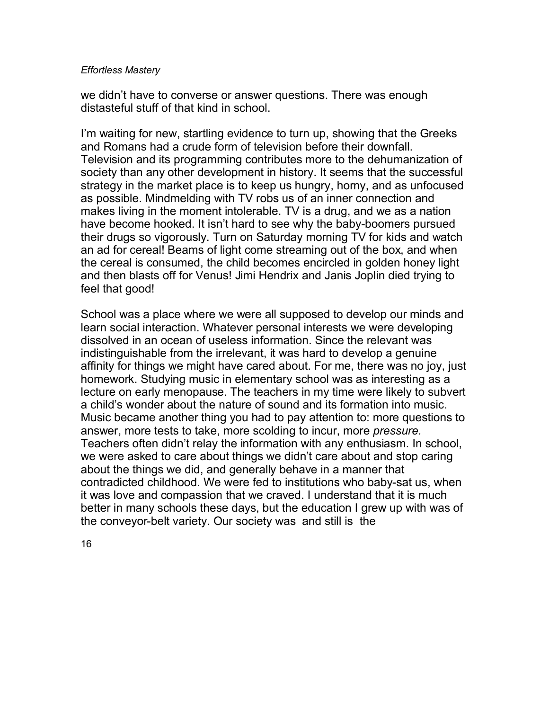we didn't have to converse or answer questions. There was enough distasteful stuff of that kind in school.

I'm waiting for new, startling evidence to turn up, showing that the Greeks and Romans had a crude form of television before their downfall. Television and its programming contributes more to the dehumanization of society than any other development in history. It seems that the successful strategy in the market place is to keep us hungry, horny, and as unfocused as possible. Mindmelding with TV robs us of an inner connection and makes living in the moment intolerable. TV is a drug, and we as a nation have become hooked. It isn't hard to see why the baby-boomers pursued their drugs so vigorously. Turn on Saturday morning TV for kids and watch an ad for cereal! Beams of light come streaming out of the box, and when the cereal is consumed, the child becomes encircled in golden honey light and then blasts off for Venus! Jimi Hendrix and Janis Joplin died trying to feel that good!

School was a place where we were all supposed to develop our minds and learn social interaction. Whatever personal interests we were developing dissolved in an ocean of useless information. Since the relevant was indistinguishable from the irrelevant, it was hard to develop a genuine affinity for things we might have cared about. For me, there was no joy, just homework. Studying music in elementary school was as interesting as a lecture on early menopause. The teachers in my time were likely to subvert a child's wonder about the nature of sound and its formation into music. Music became another thing you had to pay attention to: more questions to answer, more tests to take, more scolding to incur, more *pressure.* Teachers often didn't relay the information with any enthusiasm. In school, we were asked to care about things we didn't care about and stop caring about the things we did, and generally behave in a manner that contradicted childhood. We were fed to institutions who baby-sat us, when it was love and compassion that we craved. I understand that it is much better in many schools these days, but the education I grew up with was of the conveyor-belt variety. Our society was and still is the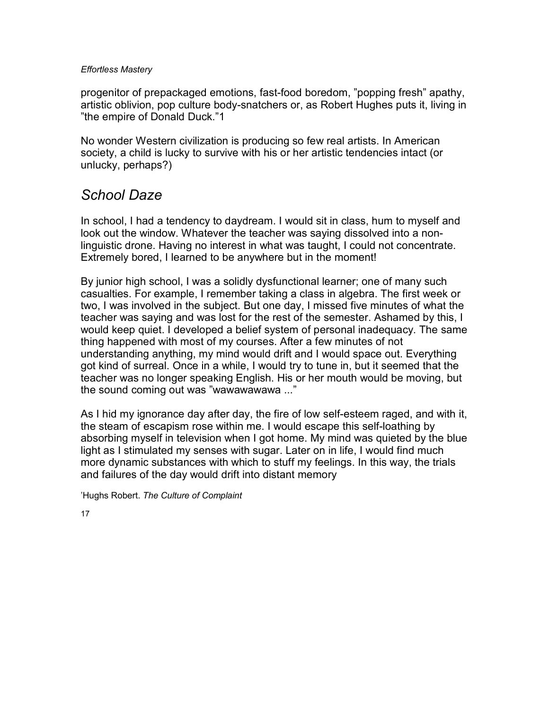progenitor of prepackaged emotions, fast-food boredom, "popping fresh" apathy, artistic oblivion, pop culture body-snatchers or, as Robert Hughes puts it, living in "the empire of Donald Duck."1

No wonder Western civilization is producing so few real artists. In American society, a child is lucky to survive with his or her artistic tendencies intact (or unlucky, perhaps?)

# *School Daze*

In school, I had a tendency to daydream. I would sit in class, hum to myself and look out the window. Whatever the teacher was saying dissolved into a nonlinguistic drone. Having no interest in what was taught, I could not concentrate. Extremely bored, I learned to be anywhere but in the moment!

By junior high school, I was a solidly dysfunctional learner; one of many such casualties. For example, I remember taking a class in algebra. The first week or two, I was involved in the subject. But one day, I missed five minutes of what the teacher was saying and was lost for the rest of the semester. Ashamed by this, I would keep quiet. I developed a belief system of personal inadequacy. The same thing happened with most of my courses. After a few minutes of not understanding anything, my mind would drift and I would space out. Everything got kind of surreal. Once in a while, I would try to tune in, but it seemed that the teacher was no longer speaking English. His or her mouth would be moving, but the sound coming out was "wawawawawa ..."

As I hid my ignorance day after day, the fire of low self-esteem raged, and with it, the steam of escapism rose within me. I would escape this self-loathing by absorbing myself in television when I got home. My mind was quieted by the blue light as I stimulated my senses with sugar. Later on in life, I would find much more dynamic substances with which to stuff my feelings. In this way, the trials and failures of the day would drift into distant memory

'Hughs Robert. *The Culture of Complaint*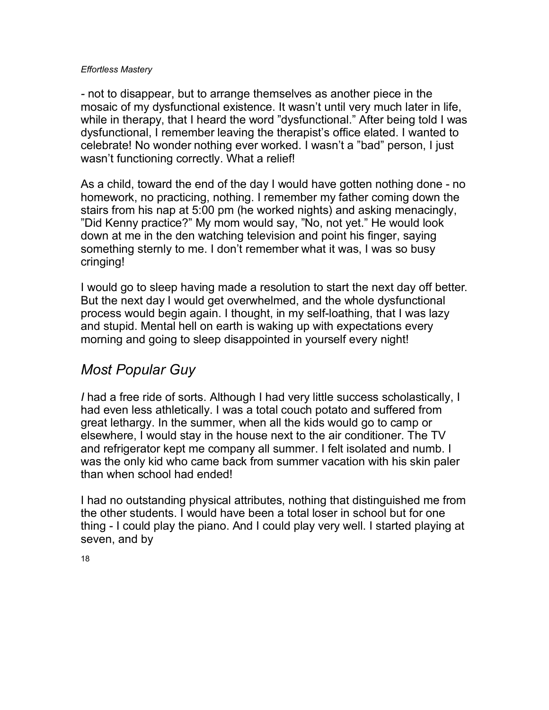*-* not to disappear, but to arrange themselves as another piece in the mosaic of my dysfunctional existence. It wasn't until very much later in life, while in therapy, that I heard the word "dysfunctional." After being told I was dysfunctional, I remember leaving the therapist's office elated. I wanted to celebrate! No wonder nothing ever worked. I wasn't a "bad" person, I just wasn't functioning correctly. What a relief!

As a child, toward the end of the day I would have gotten nothing done - no homework, no practicing, nothing. I remember my father coming down the stairs from his nap at 5:00 pm (he worked nights) and asking menacingly, "Did Kenny practice?" My mom would say, "No, not yet." He would look down at me in the den watching television and point his finger, saying something sternly to me. I don't remember what it was, I was so busy cringing!

I would go to sleep having made a resolution to start the next day off better. But the next day I would get overwhelmed, and the whole dysfunctional process would begin again. I thought, in my self-loathing, that I was lazy and stupid. Mental hell on earth is waking up with expectations every morning and going to sleep disappointed in yourself every night!

## *Most Popular Guy*

*I* had a free ride of sorts. Although I had very little success scholastically, I had even less athletically. I was a total couch potato and suffered from great lethargy. In the summer, when all the kids would go to camp or elsewhere, I would stay in the house next to the air conditioner. The TV and refrigerator kept me company all summer. I felt isolated and numb. I was the only kid who came back from summer vacation with his skin paler than when school had ended!

I had no outstanding physical attributes, nothing that distinguished me from the other students. I would have been a total loser in school but for one thing - I could play the piano. And I could play very well. I started playing at seven, and by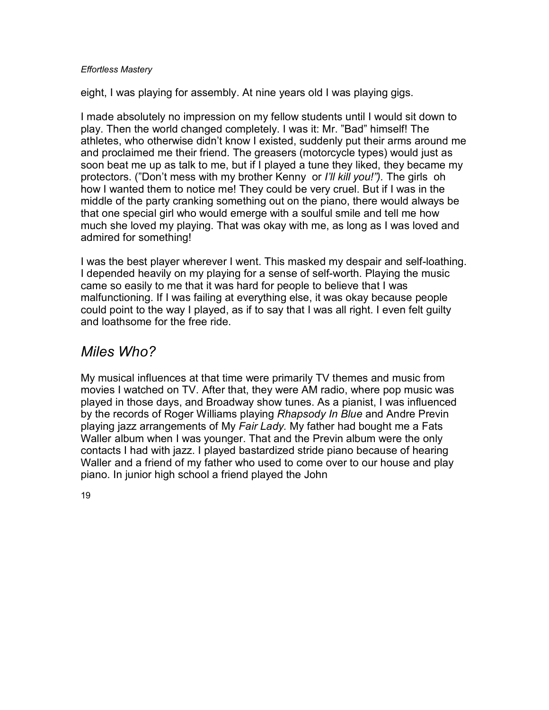eight, I was playing for assembly. At nine years old I was playing gigs.

I made absolutely no impression on my fellow students until I would sit down to play. Then the world changed completely. I was it: Mr. "Bad" himself! The athletes, who otherwise didn't know I existed, suddenly put their arms around me and proclaimed me their friend. The greasers (motorcycle types) would just as soon beat me up as talk to me, but if I played a tune they liked, they became my protectors. ("Don't mess with my brother Kenny or *I'll kill you!").* The girls oh how I wanted them to notice me! They could be very cruel. But if I was in the middle of the party cranking something out on the piano, there would always be that one special girl who would emerge with a soulful smile and tell me how much she loved my playing. That was okay with me, as long as I was loved and admired for something!

I was the best player wherever I went. This masked my despair and self-loathing. I depended heavily on my playing for a sense of self-worth. Playing the music came so easily to me that it was hard for people to believe that I was malfunctioning. If I was failing at everything else, it was okay because people could point to the way I played, as if to say that I was all right. I even felt guilty and loathsome for the free ride.

# *Miles Who?*

My musical influences at that time were primarily TV themes and music from movies I watched on TV. After that, they were AM radio, where pop music was played in those days, and Broadway show tunes. As a pianist, I was influenced by the records of Roger Williams playing *Rhapsody In Blue* and Andre Previn playing jazz arrangements of My *Fair Lady.* My father had bought me a Fats Waller album when I was younger. That and the Previn album were the only contacts I had with jazz. I played bastardized stride piano because of hearing Waller and a friend of my father who used to come over to our house and play piano. In junior high school a friend played the John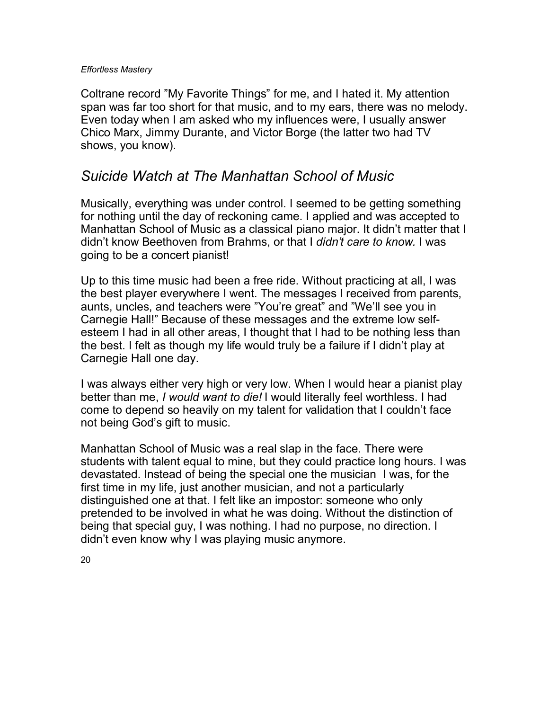Coltrane record "My Favorite Things" for me, and I hated it. My attention span was far too short for that music, and to my ears, there was no melody. Even today when I am asked who my influences were, I usually answer Chico Marx, Jimmy Durante, and Victor Borge (the latter two had TV shows, you know).

# *Suicide Watch at The Manhattan School of Music*

Musically, everything was under control. I seemed to be getting something for nothing until the day of reckoning came. I applied and was accepted to Manhattan School of Music as a classical piano major. It didn't matter that I didn't know Beethoven from Brahms, or that I *didn't care to know.* I was going to be a concert pianist!

Up to this time music had been a free ride. Without practicing at all, I was the best player everywhere I went. The messages I received from parents, aunts, uncles, and teachers were "You're great" and "We'll see you in Carnegie Hall!" Because of these messages and the extreme low selfesteem I had in all other areas, I thought that I had to be nothing less than the best. I felt as though my life would truly be a failure if I didn't play at Carnegie Hall one day.

I was always either very high or very low. When I would hear a pianist play better than me, *I would want to die!* I would literally feel worthless. I had come to depend so heavily on my talent for validation that I couldn't face not being God's gift to music.

Manhattan School of Music was a real slap in the face. There were students with talent equal to mine, but they could practice long hours. I was devastated. Instead of being the special one the musician I was, for the first time in my life, just another musician, and not a particularly distinguished one at that. I felt like an impostor: someone who only pretended to be involved in what he was doing. Without the distinction of being that special guy, I was nothing. I had no purpose, no direction. I didn't even know why I was playing music anymore.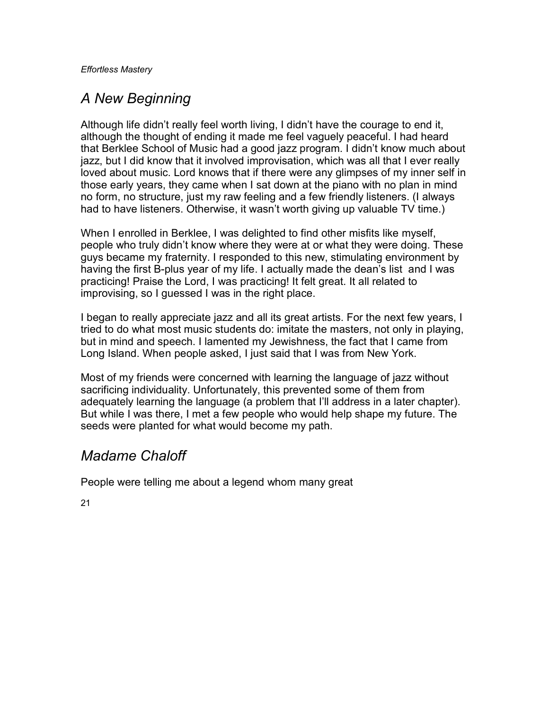# *A New Beginning*

Although life didn't really feel worth living, I didn't have the courage to end it, although the thought of ending it made me feel vaguely peaceful. I had heard that Berklee School of Music had a good jazz program. I didn't know much about jazz, but I did know that it involved improvisation, which was all that I ever really loved about music. Lord knows that if there were any glimpses of my inner self in those early years, they came when I sat down at the piano with no plan in mind no form, no structure, just my raw feeling and a few friendly listeners. (I always had to have listeners. Otherwise, it wasn't worth giving up valuable TV time.)

When I enrolled in Berklee, I was delighted to find other misfits like myself, people who truly didn't know where they were at or what they were doing. These guys became my fraternity. I responded to this new, stimulating environment by having the first B-plus year of my life. I actually made the dean's list and I was practicing! Praise the Lord, I was practicing! It felt great. It all related to improvising, so I guessed I was in the right place.

I began to really appreciate jazz and all its great artists. For the next few years, I tried to do what most music students do: imitate the masters, not only in playing, but in mind and speech. I lamented my Jewishness, the fact that I came from Long Island. When people asked, I just said that I was from New York.

Most of my friends were concerned with learning the language of jazz without sacrificing individuality. Unfortunately, this prevented some of them from adequately learning the language (a problem that I'll address in a later chapter). But while I was there, I met a few people who would help shape my future. The seeds were planted for what would become my path.

# *Madame Chaloff*

People were telling me about a legend whom many great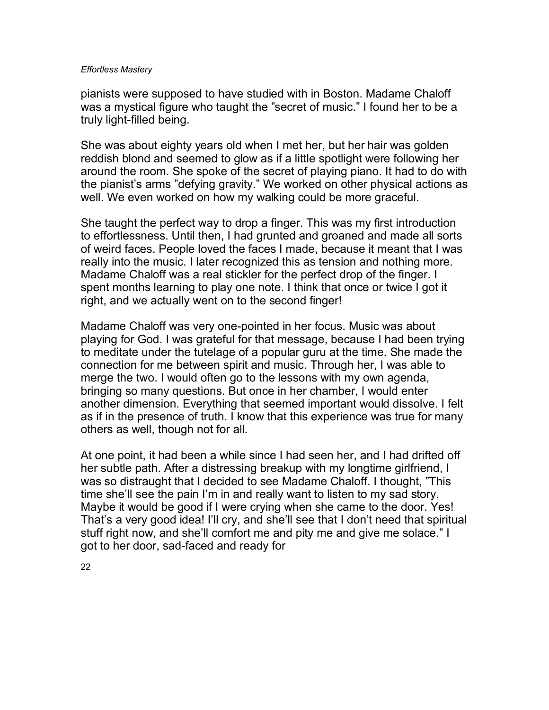pianists were supposed to have studied with in Boston. Madame Chaloff was a mystical figure who taught the "secret of music." I found her to be a truly light-filled being.

She was about eighty years old when I met her, but her hair was golden reddish blond and seemed to glow as if a little spotlight were following her around the room. She spoke of the secret of playing piano. It had to do with the pianist's arms "defying gravity." We worked on other physical actions as well. We even worked on how my walking could be more graceful.

She taught the perfect way to drop a finger. This was my first introduction to effortlessness. Until then, I had grunted and groaned and made all sorts of weird faces. People loved the faces I made, because it meant that I was really into the music. I later recognized this as tension and nothing more. Madame Chaloff was a real stickler for the perfect drop of the finger. I spent months learning to play one note. I think that once or twice I got it right, and we actually went on to the second finger!

Madame Chaloff was very one-pointed in her focus. Music was about playing for God. I was grateful for that message, because I had been trying to meditate under the tutelage of a popular guru at the time. She made the connection for me between spirit and music. Through her, I was able to merge the two. I would often go to the lessons with my own agenda, bringing so many questions. But once in her chamber, I would enter another dimension. Everything that seemed important would dissolve. I felt as if in the presence of truth. I know that this experience was true for many others as well, though not for all.

At one point, it had been a while since I had seen her, and I had drifted off her subtle path. After a distressing breakup with my longtime girlfriend, I was so distraught that I decided to see Madame Chaloff. I thought, "This time she'll see the pain I'm in and really want to listen to my sad story. Maybe it would be good if I were crying when she came to the door. Yes! That's a very good idea! I'll cry, and she'll see that I don't need that spiritual stuff right now, and she'll comfort me and pity me and give me solace." I got to her door, sad-faced and ready for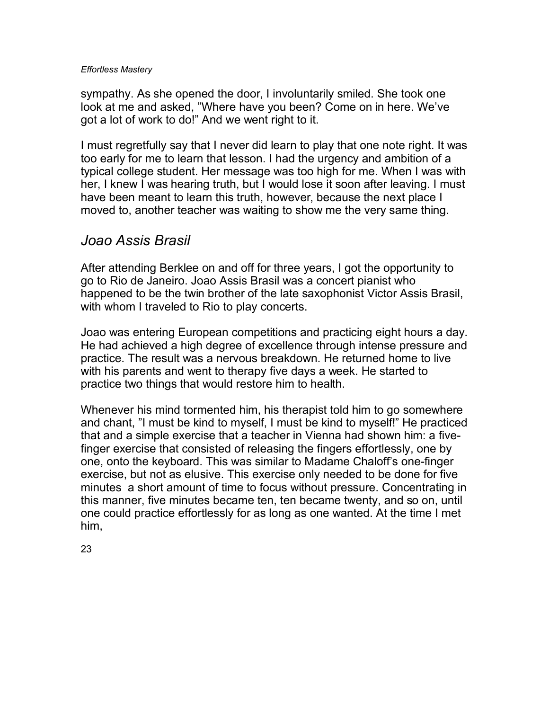sympathy. As she opened the door, I involuntarily smiled. She took one look at me and asked, "Where have you been? Come on in here. We've got a lot of work to do!" And we went right to it.

I must regretfully say that I never did learn to play that one note right. It was too early for me to learn that lesson. I had the urgency and ambition of a typical college student. Her message was too high for me. When I was with her, I knew I was hearing truth, but I would lose it soon after leaving. I must have been meant to learn this truth, however, because the next place I moved to, another teacher was waiting to show me the very same thing.

# *Joao Assis Brasil*

After attending Berklee on and off for three years, I got the opportunity to go to Rio de Janeiro. Joao Assis Brasil was a concert pianist who happened to be the twin brother of the late saxophonist Victor Assis Brasil, with whom I traveled to Rio to play concerts.

Joao was entering European competitions and practicing eight hours a day. He had achieved a high degree of excellence through intense pressure and practice. The result was a nervous breakdown. He returned home to live with his parents and went to therapy five days a week. He started to practice two things that would restore him to health.

Whenever his mind tormented him, his therapist told him to go somewhere and chant, "I must be kind to myself, I must be kind to myself!" He practiced that and a simple exercise that a teacher in Vienna had shown him: a fivefinger exercise that consisted of releasing the fingers effortlessly, one by one, onto the keyboard. This was similar to Madame Chaloff's one-finger exercise, but not as elusive. This exercise only needed to be done for five minutes a short amount of time to focus without pressure. Concentrating in this manner, five minutes became ten, ten became twenty, and so on, until one could practice effortlessly for as long as one wanted. At the time I met him,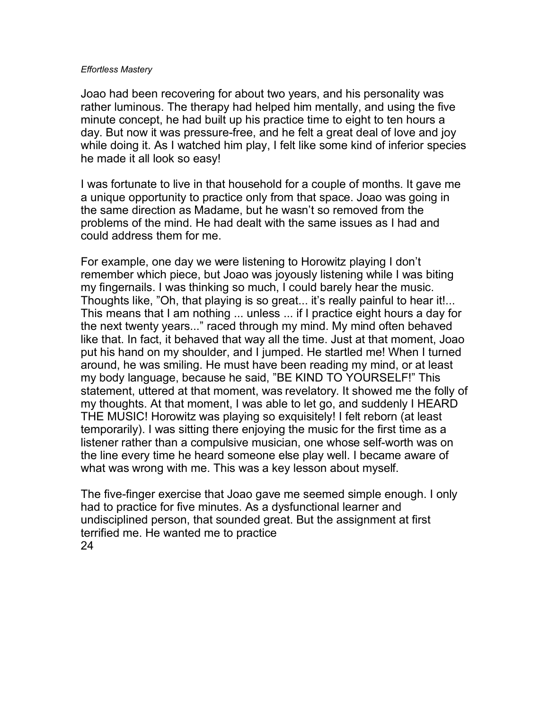Joao had been recovering for about two years, and his personality was rather luminous. The therapy had helped him mentally, and using the five minute concept, he had built up his practice time to eight to ten hours a day. But now it was pressure-free, and he felt a great deal of love and joy while doing it. As I watched him play, I felt like some kind of inferior species he made it all look so easy!

I was fortunate to live in that household for a couple of months. It gave me a unique opportunity to practice only from that space. Joao was going in the same direction as Madame, but he wasn't so removed from the problems of the mind. He had dealt with the same issues as I had and could address them for me.

For example, one day we were listening to Horowitz playing I don't remember which piece, but Joao was joyously listening while I was biting my fingernails. I was thinking so much, I could barely hear the music. Thoughts like, "Oh, that playing is so great... it's really painful to hear it!... This means that I am nothing ... unless ... if I practice eight hours a day for the next twenty years..." raced through my mind. My mind often behaved like that. In fact, it behaved that way all the time. Just at that moment, Joao put his hand on my shoulder, and I jumped. He startled me! When I turned around, he was smiling. He must have been reading my mind, or at least my body language, because he said, "BE KIND TO YOURSELF!" This statement, uttered at that moment, was revelatory. It showed me the folly of my thoughts. At that moment, I was able to let go, and suddenly I HEARD THE MUSIC! Horowitz was playing so exquisitely! I felt reborn (at least temporarily). I was sitting there enjoying the music for the first time as a listener rather than a compulsive musician, one whose self-worth was on the line every time he heard someone else play well. I became aware of what was wrong with me. This was a key lesson about myself.

The five-finger exercise that Joao gave me seemed simple enough. I only had to practice for five minutes. As a dysfunctional learner and undisciplined person, that sounded great. But the assignment at first terrified me. He wanted me to practice 24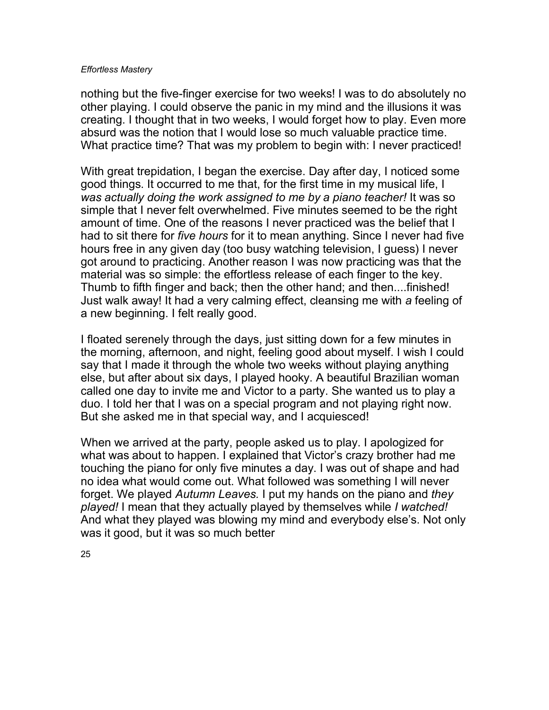nothing but the five-finger exercise for two weeks! I was to do absolutely no other playing. I could observe the panic in my mind and the illusions it was creating. I thought that in two weeks, I would forget how to play. Even more absurd was the notion that I would lose so much valuable practice time. What practice time? That was my problem to begin with: I never practiced!

With great trepidation, I began the exercise. Day after day, I noticed some good things. It occurred to me that, for the first time in my musical life, I *was actually doing the work assigned to me by a piano teacher!* It was so simple that I never felt overwhelmed. Five minutes seemed to be the right amount of time. One of the reasons I never practiced was the belief that I had to sit there for *five hours* for it to mean anything. Since I never had five hours free in any given day (too busy watching television, I guess) I never got around to practicing. Another reason I was now practicing was that the material was so simple: the effortless release of each finger to the key. Thumb to fifth finger and back; then the other hand; and then....finished! Just walk away! It had a very calming effect, cleansing me with *a* feeling of a new beginning. I felt really good.

I floated serenely through the days, just sitting down for a few minutes in the morning, afternoon, and night, feeling good about myself. I wish I could say that I made it through the whole two weeks without playing anything else, but after about six days, I played hooky. A beautiful Brazilian woman called one day to invite me and Victor to a party. She wanted us to play a duo. I told her that I was on a special program and not playing right now. But she asked me in that special way, and I acquiesced!

When we arrived at the party, people asked us to play. I apologized for what was about to happen. I explained that Victor's crazy brother had me touching the piano for only five minutes a day. I was out of shape and had no idea what would come out. What followed was something I will never forget. We played *Autumn Leaves.* I put my hands on the piano and *they played!* I mean that they actually played by themselves while *I watched!* And what they played was blowing my mind and everybody else's. Not only was it good, but it was so much better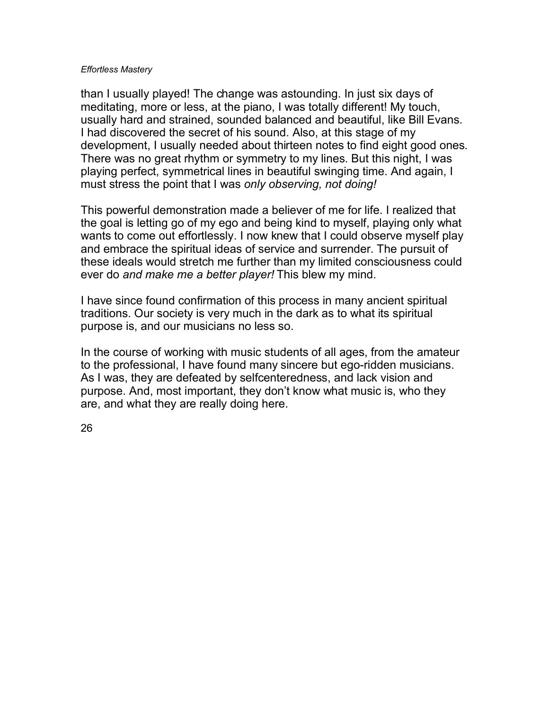than I usually played! The change was astounding. In just six days of meditating, more or less, at the piano, I was totally different! My touch, usually hard and strained, sounded balanced and beautiful, like Bill Evans. I had discovered the secret of his sound. Also, at this stage of my development, I usually needed about thirteen notes to find eight good ones. There was no great rhythm or symmetry to my lines. But this night, I was playing perfect, symmetrical lines in beautiful swinging time. And again, I must stress the point that I was *only observing, not doing!*

This powerful demonstration made a believer of me for life. I realized that the goal is letting go of my ego and being kind to myself, playing only what wants to come out effortlessly. I now knew that I could observe myself play and embrace the spiritual ideas of service and surrender. The pursuit of these ideals would stretch me further than my limited consciousness could ever do *and make me a better player!* This blew my mind.

I have since found confirmation of this process in many ancient spiritual traditions. Our society is very much in the dark as to what its spiritual purpose is, and our musicians no less so.

In the course of working with music students of all ages, from the amateur to the professional, I have found many sincere but ego-ridden musicians. As I was, they are defeated by selfcenteredness, and lack vision and purpose. And, most important, they don't know what music is, who they are, and what they are really doing here.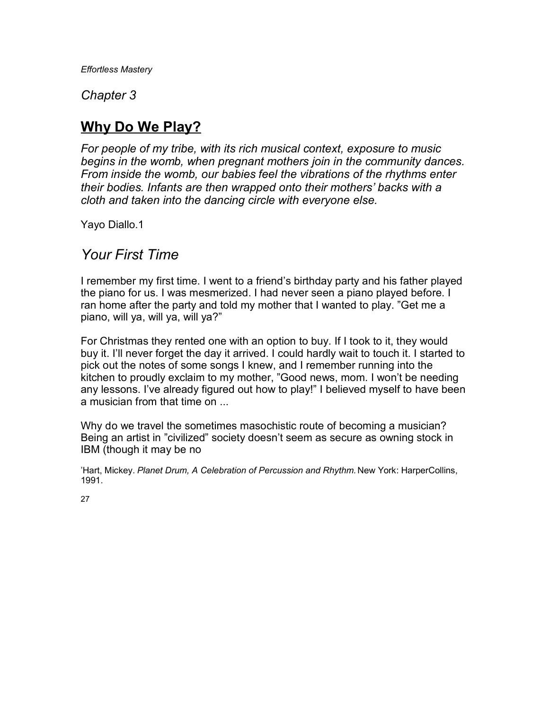*Chapter 3*

# **Why Do We Play?**

*For people of my tribe, with its rich musical context, exposure to music begins in the womb, when pregnant mothers join in the community dances. From inside the womb, our babies feel the vibrations of the rhythms enter their bodies. Infants are then wrapped onto their mothers' backs with a cloth and taken into the dancing circle with everyone else.*

Yayo Diallo.1

# *Your First Time*

I remember my first time. I went to a friend's birthday party and his father played the piano for us. I was mesmerized. I had never seen a piano played before. I ran home after the party and told my mother that I wanted to play. "Get me a piano, will ya, will ya, will ya?"

For Christmas they rented one with an option to buy. If I took to it, they would buy it. I'll never forget the day it arrived. I could hardly wait to touch it. I started to pick out the notes of some songs I knew, and I remember running into the kitchen to proudly exclaim to my mother, "Good news, mom. I won't be needing any lessons. I've already figured out how to play!" I believed myself to have been a musician from that time on ...

Why do we travel the sometimes masochistic route of becoming a musician? Being an artist in "civilized" society doesn't seem as secure as owning stock in IBM (though it may be no

'Hart, Mickey. *Planet Drum, A Celebration of Percussion and Rhythm.* New York: HarperCollins, 1991.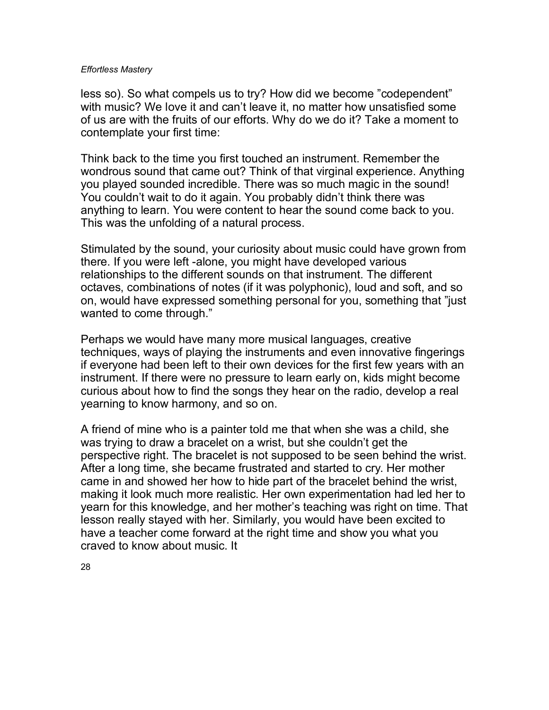less so). So what compels us to try? How did we become "codependent" with music? We love it and can't leave it, no matter how unsatisfied some of us are with the fruits of our efforts. Why do we do it? Take a moment to contemplate your first time:

Think back to the time you first touched an instrument. Remember the wondrous sound that came out? Think of that virginal experience. Anything you played sounded incredible. There was so much magic in the sound! You couldn't wait to do it again. You probably didn't think there was anything to learn. You were content to hear the sound come back to you. This was the unfolding of a natural process.

Stimulated by the sound, your curiosity about music could have grown from there. If you were left -alone, you might have developed various relationships to the different sounds on that instrument. The different octaves, combinations of notes (if it was polyphonic), loud and soft, and so on, would have expressed something personal for you, something that "just wanted to come through."

Perhaps we would have many more musical languages, creative techniques, ways of playing the instruments and even innovative fingerings if everyone had been left to their own devices for the first few years with an instrument. If there were no pressure to learn early on, kids might become curious about how to find the songs they hear on the radio, develop a real yearning to know harmony, and so on.

A friend of mine who is a painter told me that when she was a child, she was trying to draw a bracelet on a wrist, but she couldn't get the perspective right. The bracelet is not supposed to be seen behind the wrist. After a long time, she became frustrated and started to cry. Her mother came in and showed her how to hide part of the bracelet behind the wrist, making it look much more realistic. Her own experimentation had led her to yearn for this knowledge, and her mother's teaching was right on time. That lesson really stayed with her. Similarly, you would have been excited to have a teacher come forward at the right time and show you what you craved to know about music. It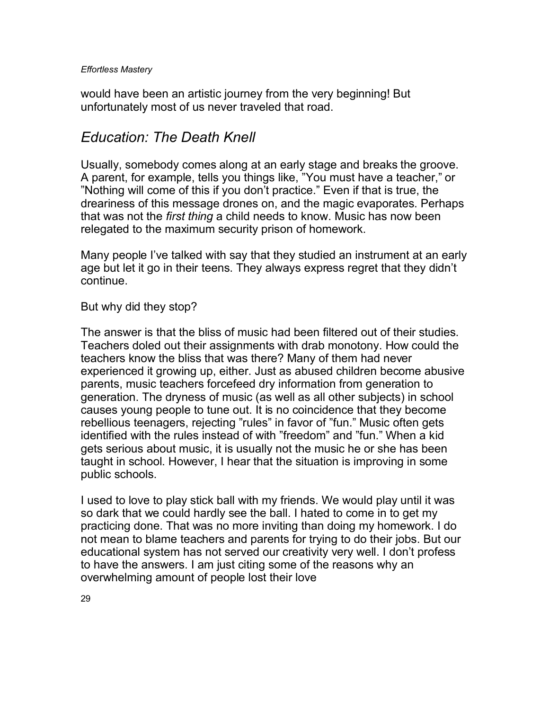would have been an artistic journey from the very beginning! But unfortunately most of us never traveled that road.

# *Education: The Death Knell*

Usually, somebody comes along at an early stage and breaks the groove. A parent, for example, tells you things like, "You must have a teacher," or "Nothing will come of this if you don't practice." Even if that is true, the dreariness of this message drones on, and the magic evaporates. Perhaps that was not the *first thing* a child needs to know. Music has now been relegated to the maximum security prison of homework.

Many people I've talked with say that they studied an instrument at an early age but let it go in their teens. They always express regret that they didn't continue.

But why did they stop?

The answer is that the bliss of music had been filtered out of their studies. Teachers doled out their assignments with drab monotony. How could the teachers know the bliss that was there? Many of them had never experienced it growing up, either. Just as abused children become abusive parents, music teachers forcefeed dry information from generation to generation. The dryness of music (as well as all other subjects) in school causes young people to tune out. It is no coincidence that they become rebellious teenagers, rejecting "rules" in favor of "fun." Music often gets identified with the rules instead of with "freedom" and "fun." When a kid gets serious about music, it is usually not the music he or she has been taught in school. However, I hear that the situation is improving in some public schools.

I used to love to play stick ball with my friends. We would play until it was so dark that we could hardly see the ball. I hated to come in to get my practicing done. That was no more inviting than doing my homework. I do not mean to blame teachers and parents for trying to do their jobs. But our educational system has not served our creativity very well. I don't profess to have the answers. I am just citing some of the reasons why an overwhelming amount of people lost their love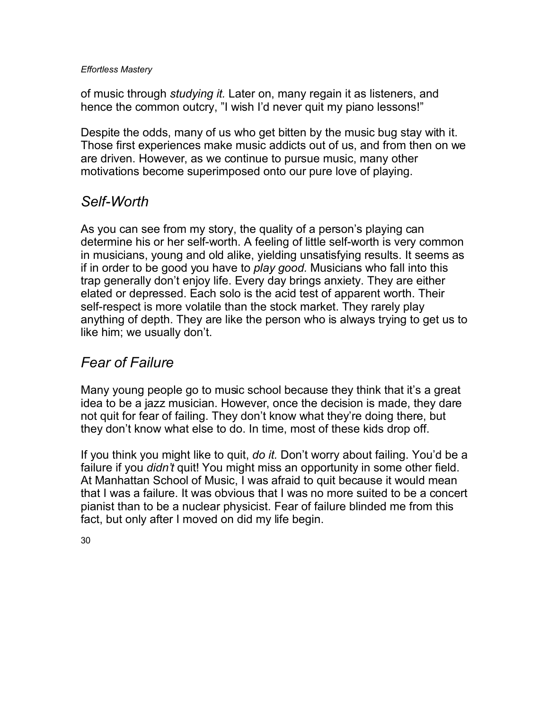of music through *studying it.* Later on, many regain it as listeners, and hence the common outcry, "I wish I'd never quit my piano lessons!"

Despite the odds, many of us who get bitten by the music bug stay with it. Those first experiences make music addicts out of us, and from then on we are driven. However, as we continue to pursue music, many other motivations become superimposed onto our pure love of playing.

# *Self-Worth*

As you can see from my story, the quality of a person's playing can determine his or her self-worth. A feeling of little self-worth is very common in musicians, young and old alike, yielding unsatisfying results. It seems as if in order to be good you have to *play good.* Musicians who fall into this trap generally don't enjoy life. Every day brings anxiety. They are either elated or depressed. Each solo is the acid test of apparent worth. Their self-respect is more volatile than the stock market. They rarely play anything of depth. They are like the person who is always trying to get us to like him; we usually don't.

# *Fear of Failure*

Many young people go to music school because they think that it's a great idea to be a jazz musician. However, once the decision is made, they dare not quit for fear of failing. They don't know what they're doing there, but they don't know what else to do. In time, most of these kids drop off.

If you think you might like to quit, *do it.* Don't worry about failing. You'd be a failure if you *didn't* quit! You might miss an opportunity in some other field. At Manhattan School of Music, I was afraid to quit because it would mean that I was a failure. It was obvious that I was no more suited to be a concert pianist than to be a nuclear physicist. Fear of failure blinded me from this fact, but only after I moved on did my life begin.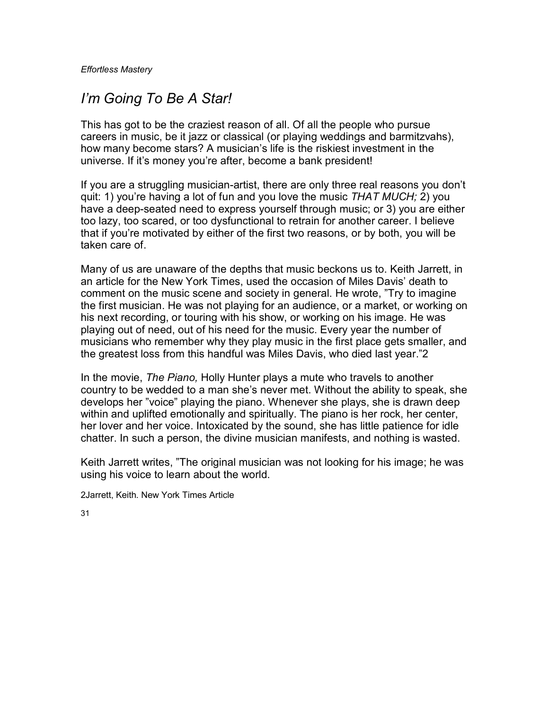# *I'm Going To Be A Star!*

This has got to be the craziest reason of all. Of all the people who pursue careers in music, be it jazz or classical (or playing weddings and barmitzvahs), how many become stars? A musician's life is the riskiest investment in the universe. If it's money you're after, become a bank president!

If you are a struggling musician-artist, there are only three real reasons you don't quit: 1) you're having a lot of fun and you love the music *THAT MUCH;* 2) you have a deep-seated need to express yourself through music; or 3) you are either too lazy, too scared, or too dysfunctional to retrain for another career. I believe that if you're motivated by either of the first two reasons, or by both, you will be taken care of.

Many of us are unaware of the depths that music beckons us to. Keith Jarrett, in an article for the New York Times, used the occasion of Miles Davis' death to comment on the music scene and society in general. He wrote, "Try to imagine the first musician. He was not playing for an audience, or a market, or working on his next recording, or touring with his show, or working on his image. He was playing out of need, out of his need for the music. Every year the number of musicians who remember why they play music in the first place gets smaller, and the greatest loss from this handful was Miles Davis, who died last year."2

In the movie, *The Piano,* Holly Hunter plays a mute who travels to another country to be wedded to a man she's never met. Without the ability to speak, she develops her "voice" playing the piano. Whenever she plays, she is drawn deep within and uplifted emotionally and spiritually. The piano is her rock, her center, her lover and her voice. Intoxicated by the sound, she has little patience for idle chatter. In such a person, the divine musician manifests, and nothing is wasted.

Keith Jarrett writes, "The original musician was not looking for his image; he was using his voice to learn about the world.

2Jarrett, Keith. New York Times Article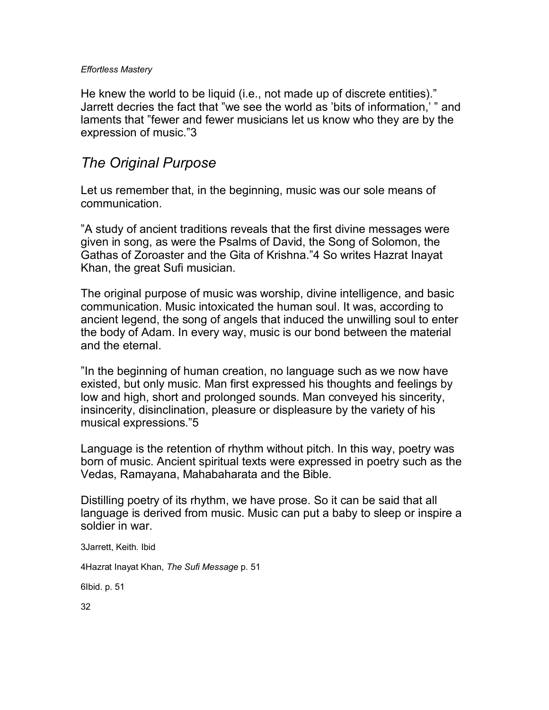He knew the world to be liquid (i.e., not made up of discrete entities)." Jarrett decries the fact that "we see the world as 'bits of information,' " and laments that "fewer and fewer musicians let us know who they are by the expression of music."3

# *The Original Purpose*

Let us remember that, in the beginning, music was our sole means of communication.

"A study of ancient traditions reveals that the first divine messages were given in song, as were the Psalms of David, the Song of Solomon, the Gathas of Zoroaster and the Gita of Krishna."4 So writes Hazrat Inayat Khan, the great Sufi musician.

The original purpose of music was worship, divine intelligence, and basic communication. Music intoxicated the human soul. It was, according to ancient legend, the song of angels that induced the unwilling soul to enter the body of Adam. In every way, music is our bond between the material and the eternal.

"In the beginning of human creation, no language such as we now have existed, but only music. Man first expressed his thoughts and feelings by low and high, short and prolonged sounds. Man conveyed his sincerity, insincerity, disinclination, pleasure or displeasure by the variety of his musical expressions."5

Language is the retention of rhythm without pitch. In this way, poetry was born of music. Ancient spiritual texts were expressed in poetry such as the Vedas, Ramayana, Mahabaharata and the Bible.

Distilling poetry of its rhythm, we have prose. So it can be said that all language is derived from music. Music can put a baby to sleep or inspire a soldier in war.

3Jarrett, Keith. Ibid

4Hazrat Inayat Khan, *The Sufi Message* p. 51

6Ibid. p. 51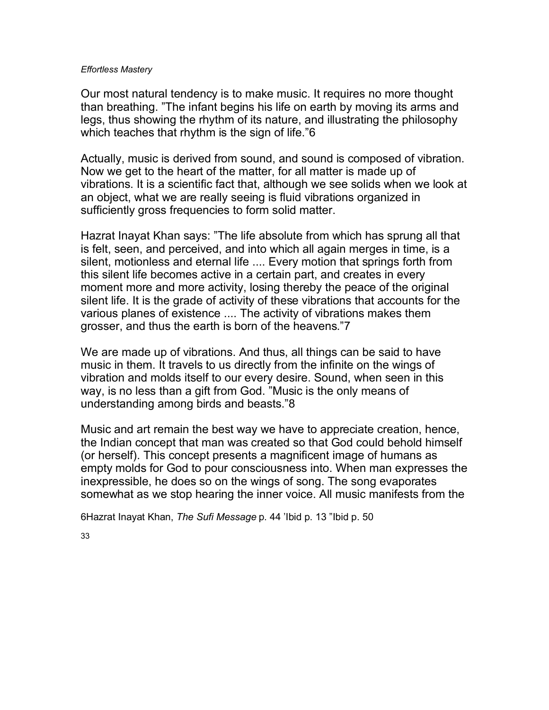Our most natural tendency is to make music. It requires no more thought than breathing. "The infant begins his life on earth by moving its arms and legs, thus showing the rhythm of its nature, and illustrating the philosophy which teaches that rhythm is the sign of life."6

Actually, music is derived from sound, and sound is composed of vibration. Now we get to the heart of the matter, for all matter is made up of vibrations. It is a scientific fact that, although we see solids when we look at an object, what we are really seeing is fluid vibrations organized in sufficiently gross frequencies to form solid matter.

Hazrat Inayat Khan says: "The life absolute from which has sprung all that is felt, seen, and perceived, and into which all again merges in time, is a silent, motionless and eternal life .... Every motion that springs forth from this silent life becomes active in a certain part, and creates in every moment more and more activity, losing thereby the peace of the original silent life. It is the grade of activity of these vibrations that accounts for the various planes of existence .... The activity of vibrations makes them grosser, and thus the earth is born of the heavens."7

We are made up of vibrations. And thus, all things can be said to have music in them. It travels to us directly from the infinite on the wings of vibration and molds itself to our every desire. Sound, when seen in this way, is no less than a gift from God. "Music is the only means of understanding among birds and beasts."8

Music and art remain the best way we have to appreciate creation, hence, the Indian concept that man was created so that God could behold himself (or herself). This concept presents a magnificent image of humans as empty molds for God to pour consciousness into. When man expresses the inexpressible, he does so on the wings of song. The song evaporates somewhat as we stop hearing the inner voice. All music manifests from the

6Hazrat Inayat Khan, *The Sufi Message* p. 44 'Ibid p. 13 "Ibid p. 50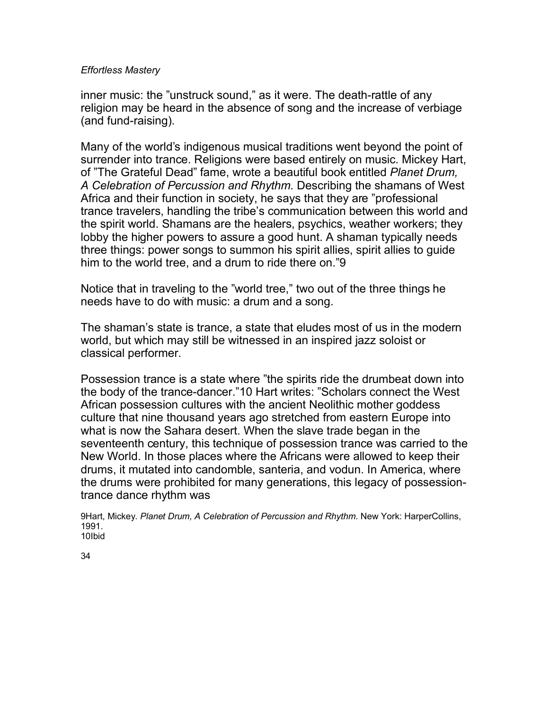inner music: the "unstruck sound," as it were. The death-rattle of any religion may be heard in the absence of song and the increase of verbiage (and fund-raising).

Many of the world's indigenous musical traditions went beyond the point of surrender into trance. Religions were based entirely on music. Mickey Hart, of "The Grateful Dead" fame, wrote a beautiful book entitled *Planet Drum, A Celebration of Percussion and Rhythm.* Describing the shamans of West Africa and their function in society, he says that they are "professional trance travelers, handling the tribe's communication between this world and the spirit world. Shamans are the healers, psychics, weather workers; they lobby the higher powers to assure a good hunt. A shaman typically needs three things: power songs to summon his spirit allies, spirit allies to guide him to the world tree, and a drum to ride there on."9

Notice that in traveling to the "world tree," two out of the three things he needs have to do with music: a drum and a song.

The shaman's state is trance, a state that eludes most of us in the modern world, but which may still be witnessed in an inspired jazz soloist or classical performer.

Possession trance is a state where "the spirits ride the drumbeat down into the body of the trance-dancer."10 Hart writes: "Scholars connect the West African possession cultures with the ancient Neolithic mother goddess culture that nine thousand years ago stretched from eastern Europe into what is now the Sahara desert. When the slave trade began in the seventeenth century, this technique of possession trance was carried to the New World. In those places where the Africans were allowed to keep their drums, it mutated into candomble, santeria, and vodun. In America, where the drums were prohibited for many generations, this legacy of possessiontrance dance rhythm was

9Hart, Mickey. *Planet Drum, A Celebration of Percussion and Rhythm.* New York: HarperCollins, 1991. 10Ibid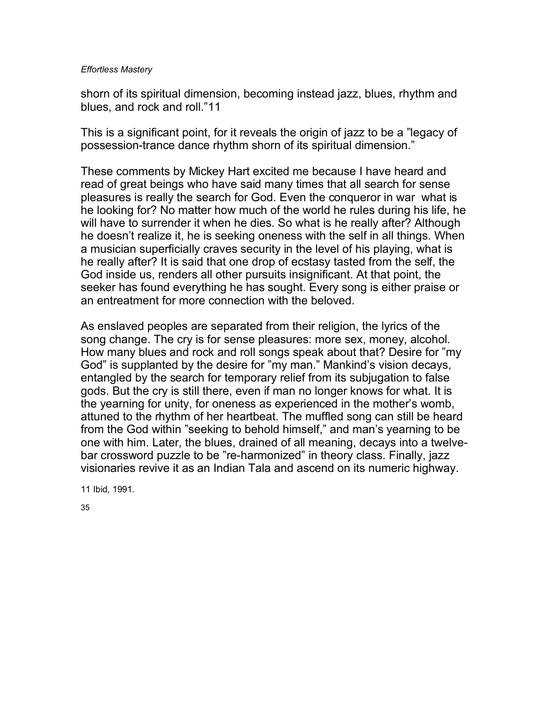shorn of its spiritual dimension, becoming instead jazz, blues, rhythm and blues, and rock and roll."11

This is a significant point, for it reveals the origin of jazz to be a "legacy of possession-trance dance rhythm shorn of its spiritual dimension."

These comments by Mickey Hart excited me because I have heard and read of great beings who have said many times that all search for sense pleasures is really the search for God. Even the conqueror in war what is he looking for? No matter how much of the world he rules during his life, he will have to surrender it when he dies. So what is he really after? Although he doesn't realize it, he is seeking oneness with the self in all things. When a musician superficially craves security in the level of his playing, what is he really after? It is said that one drop of ecstasy tasted from the self, the God inside us, renders all other pursuits insignificant. At that point, the seeker has found everything he has sought. Every song is either praise or an entreatment for more connection with the beloved.

As enslaved peoples are separated from their religion, the lyrics of the song change. The cry is for sense pleasures: more sex, money, alcohol. How many blues and rock and roll songs speak about that? Desire for "my God" is supplanted by the desire for "my man." Mankind's vision decays, entangled by the search for temporary relief from its subjugation to false gods. But the cry is still there, even if man no longer knows for what. It is the yearning for unity, for oneness as experienced in the mother's womb, attuned to the rhythm of her heartbeat. The muffled song can still be heard from the God within "seeking to behold himself," and man's yearning to be one with him. Later, the blues, drained of all meaning, decays into a twelvebar crossword puzzle to be "re-harmonized" in theory class. Finally, jazz visionaries revive it as an Indian Tala and ascend on its numeric highway.

11 Ibid, 1991.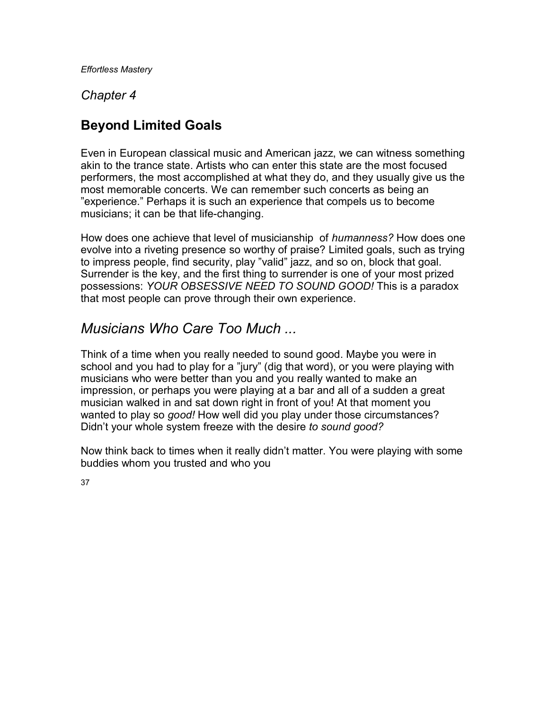# *Chapter 4*

# **Beyond Limited Goals**

Even in European classical music and American jazz, we can witness something akin to the trance state. Artists who can enter this state are the most focused performers, the most accomplished at what they do, and they usually give us the most memorable concerts. We can remember such concerts as being an "experience." Perhaps it is such an experience that compels us to become musicians; it can be that life-changing.

How does one achieve that level of musicianship of *humanness?* How does one evolve into a riveting presence so worthy of praise? Limited goals, such as trying to impress people, find security, play "valid" jazz, and so on, block that goal. Surrender is the key, and the first thing to surrender is one of your most prized possessions: *YOUR OBSESSIVE NEED TO SOUND GOOD!* This is a paradox that most people can prove through their own experience.

# *Musicians Who Care Too Much ...*

Think of a time when you really needed to sound good. Maybe you were in school and you had to play for a "jury" (dig that word), or you were playing with musicians who were better than you and you really wanted to make an impression, or perhaps you were playing at a bar and all of a sudden a great musician walked in and sat down right in front of you! At that moment you wanted to play so *good!* How well did you play under those circumstances? Didn't your whole system freeze with the desire *to sound good?*

Now think back to times when it really didn't matter. You were playing with some buddies whom you trusted and who you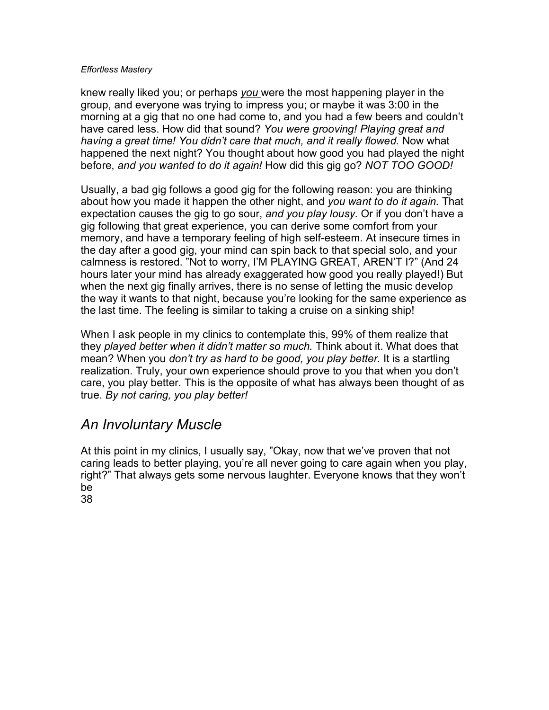knew really liked you; or perhaps *you* were the most happening player in the group, and everyone was trying to impress you; or maybe it was 3:00 in the morning at a gig that no one had come to, and you had a few beers and couldn't have cared less. How did that sound? *You were grooving! Playing great and having a great time! You didn't care that much, and it really flowed.* Now what happened the next night? You thought about how good you had played the night before, *and you wanted to do it again!* How did this gig go? *NOT TOO GOOD!*

Usually, a bad gig follows a good gig for the following reason: you are thinking about how you made it happen the other night, and *you want to do it again.* That expectation causes the gig to go sour, *and you play lousy.* Or if you don't have a gig following that great experience, you can derive some comfort from your memory, and have a temporary feeling of high self-esteem. At insecure times in the day after a good gig, your mind can spin back to that special solo, and your calmness is restored. "Not to worry, I'M PLAYING GREAT, AREN'T I?" (And 24 hours later your mind has already exaggerated how good you really played!) But when the next gig finally arrives, there is no sense of letting the music develop the way it wants to that night, because you're looking for the same experience as the last time. The feeling is similar to taking a cruise on a sinking ship!

When I ask people in my clinics to contemplate this, 99% of them realize that they *played better when it didn't matter so much.* Think about it. What does that mean? When you *don't try as hard to be good, you play better.* It is a startling realization. Truly, your own experience should prove to you that when you don't care, you play better. This is the opposite of what has always been thought of as true. *By not caring, you play better!*

# *An Involuntary Muscle*

At this point in my clinics, I usually say, "Okay, now that we've proven that not caring leads to better playing, you're all never going to care again when you play, right?" That always gets some nervous laughter. Everyone knows that they won't be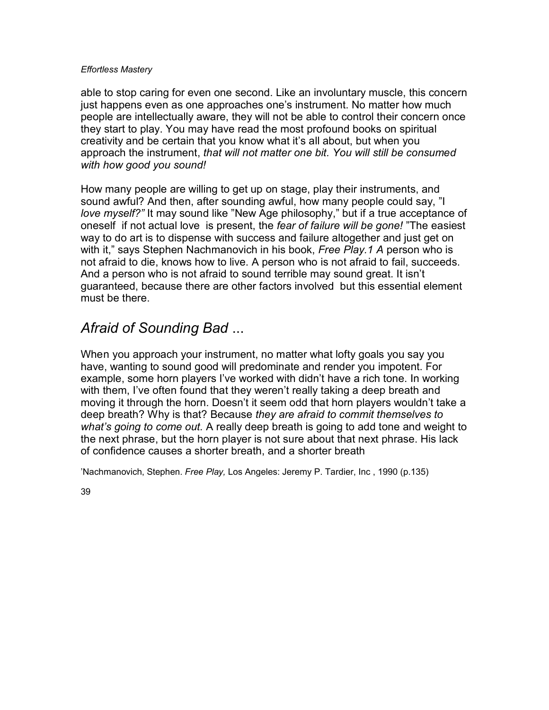able to stop caring for even one second. Like an involuntary muscle, this concern just happens even as one approaches one's instrument. No matter how much people are intellectually aware, they will not be able to control their concern once they start to play. You may have read the most profound books on spiritual creativity and be certain that you know what it's all about, but when you approach the instrument, *that will not matter one bit. You will still be consumed with how good you sound!*

How many people are willing to get up on stage, play their instruments, and sound awful? And then, after sounding awful, how many people could say, "I *love myself?"* It may sound like "New Age philosophy," but if a true acceptance of oneself if not actual love is present, the *fear of failure will be gone!* "The easiest way to do art is to dispense with success and failure altogether and just get on with it," says Stephen Nachmanovich in his book, *Free Play.1 A* person who is not afraid to die, knows how to live. A person who is not afraid to fail, succeeds. And a person who is not afraid to sound terrible may sound great. It isn't guaranteed, because there are other factors involved but this essential element must be there.

# *Afraid of Sounding Bad* ...

When you approach your instrument, no matter what lofty goals you say you have, wanting to sound good will predominate and render you impotent. For example, some horn players I've worked with didn't have a rich tone. In working with them, I've often found that they weren't really taking a deep breath and moving it through the horn. Doesn't it seem odd that horn players wouldn't take a deep breath? Why is that? Because *they are afraid to commit themselves to what's going to come out.* A really deep breath is going to add tone and weight to the next phrase, but the horn player is not sure about that next phrase. His lack of confidence causes a shorter breath, and a shorter breath

'Nachmanovich, Stephen. *Free Play,* Los Angeles: Jeremy P. Tardier, Inc , 1990 (p.135)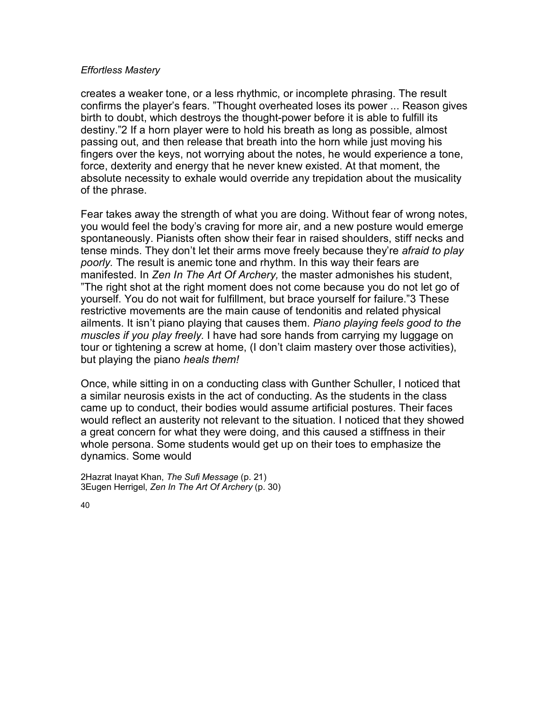creates a weaker tone, or a less rhythmic, or incomplete phrasing. The result confirms the player's fears. "Thought overheated loses its power ... Reason gives birth to doubt, which destroys the thought-power before it is able to fulfill its destiny."2 If a horn player were to hold his breath as long as possible, almost passing out, and then release that breath into the horn while just moving his fingers over the keys, not worrying about the notes, he would experience a tone, force, dexterity and energy that he never knew existed. At that moment, the absolute necessity to exhale would override any trepidation about the musicality of the phrase.

Fear takes away the strength of what you are doing. Without fear of wrong notes, you would feel the body's craving for more air, and a new posture would emerge spontaneously. Pianists often show their fear in raised shoulders, stiff necks and tense minds. They don't let their arms move freely because they're *afraid to play poorly.* The result is anemic tone and rhythm. In this way their fears are manifested. In *Zen In The Art Of Archery,* the master admonishes his student, "The right shot at the right moment does not come because you do not let go of yourself. You do not wait for fulfillment, but brace yourself for failure."3 These restrictive movements are the main cause of tendonitis and related physical ailments. It isn't piano playing that causes them. *Piano playing feels good to the muscles if you play freely.* I have had sore hands from carrying my luggage on tour or tightening a screw at home, (I don't claim mastery over those activities), but playing the piano *heals them!*

Once, while sitting in on a conducting class with Gunther Schuller, I noticed that a similar neurosis exists in the act of conducting. As the students in the class came up to conduct, their bodies would assume artificial postures. Their faces would reflect an austerity not relevant to the situation. I noticed that they showed a great concern for what they were doing, and this caused a stiffness in their whole persona. Some students would get up on their toes to emphasize the dynamics. Some would

2Hazrat Inayat Khan, *The Sufi Message* (p. 21) 3Eugen Herrigel, *Zen In The Art Of Archery* (p. 30)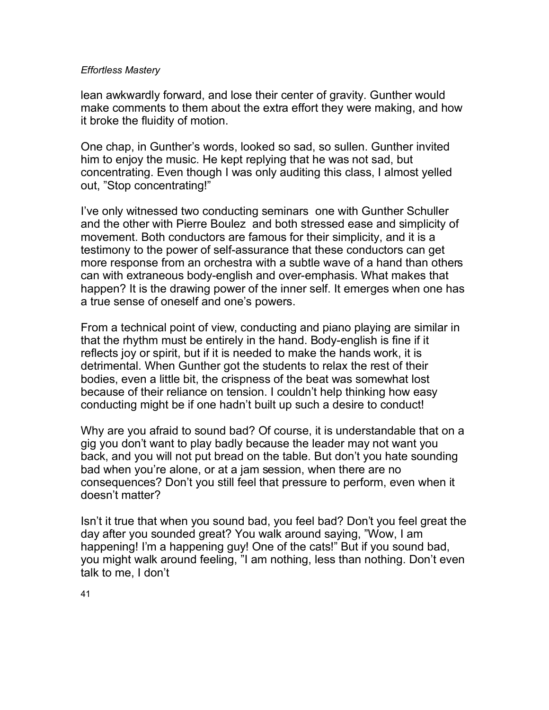lean awkwardly forward, and lose their center of gravity. Gunther would make comments to them about the extra effort they were making, and how it broke the fluidity of motion.

One chap, in Gunther's words, looked so sad, so sullen. Gunther invited him to enjoy the music. He kept replying that he was not sad, but concentrating. Even though I was only auditing this class, I almost yelled out, "Stop concentrating!"

I've only witnessed two conducting seminars one with Gunther Schuller and the other with Pierre Boulez and both stressed ease and simplicity of movement. Both conductors are famous for their simplicity, and it is a testimony to the power of self-assurance that these conductors can get more response from an orchestra with a subtle wave of a hand than others can with extraneous body-english and over-emphasis. What makes that happen? It is the drawing power of the inner self. It emerges when one has a true sense of oneself and one's powers.

From a technical point of view, conducting and piano playing are similar in that the rhythm must be entirely in the hand. Body-english is fine if it reflects joy or spirit, but if it is needed to make the hands work, it is detrimental. When Gunther got the students to relax the rest of their bodies, even a little bit, the crispness of the beat was somewhat lost because of their reliance on tension. I couldn't help thinking how easy conducting might be if one hadn't built up such a desire to conduct!

Why are you afraid to sound bad? Of course, it is understandable that on a gig you don't want to play badly because the leader may not want you back, and you will not put bread on the table. But don't you hate sounding bad when you're alone, or at a jam session, when there are no consequences? Don't you still feel that pressure to perform, even when it doesn't matter?

Isn't it true that when you sound bad, you feel bad? Don't you feel great the day after you sounded great? You walk around saying, "Wow, I am happening! I'm a happening guy! One of the cats!" But if you sound bad, you might walk around feeling, "I am nothing, less than nothing. Don't even talk to me, I don't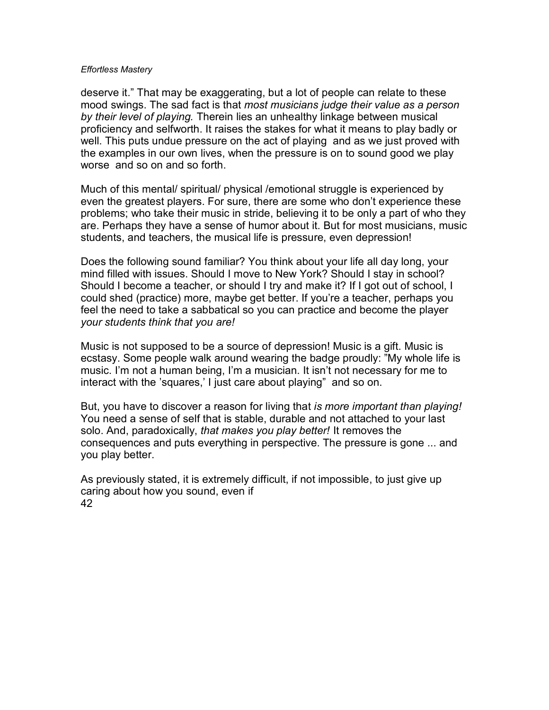deserve it." That may be exaggerating, but a lot of people can relate to these mood swings. The sad fact is that *most musicians judge their value as a person by their level of playing.* Therein lies an unhealthy linkage between musical proficiency and selfworth. It raises the stakes for what it means to play badly or well. This puts undue pressure on the act of playing and as we just proved with the examples in our own lives, when the pressure is on to sound good we play worse and so on and so forth.

Much of this mental/ spiritual/ physical /emotional struggle is experienced by even the greatest players. For sure, there are some who don't experience these problems; who take their music in stride, believing it to be only a part of who they are. Perhaps they have a sense of humor about it. But for most musicians, music students, and teachers, the musical life is pressure, even depression!

Does the following sound familiar? You think about your life all day long, your mind filled with issues. Should I move to New York? Should I stay in school? Should I become a teacher, or should I try and make it? If I got out of school, I could shed (practice) more, maybe get better. If you're a teacher, perhaps you feel the need to take a sabbatical so you can practice and become the player *your students think that you are!*

Music is not supposed to be a source of depression! Music is a gift. Music is ecstasy. Some people walk around wearing the badge proudly: "My whole life is music. I'm not a human being, I'm a musician. It isn't not necessary for me to interact with the 'squares,' I just care about playing" and so on.

But, you have to discover a reason for living that *is more important than playing!* You need a sense of self that is stable, durable and not attached to your last solo. And, paradoxically, *that makes you play better!* It removes the consequences and puts everything in perspective. The pressure is gone ... and you play better.

As previously stated, it is extremely difficult, if not impossible, to just give up caring about how you sound, even if 42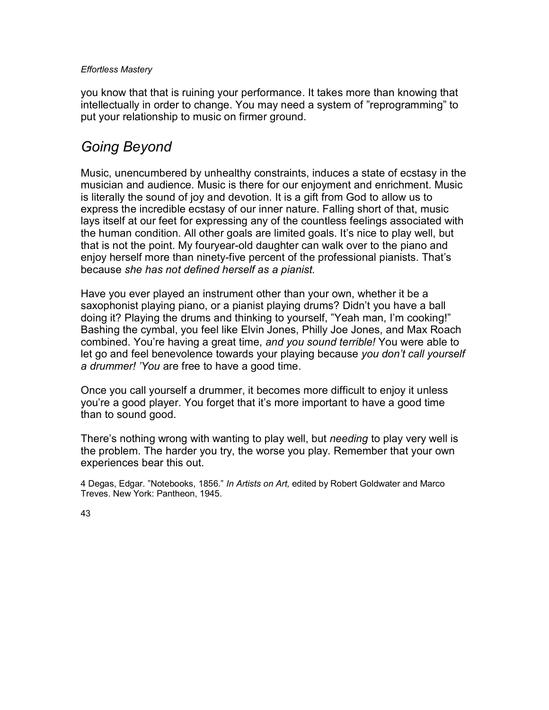you know that that is ruining your performance. It takes more than knowing that intellectually in order to change. You may need a system of "reprogramming" to put your relationship to music on firmer ground.

# *Going Beyond*

Music, unencumbered by unhealthy constraints, induces a state of ecstasy in the musician and audience. Music is there for our enjoyment and enrichment. Music is literally the sound of joy and devotion. It is a gift from God to allow us to express the incredible ecstasy of our inner nature. Falling short of that, music lays itself at our feet for expressing any of the countless feelings associated with the human condition. All other goals are limited goals. It's nice to play well, but that is not the point. My fouryear-old daughter can walk over to the piano and enjoy herself more than ninety-five percent of the professional pianists. That's because *she has not defined herself as a pianist.*

Have you ever played an instrument other than your own, whether it be a saxophonist playing piano, or a pianist playing drums? Didn't you have a ball doing it? Playing the drums and thinking to yourself, "Yeah man, I'm cooking!" Bashing the cymbal, you feel like Elvin Jones, Philly Joe Jones, and Max Roach combined. You're having a great time, *and you sound terrible!* You were able to let go and feel benevolence towards your playing because *you don't call yourself a drummer! 'You* are free to have a good time.

Once you call yourself a drummer, it becomes more difficult to enjoy it unless you're a good player. You forget that it's more important to have a good time than to sound good.

There's nothing wrong with wanting to play well, but *needing* to play very well is the problem. The harder you try, the worse you play. Remember that your own experiences bear this out.

4 Degas, Edgar. "Notebooks, 1856." *In Artists on Art,* edited by Robert Goldwater and Marco Treves. New York: Pantheon, 1945.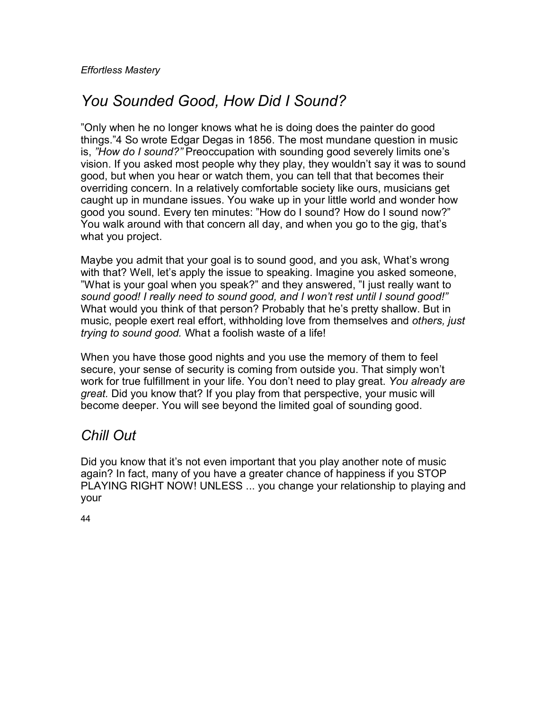# *You Sounded Good, How Did I Sound?*

"Only when he no longer knows what he is doing does the painter do good things."4 So wrote Edgar Degas in 1856. The most mundane question in music is, *"How do I sound?"* Preoccupation with sounding good severely limits one's vision. If you asked most people why they play, they wouldn't say it was to sound good, but when you hear or watch them, you can tell that that becomes their overriding concern. In a relatively comfortable society like ours, musicians get caught up in mundane issues. You wake up in your little world and wonder how good you sound. Every ten minutes: "How do I sound? How do I sound now?" You walk around with that concern all day, and when you go to the gig, that's what you project.

Maybe you admit that your goal is to sound good, and you ask, What's wrong with that? Well, let's apply the issue to speaking. Imagine you asked someone, "What is your goal when you speak?" and they answered, "I just really want to *sound good! I really need to sound good, and I won't rest until I sound good!"* What would you think of that person? Probably that he's pretty shallow. But in music, people exert real effort, withholding love from themselves and *others, just trying to sound good.* What a foolish waste of a life!

When you have those good nights and you use the memory of them to feel secure, your sense of security is coming from outside you. That simply won't work for true fulfillment in your life. You don't need to play great. *You already are great.* Did you know that? If you play from that perspective, your music will become deeper. You will see beyond the limited goal of sounding good.

# *Chill Out*

Did you know that it's not even important that you play another note of music again? In fact, many of you have a greater chance of happiness if you STOP PLAYING RIGHT NOW! UNLESS ... you change your relationship to playing and your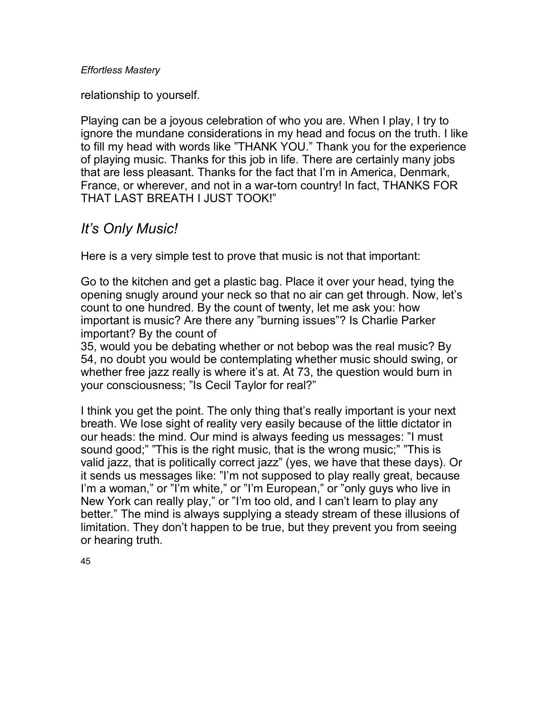relationship to yourself.

Playing can be a joyous celebration of who you are. When I play, I try to ignore the mundane considerations in my head and focus on the truth. I like to fill my head with words like "THANK YOU." Thank you for the experience of playing music. Thanks for this job in life. There are certainly many jobs that are less pleasant. Thanks for the fact that I'm in America, Denmark, France, or wherever, and not in a war-torn country! In fact, THANKS FOR THAT LAST BREATH I JUST TOOK!"

# *It's Only Music!*

Here is a very simple test to prove that music is not that important:

Go to the kitchen and get a plastic bag. Place it over your head, tying the opening snugly around your neck so that no air can get through. Now, let's count to one hundred. By the count of twenty, let me ask you: how important is music? Are there any "burning issues"? Is Charlie Parker important? By the count of

35, would you be debating whether or not bebop was the real music? By 54, no doubt you would be contemplating whether music should swing, or whether free jazz really is where it's at. At 73, the question would burn in your consciousness; "Is Cecil Taylor for real?"

I think you get the point. The only thing that's really important is your next breath. We lose sight of reality very easily because of the little dictator in our heads: the mind. Our mind is always feeding us messages: "I must sound good;" "This is the right music, that is the wrong music;" "This is valid jazz, that is politically correct jazz" (yes, we have that these days). Or it sends us messages like: "I'm not supposed to play really great, because I'm a woman," or "I'm white," or "I'm European," or "only guys who live in New York can really play," or "I'm too old, and I can't learn to play any better." The mind is always supplying a steady stream of these illusions of limitation. They don't happen to be true, but they prevent you from seeing or hearing truth.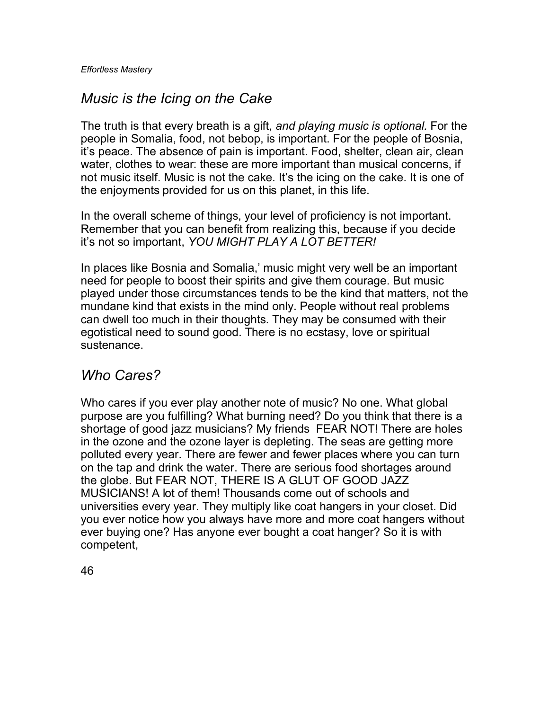# *Music is the Icing on the Cake*

The truth is that every breath is a gift, *and playing music is optional.* For the people in Somalia, food, not bebop, is important. For the people of Bosnia, it's peace. The absence of pain is important. Food, shelter, clean air, clean water, clothes to wear: these are more important than musical concerns, if not music itself. Music is not the cake. It's the icing on the cake. It is one of the enjoyments provided for us on this planet, in this life.

In the overall scheme of things, your level of proficiency is not important. Remember that you can benefit from realizing this, because if you decide it's not so important, *YOU MIGHT PLAY A LOT BETTER!*

In places like Bosnia and Somalia,' music might very well be an important need for people to boost their spirits and give them courage. But music played under those circumstances tends to be the kind that matters, not the mundane kind that exists in the mind only. People without real problems can dwell too much in their thoughts. They may be consumed with their egotistical need to sound good. There is no ecstasy, love or spiritual sustenance.

# *Who Cares?*

Who cares if you ever play another note of music? No one. What global purpose are you fulfilling? What burning need? Do you think that there is a shortage of good jazz musicians? My friends FEAR NOT! There are holes in the ozone and the ozone layer is depleting. The seas are getting more polluted every year. There are fewer and fewer places where you can turn on the tap and drink the water. There are serious food shortages around the globe. But FEAR NOT, THERE IS A GLUT OF GOOD JAZZ MUSICIANS! A lot of them! Thousands come out of schools and universities every year. They multiply like coat hangers in your closet. Did you ever notice how you always have more and more coat hangers without ever buying one? Has anyone ever bought a coat hanger? So it is with competent,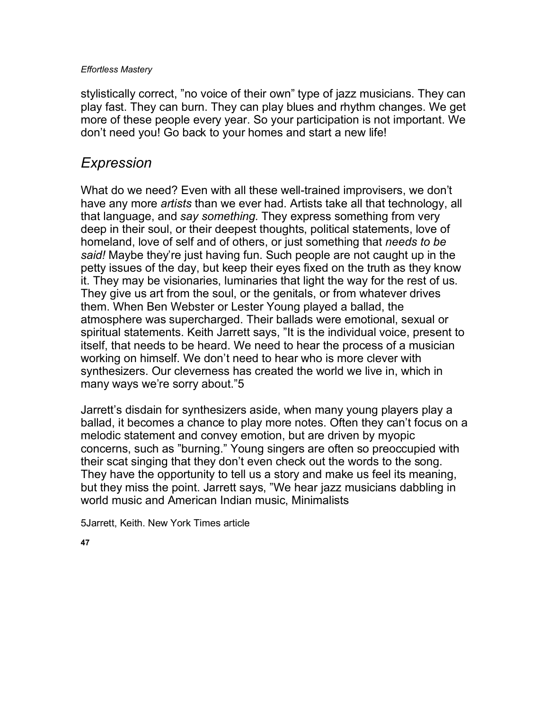stylistically correct, "no voice of their own" type of jazz musicians. They can play fast. They can burn. They can play blues and rhythm changes. We get more of these people every year. So your participation is not important. We don't need you! Go back to your homes and start a new life!

# *Expression*

What do we need? Even with all these well-trained improvisers, we don't have any more *artists* than we ever had. Artists take all that technology, all that language, and *say something.* They express something from very deep in their soul, or their deepest thoughts, political statements, love of homeland, love of self and of others, or just something that *needs to be said!* Maybe they're just having fun. Such people are not caught up in the petty issues of the day, but keep their eyes fixed on the truth as they know it. They may be visionaries, luminaries that light the way for the rest of us. They give us art from the soul, or the genitals, or from whatever drives them. When Ben Webster or Lester Young played a ballad, the atmosphere was supercharged. Their ballads were emotional, sexual or spiritual statements. Keith Jarrett says, "It is the individual voice, present to itself, that needs to be heard. We need to hear the process of a musician working on himself. We don't need to hear who is more clever with synthesizers. Our cleverness has created the world we live in, which in many ways we're sorry about."5

Jarrett's disdain for synthesizers aside, when many young players play a ballad, it becomes a chance to play more notes. Often they can't focus on a melodic statement and convey emotion, but are driven by myopic concerns, such as "burning." Young singers are often so preoccupied with their scat singing that they don't even check out the words to the song. They have the opportunity to tell us a story and make us feel its meaning, but they miss the point. Jarrett says, "We hear jazz musicians dabbling in world music and American Indian music, Minimalists

5Jarrett, Keith. New York Times article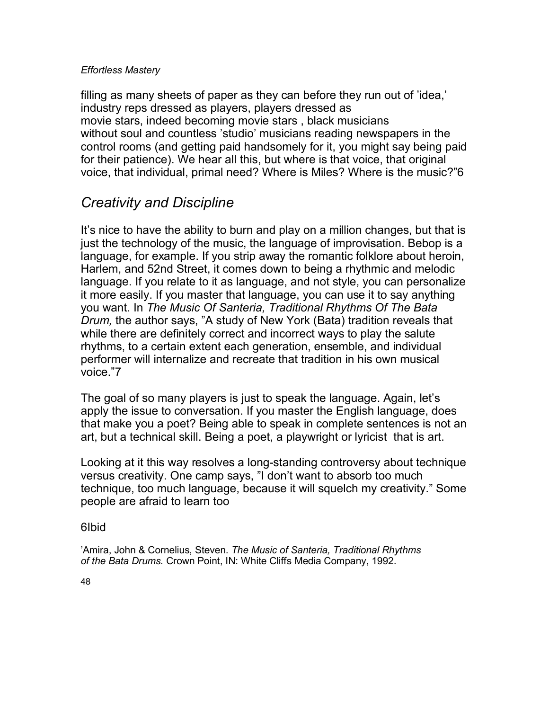filling as many sheets of paper as they can before they run out of 'idea,' industry reps dressed as players, players dressed as movie stars, indeed becoming movie stars , black musicians without soul and countless 'studio' musicians reading newspapers in the control rooms (and getting paid handsomely for it, you might say being paid for their patience). We hear all this, but where is that voice, that original voice, that individual, primal need? Where is Miles? Where is the music?"6

# *Creativity and Discipline*

It's nice to have the ability to burn and play on a million changes, but that is just the technology of the music, the language of improvisation. Bebop is a language, for example. If you strip away the romantic folklore about heroin, Harlem, and 52nd Street, it comes down to being a rhythmic and melodic language. If you relate to it as language, and not style, you can personalize it more easily. If you master that language, you can use it to say anything you want. In *The Music Of Santeria, Traditional Rhythms Of The Bata Drum,* the author says, "A study of New York (Bata) tradition reveals that while there are definitely correct and incorrect ways to play the salute rhythms, to a certain extent each generation, ensemble, and individual performer will internalize and recreate that tradition in his own musical voice."7

The goal of so many players is just to speak the language. Again, let's apply the issue to conversation. If you master the English language, does that make you a poet? Being able to speak in complete sentences is not an art, but a technical skill. Being a poet, a playwright or lyricist that is art.

Looking at it this way resolves a long-standing controversy about technique versus creativity. One camp says, "I don't want to absorb too much technique, too much language, because it will squelch my creativity." Some people are afraid to learn too

# 6Ibid

'Amira, John & Cornelius, Steven. *The Music of Santeria, Traditional Rhythms of the Bata Drums.* Crown Point, IN: White Cliffs Media Company, 1992.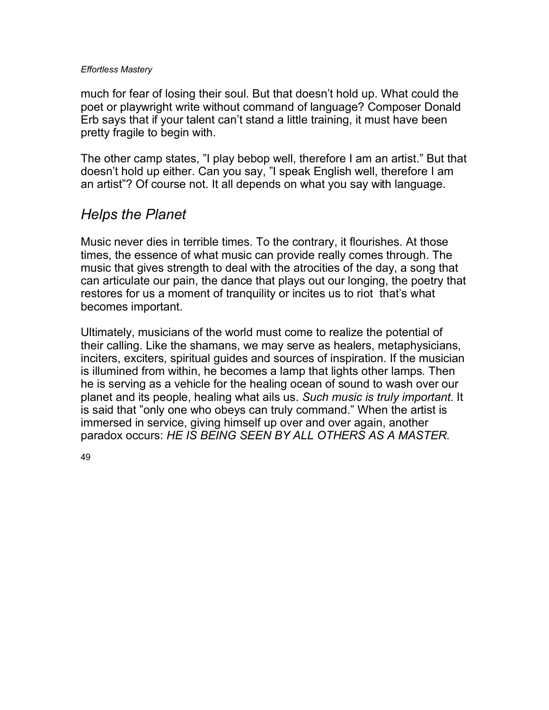much for fear of losing their soul. But that doesn't hold up. What could the poet or playwright write without command of language? Composer Donald Erb says that if your talent can't stand a little training, it must have been pretty fragile to begin with.

The other camp states, "I play bebop well, therefore I am an artist." But that doesn't hold up either. Can you say, "I speak English well, therefore I am an artist"? Of course not. It all depends on what you say with language.

# *Helps the Planet*

Music never dies in terrible times. To the contrary, it flourishes. At those times, the essence of what music can provide really comes through. The music that gives strength to deal with the atrocities of the day, a song that can articulate our pain, the dance that plays out our longing, the poetry that restores for us a moment of tranquility or incites us to riot that's what becomes important.

Ultimately, musicians of the world must come to realize the potential of their calling. Like the shamans, we may serve as healers, metaphysicians, inciters, exciters, spiritual guides and sources of inspiration. If the musician is illumined from within, he becomes a lamp that lights other lamps. Then he is serving as a vehicle for the healing ocean of sound to wash over our planet and its people, healing what ails us. *Such music is truly important.* It is said that "only one who obeys can truly command." When the artist is immersed in service, giving himself up over and over again, another paradox occurs: *HE IS BEING SEEN BY ALL OTHERS AS A MASTER.*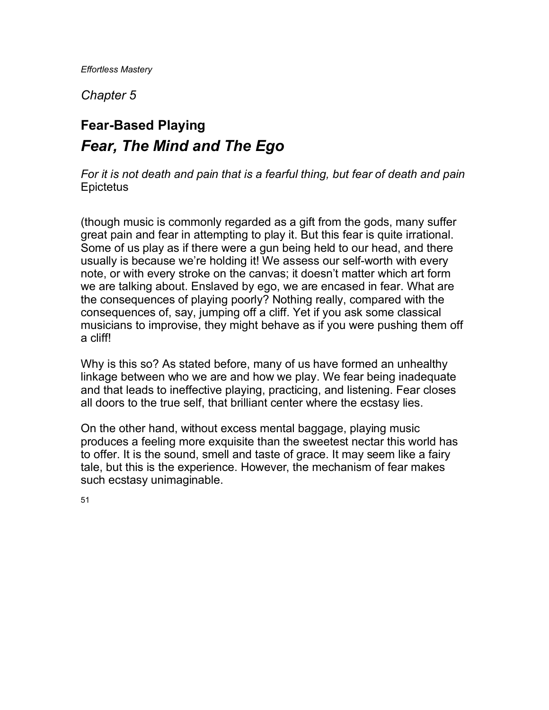*Chapter 5*

# **Fear-Based Playing** *Fear, The Mind and The Ego*

*For it is not death and pain that is a fearful thing, but fear of death and pain* **Epictetus** 

(though music is commonly regarded as a gift from the gods, many suffer great pain and fear in attempting to play it. But this fear is quite irrational. Some of us play as if there were a gun being held to our head, and there usually is because we're holding it! We assess our self-worth with every note, or with every stroke on the canvas; it doesn't matter which art form we are talking about. Enslaved by ego, we are encased in fear. What are the consequences of playing poorly? Nothing really, compared with the consequences of, say, jumping off a cliff. Yet if you ask some classical musicians to improvise, they might behave as if you were pushing them off a cliff!

Why is this so? As stated before, many of us have formed an unhealthy linkage between who we are and how we play. We fear being inadequate and that leads to ineffective playing, practicing, and listening. Fear closes all doors to the true self, that brilliant center where the ecstasy lies.

On the other hand, without excess mental baggage, playing music produces a feeling more exquisite than the sweetest nectar this world has to offer. It is the sound, smell and taste of grace. It may seem like a fairy tale, but this is the experience. However, the mechanism of fear makes such ecstasy unimaginable.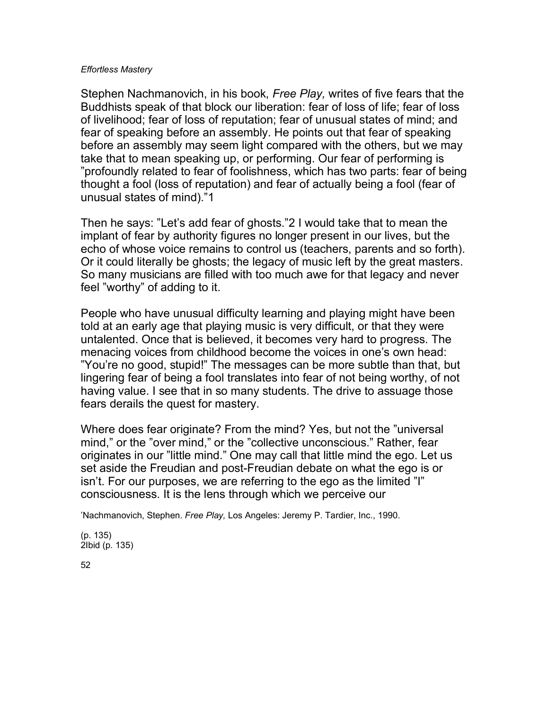Stephen Nachmanovich, in his book, *Free Play,* writes of five fears that the Buddhists speak of that block our liberation: fear of loss of life; fear of loss of livelihood; fear of loss of reputation; fear of unusual states of mind; and fear of speaking before an assembly. He points out that fear of speaking before an assembly may seem light compared with the others, but we may take that to mean speaking up, or performing. Our fear of performing is "profoundly related to fear of foolishness, which has two parts: fear of being thought a fool (loss of reputation) and fear of actually being a fool (fear of unusual states of mind)."1

Then he says: "Let's add fear of ghosts."2 I would take that to mean the implant of fear by authority figures no longer present in our lives, but the echo of whose voice remains to control us (teachers, parents and so forth). Or it could literally be ghosts; the legacy of music left by the great masters. So many musicians are filled with too much awe for that legacy and never feel "worthy" of adding to it.

People who have unusual difficulty learning and playing might have been told at an early age that playing music is very difficult, or that they were untalented. Once that is believed, it becomes very hard to progress. The menacing voices from childhood become the voices in one's own head: "You're no good, stupid!" The messages can be more subtle than that, but lingering fear of being a fool translates into fear of not being worthy, of not having value. I see that in so many students. The drive to assuage those fears derails the quest for mastery.

Where does fear originate? From the mind? Yes, but not the "universal mind," or the "over mind," or the "collective unconscious." Rather, fear originates in our "little mind." One may call that little mind the ego. Let us set aside the Freudian and post-Freudian debate on what the ego is or isn't. For our purposes, we are referring to the ego as the limited "I" consciousness. It is the lens through which we perceive our

'Nachmanovich, Stephen. *Free Play,* Los Angeles: Jeremy P. Tardier, Inc., 1990.

(p. 135) 2Ibid (p. 135)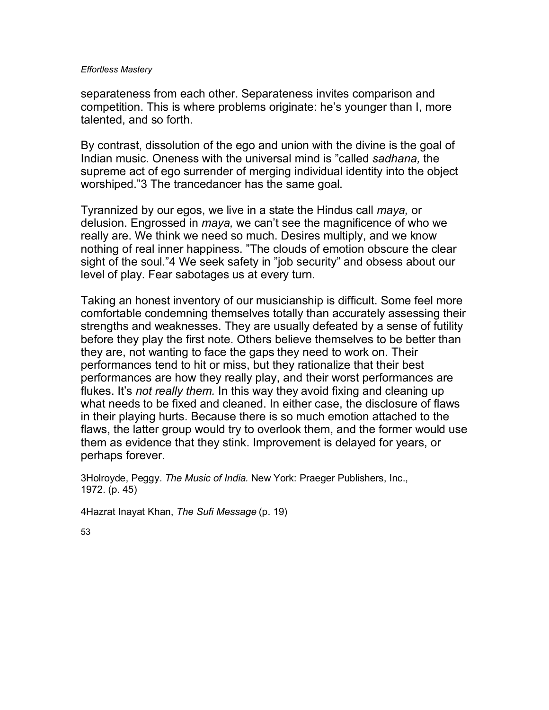separateness from each other. Separateness invites comparison and competition. This is where problems originate: he's younger than I, more talented, and so forth.

By contrast, dissolution of the ego and union with the divine is the goal of Indian music. Oneness with the universal mind is "called *sadhana,* the supreme act of ego surrender of merging individual identity into the object worshiped."3 The trancedancer has the same goal.

Tyrannized by our egos, we live in a state the Hindus call *maya,* or delusion. Engrossed in *maya,* we can't see the magnificence of who we really are. We think we need so much. Desires multiply, and we know nothing of real inner happiness. "The clouds of emotion obscure the clear sight of the soul."4 We seek safety in "job security" and obsess about our level of play. Fear sabotages us at every turn.

Taking an honest inventory of our musicianship is difficult. Some feel more comfortable condemning themselves totally than accurately assessing their strengths and weaknesses. They are usually defeated by a sense of futility before they play the first note. Others believe themselves to be better than they are, not wanting to face the gaps they need to work on. Their performances tend to hit or miss, but they rationalize that their best performances are how they really play, and their worst performances are flukes. It's *not really them.* In this way they avoid fixing and cleaning up what needs to be fixed and cleaned. In either case, the disclosure of flaws in their playing hurts. Because there is so much emotion attached to the flaws, the latter group would try to overlook them, and the former would use them as evidence that they stink. Improvement is delayed for years, or perhaps forever.

3Holroyde, Peggy. *The Music of India.* New York: Praeger Publishers, Inc., 1972. (p. 45)

4Hazrat Inayat Khan, *The Sufi Message* (p. 19)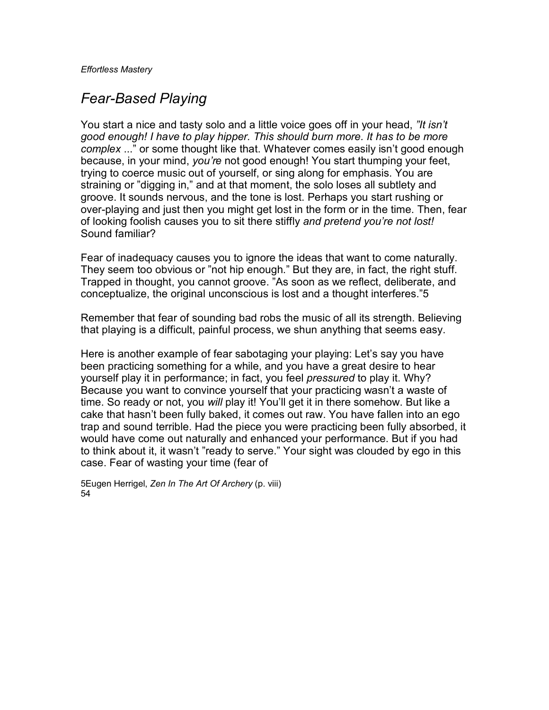# *Fear-Based Playing*

You start a nice and tasty solo and a little voice goes off in your head, *"It isn't good enough! I have to play hipper. This should burn more. It has to be more complex* ..." or some thought like that. Whatever comes easily isn't good enough because, in your mind, *you're* not good enough! You start thumping your feet, trying to coerce music out of yourself, or sing along for emphasis. You are straining or "digging in," and at that moment, the solo loses all subtlety and groove. It sounds nervous, and the tone is lost. Perhaps you start rushing or over-playing and just then you might get lost in the form or in the time. Then, fear of looking foolish causes you to sit there stiffly *and pretend you're not lost!* Sound familiar?

Fear of inadequacy causes you to ignore the ideas that want to come naturally. They seem too obvious or "not hip enough." But they are, in fact, the right stuff. Trapped in thought, you cannot groove. "As soon as we reflect, deliberate, and conceptualize, the original unconscious is lost and a thought interferes."5

Remember that fear of sounding bad robs the music of all its strength. Believing that playing is a difficult, painful process, we shun anything that seems easy.

Here is another example of fear sabotaging your playing: Let's say you have been practicing something for a while, and you have a great desire to hear yourself play it in performance; in fact, you feel *pressured* to play it. Why? Because you want to convince yourself that your practicing wasn't a waste of time. So ready or not, you *will* play it! You'll get it in there somehow. But like a cake that hasn't been fully baked, it comes out raw. You have fallen into an ego trap and sound terrible. Had the piece you were practicing been fully absorbed, it would have come out naturally and enhanced your performance. But if you had to think about it, it wasn't "ready to serve." Your sight was clouded by ego in this case. Fear of wasting your time (fear of

5Eugen Herrigel, *Zen In The Art Of Archery* (p. viii) 54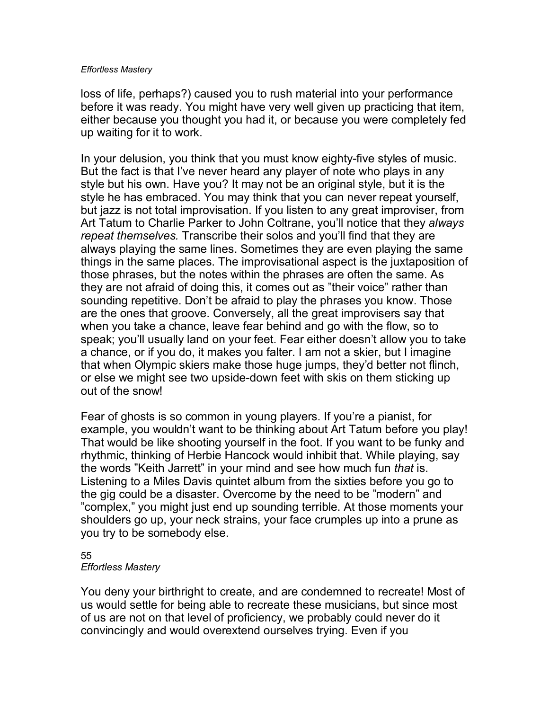loss of life, perhaps?) caused you to rush material into your performance before it was ready. You might have very well given up practicing that item, either because you thought you had it, or because you were completely fed up waiting for it to work.

In your delusion, you think that you must know eighty-five styles of music. But the fact is that I've never heard any player of note who plays in any style but his own. Have you? It may not be an original style, but it is the style he has embraced. You may think that you can never repeat yourself, but jazz is not total improvisation. If you listen to any great improviser, from Art Tatum to Charlie Parker to John Coltrane, you'll notice that they *always repeat themselves.* Transcribe their solos and you'll find that they are always playing the same lines. Sometimes they are even playing the same things in the same places. The improvisational aspect is the juxtaposition of those phrases, but the notes within the phrases are often the same. As they are not afraid of doing this, it comes out as "their voice" rather than sounding repetitive. Don't be afraid to play the phrases you know. Those are the ones that groove. Conversely, all the great improvisers say that when you take a chance, leave fear behind and go with the flow, so to speak; you'll usually land on your feet. Fear either doesn't allow you to take a chance, or if you do, it makes you falter. I am not a skier, but I imagine that when Olympic skiers make those huge jumps, they'd better not flinch, or else we might see two upside-down feet with skis on them sticking up out of the snow!

Fear of ghosts is so common in young players. If you're a pianist, for example, you wouldn't want to be thinking about Art Tatum before you play! That would be like shooting yourself in the foot. If you want to be funky and rhythmic, thinking of Herbie Hancock would inhibit that. While playing, say the words "Keith Jarrett" in your mind and see how much fun *that* is. Listening to a Miles Davis quintet album from the sixties before you go to the gig could be a disaster. Overcome by the need to be "modern" and "complex," you might just end up sounding terrible. At those moments your shoulders go up, your neck strains, your face crumples up into a prune as you try to be somebody else.

#### 55 *Effortless Mastery*

You deny your birthright to create, and are condemned to recreate! Most of us would settle for being able to recreate these musicians, but since most of us are not on that level of proficiency, we probably could never do it convincingly and would overextend ourselves trying. Even if you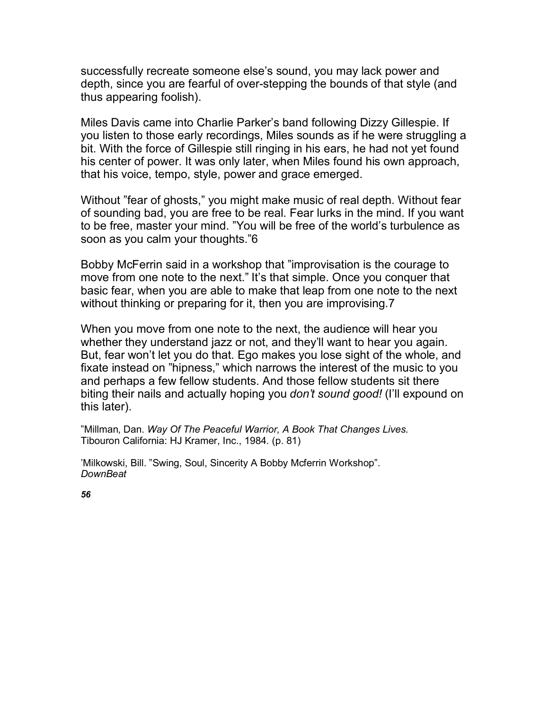successfully recreate someone else's sound, you may lack power and depth, since you are fearful of over-stepping the bounds of that style (and thus appearing foolish).

Miles Davis came into Charlie Parker's band following Dizzy Gillespie. If you listen to those early recordings, Miles sounds as if he were struggling a bit. With the force of Gillespie still ringing in his ears, he had not yet found his center of power. It was only later, when Miles found his own approach, that his voice, tempo, style, power and grace emerged.

Without "fear of ghosts," you might make music of real depth. Without fear of sounding bad, you are free to be real. Fear lurks in the mind. If you want to be free, master your mind. "You will be free of the world's turbulence as soon as you calm your thoughts."6

Bobby McFerrin said in a workshop that "improvisation is the courage to move from one note to the next." It's that simple. Once you conquer that basic fear, when you are able to make that leap from one note to the next without thinking or preparing for it, then you are improvising.7

When you move from one note to the next, the audience will hear you whether they understand jazz or not, and they'll want to hear you again. But, fear won't let you do that. Ego makes you lose sight of the whole, and fixate instead on "hipness," which narrows the interest of the music to you and perhaps a few fellow students. And those fellow students sit there biting their nails and actually hoping you *don't sound good!* (I'll expound on this later).

"Millman, Dan. *Way Of The Peaceful Warrior, A Book That Changes Lives.* Tibouron California: HJ Kramer, Inc., 1984. (p. 81)

'Milkowski, Bill. "Swing, Soul, Sincerity A Bobby Mcferrin Workshop". *DownBeat*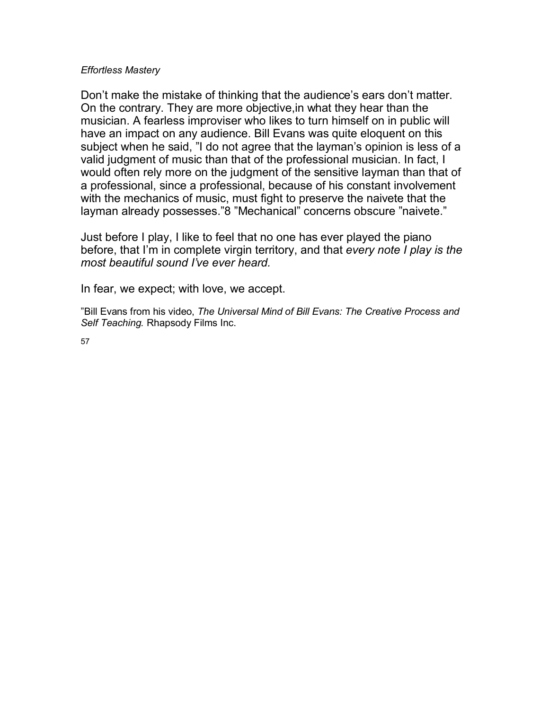Don't make the mistake of thinking that the audience's ears don't matter. On the contrary. They are more objective,in what they hear than the musician. A fearless improviser who likes to turn himself on in public will have an impact on any audience. Bill Evans was quite eloquent on this subject when he said, "I do not agree that the layman's opinion is less of a valid judgment of music than that of the professional musician. In fact, I would often rely more on the judgment of the sensitive layman than that of a professional, since a professional, because of his constant involvement with the mechanics of music, must fight to preserve the naivete that the layman already possesses."8 "Mechanical" concerns obscure "naivete."

Just before I play, I like to feel that no one has ever played the piano before, that I'm in complete virgin territory, and that *every note I play is the most beautiful sound I've ever heard.*

In fear, we expect; with love, we accept.

"Bill Evans from his video, *The Universal Mind of Bill Evans: The Creative Process and Self Teaching.* Rhapsody Films Inc.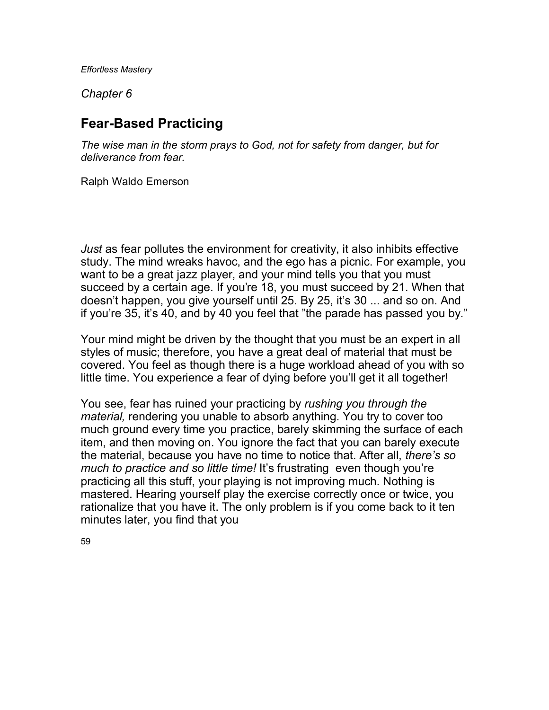*Chapter 6*

# **Fear-Based Practicing**

*The wise man in the storm prays to God, not for safety from danger, but for deliverance from fear.*

Ralph Waldo Emerson

*Just* as fear pollutes the environment for creativity, it also inhibits effective study. The mind wreaks havoc, and the ego has a picnic. For example, you want to be a great jazz player, and your mind tells you that you must succeed by a certain age. If you're 18, you must succeed by 21. When that doesn't happen, you give yourself until 25. By 25, it's 30 ... and so on. And if you're 35, it's 40, and by 40 you feel that "the parade has passed you by."

Your mind might be driven by the thought that you must be an expert in all styles of music; therefore, you have a great deal of material that must be covered. You feel as though there is a huge workload ahead of you with so little time. You experience a fear of dying before you'll get it all together!

You see, fear has ruined your practicing by *rushing you through the material,* rendering you unable to absorb anything. You try to cover too much ground every time you practice, barely skimming the surface of each item, and then moving on. You ignore the fact that you can barely execute the material, because you have no time to notice that. After all, *there's so much to practice and so little time!* It's frustrating even though you're practicing all this stuff, your playing is not improving much. Nothing is mastered. Hearing yourself play the exercise correctly once or twice, you rationalize that you have it. The only problem is if you come back to it ten minutes later, you find that you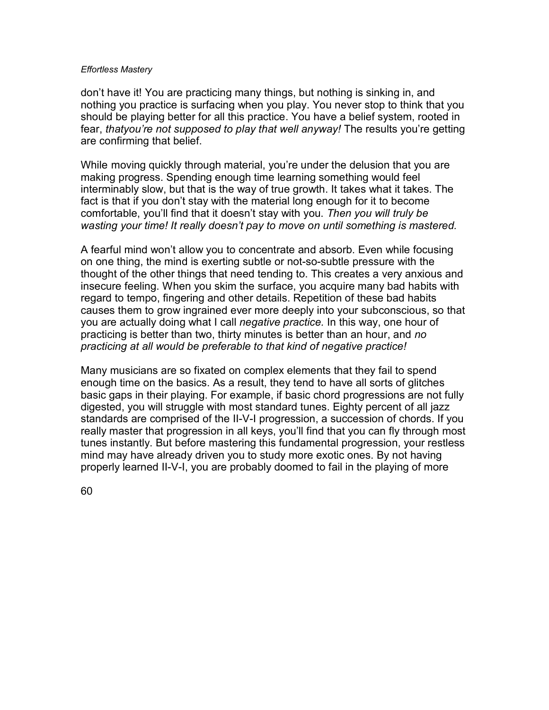don't have it! You are practicing many things, but nothing is sinking in, and nothing you practice is surfacing when you play. You never stop to think that you should be playing better for all this practice. You have a belief system, rooted in fear, *thatyou're not supposed to play that well anyway!* The results you're getting are confirming that belief.

While moving quickly through material, you're under the delusion that you are making progress. Spending enough time learning something would feel interminably slow, but that is the way of true growth. It takes what it takes. The fact is that if you don't stay with the material long enough for it to become comfortable, you'll find that it doesn't stay with you. *Then you will truly be wasting your time! It really doesn't pay to move on until something is mastered.*

A fearful mind won't allow you to concentrate and absorb. Even while focusing on one thing, the mind is exerting subtle or not-so-subtle pressure with the thought of the other things that need tending to. This creates a very anxious and insecure feeling. When you skim the surface, you acquire many bad habits with regard to tempo, fingering and other details. Repetition of these bad habits causes them to grow ingrained ever more deeply into your subconscious, so that you are actually doing what I call *negative practice.* In this way, one hour of practicing is better than two, thirty minutes is better than an hour, and *no practicing at all would be preferable to that kind of negative practice!*

Many musicians are so fixated on complex elements that they fail to spend enough time on the basics. As a result, they tend to have all sorts of glitches basic gaps in their playing. For example, if basic chord progressions are not fully digested, you will struggle with most standard tunes. Eighty percent of all jazz standards are comprised of the II-V-I progression, a succession of chords. If you really master that progression in all keys, you'll find that you can fly through most tunes instantly. But before mastering this fundamental progression, your restless mind may have already driven you to study more exotic ones. By not having properly learned II-V-I, you are probably doomed to fail in the playing of more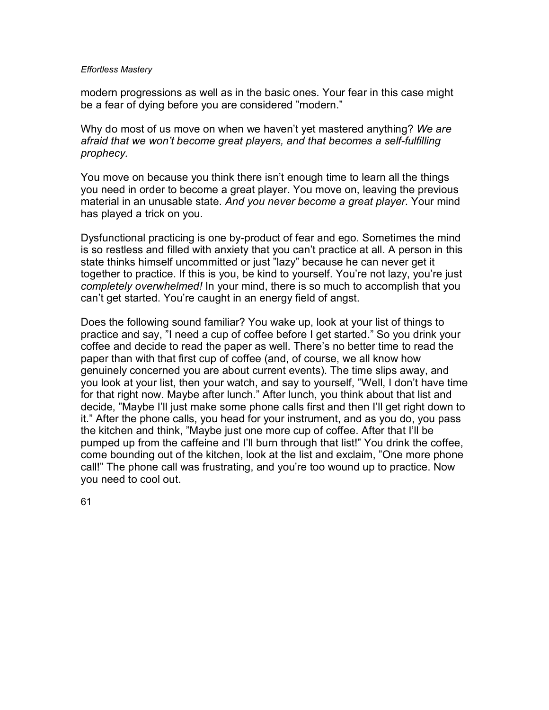modern progressions as well as in the basic ones. Your fear in this case might be a fear of dying before you are considered "modern."

Why do most of us move on when we haven't yet mastered anything? *We are afraid that we won't become great players, and that becomes a self-fulfilling prophecy.*

You move on because you think there isn't enough time to learn all the things you need in order to become a great player. You move on, leaving the previous material in an unusable state. *And you never become a great player.* Your mind has played a trick on you.

Dysfunctional practicing is one by-product of fear and ego. Sometimes the mind is so restless and filled with anxiety that you can't practice at all. A person in this state thinks himself uncommitted or just "lazy" because he can never get it together to practice. If this is you, be kind to yourself. You're not lazy, you're just *completely overwhelmed!* In your mind, there is so much to accomplish that you can't get started. You're caught in an energy field of angst.

Does the following sound familiar? You wake up, look at your list of things to practice and say, "I need a cup of coffee before I get started." So you drink your coffee and decide to read the paper as well. There's no better time to read the paper than with that first cup of coffee (and, of course, we all know how genuinely concerned you are about current events). The time slips away, and you look at your list, then your watch, and say to yourself, "Well, I don't have time for that right now. Maybe after lunch." After lunch, you think about that list and decide, "Maybe I'll just make some phone calls first and then I'll get right down to it." After the phone calls, you head for your instrument, and as you do, you pass the kitchen and think, "Maybe just one more cup of coffee. After that I'll be pumped up from the caffeine and I'll burn through that list!" You drink the coffee, come bounding out of the kitchen, look at the list and exclaim, "One more phone call!" The phone call was frustrating, and you're too wound up to practice. Now you need to cool out.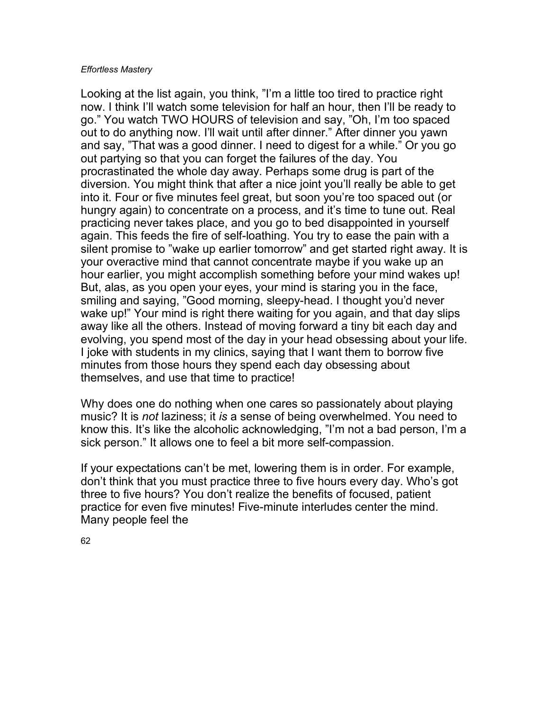Looking at the list again, you think, "I'm a little too tired to practice right now. I think I'll watch some television for half an hour, then I'll be ready to go." You watch TWO HOURS of television and say, "Oh, I'm too spaced out to do anything now. I'll wait until after dinner." After dinner you yawn and say, "That was a good dinner. I need to digest for a while." Or you go out partying so that you can forget the failures of the day. You procrastinated the whole day away. Perhaps some drug is part of the diversion. You might think that after a nice joint you'll really be able to get into it. Four or five minutes feel great, but soon you're too spaced out (or hungry again) to concentrate on a process, and it's time to tune out. Real practicing never takes place, and you go to bed disappointed in yourself again. This feeds the fire of self-loathing. You try to ease the pain with a silent promise to "wake up earlier tomorrow" and get started right away. It is your overactive mind that cannot concentrate maybe if you wake up an hour earlier, you might accomplish something before your mind wakes up! But, alas, as you open your eyes, your mind is staring you in the face, smiling and saying, "Good morning, sleepy-head. I thought you'd never wake up!" Your mind is right there waiting for you again, and that day slips away like all the others. Instead of moving forward a tiny bit each day and evolving, you spend most of the day in your head obsessing about your life. I joke with students in my clinics, saying that I want them to borrow five minutes from those hours they spend each day obsessing about themselves, and use that time to practice!

Why does one do nothing when one cares so passionately about playing music? It is *not* laziness; it *is* a sense of being overwhelmed. You need to know this. It's like the alcoholic acknowledging, "I'm not a bad person, I'm a sick person." It allows one to feel a bit more self-compassion.

If your expectations can't be met, lowering them is in order. For example, don't think that you must practice three to five hours every day. Who's got three to five hours? You don't realize the benefits of focused, patient practice for even five minutes! Five-minute interludes center the mind. Many people feel the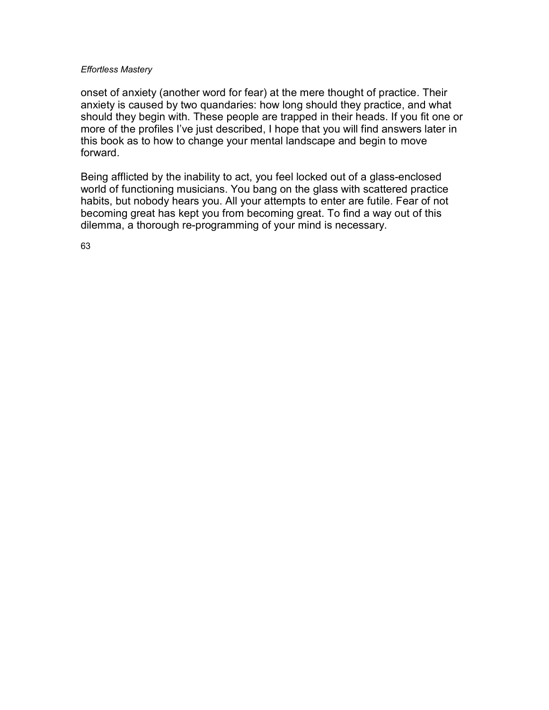onset of anxiety (another word for fear) at the mere thought of practice. Their anxiety is caused by two quandaries: how long should they practice, and what should they begin with. These people are trapped in their heads. If you fit one or more of the profiles I've just described, I hope that you will find answers later in this book as to how to change your mental landscape and begin to move forward.

Being afflicted by the inability to act, you feel locked out of a glass-enclosed world of functioning musicians. You bang on the glass with scattered practice habits, but nobody hears you. All your attempts to enter are futile. Fear of not becoming great has kept you from becoming great. To find a way out of this dilemma, a thorough re-programming of your mind is necessary.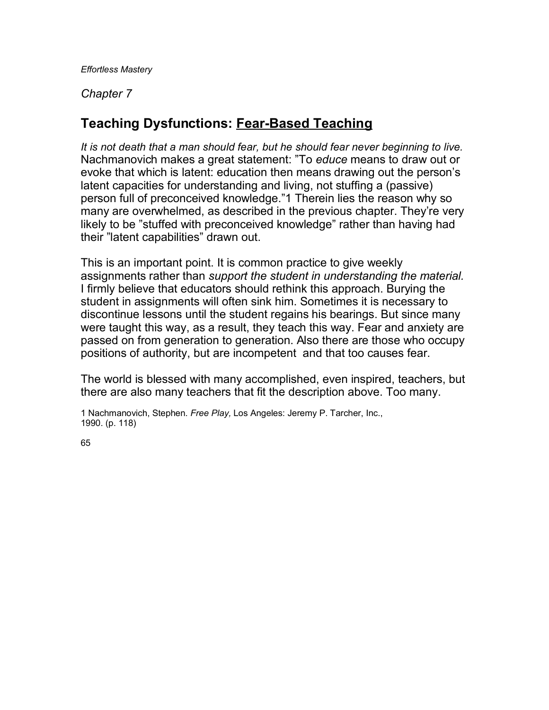*Chapter 7*

# **Teaching Dysfunctions: Fear-Based Teaching**

*It is not death that a man should fear, but he should fear never beginning to live.* Nachmanovich makes a great statement: "To *educe* means to draw out or evoke that which is latent: education then means drawing out the person's latent capacities for understanding and living, not stuffing a (passive) person full of preconceived knowledge."1 Therein lies the reason why so many are overwhelmed, as described in the previous chapter. They're very likely to be "stuffed with preconceived knowledge" rather than having had their "latent capabilities" drawn out.

This is an important point. It is common practice to give weekly assignments rather than *support the student in understanding the material.* I firmly believe that educators should rethink this approach. Burying the student in assignments will often sink him. Sometimes it is necessary to discontinue lessons until the student regains his bearings. But since many were taught this way, as a result, they teach this way. Fear and anxiety are passed on from generation to generation. Also there are those who occupy positions of authority, but are incompetent and that too causes fear.

The world is blessed with many accomplished, even inspired, teachers, but there are also many teachers that fit the description above. Too many.

1 Nachmanovich, Stephen. *Free Play,* Los Angeles: Jeremy P. Tarcher, Inc., 1990. (p. 118)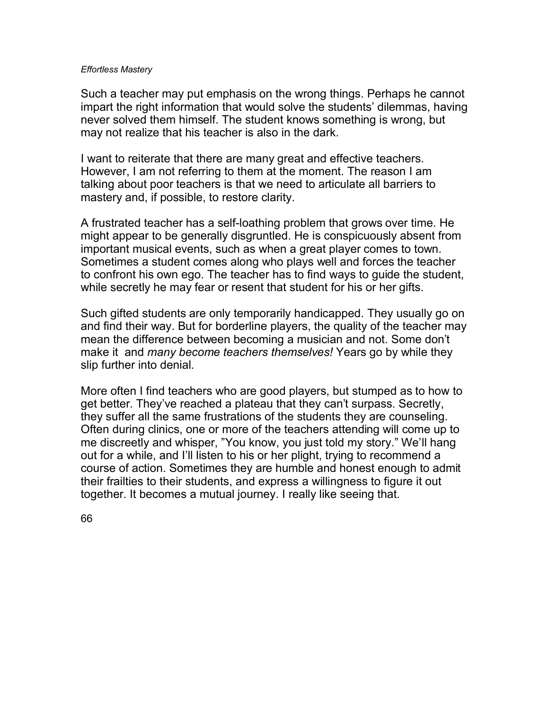Such a teacher may put emphasis on the wrong things. Perhaps he cannot impart the right information that would solve the students' dilemmas, having never solved them himself. The student knows something is wrong, but may not realize that his teacher is also in the dark.

I want to reiterate that there are many great and effective teachers. However, I am not referring to them at the moment. The reason I am talking about poor teachers is that we need to articulate all barriers to mastery and, if possible, to restore clarity.

A frustrated teacher has a self-loathing problem that grows over time. He might appear to be generally disgruntled. He is conspicuously absent from important musical events, such as when a great player comes to town. Sometimes a student comes along who plays well and forces the teacher to confront his own ego. The teacher has to find ways to guide the student, while secretly he may fear or resent that student for his or her gifts.

Such gifted students are only temporarily handicapped. They usually go on and find their way. But for borderline players, the quality of the teacher may mean the difference between becoming a musician and not. Some don't make it and *many become teachers themselves!* Years go by while they slip further into denial.

More often I find teachers who are good players, but stumped as to how to get better. They've reached a plateau that they can't surpass. Secretly, they suffer all the same frustrations of the students they are counseling. Often during clinics, one or more of the teachers attending will come up to me discreetly and whisper, "You know, you just told my story." We'll hang out for a while, and I'll listen to his or her plight, trying to recommend a course of action. Sometimes they are humble and honest enough to admit their frailties to their students, and express a willingness to figure it out together. It becomes a mutual journey. I really like seeing that.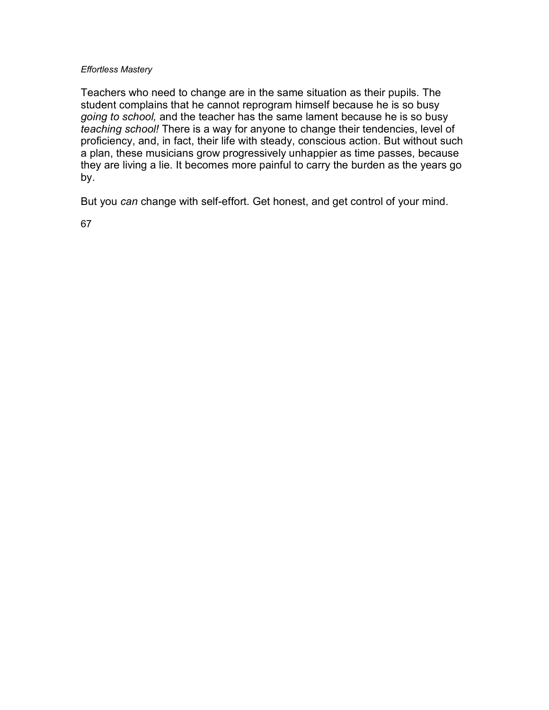Teachers who need to change are in the same situation as their pupils. The student complains that he cannot reprogram himself because he is so busy *going to school,* and the teacher has the same lament because he is so busy *teaching school!* There is a way for anyone to change their tendencies, level of proficiency, and, in fact, their life with steady, conscious action. But without such a plan, these musicians grow progressively unhappier as time passes, because they are living a lie. It becomes more painful to carry the burden as the years go by.

But you *can* change with self-effort. Get honest, and get control of your mind.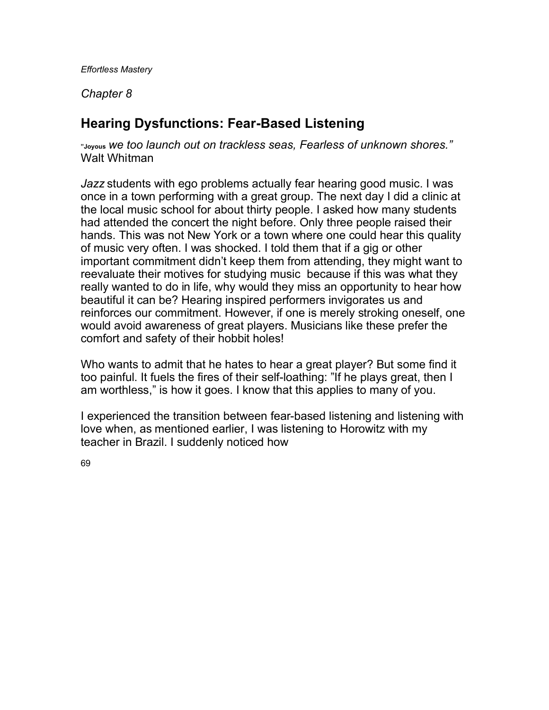*Chapter 8*

# **Hearing Dysfunctions: Fear-Based Listening**

**"Joyous** *we too launch out on trackless seas, Fearless of unknown shores."* Walt Whitman

*Jazz* students with ego problems actually fear hearing good music. I was once in a town performing with a great group. The next day I did a clinic at the local music school for about thirty people. I asked how many students had attended the concert the night before. Only three people raised their hands. This was not New York or a town where one could hear this quality of music very often. I was shocked. I told them that if a gig or other important commitment didn't keep them from attending, they might want to reevaluate their motives for studying music because if this was what they really wanted to do in life, why would they miss an opportunity to hear how beautiful it can be? Hearing inspired performers invigorates us and reinforces our commitment. However, if one is merely stroking oneself, one would avoid awareness of great players. Musicians like these prefer the comfort and safety of their hobbit holes!

Who wants to admit that he hates to hear a great player? But some find it too painful. It fuels the fires of their self-loathing: "If he plays great, then I am worthless," is how it goes. I know that this applies to many of you.

I experienced the transition between fear-based listening and listening with love when, as mentioned earlier, I was listening to Horowitz with my teacher in Brazil. I suddenly noticed how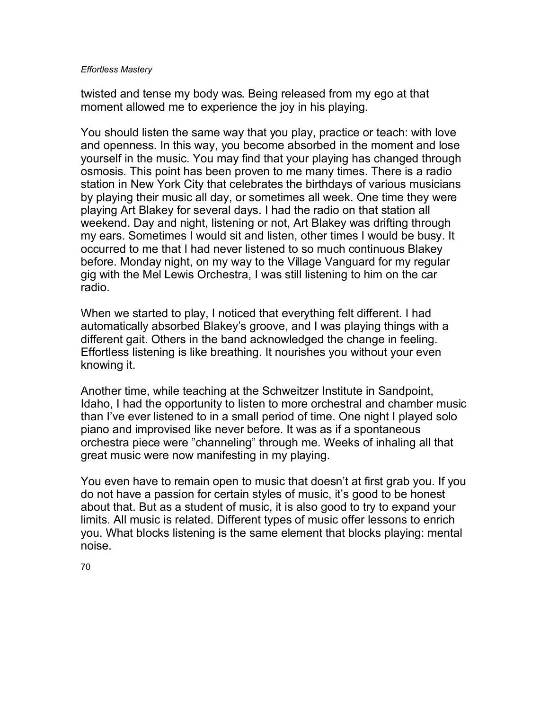twisted and tense my body was. Being released from my ego at that moment allowed me to experience the joy in his playing.

You should listen the same way that you play, practice or teach: with love and openness. In this way, you become absorbed in the moment and lose yourself in the music. You may find that your playing has changed through osmosis. This point has been proven to me many times. There is a radio station in New York City that celebrates the birthdays of various musicians by playing their music all day, or sometimes all week. One time they were playing Art Blakey for several days. I had the radio on that station all weekend. Day and night, listening or not, Art Blakey was drifting through my ears. Sometimes I would sit and listen, other times I would be busy. It occurred to me that I had never listened to so much continuous Blakey before. Monday night, on my way to the Village Vanguard for my regular gig with the Mel Lewis Orchestra, I was still listening to him on the car radio.

When we started to play, I noticed that everything felt different. I had automatically absorbed Blakey's groove, and I was playing things with a different gait. Others in the band acknowledged the change in feeling. Effortless listening is like breathing. It nourishes you without your even knowing it.

Another time, while teaching at the Schweitzer Institute in Sandpoint, Idaho, I had the opportunity to listen to more orchestral and chamber music than I've ever listened to in a small period of time. One night I played solo piano and improvised like never before. It was as if a spontaneous orchestra piece were "channeling" through me. Weeks of inhaling all that great music were now manifesting in my playing.

You even have to remain open to music that doesn't at first grab you. If you do not have a passion for certain styles of music, it's good to be honest about that. But as a student of music, it is also good to try to expand your limits. All music is related. Different types of music offer lessons to enrich you. What blocks listening is the same element that blocks playing: mental noise.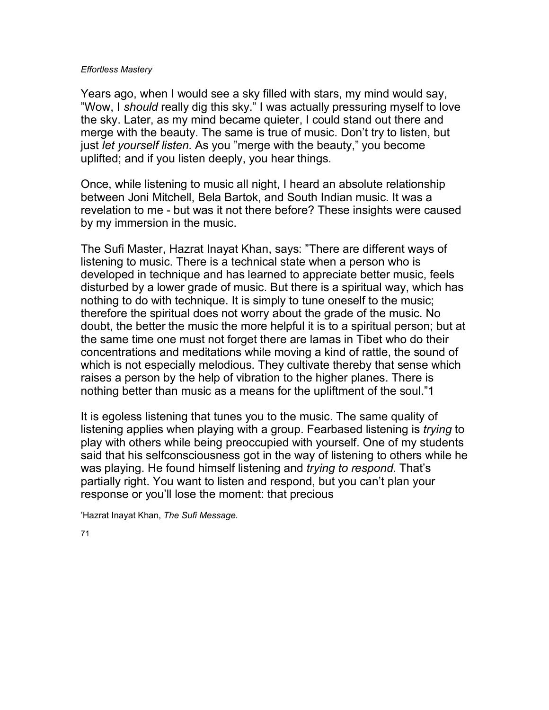Years ago, when I would see a sky filled with stars, my mind would say, "Wow, I *should* really dig this sky." I was actually pressuring myself to love the sky. Later, as my mind became quieter, I could stand out there and merge with the beauty. The same is true of music. Don't try to listen, but just *let yourself listen.* As you "merge with the beauty," you become uplifted; and if you listen deeply, you hear things.

Once, while listening to music all night, I heard an absolute relationship between Joni Mitchell, Bela Bartok, and South Indian music. It was a revelation to me - but was it not there before? These insights were caused by my immersion in the music.

The Sufi Master, Hazrat Inayat Khan, says: "There are different ways of listening to music. There is a technical state when a person who is developed in technique and has learned to appreciate better music, feels disturbed by a lower grade of music. But there is a spiritual way, which has nothing to do with technique. It is simply to tune oneself to the music; therefore the spiritual does not worry about the grade of the music. No doubt, the better the music the more helpful it is to a spiritual person; but at the same time one must not forget there are lamas in Tibet who do their concentrations and meditations while moving a kind of rattle, the sound of which is not especially melodious. They cultivate thereby that sense which raises a person by the help of vibration to the higher planes. There is nothing better than music as a means for the upliftment of the soul."1

It is egoless listening that tunes you to the music. The same quality of listening applies when playing with a group. Fearbased listening is *trying* to play with others while being preoccupied with yourself. One of my students said that his selfconsciousness got in the way of listening to others while he was playing. He found himself listening and *trying to respond.* That's partially right. You want to listen and respond, but you can't plan your response or you'll lose the moment: that precious

'Hazrat Inayat Khan, *The Sufi Message.*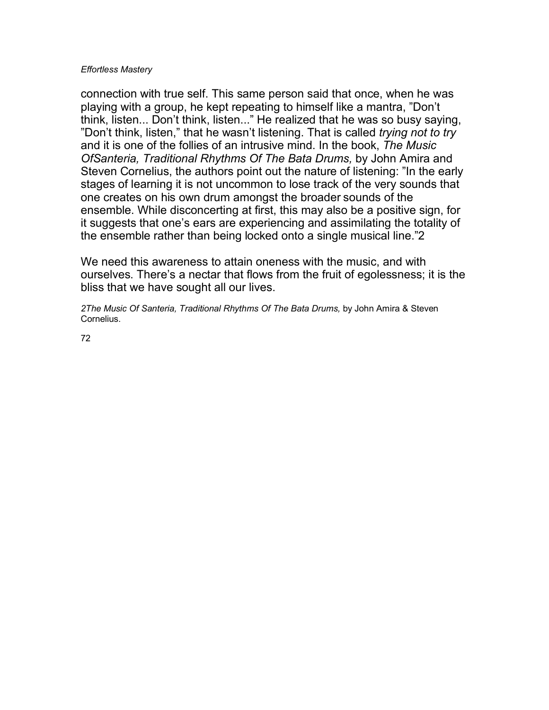connection with true self. This same person said that once, when he was playing with a group, he kept repeating to himself like a mantra, "Don't think, listen... Don't think, listen..." He realized that he was so busy saying, "Don't think, listen," that he wasn't listening. That is called *trying not to try* and it is one of the follies of an intrusive mind. In the book, *The Music OfSanteria, Traditional Rhythms Of The Bata Drums,* by John Amira and Steven Cornelius, the authors point out the nature of listening: "In the early stages of learning it is not uncommon to lose track of the very sounds that one creates on his own drum amongst the broader sounds of the ensemble. While disconcerting at first, this may also be a positive sign, for it suggests that one's ears are experiencing and assimilating the totality of the ensemble rather than being locked onto a single musical line."2

We need this awareness to attain oneness with the music, and with ourselves. There's a nectar that flows from the fruit of egolessness; it is the bliss that we have sought all our lives.

*2The Music Of Santeria, Traditional Rhythms Of The Bata Drums,* by John Amira & Steven Cornelius.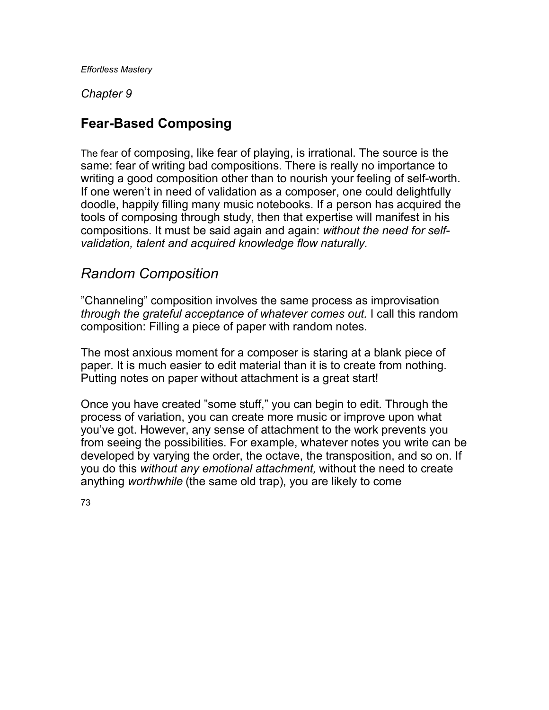*Chapter 9*

# **Fear-Based Composing**

The fear of composing, like fear of playing, is irrational. The source is the same: fear of writing bad compositions. There is really no importance to writing a good composition other than to nourish your feeling of self-worth. If one weren't in need of validation as a composer, one could delightfully doodle, happily filling many music notebooks. If a person has acquired the tools of composing through study, then that expertise will manifest in his compositions. It must be said again and again: *without the need for selfvalidation, talent and acquired knowledge flow naturally.*

## *Random Composition*

"Channeling" composition involves the same process as improvisation *through the grateful acceptance of whatever comes out.* I call this random composition: Filling a piece of paper with random notes.

The most anxious moment for a composer is staring at a blank piece of paper. It is much easier to edit material than it is to create from nothing. Putting notes on paper without attachment is a great start!

Once you have created "some stuff," you can begin to edit. Through the process of variation, you can create more music or improve upon what you've got. However, any sense of attachment to the work prevents you from seeing the possibilities. For example, whatever notes you write can be developed by varying the order, the octave, the transposition, and so on. If you do this *without any emotional attachment,* without the need to create anything *worthwhile* (the same old trap), you are likely to come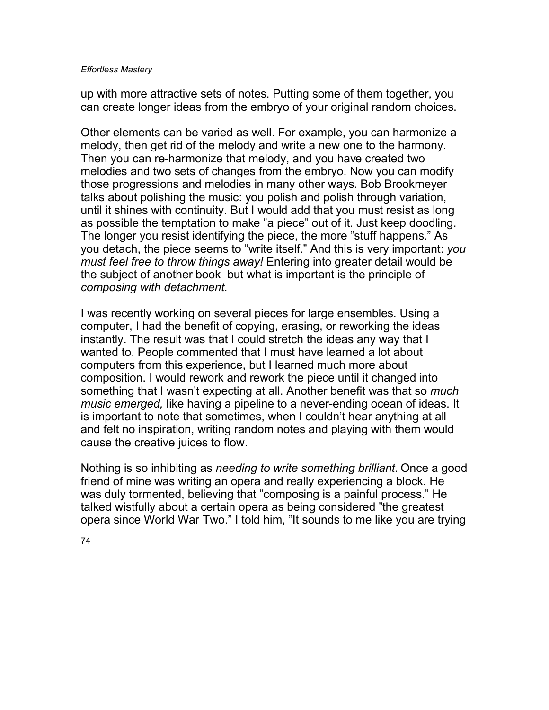up with more attractive sets of notes. Putting some of them together, you can create longer ideas from the embryo of your original random choices.

Other elements can be varied as well. For example, you can harmonize a melody, then get rid of the melody and write a new one to the harmony. Then you can re-harmonize that melody, and you have created two melodies and two sets of changes from the embryo. Now you can modify those progressions and melodies in many other ways. Bob Brookmeyer talks about polishing the music: you polish and polish through variation, until it shines with continuity. But I would add that you must resist as long as possible the temptation to make "a piece" out of it. Just keep doodling. The longer you resist identifying the piece, the more "stuff happens." As you detach, the piece seems to "write itself." And this is very important: *you must feel free to throw things away!* Entering into greater detail would be the subject of another book but what is important is the principle of *composing with detachment.*

I was recently working on several pieces for large ensembles. Using a computer, I had the benefit of copying, erasing, or reworking the ideas instantly. The result was that I could stretch the ideas any way that I wanted to. People commented that I must have learned a lot about computers from this experience, but I learned much more about composition. I would rework and rework the piece until it changed into something that I wasn't expecting at all. Another benefit was that so *much music emerged,* like having a pipeline to a never-ending ocean of ideas. It is important to note that sometimes, when I couldn't hear anything at all and felt no inspiration, writing random notes and playing with them would cause the creative juices to flow.

Nothing is so inhibiting as *needing to write something brilliant.* Once a good friend of mine was writing an opera and really experiencing a block. He was duly tormented, believing that "composing is a painful process." He talked wistfully about a certain opera as being considered "the greatest opera since World War Two." I told him, "It sounds to me like you are trying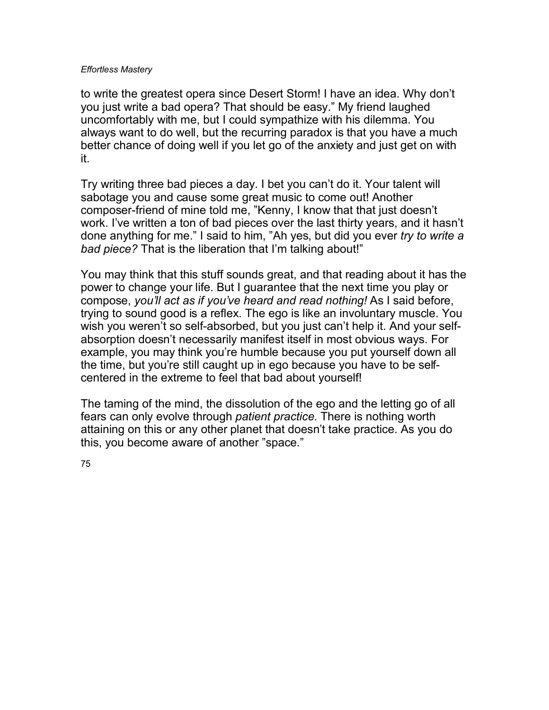to write the greatest opera since Desert Storm! I have an idea. Why don't you just write a bad opera? That should be easy." My friend laughed uncomfortably with me, but I could sympathize with his dilemma. You always want to do well, but the recurring paradox is that you have a much better chance of doing well if you let go of the anxiety and just get on with it.

Try writing three bad pieces a day. I bet you can't do it. Your talent will sabotage you and cause some great music to come out! Another composer-friend of mine told me, "Kenny, I know that that just doesn't work. I've written a ton of bad pieces over the last thirty years, and it hasn't done anything for me." I said to him, "Ah yes, but did you ever *try to write a bad piece?* That is the liberation that I'm talking about!"

You may think that this stuff sounds great, and that reading about it has the power to change your life. But I guarantee that the next time you play or compose, *you'll act as if you've heard and read nothing!* As I said before, trying to sound good is a reflex. The ego is like an involuntary muscle. You wish you weren't so self-absorbed, but you just can't help it. And your selfabsorption doesn't necessarily manifest itself in most obvious ways. For example, you may think you're humble because you put yourself down all the time, but you're still caught up in ego because you have to be selfcentered in the extreme to feel that bad about yourself!

The taming of the mind, the dissolution of the ego and the letting go of all fears can only evolve through *patient practice.* There is nothing worth attaining on this or any other planet that doesn't take practice. As you do this, you become aware of another "space."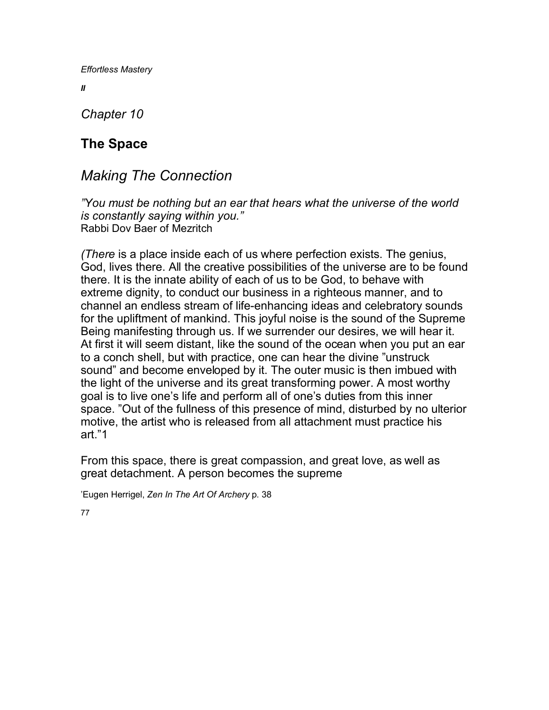*II*

*Chapter 10*

# **The Space**

# *Making The Connection*

*"You must be nothing but an ear that hears what the universe of the world is constantly saying within you."* Rabbi Dov Baer of Mezritch

*(There* is a place inside each of us where perfection exists. The genius, God, lives there. All the creative possibilities of the universe are to be found there. It is the innate ability of each of us to be God, to behave with extreme dignity, to conduct our business in a righteous manner, and to channel an endless stream of life-enhancing ideas and celebratory sounds for the upliftment of mankind. This joyful noise is the sound of the Supreme Being manifesting through us. If we surrender our desires, we will hear it. At first it will seem distant, like the sound of the ocean when you put an ear to a conch shell, but with practice, one can hear the divine "unstruck sound" and become enveloped by it. The outer music is then imbued with the light of the universe and its great transforming power. A most worthy goal is to live one's life and perform all of one's duties from this inner space. "Out of the fullness of this presence of mind, disturbed by no ulterior motive, the artist who is released from all attachment must practice his art."1

From this space, there is great compassion, and great love, as well as great detachment. A person becomes the supreme

'Eugen Herrigel, *Zen In The Art Of Archery* p. 38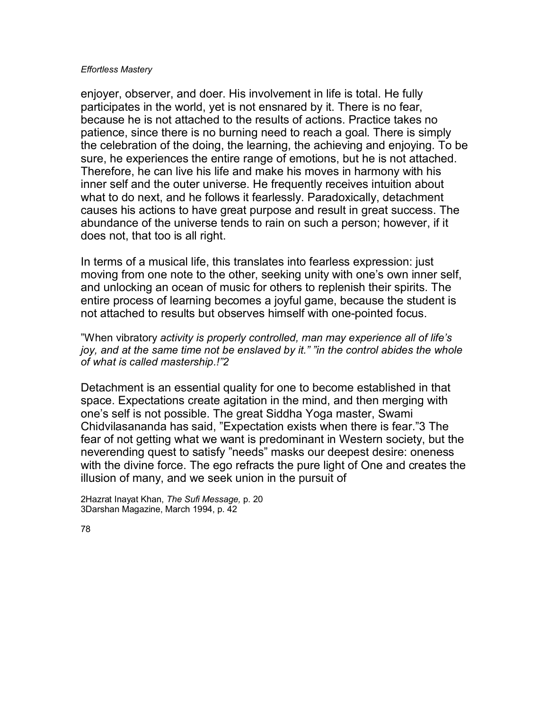enjoyer, observer, and doer. His involvement in life is total. He fully participates in the world, yet is not ensnared by it. There is no fear, because he is not attached to the results of actions. Practice takes no patience, since there is no burning need to reach a goal. There is simply the celebration of the doing, the learning, the achieving and enjoying. To be sure, he experiences the entire range of emotions, but he is not attached. Therefore, he can live his life and make his moves in harmony with his inner self and the outer universe. He frequently receives intuition about what to do next, and he follows it fearlessly. Paradoxically, detachment causes his actions to have great purpose and result in great success. The abundance of the universe tends to rain on such a person; however, if it does not, that too is all right.

In terms of a musical life, this translates into fearless expression: just moving from one note to the other, seeking unity with one's own inner self, and unlocking an ocean of music for others to replenish their spirits. The entire process of learning becomes a joyful game, because the student is not attached to results but observes himself with one-pointed focus.

"When vibratory *activity is properly controlled, man may experience all of life's joy, and at the same time not be enslaved by it." "in the control abides the whole of what is called mastership.!"2*

Detachment is an essential quality for one to become established in that space. Expectations create agitation in the mind, and then merging with one's self is not possible. The great Siddha Yoga master, Swami Chidvilasananda has said, "Expectation exists when there is fear."3 The fear of not getting what we want is predominant in Western society, but the neverending quest to satisfy "needs" masks our deepest desire: oneness with the divine force. The ego refracts the pure light of One and creates the illusion of many, and we seek union in the pursuit of

2Hazrat Inayat Khan, *The Sufi Message,* p. 20 3Darshan Magazine, March 1994, p. 42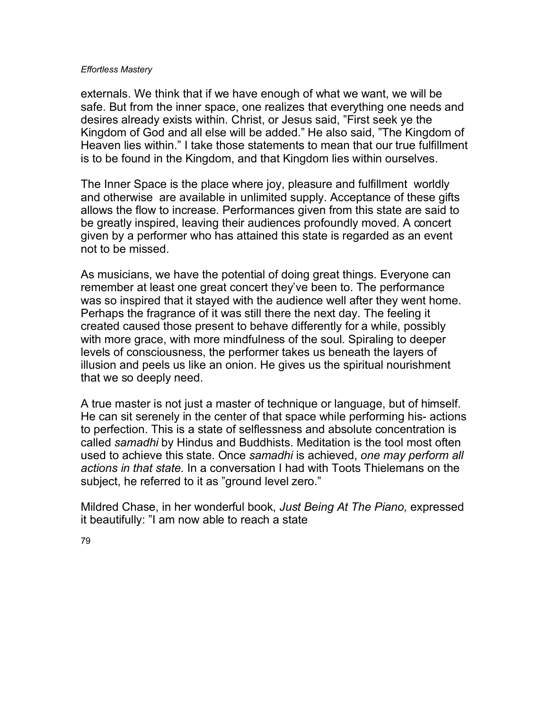externals. We think that if we have enough of what we want, we will be safe. But from the inner space, one realizes that everything one needs and desires already exists within. Christ, or Jesus said, "First seek ye the Kingdom of God and all else will be added." He also said, "The Kingdom of Heaven lies within." I take those statements to mean that our true fulfillment is to be found in the Kingdom, and that Kingdom lies within ourselves.

The Inner Space is the place where joy, pleasure and fulfillment worldly and otherwise are available in unlimited supply. Acceptance of these gifts allows the flow to increase. Performances given from this state are said to be greatly inspired, leaving their audiences profoundly moved. A concert given by a performer who has attained this state is regarded as an event not to be missed.

As musicians, we have the potential of doing great things. Everyone can remember at least one great concert they've been to. The performance was so inspired that it stayed with the audience well after they went home. Perhaps the fragrance of it was still there the next day. The feeling it created caused those present to behave differently for a while, possibly with more grace, with more mindfulness of the soul. Spiraling to deeper levels of consciousness, the performer takes us beneath the layers of illusion and peels us like an onion. He gives us the spiritual nourishment that we so deeply need.

A true master is not just a master of technique or language, but of himself. He can sit serenely in the center of that space while performing his- actions to perfection. This is a state of selflessness and absolute concentration is called *samadhi* by Hindus and Buddhists. Meditation is the tool most often used to achieve this state. Once *samadhi* is achieved, *one may perform all actions in that state.* In a conversation I had with Toots Thielemans on the subject, he referred to it as "ground level zero."

Mildred Chase, in her wonderful book, *Just Being At The Piano,* expressed it beautifully: "I am now able to reach a state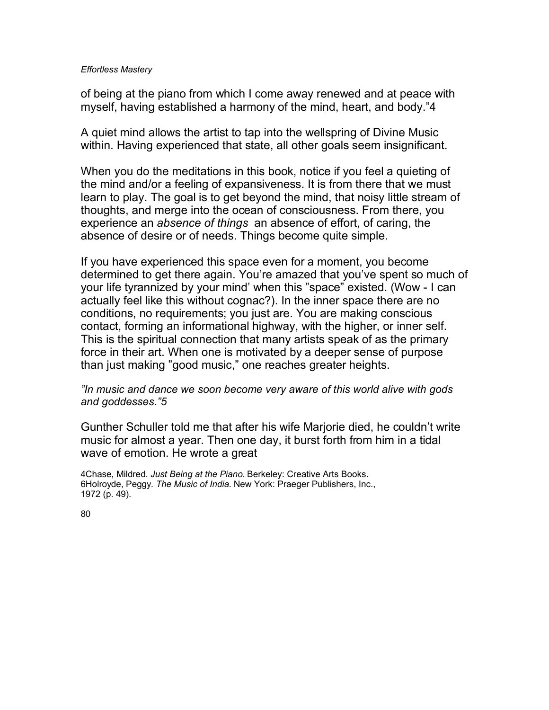of being at the piano from which I come away renewed and at peace with myself, having established a harmony of the mind, heart, and body."4

A quiet mind allows the artist to tap into the wellspring of Divine Music within. Having experienced that state, all other goals seem insignificant.

When you do the meditations in this book, notice if you feel a quieting of the mind and/or a feeling of expansiveness. It is from there that we must learn to play. The goal is to get beyond the mind, that noisy little stream of thoughts, and merge into the ocean of consciousness. From there, you experience an *absence of things* an absence of effort, of caring, the absence of desire or of needs. Things become quite simple.

If you have experienced this space even for a moment, you become determined to get there again. You're amazed that you've spent so much of your life tyrannized by your mind' when this "space" existed. (Wow - I can actually feel like this without cognac?). In the inner space there are no conditions, no requirements; you just are. You are making conscious contact, forming an informational highway, with the higher, or inner self. This is the spiritual connection that many artists speak of as the primary force in their art. When one is motivated by a deeper sense of purpose than just making "good music," one reaches greater heights.

## *"In music and dance we soon become very aware of this world alive with gods and goddesses."5*

Gunther Schuller told me that after his wife Marjorie died, he couldn't write music for almost a year. Then one day, it burst forth from him in a tidal wave of emotion. He wrote a great

4Chase, Mildred. *Just Being at the Piano.* Berkeley: Creative Arts Books. 6Holroyde, Peggy. *The Music of India.* New York: Praeger Publishers, Inc., 1972 (p. 49).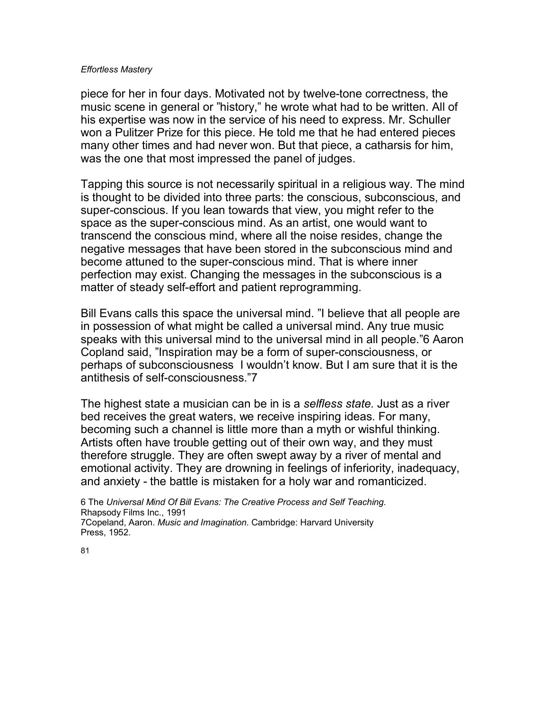piece for her in four days. Motivated not by twelve-tone correctness, the music scene in general or "history," he wrote what had to be written. All of his expertise was now in the service of his need to express. Mr. Schuller won a Pulitzer Prize for this piece. He told me that he had entered pieces many other times and had never won. But that piece, a catharsis for him, was the one that most impressed the panel of judges.

Tapping this source is not necessarily spiritual in a religious way. The mind is thought to be divided into three parts: the conscious, subconscious, and super-conscious. If you lean towards that view, you might refer to the space as the super-conscious mind. As an artist, one would want to transcend the conscious mind, where all the noise resides, change the negative messages that have been stored in the subconscious mind and become attuned to the super-conscious mind. That is where inner perfection may exist. Changing the messages in the subconscious is a matter of steady self-effort and patient reprogramming.

Bill Evans calls this space the universal mind. "I believe that all people are in possession of what might be called a universal mind. Any true music speaks with this universal mind to the universal mind in all people."6 Aaron Copland said, "Inspiration may be a form of super-consciousness, or perhaps of subconsciousness I wouldn't know. But I am sure that it is the antithesis of self-consciousness."7

The highest state a musician can be in is a *selfless state.* Just as a river bed receives the great waters, we receive inspiring ideas. For many, becoming such a channel is little more than a myth or wishful thinking. Artists often have trouble getting out of their own way, and they must therefore struggle. They are often swept away by a river of mental and emotional activity. They are drowning in feelings of inferiority, inadequacy, and anxiety - the battle is mistaken for a holy war and romanticized.

6 The *Universal Mind Of Bill Evans: The Creative Process and Self Teaching.* Rhapsody Films Inc., 1991 7Copeland, Aaron. *Music and Imagination.* Cambridge: Harvard University Press, 1952.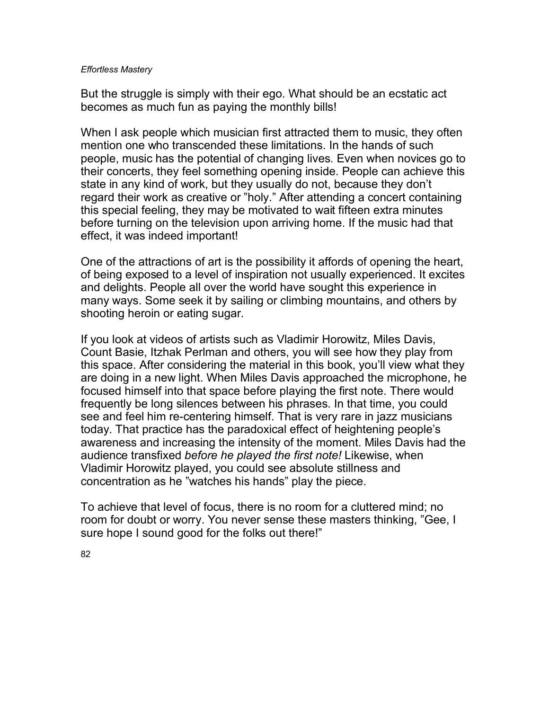But the struggle is simply with their ego. What should be an ecstatic act becomes as much fun as paying the monthly bills!

When I ask people which musician first attracted them to music, they often mention one who transcended these limitations. In the hands of such people, music has the potential of changing lives. Even when novices go to their concerts, they feel something opening inside. People can achieve this state in any kind of work, but they usually do not, because they don't regard their work as creative or "holy." After attending a concert containing this special feeling, they may be motivated to wait fifteen extra minutes before turning on the television upon arriving home. If the music had that effect, it was indeed important!

One of the attractions of art is the possibility it affords of opening the heart, of being exposed to a level of inspiration not usually experienced. It excites and delights. People all over the world have sought this experience in many ways. Some seek it by sailing or climbing mountains, and others by shooting heroin or eating sugar.

If you look at videos of artists such as Vladimir Horowitz, Miles Davis, Count Basie, Itzhak Perlman and others, you will see how they play from this space. After considering the material in this book, you'll view what they are doing in a new light. When Miles Davis approached the microphone, he focused himself into that space before playing the first note. There would frequently be long silences between his phrases. In that time, you could see and feel him re-centering himself. That is very rare in jazz musicians today. That practice has the paradoxical effect of heightening people's awareness and increasing the intensity of the moment. Miles Davis had the audience transfixed *before he played the first note!* Likewise, when Vladimir Horowitz played, you could see absolute stillness and concentration as he "watches his hands" play the piece.

To achieve that level of focus, there is no room for a cluttered mind; no room for doubt or worry. You never sense these masters thinking, "Gee, I sure hope I sound good for the folks out there!"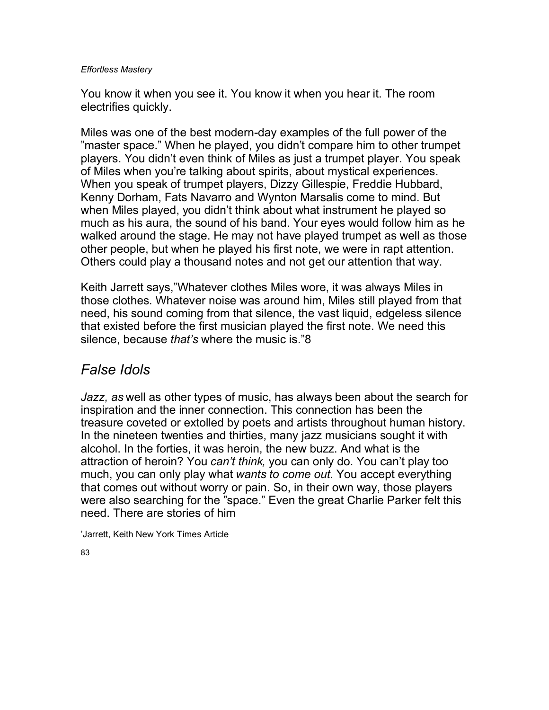You know it when you see it. You know it when you hear it. The room electrifies quickly.

Miles was one of the best modern-day examples of the full power of the "master space." When he played, you didn't compare him to other trumpet players. You didn't even think of Miles as just a trumpet player. You speak of Miles when you're talking about spirits, about mystical experiences. When you speak of trumpet players, Dizzy Gillespie, Freddie Hubbard, Kenny Dorham, Fats Navarro and Wynton Marsalis come to mind. But when Miles played, you didn't think about what instrument he played so much as his aura, the sound of his band. Your eyes would follow him as he walked around the stage. He may not have played trumpet as well as those other people, but when he played his first note, we were in rapt attention. Others could play a thousand notes and not get our attention that way.

Keith Jarrett says,"Whatever clothes Miles wore, it was always Miles in those clothes. Whatever noise was around him, Miles still played from that need, his sound coming from that silence, the vast liquid, edgeless silence that existed before the first musician played the first note. We need this silence, because *that's* where the music is."8

## *False Idols*

*Jazz, as* well as other types of music, has always been about the search for inspiration and the inner connection. This connection has been the treasure coveted or extolled by poets and artists throughout human history. In the nineteen twenties and thirties, many jazz musicians sought it with alcohol. In the forties, it was heroin, the new buzz. And what is the attraction of heroin? You *can't think,* you can only do. You can't play too much, you can only play what *wants to come out.* You accept everything that comes out without worry or pain. So, in their own way, those players were also searching for the "space." Even the great Charlie Parker felt this need. There are stories of him

'Jarrett, Keith New York Times Article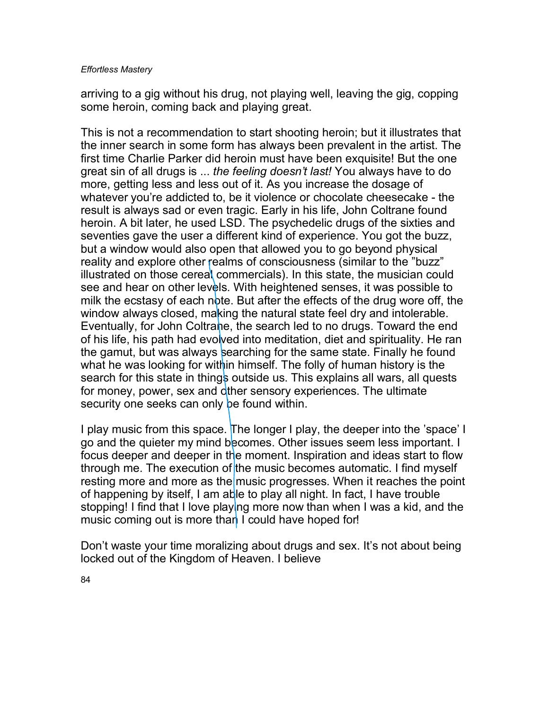arriving to a gig without his drug, not playing well, leaving the gig, copping some heroin, coming back and playing great.

This is not a recommendation to start shooting heroin; but it illustrates that the inner search in some form has always been prevalent in the artist. The first time Charlie Parker did heroin must have been exquisite! But the one great sin of all drugs is ... *the feeling doesn't last!* You always have to do more, getting less and less out of it. As you increase the dosage of whatever you're addicted to, be it violence or chocolate cheesecake - the result is always sad or even tragic. Early in his life, John Coltrane found heroin. A bit later, he used LSD. The psychedelic drugs of the sixties and seventies gave the user a different kind of experience. You got the buzz, but a window would also open that allowed you to go beyond physical reality and explore other realms of consciousness (similar to the "buzz" illustrated on those cereal commercials). In this state, the musician could see and hear on other levels. With heightened senses, it was possible to milk the ecstasy of each note. But after the effects of the drug wore off, the window always closed, making the natural state feel dry and intolerable. Eventually, for John Coltrane, the search led to no drugs. Toward the end of his life, his path had evolved into meditation, diet and spirituality. He ran the gamut, but was always searching for the same state. Finally he found what he was looking for within himself. The folly of human history is the search for this state in things outside us. This explains all wars, all quests for money, power, sex and other sensory experiences. The ultimate security one seeks can only be found within.

I play music from this space. The longer I play, the deeper into the 'space' I go and the quieter my mind becomes. Other issues seem less important. I focus deeper and deeper in the moment. Inspiration and ideas start to flow through me. The execution of the music becomes automatic. I find myself resting more and more as the music progresses. When it reaches the point of happening by itself, I am able to play all night. In fact, I have trouble stopping! I find that I love playing more now than when I was a kid, and the music coming out is more than I could have hoped for!

Don't waste your time moralizing about drugs and sex. It's not about being locked out of the Kingdom of Heaven. I believe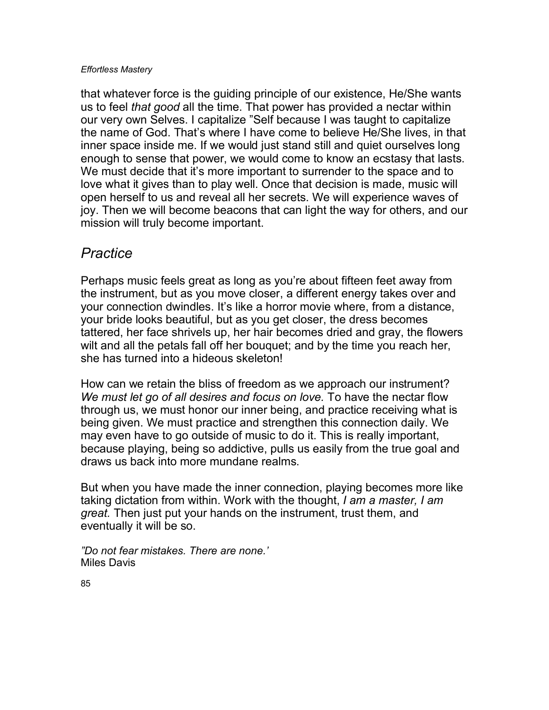that whatever force is the guiding principle of our existence, He/She wants us to feel *that good* all the time. That power has provided a nectar within our very own Selves. I capitalize "Self because I was taught to capitalize the name of God. That's where I have come to believe He/She lives, in that inner space inside me. If we would just stand still and quiet ourselves long enough to sense that power, we would come to know an ecstasy that lasts. We must decide that it's more important to surrender to the space and to love what it gives than to play well. Once that decision is made, music will open herself to us and reveal all her secrets. We will experience waves of joy. Then we will become beacons that can light the way for others, and our mission will truly become important.

## *Practice*

Perhaps music feels great as long as you're about fifteen feet away from the instrument, but as you move closer, a different energy takes over and your connection dwindles. It's like a horror movie where, from a distance, your bride looks beautiful, but as you get closer, the dress becomes tattered, her face shrivels up, her hair becomes dried and gray, the flowers wilt and all the petals fall off her bouquet; and by the time you reach her, she has turned into a hideous skeleton!

How can we retain the bliss of freedom as we approach our instrument? *We must let go of all desires and focus on love.* To have the nectar flow through us, we must honor our inner being, and practice receiving what is being given. We must practice and strengthen this connection daily. We may even have to go outside of music to do it. This is really important, because playing, being so addictive, pulls us easily from the true goal and draws us back into more mundane realms.

But when you have made the inner connection, playing becomes more like taking dictation from within. Work with the thought, *I am a master, I am great.* Then just put your hands on the instrument, trust them, and eventually it will be so.

*"Do not fear mistakes. There are none.'* Miles Davis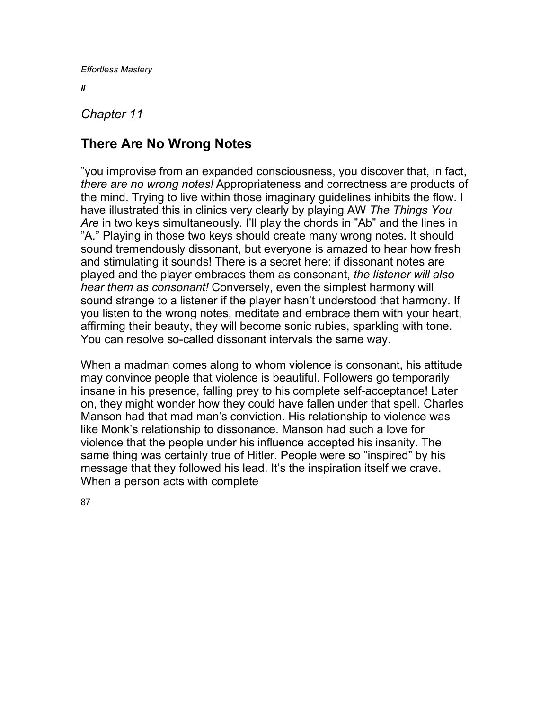*II*

*Chapter 11*

# **There Are No Wrong Notes**

"you improvise from an expanded consciousness, you discover that, in fact, *there are no wrong notes!* Appropriateness and correctness are products of the mind. Trying to live within those imaginary guidelines inhibits the flow. I have illustrated this in clinics very clearly by playing AW *The Things You Are* in two keys simultaneously. I'll play the chords in "Ab" and the lines in "A." Playing in those two keys should create many wrong notes. It should sound tremendously dissonant, but everyone is amazed to hear how fresh and stimulating it sounds! There is a secret here: if dissonant notes are played and the player embraces them as consonant, *the listener will also hear them as consonant!* Conversely, even the simplest harmony will sound strange to a listener if the player hasn't understood that harmony. If you listen to the wrong notes, meditate and embrace them with your heart, affirming their beauty, they will become sonic rubies, sparkling with tone. You can resolve so-called dissonant intervals the same way.

When a madman comes along to whom violence is consonant, his attitude may convince people that violence is beautiful. Followers go temporarily insane in his presence, falling prey to his complete self-acceptance! Later on, they might wonder how they could have fallen under that spell. Charles Manson had that mad man's conviction. His relationship to violence was like Monk's relationship to dissonance. Manson had such a love for violence that the people under his influence accepted his insanity. The same thing was certainly true of Hitler. People were so "inspired" by his message that they followed his lead. It's the inspiration itself we crave. When a person acts with complete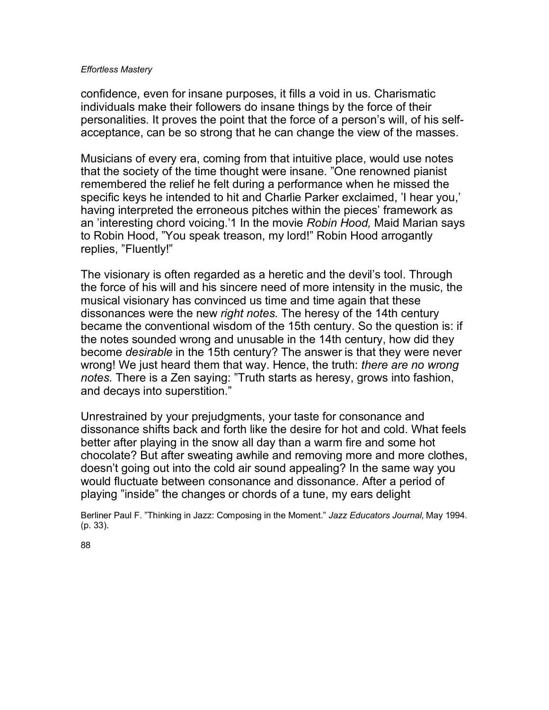confidence, even for insane purposes, it fills a void in us. Charismatic individuals make their followers do insane things by the force of their personalities. It proves the point that the force of a person's will, of his selfacceptance, can be so strong that he can change the view of the masses.

Musicians of every era, coming from that intuitive place, would use notes that the society of the time thought were insane. "One renowned pianist remembered the relief he felt during a performance when he missed the specific keys he intended to hit and Charlie Parker exclaimed, 'I hear you,' having interpreted the erroneous pitches within the pieces' framework as an 'interesting chord voicing.'1 In the movie *Robin Hood,* Maid Marian says to Robin Hood, "You speak treason, my lord!" Robin Hood arrogantly replies, "Fluently!"

The visionary is often regarded as a heretic and the devil's tool. Through the force of his will and his sincere need of more intensity in the music, the musical visionary has convinced us time and time again that these dissonances were the new *right notes.* The heresy of the 14th century became the conventional wisdom of the 15th century. So the question is: if the notes sounded wrong and unusable in the 14th century, how did they become *desirable* in the 15th century? The answer is that they were never wrong! We just heard them that way. Hence, the truth: *there are no wrong notes.* There is a Zen saying: "Truth starts as heresy, grows into fashion, and decays into superstition."

Unrestrained by your prejudgments, your taste for consonance and dissonance shifts back and forth like the desire for hot and cold. What feels better after playing in the snow all day than a warm fire and some hot chocolate? But after sweating awhile and removing more and more clothes, doesn't going out into the cold air sound appealing? In the same way you would fluctuate between consonance and dissonance. After a period of playing "inside" the changes or chords of a tune, my ears delight

Berliner Paul F. "Thinking in Jazz: Composing in the Moment." *Jazz Educators Journal,* May 1994. (p. 33).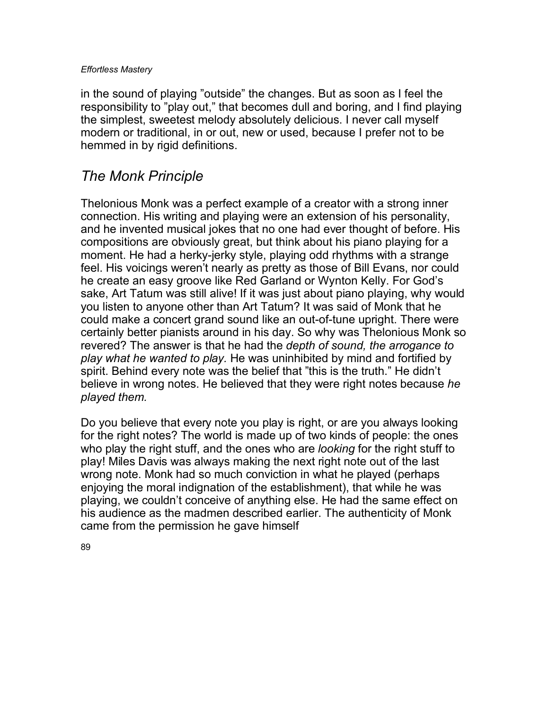in the sound of playing "outside" the changes. But as soon as I feel the responsibility to "play out," that becomes dull and boring, and I find playing the simplest, sweetest melody absolutely delicious. I never call myself modern or traditional, in or out, new or used, because I prefer not to be hemmed in by rigid definitions.

# *The Monk Principle*

Thelonious Monk was a perfect example of a creator with a strong inner connection. His writing and playing were an extension of his personality, and he invented musical jokes that no one had ever thought of before. His compositions are obviously great, but think about his piano playing for a moment. He had a herky-jerky style, playing odd rhythms with a strange feel. His voicings weren't nearly as pretty as those of Bill Evans, nor could he create an easy groove like Red Garland or Wynton Kelly. For God's sake, Art Tatum was still alive! If it was just about piano playing, why would you listen to anyone other than Art Tatum? It was said of Monk that he could make a concert grand sound like an out-of-tune upright. There were certainly better pianists around in his day. So why was Thelonious Monk so revered? The answer is that he had the *depth of sound, the arrogance to play what he wanted to play.* He was uninhibited by mind and fortified by spirit. Behind every note was the belief that "this is the truth." He didn't believe in wrong notes. He believed that they were right notes because *he played them.*

Do you believe that every note you play is right, or are you always looking for the right notes? The world is made up of two kinds of people: the ones who play the right stuff, and the ones who are *looking* for the right stuff to play! Miles Davis was always making the next right note out of the last wrong note. Monk had so much conviction in what he played (perhaps enjoying the moral indignation of the establishment), that while he was playing, we couldn't conceive of anything else. He had the same effect on his audience as the madmen described earlier. The authenticity of Monk came from the permission he gave himself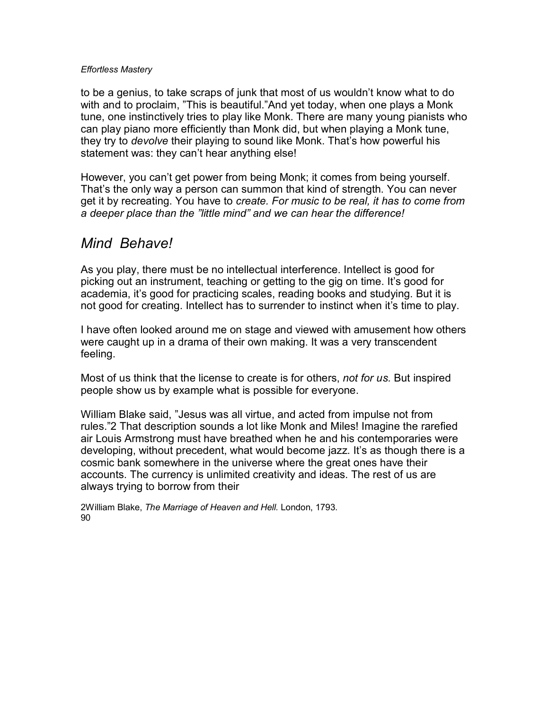to be a genius, to take scraps of junk that most of us wouldn't know what to do with and to proclaim, "This is beautiful."And yet today, when one plays a Monk tune, one instinctively tries to play like Monk. There are many young pianists who can play piano more efficiently than Monk did, but when playing a Monk tune, they try to *devolve* their playing to sound like Monk. That's how powerful his statement was: they can't hear anything else!

However, you can't get power from being Monk; it comes from being yourself. That's the only way a person can summon that kind of strength. You can never get it by recreating. You have to *create. For music to be real, it has to come from a deeper place than the "little mind" and we can hear the difference!*

## *Mind Behave!*

As you play, there must be no intellectual interference. Intellect is good for picking out an instrument, teaching or getting to the gig on time. It's good for academia, it's good for practicing scales, reading books and studying. But it is not good for creating. Intellect has to surrender to instinct when it's time to play.

I have often looked around me on stage and viewed with amusement how others were caught up in a drama of their own making. It was a very transcendent feeling.

Most of us think that the license to create is for others, *not for us.* But inspired people show us by example what is possible for everyone.

William Blake said, "Jesus was all virtue, and acted from impulse not from rules."2 That description sounds a lot like Monk and Miles! Imagine the rarefied air Louis Armstrong must have breathed when he and his contemporaries were developing, without precedent, what would become jazz. It's as though there is a cosmic bank somewhere in the universe where the great ones have their accounts. The currency is unlimited creativity and ideas. The rest of us are always trying to borrow from their

2William Blake, *The Marriage of Heaven and Hell.* London, 1793. 90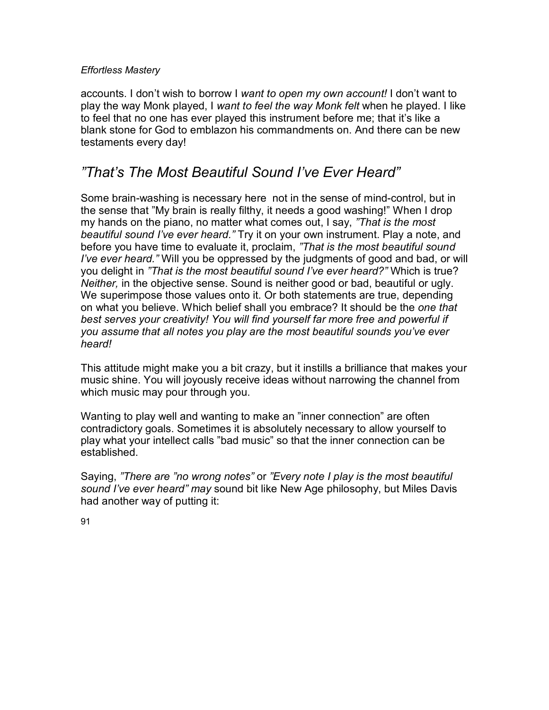accounts. I don't wish to borrow I *want to open my own account!* I don't want to play the way Monk played, I *want to feel the way Monk felt* when he played. I like to feel that no one has ever played this instrument before me; that it's like a blank stone for God to emblazon his commandments on. And there can be new testaments every day!

## *"That's The Most Beautiful Sound I've Ever Heard"*

Some brain-washing is necessary here not in the sense of mind-control, but in the sense that "My brain is really filthy, it needs a good washing!" When I drop my hands on the piano, no matter what comes out, I say, *"That is the most beautiful sound I've ever heard."* Try it on your own instrument. Play a note, and before you have time to evaluate it, proclaim, *"That is the most beautiful sound I've ever heard."* Will you be oppressed by the judgments of good and bad, or will you delight in *"That is the most beautiful sound I've ever heard?"* Which is true? *Neither,* in the objective sense. Sound is neither good or bad, beautiful or ugly. We superimpose those values onto it. Or both statements are true, depending on what you believe. Which belief shall you embrace? It should be the *one that best serves your creativity! You will find yourself far more free and powerful if you assume that all notes you play are the most beautiful sounds you've ever heard!*

This attitude might make you a bit crazy, but it instills a brilliance that makes your music shine. You will joyously receive ideas without narrowing the channel from which music may pour through you.

Wanting to play well and wanting to make an "inner connection" are often contradictory goals. Sometimes it is absolutely necessary to allow yourself to play what your intellect calls "bad music" so that the inner connection can be established.

Saying, *"There are "no wrong notes"* or *"Every note I play is the most beautiful sound I've ever heard" may* sound bit like New Age philosophy, but Miles Davis had another way of putting it: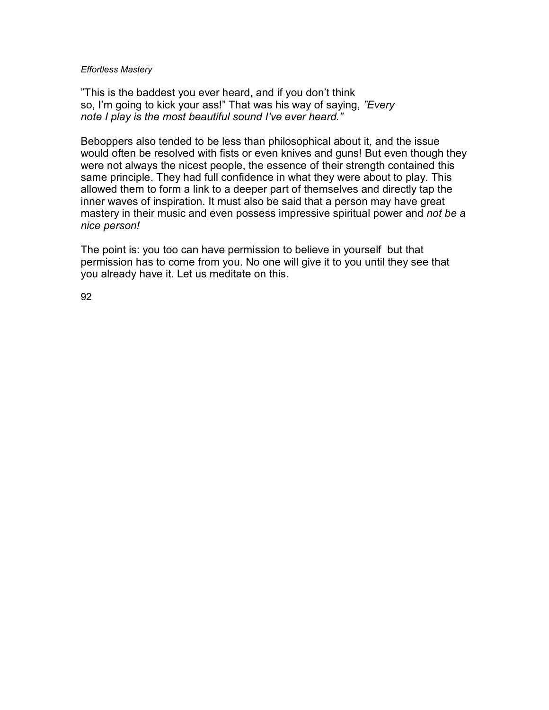"This is the baddest you ever heard, and if you don't think so, I'm going to kick your ass!" That was his way of saying, *"Every note I play is the most beautiful sound I've ever heard."*

Beboppers also tended to be less than philosophical about it, and the issue would often be resolved with fists or even knives and guns! But even though they were not always the nicest people, the essence of their strength contained this same principle. They had full confidence in what they were about to play. This allowed them to form a link to a deeper part of themselves and directly tap the inner waves of inspiration. It must also be said that a person may have great mastery in their music and even possess impressive spiritual power and *not be a nice person!*

The point is: you too can have permission to believe in yourself but that permission has to come from you. No one will give it to you until they see that you already have it. Let us meditate on this.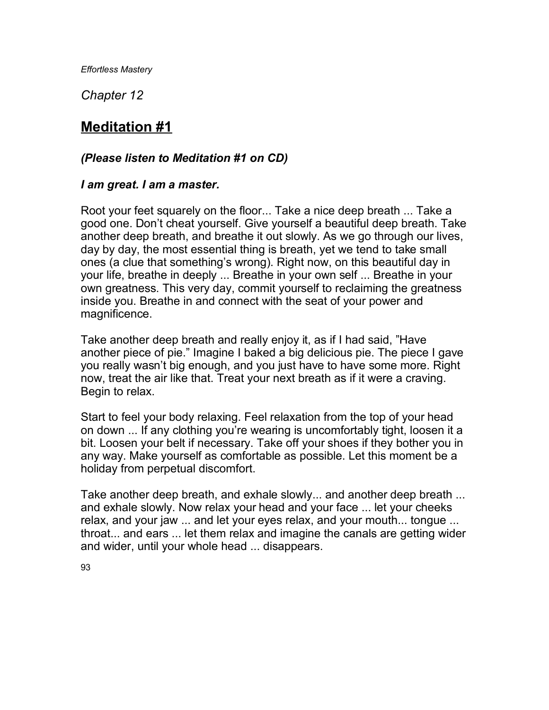*Chapter 12*

# **Meditation #1**

## *(Please listen to Meditation #1 on CD)*

## *I am great. I am a master.*

Root your feet squarely on the floor... Take a nice deep breath ... Take a good one. Don't cheat yourself. Give yourself a beautiful deep breath. Take another deep breath, and breathe it out slowly. As we go through our lives, day by day, the most essential thing is breath, yet we tend to take small ones (a clue that something's wrong). Right now, on this beautiful day in your life, breathe in deeply ... Breathe in your own self ... Breathe in your own greatness. This very day, commit yourself to reclaiming the greatness inside you. Breathe in and connect with the seat of your power and magnificence.

Take another deep breath and really enjoy it, as if I had said, "Have another piece of pie." Imagine I baked a big delicious pie. The piece I gave you really wasn't big enough, and you just have to have some more. Right now, treat the air like that. Treat your next breath as if it were a craving. Begin to relax.

Start to feel your body relaxing. Feel relaxation from the top of your head on down ... If any clothing you're wearing is uncomfortably tight, loosen it a bit. Loosen your belt if necessary. Take off your shoes if they bother you in any way. Make yourself as comfortable as possible. Let this moment be a holiday from perpetual discomfort.

Take another deep breath, and exhale slowly... and another deep breath ... and exhale slowly. Now relax your head and your face ... let your cheeks relax, and your jaw ... and let your eyes relax, and your mouth... tongue ... throat... and ears ... let them relax and imagine the canals are getting wider and wider, until your whole head ... disappears.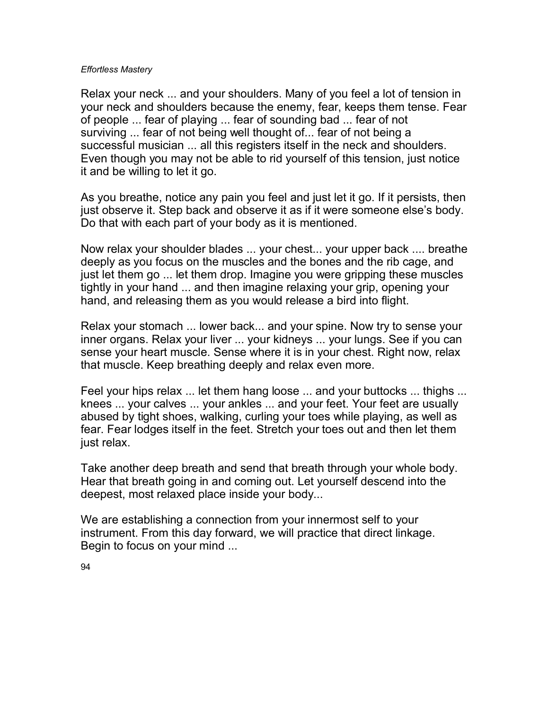Relax your neck ... and your shoulders. Many of you feel a lot of tension in your neck and shoulders because the enemy, fear, keeps them tense. Fear of people ... fear of playing ... fear of sounding bad ... fear of not surviving ... fear of not being well thought of... fear of not being a successful musician ... all this registers itself in the neck and shoulders. Even though you may not be able to rid yourself of this tension, just notice it and be willing to let it go.

As you breathe, notice any pain you feel and just let it go. If it persists, then just observe it. Step back and observe it as if it were someone else's body. Do that with each part of your body as it is mentioned.

Now relax your shoulder blades ... your chest... your upper back .... breathe deeply as you focus on the muscles and the bones and the rib cage, and just let them go ... let them drop. Imagine you were gripping these muscles tightly in your hand ... and then imagine relaxing your grip, opening your hand, and releasing them as you would release a bird into flight.

Relax your stomach ... lower back... and your spine. Now try to sense your inner organs. Relax your liver ... your kidneys ... your lungs. See if you can sense your heart muscle. Sense where it is in your chest. Right now, relax that muscle. Keep breathing deeply and relax even more.

Feel your hips relax ... let them hang loose ... and your buttocks ... thighs ... knees ... your calves ... your ankles ... and your feet. Your feet are usually abused by tight shoes, walking, curling your toes while playing, as well as fear. Fear lodges itself in the feet. Stretch your toes out and then let them just relax.

Take another deep breath and send that breath through your whole body. Hear that breath going in and coming out. Let yourself descend into the deepest, most relaxed place inside your body...

We are establishing a connection from your innermost self to your instrument. From this day forward, we will practice that direct linkage. Begin to focus on your mind ...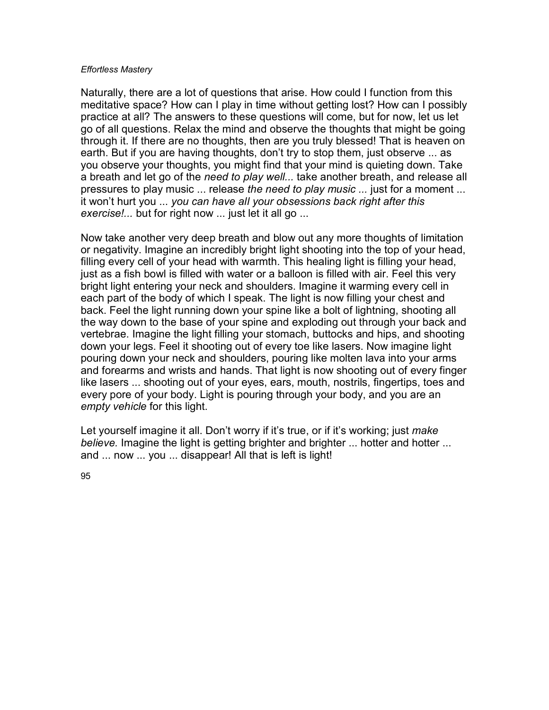Naturally, there are a lot of questions that arise. How could I function from this meditative space? How can I play in time without getting lost? How can I possibly practice at all? The answers to these questions will come, but for now, let us let go of all questions. Relax the mind and observe the thoughts that might be going through it. If there are no thoughts, then are you truly blessed! That is heaven on earth. But if you are having thoughts, don't try to stop them, just observe ... as you observe your thoughts, you might find that your mind is quieting down. Take a breath and let go of the *need to play well...* take another breath, and release all pressures to play music ... release *the need to play music ...* just for a moment ... it won't hurt you ... *you can have all your obsessions back right after this exercise!...* but for right now ... just let it all go ...

Now take another very deep breath and blow out any more thoughts of limitation or negativity. Imagine an incredibly bright light shooting into the top of your head, filling every cell of your head with warmth. This healing light is filling your head, just as a fish bowl is filled with water or a balloon is filled with air. Feel this very bright light entering your neck and shoulders. Imagine it warming every cell in each part of the body of which I speak. The light is now filling your chest and back. Feel the light running down your spine like a bolt of lightning, shooting all the way down to the base of your spine and exploding out through your back and vertebrae. Imagine the light filling your stomach, buttocks and hips, and shooting down your legs. Feel it shooting out of every toe like lasers. Now imagine light pouring down your neck and shoulders, pouring like molten lava into your arms and forearms and wrists and hands. That light is now shooting out of every finger like lasers ... shooting out of your eyes, ears, mouth, nostrils, fingertips, toes and every pore of your body. Light is pouring through your body, and you are an *empty vehicle* for this light.

Let yourself imagine it all. Don't worry if it's true, or if it's working; just *make believe.* Imagine the light is getting brighter and brighter ... hotter and hotter ... and ... now ... you ... disappear! All that is left is light!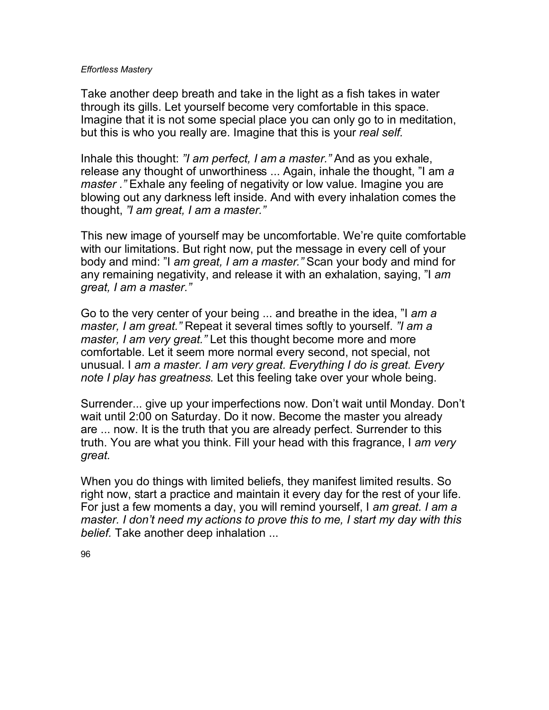Take another deep breath and take in the light as a fish takes in water through its gills. Let yourself become very comfortable in this space. Imagine that it is not some special place you can only go to in meditation, but this is who you really are. Imagine that this is your *real self.*

Inhale this thought: *"I am perfect, I am a master."* And as you exhale, release any thought of unworthiness ... Again, inhale the thought, "I am *a master ."* Exhale any feeling of negativity or low value. Imagine you are blowing out any darkness left inside. And with every inhalation comes the thought, *"I am great, I am a master."*

This new image of yourself may be uncomfortable. We're quite comfortable with our limitations. But right now, put the message in every cell of your body and mind: "I *am great, I am a master."* Scan your body and mind for any remaining negativity, and release it with an exhalation, saying, "I *am great, I am a master."*

Go to the very center of your being ... and breathe in the idea, "I *am a master, I am great."* Repeat it several times softly to yourself. *"I am a master, I am very great."* Let this thought become more and more comfortable. Let it seem more normal every second, not special, not unusual. I *am a master. I am very great. Everything I do is great. Every note I play has greatness.* Let this feeling take over your whole being.

Surrender... give up your imperfections now. Don't wait until Monday. Don't wait until 2:00 on Saturday. Do it now. Become the master you already are ... now. It is the truth that you are already perfect. Surrender to this truth. You are what you think. Fill your head with this fragrance, I *am very great.*

When you do things with limited beliefs, they manifest limited results. So right now, start a practice and maintain it every day for the rest of your life. For just a few moments a day, you will remind yourself, I *am great. I am a master. I don't need my actions to prove this to me, I start my day with this belief.* Take another deep inhalation ...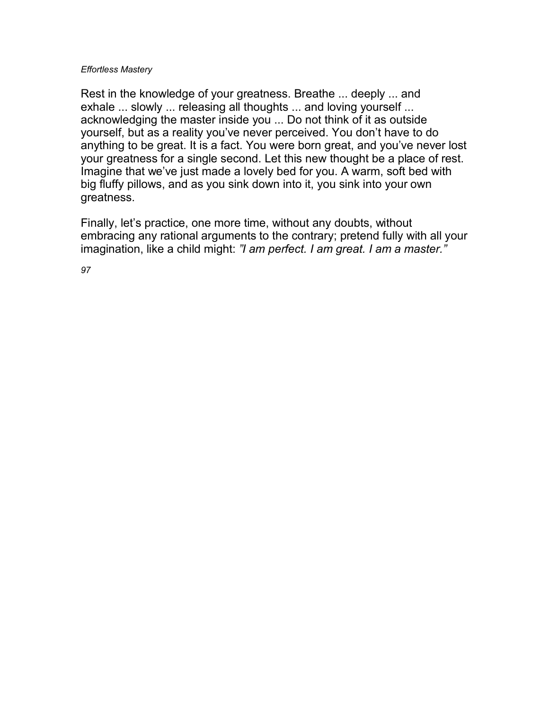Rest in the knowledge of your greatness. Breathe ... deeply ... and exhale ... slowly ... releasing all thoughts ... and loving yourself ... acknowledging the master inside you ... Do not think of it as outside yourself, but as a reality you've never perceived. You don't have to do anything to be great. It is a fact. You were born great, and you've never lost your greatness for a single second. Let this new thought be a place of rest. Imagine that we've just made a lovely bed for you. A warm, soft bed with big fluffy pillows, and as you sink down into it, you sink into your own greatness.

Finally, let's practice, one more time, without any doubts, without embracing any rational arguments to the contrary; pretend fully with all your imagination, like a child might: *"I am perfect. I am great. I am a master."*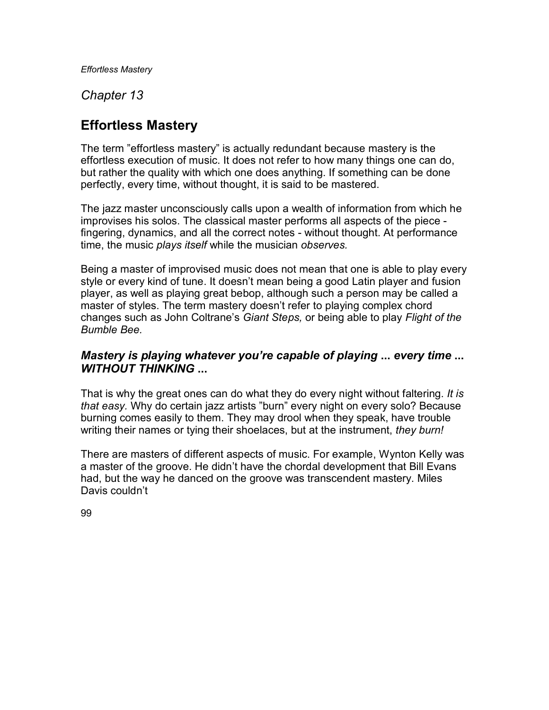*Chapter 13*

## **Effortless Mastery**

The term "effortless mastery" is actually redundant because mastery is the effortless execution of music. It does not refer to how many things one can do, but rather the quality with which one does anything. If something can be done perfectly, every time, without thought, it is said to be mastered.

The jazz master unconsciously calls upon a wealth of information from which he improvises his solos. The classical master performs all aspects of the piece fingering, dynamics, and all the correct notes - without thought. At performance time, the music *plays itself* while the musician *observes.*

Being a master of improvised music does not mean that one is able to play every style or every kind of tune. It doesn't mean being a good Latin player and fusion player, as well as playing great bebop, although such a person may be called a master of styles. The term mastery doesn't refer to playing complex chord changes such as John Coltrane's *Giant Steps,* or being able to play *Flight of the Bumble Bee.*

## *Mastery is playing whatever you're capable of playing* **...** *every time* **...**  *WITHOUT THINKING* **...**

That is why the great ones can do what they do every night without faltering. *It is that easy.* Why do certain jazz artists "burn" every night on every solo? Because burning comes easily to them. They may drool when they speak, have trouble writing their names or tying their shoelaces, but at the instrument, *they burn!*

There are masters of different aspects of music. For example, Wynton Kelly was a master of the groove. He didn't have the chordal development that Bill Evans had, but the way he danced on the groove was transcendent mastery. Miles Davis couldn't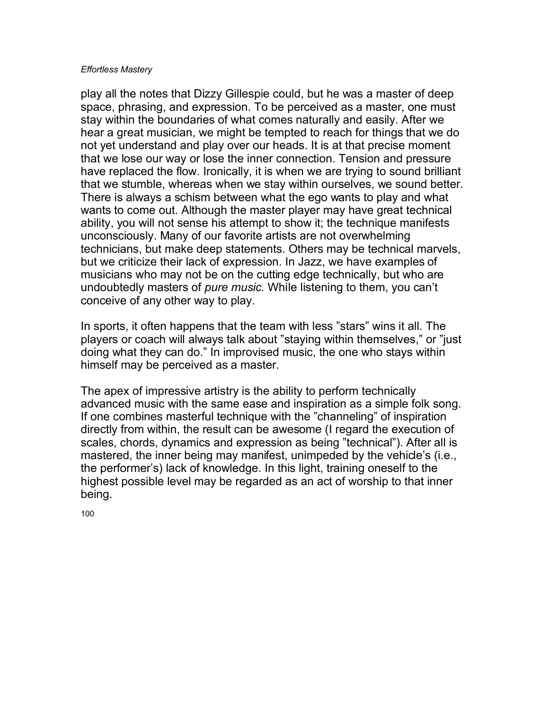play all the notes that Dizzy Gillespie could, but he was a master of deep space, phrasing, and expression. To be perceived as a master, one must stay within the boundaries of what comes naturally and easily. After we hear a great musician, we might be tempted to reach for things that we do not yet understand and play over our heads. It is at that precise moment that we lose our way or lose the inner connection. Tension and pressure have replaced the flow. Ironically, it is when we are trying to sound brilliant that we stumble, whereas when we stay within ourselves, we sound better. There is always a schism between what the ego wants to play and what wants to come out. Although the master player may have great technical ability, you will not sense his attempt to show it; the technique manifests unconsciously. Many of our favorite artists are not overwhelming technicians, but make deep statements. Others may be technical marvels, but we criticize their lack of expression. In Jazz, we have examples of musicians who may not be on the cutting edge technically, but who are undoubtedly masters of *pure music.* While listening to them, you can't conceive of any other way to play.

In sports, it often happens that the team with less "stars" wins it all. The players or coach will always talk about "staying within themselves," or "just doing what they can do." In improvised music, the one who stays within himself may be perceived as a master.

The apex of impressive artistry is the ability to perform technically advanced music with the same ease and inspiration as a simple folk song. If one combines masterful technique with the "channeling" of inspiration directly from within, the result can be awesome (I regard the execution of scales, chords, dynamics and expression as being "technical"). After all is mastered, the inner being may manifest, unimpeded by the vehicle's (i.e., the performer's) lack of knowledge. In this light, training oneself to the highest possible level may be regarded as an act of worship to that inner being.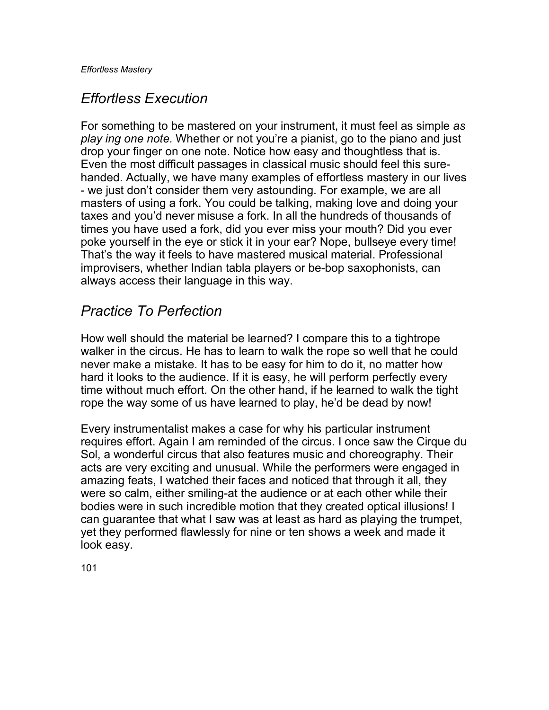## *Effortless Execution*

For something to be mastered on your instrument, it must feel as simple *as play ing one note.* Whether or not you're a pianist, go to the piano and just drop your finger on one note. Notice how easy and thoughtless that is. Even the most difficult passages in classical music should feel this surehanded. Actually, we have many examples of effortless mastery in our lives - we just don't consider them very astounding. For example, we are all masters of using a fork. You could be talking, making love and doing your taxes and you'd never misuse a fork. In all the hundreds of thousands of times you have used a fork, did you ever miss your mouth? Did you ever poke yourself in the eye or stick it in your ear? Nope, bullseye every time! That's the way it feels to have mastered musical material. Professional improvisers, whether Indian tabla players or be-bop saxophonists, can always access their language in this way.

## *Practice To Perfection*

How well should the material be learned? I compare this to a tightrope walker in the circus. He has to learn to walk the rope so well that he could never make a mistake. It has to be easy for him to do it, no matter how hard it looks to the audience. If it is easy, he will perform perfectly every time without much effort. On the other hand, if he learned to walk the tight rope the way some of us have learned to play, he'd be dead by now!

Every instrumentalist makes a case for why his particular instrument requires effort. Again I am reminded of the circus. I once saw the Cirque du Sol, a wonderful circus that also features music and choreography. Their acts are very exciting and unusual. While the performers were engaged in amazing feats, I watched their faces and noticed that through it all, they were so calm, either smiling-at the audience or at each other while their bodies were in such incredible motion that they created optical illusions! I can guarantee that what I saw was at least as hard as playing the trumpet, yet they performed flawlessly for nine or ten shows a week and made it look easy.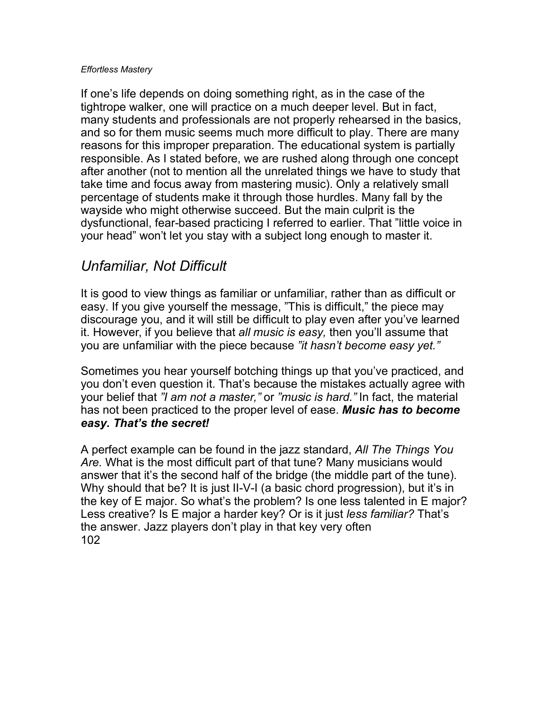If one's life depends on doing something right, as in the case of the tightrope walker, one will practice on a much deeper level. But in fact, many students and professionals are not properly rehearsed in the basics, and so for them music seems much more difficult to play. There are many reasons for this improper preparation. The educational system is partially responsible. As I stated before, we are rushed along through one concept after another (not to mention all the unrelated things we have to study that take time and focus away from mastering music). Only a relatively small percentage of students make it through those hurdles. Many fall by the wayside who might otherwise succeed. But the main culprit is the dysfunctional, fear-based practicing I referred to earlier. That "little voice in your head" won't let you stay with a subject long enough to master it.

## *Unfamiliar, Not Difficult*

It is good to view things as familiar or unfamiliar, rather than as difficult or easy. If you give yourself the message, "This is difficult," the piece may discourage you, and it will still be difficult to play even after you've learned it. However, if you believe that *all music is easy,* then you'll assume that you are unfamiliar with the piece because *"it hasn't become easy yet."*

Sometimes you hear yourself botching things up that you've practiced, and you don't even question it. That's because the mistakes actually agree with your belief that *"I am not a master,"* or *"music is hard."* In fact, the material has not been practiced to the proper level of ease. *Music has to become easy. That's the secret!*

A perfect example can be found in the jazz standard, *All The Things You Are.* What is the most difficult part of that tune? Many musicians would answer that it's the second half of the bridge (the middle part of the tune). Why should that be? It is just II-V-I (a basic chord progression), but it's in the key of E major. So what's the problem? Is one less talented in E major? Less creative? Is E major a harder key? Or is it just *less familiar?* That's the answer. Jazz players don't play in that key very often 102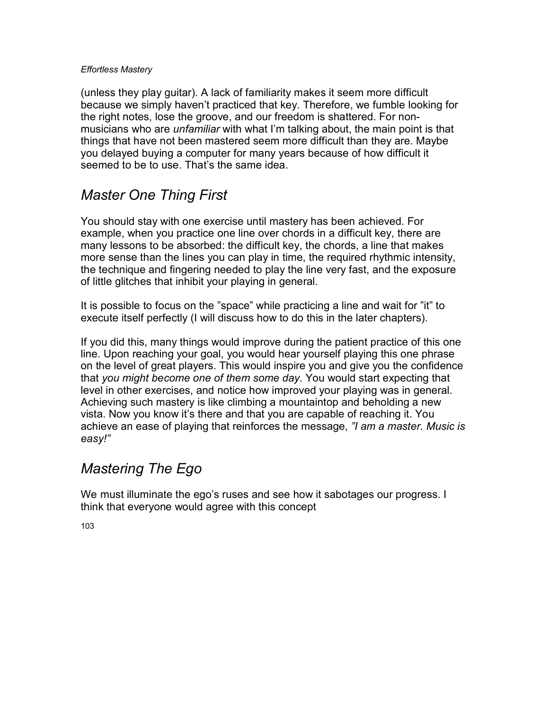(unless they play guitar). A lack of familiarity makes it seem more difficult because we simply haven't practiced that key. Therefore, we fumble looking for the right notes, lose the groove, and our freedom is shattered. For nonmusicians who are *unfamiliar* with what I'm talking about, the main point is that things that have not been mastered seem more difficult than they are. Maybe you delayed buying a computer for many years because of how difficult it seemed to be to use. That's the same idea.

# *Master One Thing First*

You should stay with one exercise until mastery has been achieved. For example, when you practice one line over chords in a difficult key, there are many lessons to be absorbed: the difficult key, the chords, a line that makes more sense than the lines you can play in time, the required rhythmic intensity, the technique and fingering needed to play the line very fast, and the exposure of little glitches that inhibit your playing in general.

It is possible to focus on the "space" while practicing a line and wait for "it" to execute itself perfectly (I will discuss how to do this in the later chapters).

If you did this, many things would improve during the patient practice of this one line. Upon reaching your goal, you would hear yourself playing this one phrase on the level of great players. This would inspire you and give you the confidence that *you might become one of them some day.* You would start expecting that level in other exercises, and notice how improved your playing was in general. Achieving such mastery is like climbing a mountaintop and beholding a new vista. Now you know it's there and that you are capable of reaching it. You achieve an ease of playing that reinforces the message, *"I am a master. Music is easy!"*

# *Mastering The Ego*

We must illuminate the ego's ruses and see how it sabotages our progress. I think that everyone would agree with this concept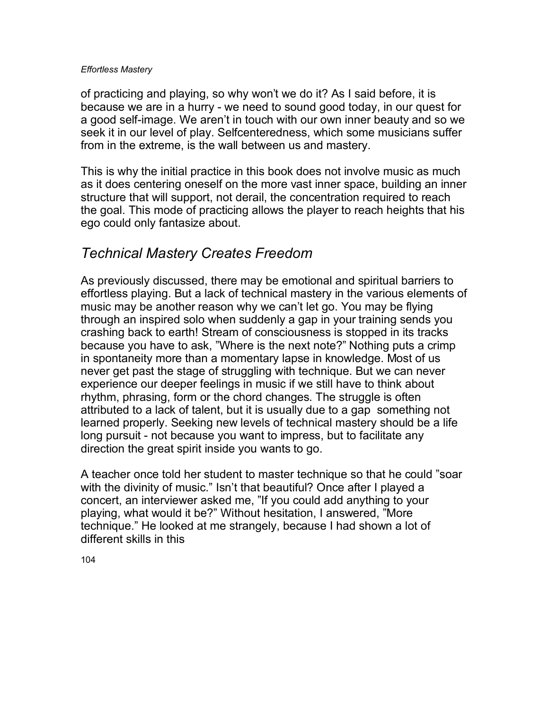of practicing and playing, so why won't we do it? As I said before, it is because we are in a hurry - we need to sound good today, in our quest for a good self-image. We aren't in touch with our own inner beauty and so we seek it in our level of play. Selfcenteredness, which some musicians suffer from in the extreme, is the wall between us and mastery.

This is why the initial practice in this book does not involve music as much as it does centering oneself on the more vast inner space, building an inner structure that will support, not derail, the concentration required to reach the goal. This mode of practicing allows the player to reach heights that his ego could only fantasize about.

## *Technical Mastery Creates Freedom*

As previously discussed, there may be emotional and spiritual barriers to effortless playing. But a lack of technical mastery in the various elements of music may be another reason why we can't let go. You may be flying through an inspired solo when suddenly a gap in your training sends you crashing back to earth! Stream of consciousness is stopped in its tracks because you have to ask, "Where is the next note?" Nothing puts a crimp in spontaneity more than a momentary lapse in knowledge. Most of us never get past the stage of struggling with technique. But we can never experience our deeper feelings in music if we still have to think about rhythm, phrasing, form or the chord changes. The struggle is often attributed to a lack of talent, but it is usually due to a gap something not learned properly. Seeking new levels of technical mastery should be a life long pursuit - not because you want to impress, but to facilitate any direction the great spirit inside you wants to go.

A teacher once told her student to master technique so that he could "soar with the divinity of music." Isn't that beautiful? Once after I played a concert, an interviewer asked me, "If you could add anything to your playing, what would it be?" Without hesitation, I answered, "More technique." He looked at me strangely, because I had shown a lot of different skills in this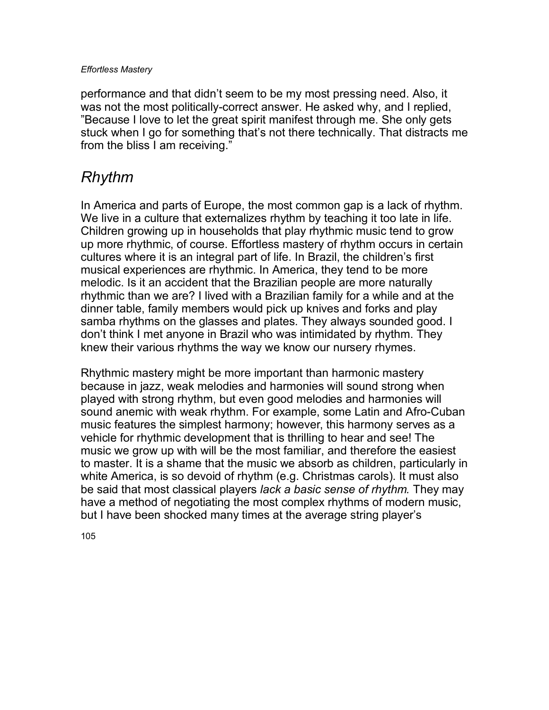performance and that didn't seem to be my most pressing need. Also, it was not the most politically-correct answer. He asked why, and I replied, "Because I love to let the great spirit manifest through me. She only gets stuck when I go for something that's not there technically. That distracts me from the bliss I am receiving."

# *Rhythm*

In America and parts of Europe, the most common gap is a lack of rhythm. We live in a culture that externalizes rhythm by teaching it too late in life. Children growing up in households that play rhythmic music tend to grow up more rhythmic, of course. Effortless mastery of rhythm occurs in certain cultures where it is an integral part of life. In Brazil, the children's first musical experiences are rhythmic. In America, they tend to be more melodic. Is it an accident that the Brazilian people are more naturally rhythmic than we are? I lived with a Brazilian family for a while and at the dinner table, family members would pick up knives and forks and play samba rhythms on the glasses and plates. They always sounded good. I don't think I met anyone in Brazil who was intimidated by rhythm. They knew their various rhythms the way we know our nursery rhymes.

Rhythmic mastery might be more important than harmonic mastery because in jazz, weak melodies and harmonies will sound strong when played with strong rhythm, but even good melodies and harmonies will sound anemic with weak rhythm. For example, some Latin and Afro-Cuban music features the simplest harmony; however, this harmony serves as a vehicle for rhythmic development that is thrilling to hear and see! The music we grow up with will be the most familiar, and therefore the easiest to master. It is a shame that the music we absorb as children, particularly in white America, is so devoid of rhythm (e.g. Christmas carols). It must also be said that most classical players *lack a basic sense of rhythm.* They may have a method of negotiating the most complex rhythms of modern music, but I have been shocked many times at the average string player's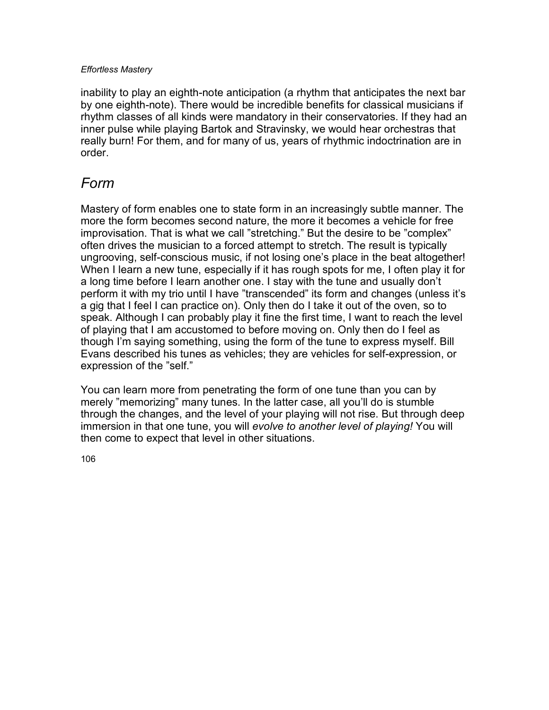inability to play an eighth-note anticipation (a rhythm that anticipates the next bar by one eighth-note). There would be incredible benefits for classical musicians if rhythm classes of all kinds were mandatory in their conservatories. If they had an inner pulse while playing Bartok and Stravinsky, we would hear orchestras that really burn! For them, and for many of us, years of rhythmic indoctrination are in order.

## *Form*

Mastery of form enables one to state form in an increasingly subtle manner. The more the form becomes second nature, the more it becomes a vehicle for free improvisation. That is what we call "stretching." But the desire to be "complex" often drives the musician to a forced attempt to stretch. The result is typically ungrooving, self-conscious music, if not losing one's place in the beat altogether! When I learn a new tune, especially if it has rough spots for me, I often play it for a long time before I learn another one. I stay with the tune and usually don't perform it with my trio until I have "transcended" its form and changes (unless it's a gig that I feel I can practice on). Only then do I take it out of the oven, so to speak. Although I can probably play it fine the first time, I want to reach the level of playing that I am accustomed to before moving on. Only then do I feel as though I'm saying something, using the form of the tune to express myself. Bill Evans described his tunes as vehicles; they are vehicles for self-expression, or expression of the "self."

You can learn more from penetrating the form of one tune than you can by merely "memorizing" many tunes. In the latter case, all you'll do is stumble through the changes, and the level of your playing will not rise. But through deep immersion in that one tune, you will *evolve to another level of playing!* You will then come to expect that level in other situations.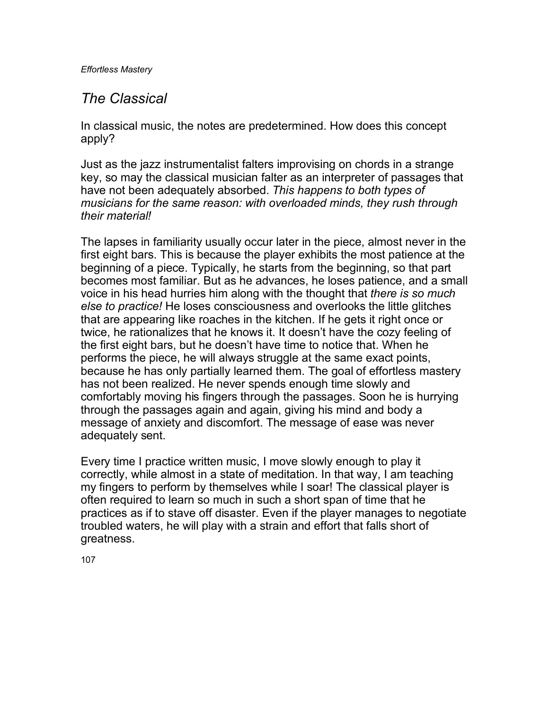# *The Classical*

In classical music, the notes are predetermined. How does this concept apply?

Just as the jazz instrumentalist falters improvising on chords in a strange key, so may the classical musician falter as an interpreter of passages that have not been adequately absorbed. *This happens to both types of musicians for the same reason: with overloaded minds, they rush through their material!*

The lapses in familiarity usually occur later in the piece, almost never in the first eight bars. This is because the player exhibits the most patience at the beginning of a piece. Typically, he starts from the beginning, so that part becomes most familiar. But as he advances, he loses patience, and a small voice in his head hurries him along with the thought that *there is so much else to practice!* He loses consciousness and overlooks the little glitches that are appearing like roaches in the kitchen. If he gets it right once or twice, he rationalizes that he knows it. It doesn't have the cozy feeling of the first eight bars, but he doesn't have time to notice that. When he performs the piece, he will always struggle at the same exact points, because he has only partially learned them. The goal of effortless mastery has not been realized. He never spends enough time slowly and comfortably moving his fingers through the passages. Soon he is hurrying through the passages again and again, giving his mind and body a message of anxiety and discomfort. The message of ease was never adequately sent.

Every time I practice written music, I move slowly enough to play it correctly, while almost in a state of meditation. In that way, I am teaching my fingers to perform by themselves while I soar! The classical player is often required to learn so much in such a short span of time that he practices as if to stave off disaster. Even if the player manages to negotiate troubled waters, he will play with a strain and effort that falls short of greatness.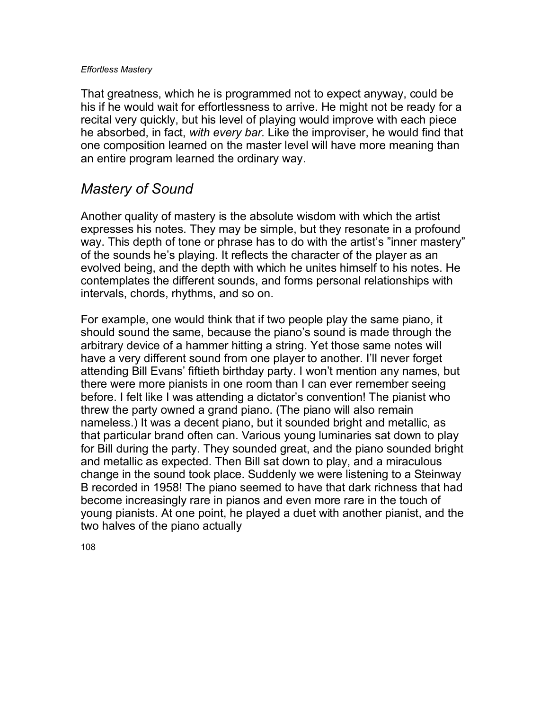That greatness, which he is programmed not to expect anyway, could be his if he would wait for effortlessness to arrive. He might not be ready for a recital very quickly, but his level of playing would improve with each piece he absorbed, in fact, *with every bar.* Like the improviser, he would find that one composition learned on the master level will have more meaning than an entire program learned the ordinary way.

# *Mastery of Sound*

Another quality of mastery is the absolute wisdom with which the artist expresses his notes. They may be simple, but they resonate in a profound way. This depth of tone or phrase has to do with the artist's "inner mastery" of the sounds he's playing. It reflects the character of the player as an evolved being, and the depth with which he unites himself to his notes. He contemplates the different sounds, and forms personal relationships with intervals, chords, rhythms, and so on.

For example, one would think that if two people play the same piano, it should sound the same, because the piano's sound is made through the arbitrary device of a hammer hitting a string. Yet those same notes will have a very different sound from one player to another. I'll never forget attending Bill Evans' fiftieth birthday party. I won't mention any names, but there were more pianists in one room than I can ever remember seeing before. I felt like I was attending a dictator's convention! The pianist who threw the party owned a grand piano. (The piano will also remain nameless.) It was a decent piano, but it sounded bright and metallic, as that particular brand often can. Various young luminaries sat down to play for Bill during the party. They sounded great, and the piano sounded bright and metallic as expected. Then Bill sat down to play, and a miraculous change in the sound took place. Suddenly we were listening to a Steinway B recorded in 1958! The piano seemed to have that dark richness that had become increasingly rare in pianos and even more rare in the touch of young pianists. At one point, he played a duet with another pianist, and the two halves of the piano actually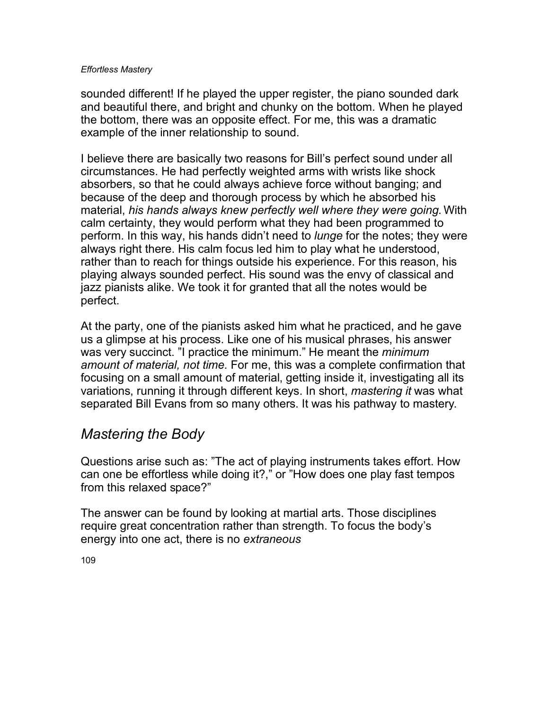sounded different! If he played the upper register, the piano sounded dark and beautiful there, and bright and chunky on the bottom. When he played the bottom, there was an opposite effect. For me, this was a dramatic example of the inner relationship to sound.

I believe there are basically two reasons for Bill's perfect sound under all circumstances. He had perfectly weighted arms with wrists like shock absorbers, so that he could always achieve force without banging; and because of the deep and thorough process by which he absorbed his material, *his hands always knew perfectly well where they were going.* With calm certainty, they would perform what they had been programmed to perform. In this way, his hands didn't need to *lunge* for the notes; they were always right there. His calm focus led him to play what he understood, rather than to reach for things outside his experience. For this reason, his playing always sounded perfect. His sound was the envy of classical and jazz pianists alike. We took it for granted that all the notes would be perfect.

At the party, one of the pianists asked him what he practiced, and he gave us a glimpse at his process. Like one of his musical phrases, his answer was very succinct. "I practice the minimum." He meant the *minimum amount of material, not time.* For me, this was a complete confirmation that focusing on a small amount of material, getting inside it, investigating all its variations, running it through different keys. In short, *mastering it* was what separated Bill Evans from so many others. It was his pathway to mastery.

# *Mastering the Body*

Questions arise such as: "The act of playing instruments takes effort. How can one be effortless while doing it?," or "How does one play fast tempos from this relaxed space?"

The answer can be found by looking at martial arts. Those disciplines require great concentration rather than strength. To focus the body's energy into one act, there is no *extraneous*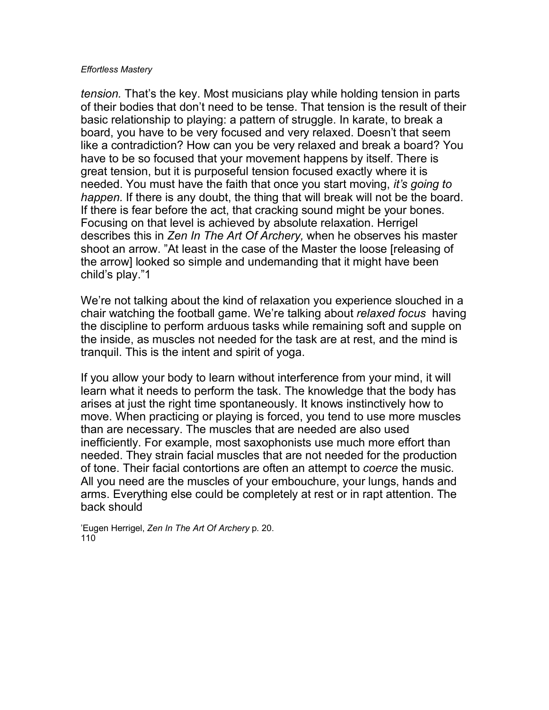*tension.* That's the key. Most musicians play while holding tension in parts of their bodies that don't need to be tense. That tension is the result of their basic relationship to playing: a pattern of struggle. In karate, to break a board, you have to be very focused and very relaxed. Doesn't that seem like a contradiction? How can you be very relaxed and break a board? You have to be so focused that your movement happens by itself. There is great tension, but it is purposeful tension focused exactly where it is needed. You must have the faith that once you start moving, *it's going to happen.* If there is any doubt, the thing that will break will not be the board. If there is fear before the act, that cracking sound might be your bones. Focusing on that level is achieved by absolute relaxation. Herrigel describes this in *Zen In The Art Of Archery,* when he observes his master shoot an arrow. "At least in the case of the Master the loose [releasing of the arrow] looked so simple and undemanding that it might have been child's play."1

We're not talking about the kind of relaxation you experience slouched in a chair watching the football game. We're talking about *relaxed focus* having the discipline to perform arduous tasks while remaining soft and supple on the inside, as muscles not needed for the task are at rest, and the mind is tranquil. This is the intent and spirit of yoga.

If you allow your body to learn without interference from your mind, it will learn what it needs to perform the task. The knowledge that the body has arises at just the right time spontaneously. It knows instinctively how to move. When practicing or playing is forced, you tend to use more muscles than are necessary. The muscles that are needed are also used inefficiently. For example, most saxophonists use much more effort than needed. They strain facial muscles that are not needed for the production of tone. Their facial contortions are often an attempt to *coerce* the music. All you need are the muscles of your embouchure, your lungs, hands and arms. Everything else could be completely at rest or in rapt attention. The back should

'Eugen Herrigel, *Zen In The Art Of Archery* p. 20. 110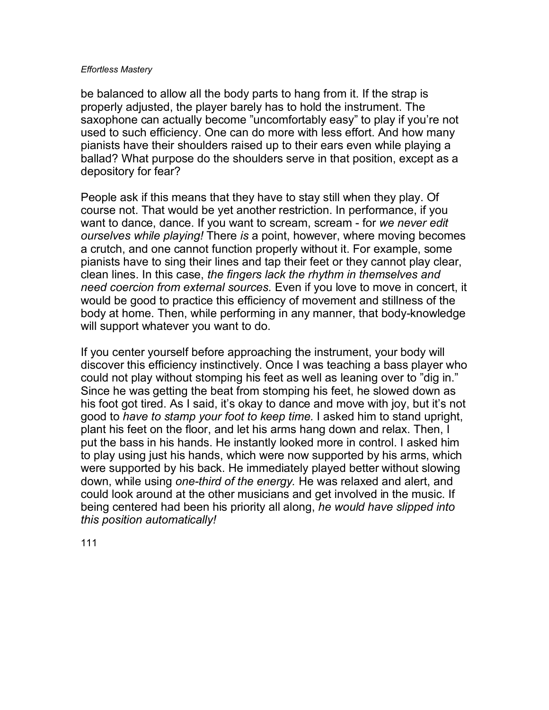be balanced to allow all the body parts to hang from it. If the strap is properly adjusted, the player barely has to hold the instrument. The saxophone can actually become "uncomfortably easy" to play if you're not used to such efficiency. One can do more with less effort. And how many pianists have their shoulders raised up to their ears even while playing a ballad? What purpose do the shoulders serve in that position, except as a depository for fear?

People ask if this means that they have to stay still when they play. Of course not. That would be yet another restriction. In performance, if you want to dance, dance. If you want to scream, scream - for *we never edit ourselves while playing!* There *is* a point, however, where moving becomes a crutch, and one cannot function properly without it. For example, some pianists have to sing their lines and tap their feet or they cannot play clear, clean lines. In this case, *the fingers lack the rhythm in themselves and need coercion from external sources.* Even if you love to move in concert, it would be good to practice this efficiency of movement and stillness of the body at home. Then, while performing in any manner, that body-knowledge will support whatever you want to do.

If you center yourself before approaching the instrument, your body will discover this efficiency instinctively. Once I was teaching a bass player who could not play without stomping his feet as well as leaning over to "dig in." Since he was getting the beat from stomping his feet, he slowed down as his foot got tired. As I said, it's okay to dance and move with joy, but it's not good to *have to stamp your foot to keep time.* I asked him to stand upright, plant his feet on the floor, and let his arms hang down and relax. Then, I put the bass in his hands. He instantly looked more in control. I asked him to play using just his hands, which were now supported by his arms, which were supported by his back. He immediately played better without slowing down, while using *one-third of the energy.* He was relaxed and alert, and could look around at the other musicians and get involved in the music. If being centered had been his priority all along, *he would have slipped into this position automatically!*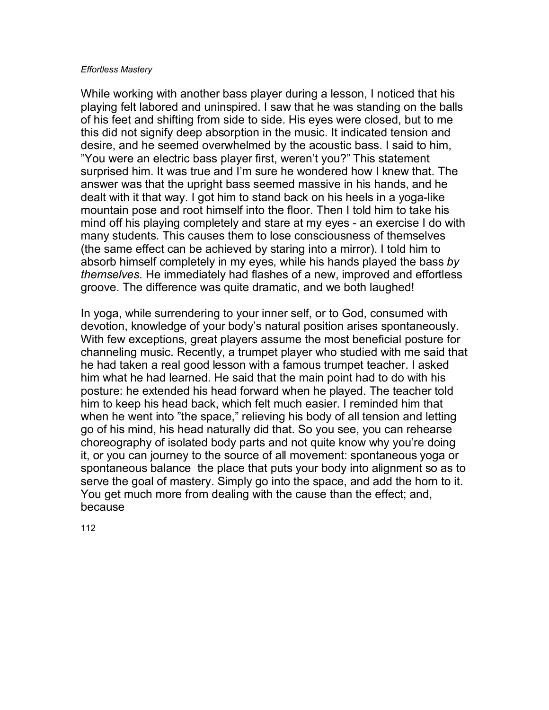While working with another bass player during a lesson, I noticed that his playing felt labored and uninspired. I saw that he was standing on the balls of his feet and shifting from side to side. His eyes were closed, but to me this did not signify deep absorption in the music. It indicated tension and desire, and he seemed overwhelmed by the acoustic bass. I said to him, "You were an electric bass player first, weren't you?" This statement surprised him. It was true and I'm sure he wondered how I knew that. The answer was that the upright bass seemed massive in his hands, and he dealt with it that way. I got him to stand back on his heels in a yoga-like mountain pose and root himself into the floor. Then I told him to take his mind off his playing completely and stare at my eyes - an exercise I do with many students. This causes them to lose consciousness of themselves (the same effect can be achieved by staring into a mirror). I told him to absorb himself completely in my eyes, while his hands played the bass *by themselves.* He immediately had flashes of a new, improved and effortless groove. The difference was quite dramatic, and we both laughed!

In yoga, while surrendering to your inner self, or to God, consumed with devotion, knowledge of your body's natural position arises spontaneously. With few exceptions, great players assume the most beneficial posture for channeling music. Recently, a trumpet player who studied with me said that he had taken a real good lesson with a famous trumpet teacher. I asked him what he had learned. He said that the main point had to do with his posture: he extended his head forward when he played. The teacher told him to keep his head back, which felt much easier. I reminded him that when he went into "the space," relieving his body of all tension and letting go of his mind, his head naturally did that. So you see, you can rehearse choreography of isolated body parts and not quite know why you're doing it, or you can journey to the source of all movement: spontaneous yoga or spontaneous balance the place that puts your body into alignment so as to serve the goal of mastery. Simply go into the space, and add the horn to it. You get much more from dealing with the cause than the effect; and, because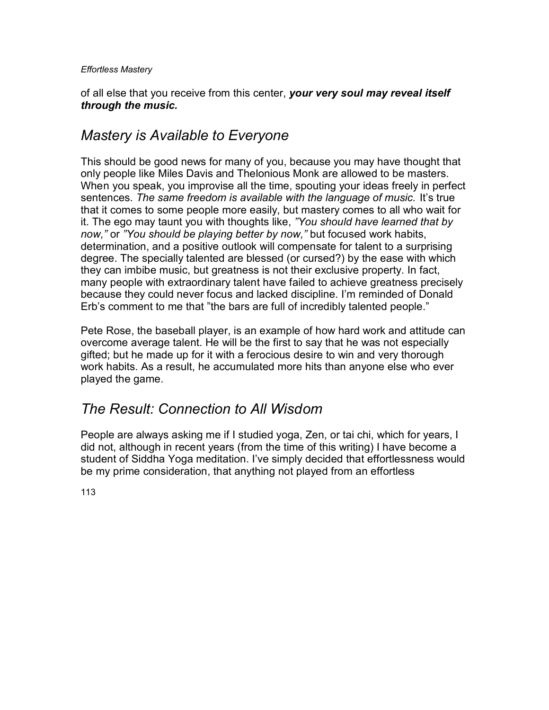of all else that you receive from this center, *your very soul may reveal itself through the music.*

## *Mastery is Available to Everyone*

This should be good news for many of you, because you may have thought that only people like Miles Davis and Thelonious Monk are allowed to be masters. When you speak, you improvise all the time, spouting your ideas freely in perfect sentences. *The same freedom is available with the language of music.* It's true that it comes to some people more easily, but mastery comes to all who wait for it. The ego may taunt you with thoughts like, *"You should have learned that by now,"* or *"You should be playing better by now,"* but focused work habits, determination, and a positive outlook will compensate for talent to a surprising degree. The specially talented are blessed (or cursed?) by the ease with which they can imbibe music, but greatness is not their exclusive property. In fact, many people with extraordinary talent have failed to achieve greatness precisely because they could never focus and lacked discipline. I'm reminded of Donald Erb's comment to me that "the bars are full of incredibly talented people."

Pete Rose, the baseball player, is an example of how hard work and attitude can overcome average talent. He will be the first to say that he was not especially gifted; but he made up for it with a ferocious desire to win and very thorough work habits. As a result, he accumulated more hits than anyone else who ever played the game.

## *The Result: Connection to All Wisdom*

People are always asking me if I studied yoga, Zen, or tai chi, which for years, I did not, although in recent years (from the time of this writing) I have become a student of Siddha Yoga meditation. I've simply decided that effortlessness would be my prime consideration, that anything not played from an effortless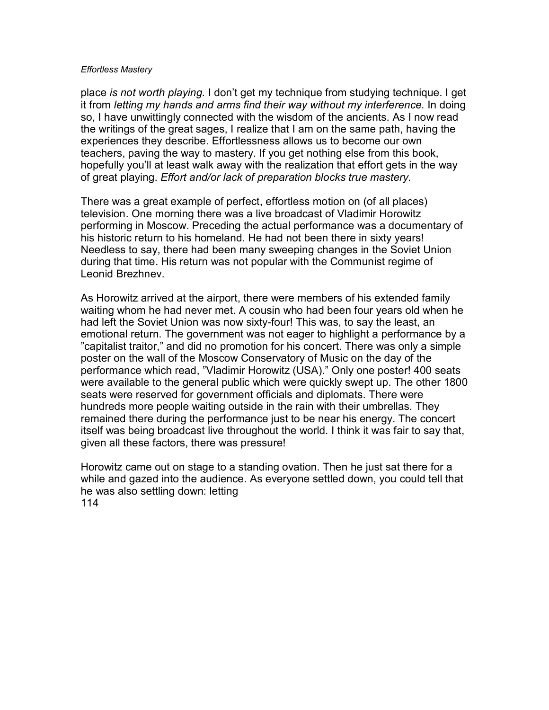place *is not worth playing.* I don't get my technique from studying technique. I get it from *letting my hands and arms find their way without my interference.* In doing so, I have unwittingly connected with the wisdom of the ancients. As I now read the writings of the great sages, I realize that I am on the same path, having the experiences they describe. Effortlessness allows us to become our own teachers, paving the way to mastery. If you get nothing else from this book, hopefully you'll at least walk away with the realization that effort gets in the way of great playing. *Effort and/or lack of preparation blocks true mastery.*

There was a great example of perfect, effortless motion on (of all places) television. One morning there was a live broadcast of Vladimir Horowitz performing in Moscow. Preceding the actual performance was a documentary of his historic return to his homeland. He had not been there in sixty years! Needless to say, there had been many sweeping changes in the Soviet Union during that time. His return was not popular with the Communist regime of Leonid Brezhnev.

As Horowitz arrived at the airport, there were members of his extended family waiting whom he had never met. A cousin who had been four years old when he had left the Soviet Union was now sixty-four! This was, to say the least, an emotional return. The government was not eager to highlight a performance by a "capitalist traitor," and did no promotion for his concert. There was only a simple poster on the wall of the Moscow Conservatory of Music on the day of the performance which read, "Vladimir Horowitz (USA)." Only one poster! 400 seats were available to the general public which were quickly swept up. The other 1800 seats were reserved for government officials and diplomats. There were hundreds more people waiting outside in the rain with their umbrellas. They remained there during the performance just to be near his energy. The concert itself was being broadcast live throughout the world. I think it was fair to say that, given all these factors, there was pressure!

Horowitz came out on stage to a standing ovation. Then he just sat there for a while and gazed into the audience. As everyone settled down, you could tell that he was also settling down: letting 114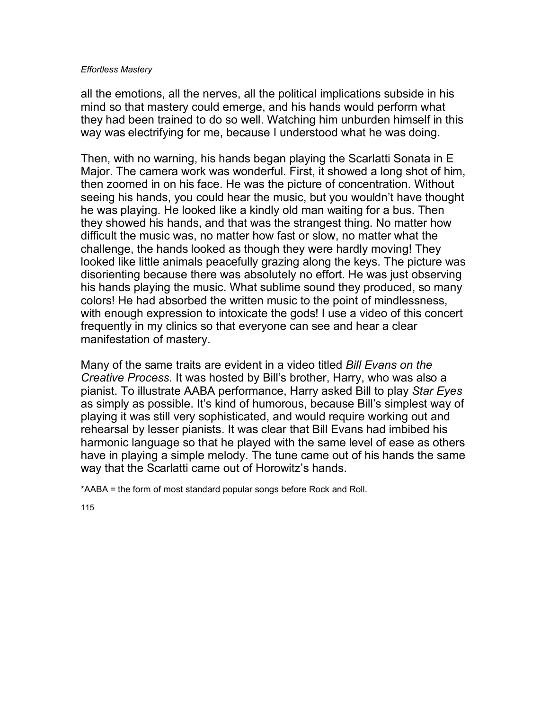all the emotions, all the nerves, all the political implications subside in his mind so that mastery could emerge, and his hands would perform what they had been trained to do so well. Watching him unburden himself in this way was electrifying for me, because I understood what he was doing.

Then, with no warning, his hands began playing the Scarlatti Sonata in E Major. The camera work was wonderful. First, it showed a long shot of him, then zoomed in on his face. He was the picture of concentration. Without seeing his hands, you could hear the music, but you wouldn't have thought he was playing. He looked like a kindly old man waiting for a bus. Then they showed his hands, and that was the strangest thing. No matter how difficult the music was, no matter how fast or slow, no matter what the challenge, the hands looked as though they were hardly moving! They looked like little animals peacefully grazing along the keys. The picture was disorienting because there was absolutely no effort. He was just observing his hands playing the music. What sublime sound they produced, so many colors! He had absorbed the written music to the point of mindlessness, with enough expression to intoxicate the gods! I use a video of this concert frequently in my clinics so that everyone can see and hear a clear manifestation of mastery.

Many of the same traits are evident in a video titled *Bill Evans on the Creative Process.* It was hosted by Bill's brother, Harry, who was also a pianist. To illustrate AABA performance, Harry asked Bill to play *Star Eyes* as simply as possible. It's kind of humorous, because Bill's simplest way of playing it was still very sophisticated, and would require working out and rehearsal by lesser pianists. It was clear that Bill Evans had imbibed his harmonic language so that he played with the same level of ease as others have in playing a simple melody. The tune came out of his hands the same way that the Scarlatti came out of Horowitz's hands.

\*AABA = the form of most standard popular songs before Rock and Roll.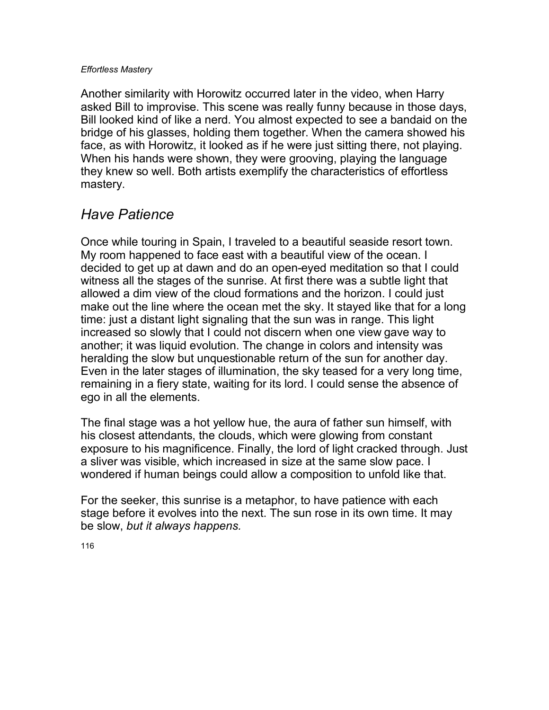Another similarity with Horowitz occurred later in the video, when Harry asked Bill to improvise. This scene was really funny because in those days, Bill looked kind of like a nerd. You almost expected to see a bandaid on the bridge of his glasses, holding them together. When the camera showed his face, as with Horowitz, it looked as if he were just sitting there, not playing. When his hands were shown, they were grooving, playing the language they knew so well. Both artists exemplify the characteristics of effortless mastery.

# *Have Patience*

Once while touring in Spain, I traveled to a beautiful seaside resort town. My room happened to face east with a beautiful view of the ocean. I decided to get up at dawn and do an open-eyed meditation so that I could witness all the stages of the sunrise. At first there was a subtle light that allowed a dim view of the cloud formations and the horizon. I could just make out the line where the ocean met the sky. It stayed like that for a long time: just a distant light signaling that the sun was in range. This light increased so slowly that I could not discern when one view gave way to another; it was liquid evolution. The change in colors and intensity was heralding the slow but unquestionable return of the sun for another day. Even in the later stages of illumination, the sky teased for a very long time, remaining in a fiery state, waiting for its lord. I could sense the absence of ego in all the elements.

The final stage was a hot yellow hue, the aura of father sun himself, with his closest attendants, the clouds, which were glowing from constant exposure to his magnificence. Finally, the lord of light cracked through. Just a sliver was visible, which increased in size at the same slow pace. I wondered if human beings could allow a composition to unfold like that.

For the seeker, this sunrise is a metaphor, to have patience with each stage before it evolves into the next. The sun rose in its own time. It may be slow, *but it always happens.*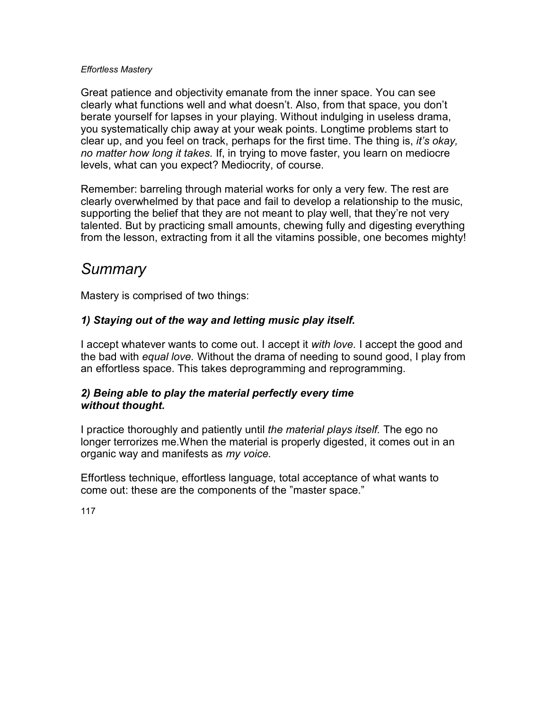Great patience and objectivity emanate from the inner space. You can see clearly what functions well and what doesn't. Also, from that space, you don't berate yourself for lapses in your playing. Without indulging in useless drama, you systematically chip away at your weak points. Longtime problems start to clear up, and you feel on track, perhaps for the first time. The thing is, *it's okay, no matter how long it takes.* If, in trying to move faster, you learn on mediocre levels, what can you expect? Mediocrity, of course.

Remember: barreling through material works for only a very few. The rest are clearly overwhelmed by that pace and fail to develop a relationship to the music, supporting the belief that they are not meant to play well, that they're not very talented. But by practicing small amounts, chewing fully and digesting everything from the lesson, extracting from it all the vitamins possible, one becomes mighty!

# *Summary*

Mastery is comprised of two things:

### *1) Staying out of the way and letting music play itself.*

I accept whatever wants to come out. I accept it *with love.* I accept the good and the bad with *equal love.* Without the drama of needing to sound good, I play from an effortless space. This takes deprogramming and reprogramming.

### *2) Being able to play the material perfectly every time without thought.*

I practice thoroughly and patiently until *the material plays itself.* The ego no longer terrorizes me.When the material is properly digested, it comes out in an organic way and manifests as *my voice.*

Effortless technique, effortless language, total acceptance of what wants to come out: these are the components of the "master space."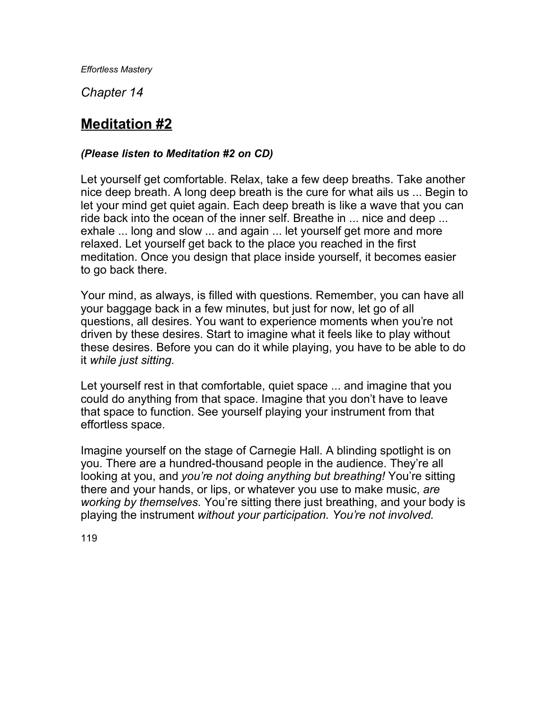*Chapter 14*

# **Meditation #2**

### *(Please listen to Meditation #2 on CD)*

Let yourself get comfortable. Relax, take a few deep breaths. Take another nice deep breath. A long deep breath is the cure for what ails us ... Begin to let your mind get quiet again. Each deep breath is like a wave that you can ride back into the ocean of the inner self. Breathe in ... nice and deep ... exhale ... long and slow ... and again ... let yourself get more and more relaxed. Let yourself get back to the place you reached in the first meditation. Once you design that place inside yourself, it becomes easier to go back there.

Your mind, as always, is filled with questions. Remember, you can have all your baggage back in a few minutes, but just for now, let go of all questions, all desires. You want to experience moments when you're not driven by these desires. Start to imagine what it feels like to play without these desires. Before you can do it while playing, you have to be able to do it *while just sitting.*

Let yourself rest in that comfortable, quiet space ... and imagine that you could do anything from that space. Imagine that you don't have to leave that space to function. See yourself playing your instrument from that effortless space.

Imagine yourself on the stage of Carnegie Hall. A blinding spotlight is on you. There are a hundred-thousand people in the audience. They're all looking at you, and *you're not doing anything but breathing!* You're sitting there and your hands, or lips, or whatever you use to make music, *are working by themselves.* You're sitting there just breathing, and your body is playing the instrument *without your participation. You're not involved.*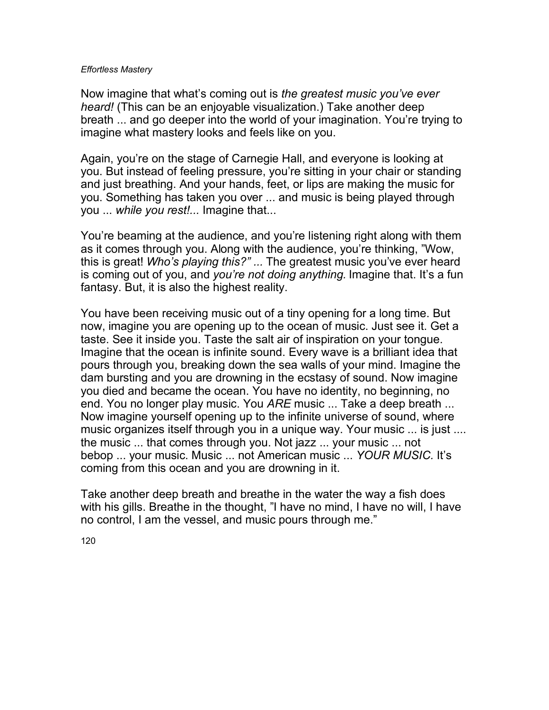Now imagine that what's coming out is *the greatest music you've ever heard!* (This can be an enjoyable visualization.) Take another deep breath ... and go deeper into the world of your imagination. You're trying to imagine what mastery looks and feels like on you.

Again, you're on the stage of Carnegie Hall, and everyone is looking at you. But instead of feeling pressure, you're sitting in your chair or standing and just breathing. And your hands, feet, or lips are making the music for you. Something has taken you over ... and music is being played through you ... *while you rest!...* Imagine that...

You're beaming at the audience, and you're listening right along with them as it comes through you. Along with the audience, you're thinking, "Wow, this is great! *Who's playing this?" ...* The greatest music you've ever heard is coming out of you, and *you're not doing anything.* Imagine that. It's a fun fantasy. But, it is also the highest reality.

You have been receiving music out of a tiny opening for a long time. But now, imagine you are opening up to the ocean of music. Just see it. Get a taste. See it inside you. Taste the salt air of inspiration on your tongue. Imagine that the ocean is infinite sound. Every wave is a brilliant idea that pours through you, breaking down the sea walls of your mind. Imagine the dam bursting and you are drowning in the ecstasy of sound. Now imagine you died and became the ocean. You have no identity, no beginning, no end. You no longer play music. You *ARE* music ... Take a deep breath ... Now imagine yourself opening up to the infinite universe of sound, where music organizes itself through you in a unique way. Your music ... is just .... the music ... that comes through you. Not jazz ... your music ... not bebop ... your music. Music ... not American music ... *YOUR MUSIC.* It's coming from this ocean and you are drowning in it.

Take another deep breath and breathe in the water the way a fish does with his gills. Breathe in the thought, "I have no mind, I have no will, I have no control, I am the vessel, and music pours through me."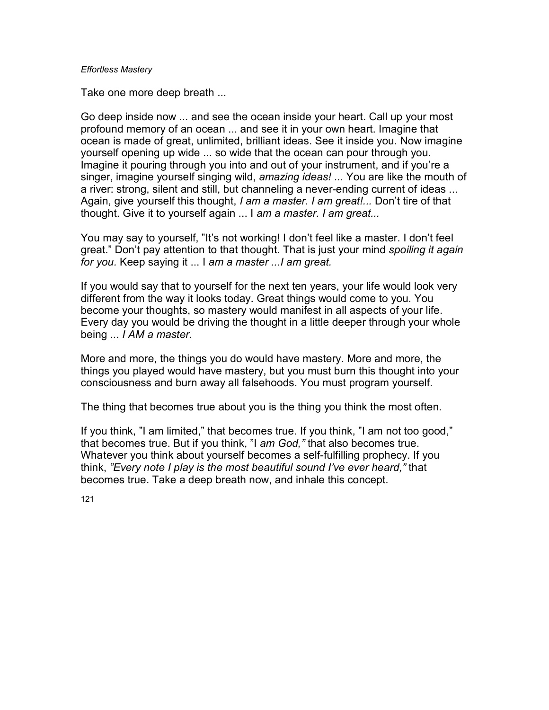Take one more deep breath ...

Go deep inside now ... and see the ocean inside your heart. Call up your most profound memory of an ocean ... and see it in your own heart. Imagine that ocean is made of great, unlimited, brilliant ideas. See it inside you. Now imagine yourself opening up wide ... so wide that the ocean can pour through you. Imagine it pouring through you into and out of your instrument, and if you're a singer, imagine yourself singing wild, *amazing ideas! ...* You are like the mouth of a river: strong, silent and still, but channeling a never-ending current of ideas ... Again, give yourself this thought, *I am a master. I am great!...* Don't tire of that thought. Give it to yourself again ... I *am a master. I am great...*

You may say to yourself, "It's not working! I don't feel like a master. I don't feel great." Don't pay attention to that thought. That is just your mind *spoiling it again for you.* Keep saying it ... I *am a master ...I am great.*

If you would say that to yourself for the next ten years, your life would look very different from the way it looks today. Great things would come to you. You become your thoughts, so mastery would manifest in all aspects of your life. Every day you would be driving the thought in a little deeper through your whole being ... *I AM a master.*

More and more, the things you do would have mastery. More and more, the things you played would have mastery, but you must burn this thought into your consciousness and burn away all falsehoods. You must program yourself.

The thing that becomes true about you is the thing you think the most often.

If you think, "I am limited," that becomes true. If you think, "I am not too good," that becomes true. But if you think, "I *am God,"* that also becomes true. Whatever you think about yourself becomes a self-fulfilling prophecy. If you think, *"Every note I play is the most beautiful sound I've ever heard,"* that becomes true. Take a deep breath now, and inhale this concept.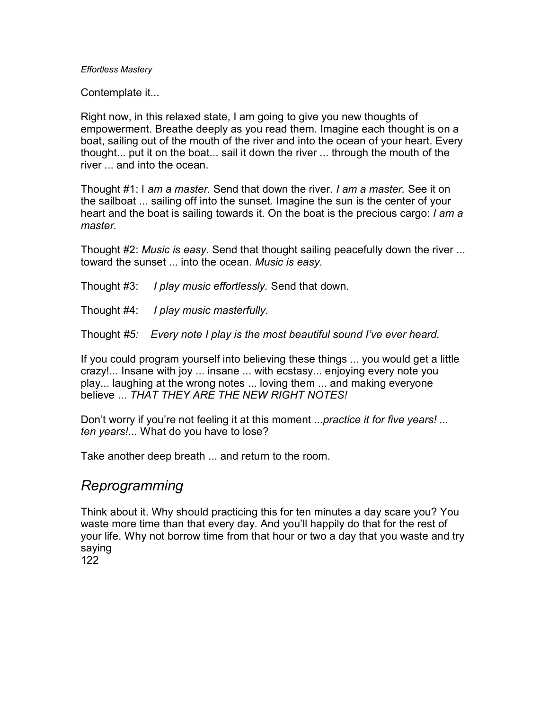Contemplate it...

Right now, in this relaxed state, I am going to give you new thoughts of empowerment. Breathe deeply as you read them. Imagine each thought is on a boat, sailing out of the mouth of the river and into the ocean of your heart. Every thought... put it on the boat... sail it down the river ... through the mouth of the river ... and into the ocean.

Thought #1: I *am a master.* Send that down the river. *I am a master.* See it on the sailboat ... sailing off into the sunset. Imagine the sun is the center of your heart and the boat is sailing towards it. On the boat is the precious cargo: *I am a master.*

Thought #2: *Music is easy.* Send that thought sailing peacefully down the river ... toward the sunset ... into the ocean. *Music is easy.*

Thought #3: *I play music effortlessly.* Send that down.

Thought #4: *I play music masterfully.*

Thought *#5: Every note I play is the most beautiful sound I've ever heard.*

If you could program yourself into believing these things ... you would get a little crazy!... Insane with joy ... insane ... with ecstasy... enjoying every note you play... laughing at the wrong notes ... loving them ... and making everyone believe ... *THAT THEY ARE THE NEW RIGHT NOTES!*

Don't worry if you're not feeling it at this moment *...practice it for five years! ... ten years!...* What do you have to lose?

Take another deep breath ... and return to the room.

## *Reprogramming*

Think about it. Why should practicing this for ten minutes a day scare you? You waste more time than that every day. And you'll happily do that for the rest of your life. Why not borrow time from that hour or two a day that you waste and try saying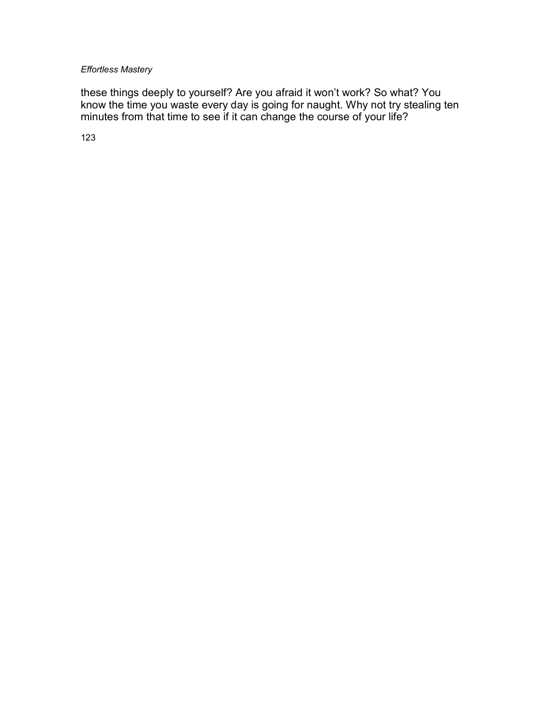these things deeply to yourself? Are you afraid it won't work? So what? You know the time you waste every day is going for naught. Why not try stealing ten minutes from that time to see if it can change the course of your life?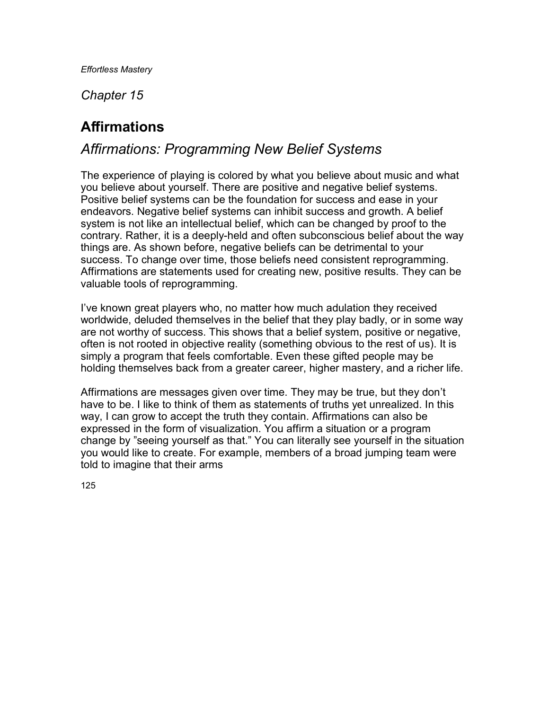*Chapter 15*

# **Affirmations**

# *Affirmations: Programming New Belief Systems*

The experience of playing is colored by what you believe about music and what you believe about yourself. There are positive and negative belief systems. Positive belief systems can be the foundation for success and ease in your endeavors. Negative belief systems can inhibit success and growth. A belief system is not like an intellectual belief, which can be changed by proof to the contrary. Rather, it is a deeply-held and often subconscious belief about the way things are. As shown before, negative beliefs can be detrimental to your success. To change over time, those beliefs need consistent reprogramming. Affirmations are statements used for creating new, positive results. They can be valuable tools of reprogramming.

I've known great players who, no matter how much adulation they received worldwide, deluded themselves in the belief that they play badly, or in some way are not worthy of success. This shows that a belief system, positive or negative, often is not rooted in objective reality (something obvious to the rest of us). It is simply a program that feels comfortable. Even these gifted people may be holding themselves back from a greater career, higher mastery, and a richer life.

Affirmations are messages given over time. They may be true, but they don't have to be. I like to think of them as statements of truths yet unrealized. In this way, I can grow to accept the truth they contain. Affirmations can also be expressed in the form of visualization. You affirm a situation or a program change by "seeing yourself as that." You can literally see yourself in the situation you would like to create. For example, members of a broad jumping team were told to imagine that their arms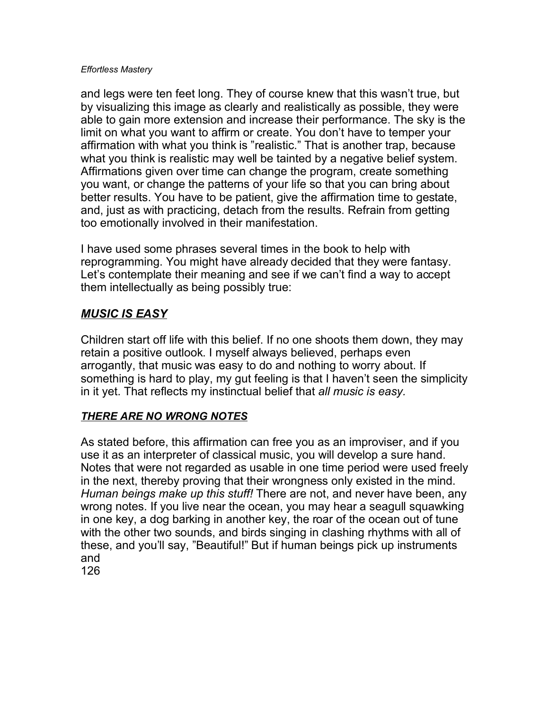and legs were ten feet long. They of course knew that this wasn't true, but by visualizing this image as clearly and realistically as possible, they were able to gain more extension and increase their performance. The sky is the limit on what you want to affirm or create. You don't have to temper your affirmation with what you think is "realistic." That is another trap, because what you think is realistic may well be tainted by a negative belief system. Affirmations given over time can change the program, create something you want, or change the patterns of your life so that you can bring about better results. You have to be patient, give the affirmation time to gestate, and, just as with practicing, detach from the results. Refrain from getting too emotionally involved in their manifestation.

I have used some phrases several times in the book to help with reprogramming. You might have already decided that they were fantasy. Let's contemplate their meaning and see if we can't find a way to accept them intellectually as being possibly true:

## *MUSIC IS EASY*

Children start off life with this belief. If no one shoots them down, they may retain a positive outlook. I myself always believed, perhaps even arrogantly, that music was easy to do and nothing to worry about. If something is hard to play, my gut feeling is that I haven't seen the simplicity in it yet. That reflects my instinctual belief that *all music is easy.*

## *THERE ARE NO WRONG NOTES*

As stated before, this affirmation can free you as an improviser, and if you use it as an interpreter of classical music, you will develop a sure hand. Notes that were not regarded as usable in one time period were used freely in the next, thereby proving that their wrongness only existed in the mind. *Human beings make up this stuff!* There are not, and never have been, any wrong notes. If you live near the ocean, you may hear a seagull squawking in one key, a dog barking in another key, the roar of the ocean out of tune with the other two sounds, and birds singing in clashing rhythms with all of these, and you'll say, "Beautiful!" But if human beings pick up instruments and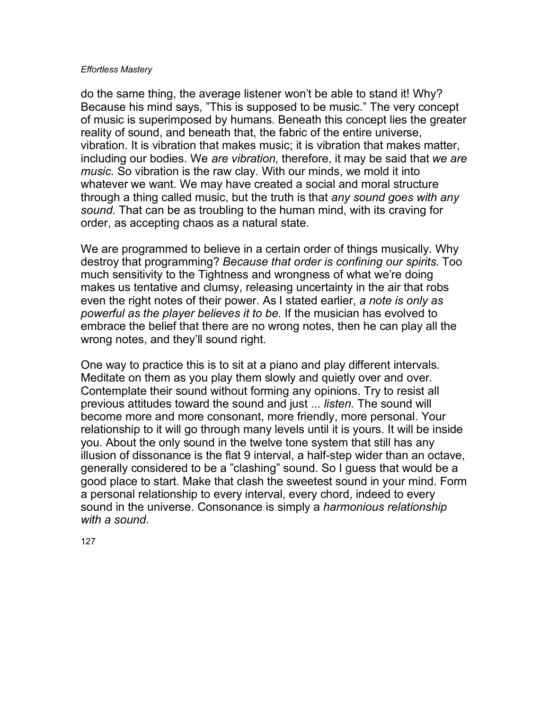do the same thing, the average listener won't be able to stand it! Why? Because his mind says, "This is supposed to be music." The very concept of music is superimposed by humans. Beneath this concept lies the greater reality of sound, and beneath that, the fabric of the entire universe, vibration. It is vibration that makes music; it is vibration that makes matter, including our bodies. We *are vibration,* therefore, it may be said that *we are music.* So vibration is the raw clay. With our minds, we mold it into whatever we want. We may have created a social and moral structure through a thing called music, but the truth is that *any sound goes with any sound.* That can be as troubling to the human mind, with its craving for order, as accepting chaos as a natural state.

We are programmed to believe in a certain order of things musically. Why destroy that programming? *Because that order is confining our spirits.* Too much sensitivity to the Tightness and wrongness of what we're doing makes us tentative and clumsy, releasing uncertainty in the air that robs even the right notes of their power. As I stated earlier, *a note is only as powerful as the player believes it to be.* If the musician has evolved to embrace the belief that there are no wrong notes, then he can play all the wrong notes, and they'll sound right.

One way to practice this is to sit at a piano and play different intervals. Meditate on them as you play them slowly and quietly over and over. Contemplate their sound without forming any opinions. Try to resist all previous attitudes toward the sound and just ... *listen.* The sound will become more and more consonant, more friendly, more personal. Your relationship to it will go through many levels until it is yours. It will be inside you. About the only sound in the twelve tone system that still has any illusion of dissonance is the flat 9 interval, a half-step wider than an octave, generally considered to be a "clashing" sound. So I guess that would be a good place to start. Make that clash the sweetest sound in your mind. Form a personal relationship to every interval, every chord, indeed to every sound in the universe. Consonance is simply a *harmonious relationship with a sound.*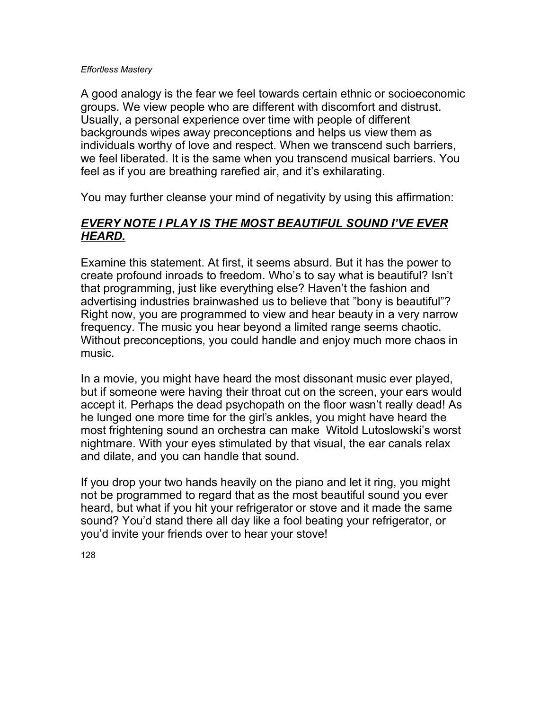A good analogy is the fear we feel towards certain ethnic or socioeconomic groups. We view people who are different with discomfort and distrust. Usually, a personal experience over time with people of different backgrounds wipes away preconceptions and helps us view them as individuals worthy of love and respect. When we transcend such barriers, we feel liberated. It is the same when you transcend musical barriers. You feel as if you are breathing rarefied air, and it's exhilarating.

You may further cleanse your mind of negativity by using this affirmation:

## *EVERY NOTE I PLAY IS THE MOST BEAUTIFUL SOUND I'VE EVER HEARD.*

Examine this statement. At first, it seems absurd. But it has the power to create profound inroads to freedom. Who's to say what is beautiful? Isn't that programming, just like everything else? Haven't the fashion and advertising industries brainwashed us to believe that "bony is beautiful"? Right now, you are programmed to view and hear beauty in a very narrow frequency. The music you hear beyond a limited range seems chaotic. Without preconceptions, you could handle and enjoy much more chaos in music.

In a movie, you might have heard the most dissonant music ever played, but if someone were having their throat cut on the screen, your ears would accept it. Perhaps the dead psychopath on the floor wasn't really dead! As he lunged one more time for the girl's ankles, you might have heard the most frightening sound an orchestra can make Witold Lutoslowski's worst nightmare. With your eyes stimulated by that visual, the ear canals relax and dilate, and you can handle that sound.

If you drop your two hands heavily on the piano and let it ring, you might not be programmed to regard that as the most beautiful sound you ever heard, but what if you hit your refrigerator or stove and it made the same sound? You'd stand there all day like a fool beating your refrigerator, or you'd invite your friends over to hear your stove!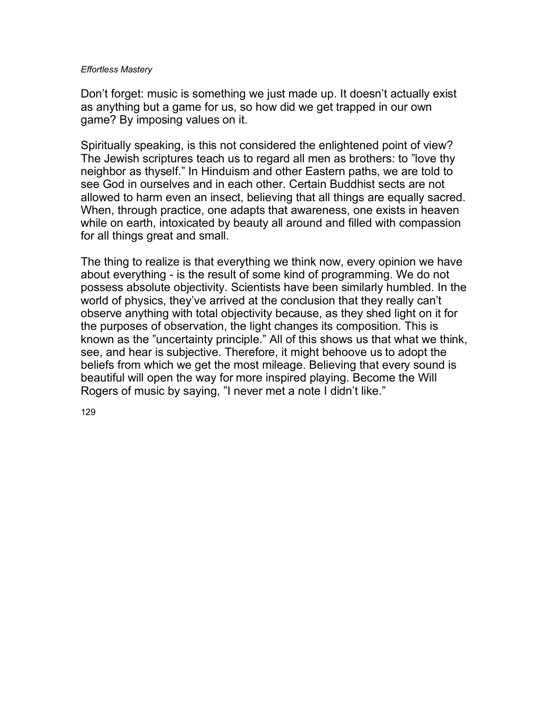Don't forget: music is something we just made up. It doesn't actually exist as anything but a game for us, so how did we get trapped in our own game? By imposing values on it.

Spiritually speaking, is this not considered the enlightened point of view? The Jewish scriptures teach us to regard all men as brothers: to "love thy neighbor as thyself." In Hinduism and other Eastern paths, we are told to see God in ourselves and in each other. Certain Buddhist sects are not allowed to harm even an insect, believing that all things are equally sacred. When, through practice, one adapts that awareness, one exists in heaven while on earth, intoxicated by beauty all around and filled with compassion for all things great and small.

The thing to realize is that everything we think now, every opinion we have about everything - is the result of some kind of programming. We do not possess absolute objectivity. Scientists have been similarly humbled. In the world of physics, they've arrived at the conclusion that they really can't observe anything with total objectivity because, as they shed light on it for the purposes of observation, the light changes its composition. This is known as the "uncertainty principle." All of this shows us that what we think, see, and hear is subjective. Therefore, it might behoove us to adopt the beliefs from which we get the most mileage. Believing that every sound is beautiful will open the way for more inspired playing. Become the Will Rogers of music by saying, "I never met a note I didn't like."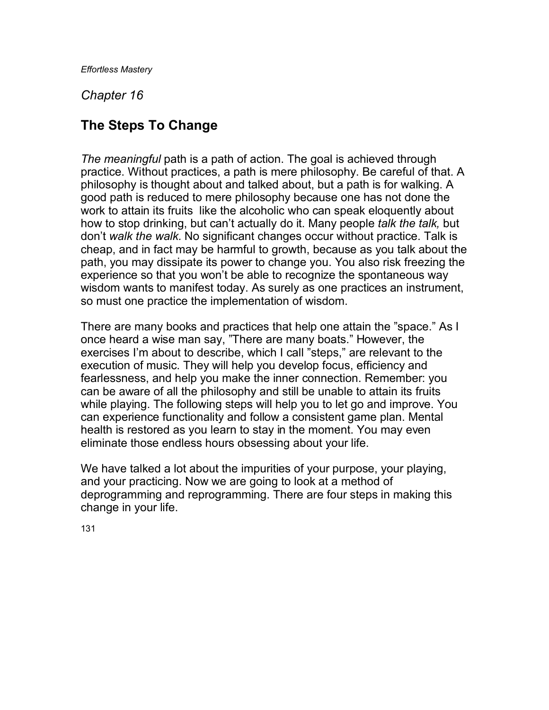### *Chapter 16*

## **The Steps To Change**

*The meaningful* path is a path of action. The goal is achieved through practice. Without practices, a path is mere philosophy. Be careful of that. A philosophy is thought about and talked about, but a path is for walking. A good path is reduced to mere philosophy because one has not done the work to attain its fruits like the alcoholic who can speak eloquently about how to stop drinking, but can't actually do it. Many people *talk the talk,* but don't *walk the walk.* No significant changes occur without practice. Talk is cheap, and in fact may be harmful to growth, because as you talk about the path, you may dissipate its power to change you. You also risk freezing the experience so that you won't be able to recognize the spontaneous way wisdom wants to manifest today. As surely as one practices an instrument, so must one practice the implementation of wisdom.

There are many books and practices that help one attain the "space." As I once heard a wise man say, "There are many boats." However, the exercises I'm about to describe, which I call "steps," are relevant to the execution of music. They will help you develop focus, efficiency and fearlessness, and help you make the inner connection. Remember: you can be aware of all the philosophy and still be unable to attain its fruits while playing. The following steps will help you to let go and improve. You can experience functionality and follow a consistent game plan. Mental health is restored as you learn to stay in the moment. You may even eliminate those endless hours obsessing about your life.

We have talked a lot about the impurities of your purpose, your playing, and your practicing. Now we are going to look at a method of deprogramming and reprogramming. There are four steps in making this change in your life.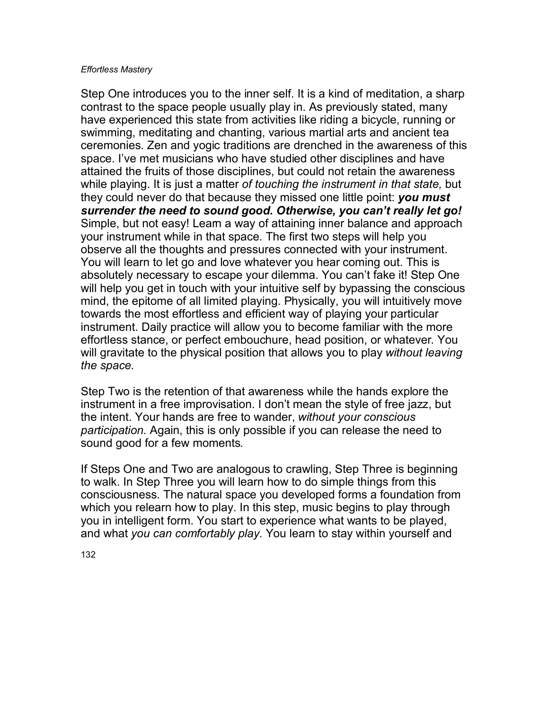Step One introduces you to the inner self. It is a kind of meditation, a sharp contrast to the space people usually play in. As previously stated, many have experienced this state from activities like riding a bicycle, running or swimming, meditating and chanting, various martial arts and ancient tea ceremonies. Zen and yogic traditions are drenched in the awareness of this space. I've met musicians who have studied other disciplines and have attained the fruits of those disciplines, but could not retain the awareness while playing. It is just a matter *of touching the instrument in that state,* but they could never do that because they missed one little point: *you must surrender the need to sound good. Otherwise, you can't really let go!* Simple, but not easy! Leam a way of attaining inner balance and approach your instrument while in that space. The first two steps will help you observe all the thoughts and pressures connected with your instrument. You will learn to let go and love whatever you hear coming out. This is absolutely necessary to escape your dilemma. You can't fake it! Step One will help you get in touch with your intuitive self by bypassing the conscious mind, the epitome of all limited playing. Physically, you will intuitively move towards the most effortless and efficient way of playing your particular instrument. Daily practice will allow you to become familiar with the more effortless stance, or perfect embouchure, head position, or whatever. You will gravitate to the physical position that allows you to play *without leaving the space.*

Step Two is the retention of that awareness while the hands explore the instrument in a free improvisation. I don't mean the style of free jazz, but the intent. Your hands are free to wander, *without your conscious participation.* Again, this is only possible if you can release the need to sound good for a few moments.

If Steps One and Two are analogous to crawling, Step Three is beginning to walk. In Step Three you will learn how to do simple things from this consciousness. The natural space you developed forms a foundation from which you relearn how to play. In this step, music begins to play through you in intelligent form. You start to experience what wants to be played, and what *you can comfortably play.* You learn to stay within yourself and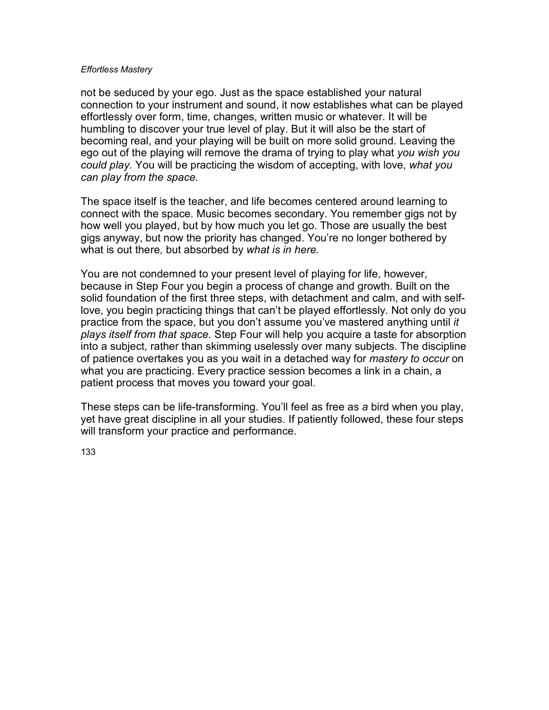not be seduced by your ego. Just as the space established your natural connection to your instrument and sound, it now establishes what can be played effortlessly over form, time, changes, written music or whatever. It will be humbling to discover your true level of play. But it will also be the start of becoming real, and your playing will be built on more solid ground. Leaving the ego out of the playing will remove the drama of trying to play what *you wish you could play.* You will be practicing the wisdom of accepting, with love, *what you can play from the space.*

The space itself is the teacher, and life becomes centered around learning to connect with the space. Music becomes secondary. You remember gigs not by how well you played, but by how much you let go. Those are usually the best gigs anyway, but now the priority has changed. You're no longer bothered by what is out there, but absorbed by *what is in here.*

You are not condemned to your present level of playing for life, however, because in Step Four you begin a process of change and growth. Built on the solid foundation of the first three steps, with detachment and calm, and with selflove, you begin practicing things that can't be played effortlessly. Not only do you practice from the space, but you don't assume you've mastered anything until *it plays itself from that space.* Step Four will help you acquire a taste for absorption into a subject, rather than skimming uselessly over many subjects. The discipline of patience overtakes you as you wait in a detached way for *mastery to occur* on what you are practicing. Every practice session becomes a link in a chain, a patient process that moves you toward your goal.

These steps can be life-transforming. You'll feel as free as *a* bird when you play, yet have great discipline in all your studies. If patiently followed, these four steps will transform your practice and performance.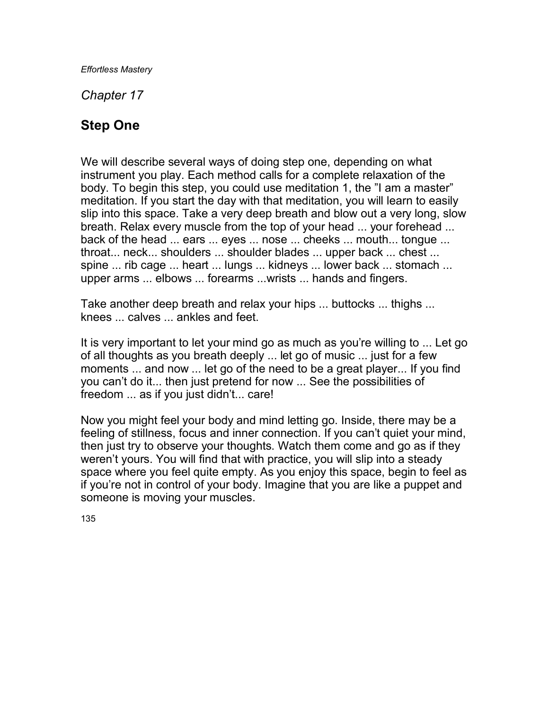*Chapter 17*

# **Step One**

We will describe several ways of doing step one, depending on what instrument you play. Each method calls for a complete relaxation of the body. To begin this step, you could use meditation 1, the "I am a master" meditation. If you start the day with that meditation, you will learn to easily slip into this space. Take a very deep breath and blow out a very long, slow breath. Relax every muscle from the top of your head ... your forehead ... back of the head ... ears ... eyes ... nose ... cheeks ... mouth... tongue ... throat... neck... shoulders ... shoulder blades ... upper back ... chest ... spine ... rib cage ... heart ... lungs ... kidneys ... lower back ... stomach ... upper arms ... elbows ... forearms ...wrists ... hands and fingers.

Take another deep breath and relax your hips ... buttocks ... thighs ... knees ... calves ... ankles and feet.

It is very important to let your mind go as much as you're willing to ... Let go of all thoughts as you breath deeply ... let go of music ... just for a few moments ... and now ... let go of the need to be a great player... If you find you can't do it... then just pretend for now ... See the possibilities of freedom ... as if you just didn't... care!

Now you might feel your body and mind letting go. Inside, there may be a feeling of stillness, focus and inner connection. If you can't quiet your mind, then just try to observe your thoughts. Watch them come and go as if they weren't yours. You will find that with practice, you will slip into a steady space where you feel quite empty. As you enjoy this space, begin to feel as if you're not in control of your body. Imagine that you are like a puppet and someone is moving your muscles.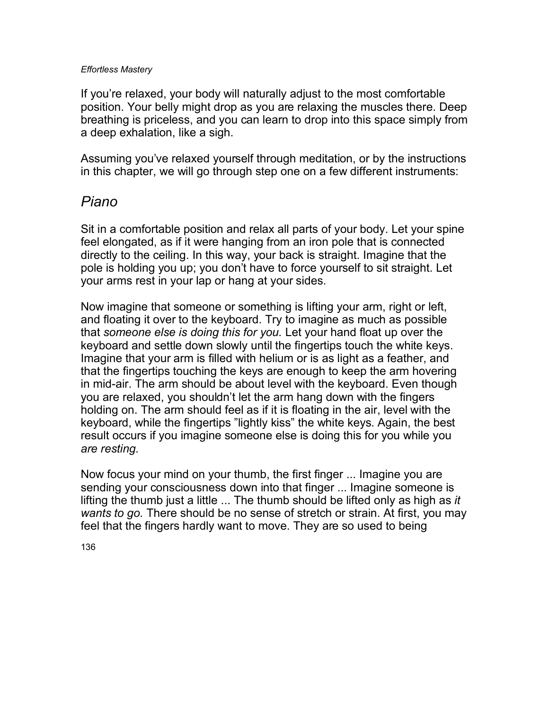If you're relaxed, your body will naturally adjust to the most comfortable position. Your belly might drop as you are relaxing the muscles there. Deep breathing is priceless, and you can learn to drop into this space simply from a deep exhalation, like a sigh.

Assuming you've relaxed yourself through meditation, or by the instructions in this chapter, we will go through step one on a few different instruments:

# *Piano*

Sit in a comfortable position and relax all parts of your body. Let your spine feel elongated, as if it were hanging from an iron pole that is connected directly to the ceiling. In this way, your back is straight. Imagine that the pole is holding you up; you don't have to force yourself to sit straight. Let your arms rest in your lap or hang at your sides.

Now imagine that someone or something is lifting your arm, right or left, and floating it over to the keyboard. Try to imagine as much as possible that *someone else is doing this for you.* Let your hand float up over the keyboard and settle down slowly until the fingertips touch the white keys. Imagine that your arm is filled with helium or is as light as a feather, and that the fingertips touching the keys are enough to keep the arm hovering in mid-air. The arm should be about level with the keyboard. Even though you are relaxed, you shouldn't let the arm hang down with the fingers holding on. The arm should feel as if it is floating in the air, level with the keyboard, while the fingertips "lightly kiss" the white keys. Again, the best result occurs if you imagine someone else is doing this for you while you *are resting.*

Now focus your mind on your thumb, the first finger ... Imagine you are sending your consciousness down into that finger ... Imagine someone is lifting the thumb just a little ... The thumb should be lifted only as high as *it wants to go.* There should be no sense of stretch or strain. At first, you may feel that the fingers hardly want to move. They are so used to being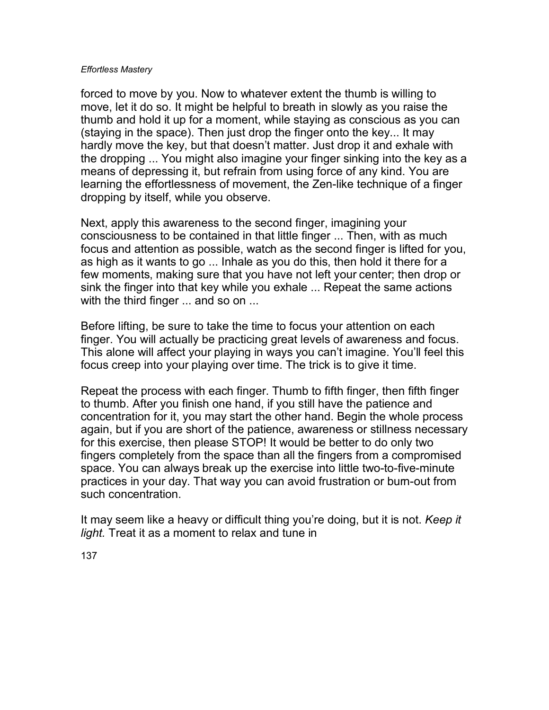forced to move by you. Now to whatever extent the thumb is willing to move, let it do so. It might be helpful to breath in slowly as you raise the thumb and hold it up for a moment, while staying as conscious as you can (staying in the space). Then just drop the finger onto the key... It may hardly move the key, but that doesn't matter. Just drop it and exhale with the dropping ... You might also imagine your finger sinking into the key as a means of depressing it, but refrain from using force of any kind. You are learning the effortlessness of movement, the Zen-like technique of a finger dropping by itself, while you observe.

Next, apply this awareness to the second finger, imagining your consciousness to be contained in that little finger ... Then, with as much focus and attention as possible, watch as the second finger is lifted for you, as high as it wants to go ... Inhale as you do this, then hold it there for a few moments, making sure that you have not left your center; then drop or sink the finger into that key while you exhale ... Repeat the same actions with the third finger ... and so on ...

Before lifting, be sure to take the time to focus your attention on each finger. You will actually be practicing great levels of awareness and focus. This alone will affect your playing in ways you can't imagine. You'll feel this focus creep into your playing over time. The trick is to give it time.

Repeat the process with each finger. Thumb to fifth finger, then fifth finger to thumb. After you finish one hand, if you still have the patience and concentration for it, you may start the other hand. Begin the whole process again, but if you are short of the patience, awareness or stillness necessary for this exercise, then please STOP! It would be better to do only two fingers completely from the space than all the fingers from a compromised space. You can always break up the exercise into little two-to-five-minute practices in your day. That way you can avoid frustration or bum-out from such concentration.

It may seem like a heavy or difficult thing you're doing, but it is not. *Keep it light.* Treat it as a moment to relax and tune in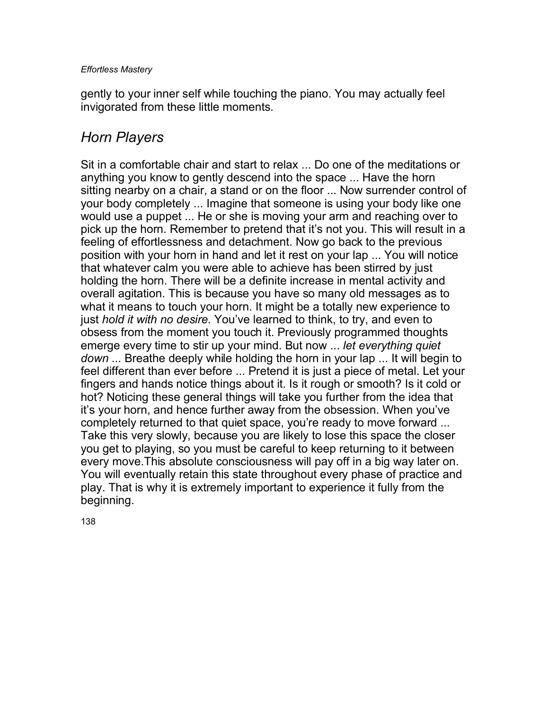gently to your inner self while touching the piano. You may actually feel invigorated from these little moments.

# *Horn Players*

Sit in a comfortable chair and start to relax ... Do one of the meditations or anything you know to gently descend into the space ... Have the horn sitting nearby on a chair, a stand or on the floor ... Now surrender control of your body completely ... Imagine that someone is using your body like one would use a puppet ... He or she is moving your arm and reaching over to pick up the horn. Remember to pretend that it's not you. This will result in a feeling of effortlessness and detachment. Now go back to the previous position with your horn in hand and let it rest on your lap ... You will notice that whatever calm you were able to achieve has been stirred by just holding the horn. There will be a definite increase in mental activity and overall agitation. This is because you have so many old messages as to what it means to touch your horn. It might be a totally new experience to just *hold it with no desire.* You've learned to think, to try, and even to obsess from the moment you touch it. Previously programmed thoughts emerge every time to stir up your mind. But now ... *let everything quiet down ...* Breathe deeply while holding the horn in your lap ... It will begin to feel different than ever before ... Pretend it is just a piece of metal. Let your fingers and hands notice things about it. Is it rough or smooth? Is it cold or hot? Noticing these general things will take you further from the idea that it's your horn, and hence further away from the obsession. When you've completely returned to that quiet space, you're ready to move forward ... Take this very slowly, because you are likely to lose this space the closer you get to playing, so you must be careful to keep returning to it between every move.This absolute consciousness will pay off in a big way later on. You will eventually retain this state throughout every phase of practice and play. That is why it is extremely important to experience it fully from the beginning.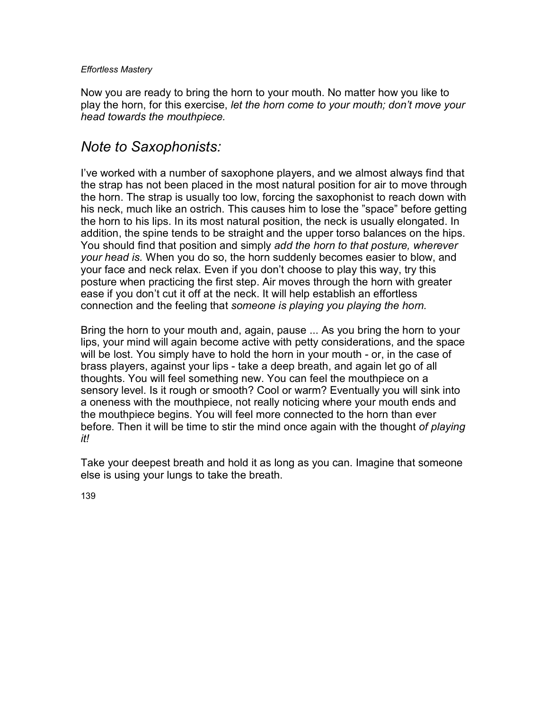Now you are ready to bring the horn to your mouth. No matter how you like to play the horn, for this exercise, *let the horn come to your mouth; don't move your head towards the mouthpiece.*

## *Note to Saxophonists:*

I've worked with a number of saxophone players, and we almost always find that the strap has not been placed in the most natural position for air to move through the horn. The strap is usually too low, forcing the saxophonist to reach down with his neck, much like an ostrich. This causes him to lose the "space" before getting the horn to his lips. In its most natural position, the neck is usually elongated. In addition, the spine tends to be straight and the upper torso balances on the hips. You should find that position and simply *add the horn to that posture, wherever your head is.* When you do so, the horn suddenly becomes easier to blow, and your face and neck relax. Even if you don't choose to play this way, try this posture when practicing the first step. Air moves through the horn with greater ease if you don't cut it off at the neck. It will help establish an effortless connection and the feeling that *someone is playing you playing the horn.*

Bring the horn to your mouth and, again, pause ... As you bring the horn to your lips, your mind will again become active with petty considerations, and the space will be lost. You simply have to hold the horn in your mouth - or, in the case of brass players, against your lips - take a deep breath, and again let go of all thoughts. You will feel something new. You can feel the mouthpiece on a sensory level. Is it rough or smooth? Cool or warm? Eventually you will sink into a oneness with the mouthpiece, not really noticing where your mouth ends and the mouthpiece begins. You will feel more connected to the horn than ever before. Then it will be time to stir the mind once again with the thought *of playing it!*

Take your deepest breath and hold it as long as you can. Imagine that someone else is using your lungs to take the breath.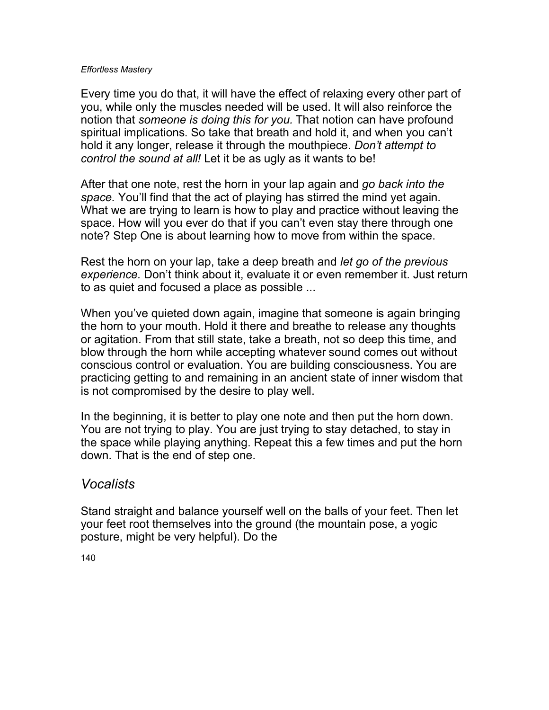Every time you do that, it will have the effect of relaxing every other part of you, while only the muscles needed will be used. It will also reinforce the notion that *someone is doing this for you.* That notion can have profound spiritual implications. So take that breath and hold it, and when you can't hold it any longer, release it through the mouthpiece. *Don't attempt to control the sound at all!* Let it be as ugly as it wants to be!

After that one note, rest the horn in your lap again and *go back into the space.* You'll find that the act of playing has stirred the mind yet again. What we are trying to learn is how to play and practice without leaving the space. How will you ever do that if you can't even stay there through one note? Step One is about learning how to move from within the space.

Rest the horn on your lap, take a deep breath and *let go of the previous experience.* Don't think about it, evaluate it or even remember it. Just return to as quiet and focused a place as possible ...

When you've quieted down again, imagine that someone is again bringing the horn to your mouth. Hold it there and breathe to release any thoughts or agitation. From that still state, take a breath, not so deep this time, and blow through the horn while accepting whatever sound comes out without conscious control or evaluation. You are building consciousness. You are practicing getting to and remaining in an ancient state of inner wisdom that is not compromised by the desire to play well.

In the beginning, it is better to play one note and then put the horn down. You are not trying to play. You are just trying to stay detached, to stay in the space while playing anything. Repeat this a few times and put the horn down. That is the end of step one.

## *Vocalists*

Stand straight and balance yourself well on the balls of your feet. Then let your feet root themselves into the ground (the mountain pose, a yogic posture, might be very helpful). Do the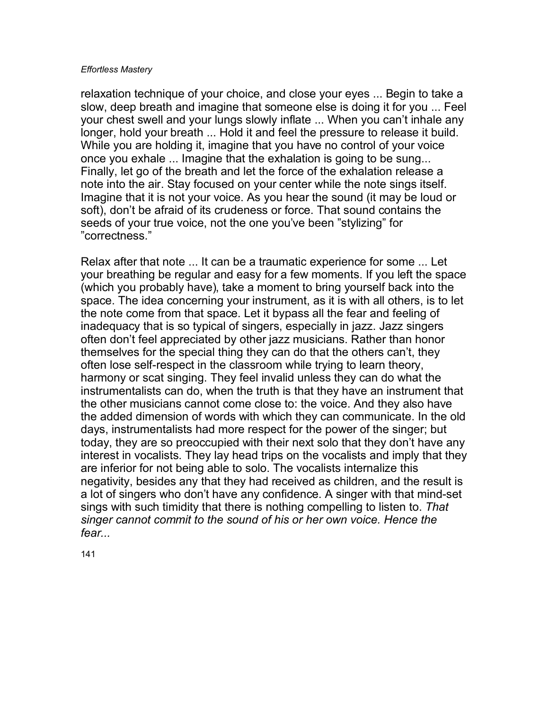relaxation technique of your choice, and close your eyes ... Begin to take a slow, deep breath and imagine that someone else is doing it for you ... Feel your chest swell and your lungs slowly inflate ... When you can't inhale any longer, hold your breath ... Hold it and feel the pressure to release it build. While you are holding it, imagine that you have no control of your voice once you exhale ... Imagine that the exhalation is going to be sung... Finally, let go of the breath and let the force of the exhalation release a note into the air. Stay focused on your center while the note sings itself. Imagine that it is not your voice. As you hear the sound (it may be loud or soft), don't be afraid of its crudeness or force. That sound contains the seeds of your true voice, not the one you've been "stylizing" for "correctness."

Relax after that note ... It can be a traumatic experience for some ... Let your breathing be regular and easy for a few moments. If you left the space (which you probably have), take a moment to bring yourself back into the space. The idea concerning your instrument, as it is with all others, is to let the note come from that space. Let it bypass all the fear and feeling of inadequacy that is so typical of singers, especially in jazz. Jazz singers often don't feel appreciated by other jazz musicians. Rather than honor themselves for the special thing they can do that the others can't, they often lose self-respect in the classroom while trying to learn theory, harmony or scat singing. They feel invalid unless they can do what the instrumentalists can do, when the truth is that they have an instrument that the other musicians cannot come close to: the voice. And they also have the added dimension of words with which they can communicate. In the old days, instrumentalists had more respect for the power of the singer; but today, they are so preoccupied with their next solo that they don't have any interest in vocalists. They lay head trips on the vocalists and imply that they are inferior for not being able to solo. The vocalists internalize this negativity, besides any that they had received as children, and the result is a lot of singers who don't have any confidence. A singer with that mind-set sings with such timidity that there is nothing compelling to listen to. *That singer cannot commit to the sound of his or her own voice. Hence the fear...*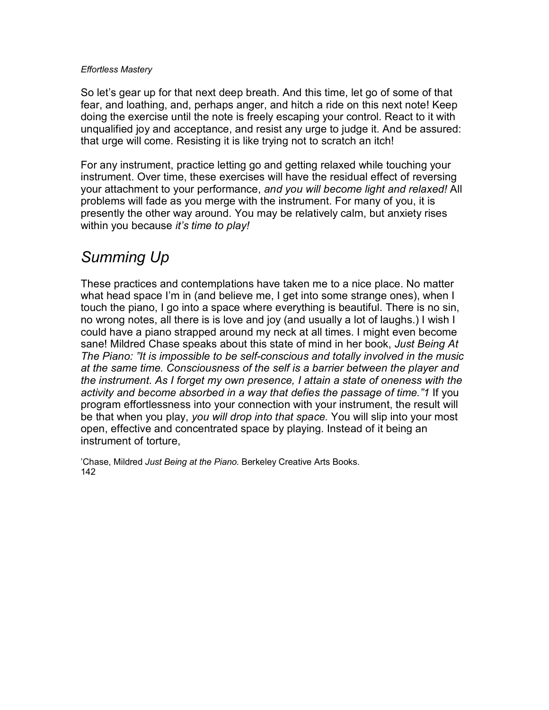So let's gear up for that next deep breath. And this time, let go of some of that fear, and loathing, and, perhaps anger, and hitch a ride on this next note! Keep doing the exercise until the note is freely escaping your control. React to it with unqualified joy and acceptance, and resist any urge to judge it. And be assured: that urge will come. Resisting it is like trying not to scratch an itch!

For any instrument, practice letting go and getting relaxed while touching your instrument. Over time, these exercises will have the residual effect of reversing your attachment to your performance, *and you will become light and relaxed!* All problems will fade as you merge with the instrument. For many of you, it is presently the other way around. You may be relatively calm, but anxiety rises within you because *it's time to play!*

# *Summing Up*

These practices and contemplations have taken me to a nice place. No matter what head space I'm in (and believe me, I get into some strange ones), when I touch the piano, I go into a space where everything is beautiful. There is no sin, no wrong notes, all there is is love and joy (and usually a lot of laughs.) I wish I could have a piano strapped around my neck at all times. I might even become sane! Mildred Chase speaks about this state of mind in her book, *Just Being At The Piano: "It is impossible to be self-conscious and totally involved in the music at the same time. Consciousness of the self is a barrier between the player and the instrument. As I forget my own presence, I attain a state of oneness with the activity and become absorbed in a way that defies the passage of time."1* If you program effortlessness into your connection with your instrument, the result will be that when you play, *you will drop into that space.* You will slip into your most open, effective and concentrated space by playing. Instead of it being an instrument of torture,

'Chase, Mildred *Just Being at the Piano.* Berkeley Creative Arts Books. 142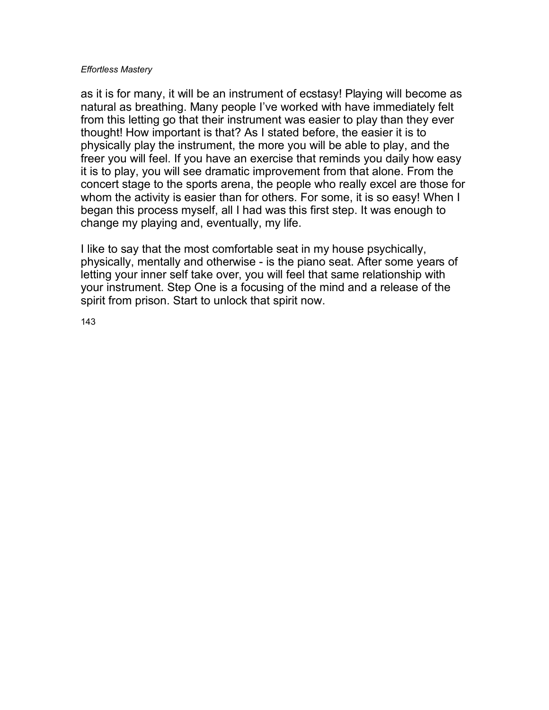as it is for many, it will be an instrument of ecstasy! Playing will become as natural as breathing. Many people I've worked with have immediately felt from this letting go that their instrument was easier to play than they ever thought! How important is that? As I stated before, the easier it is to physically play the instrument, the more you will be able to play, and the freer you will feel. If you have an exercise that reminds you daily how easy it is to play, you will see dramatic improvement from that alone. From the concert stage to the sports arena, the people who really excel are those for whom the activity is easier than for others. For some, it is so easy! When I began this process myself, all I had was this first step. It was enough to change my playing and, eventually, my life.

I like to say that the most comfortable seat in my house psychically, physically, mentally and otherwise - is the piano seat. After some years of letting your inner self take over, you will feel that same relationship with your instrument. Step One is a focusing of the mind and a release of the spirit from prison. Start to unlock that spirit now.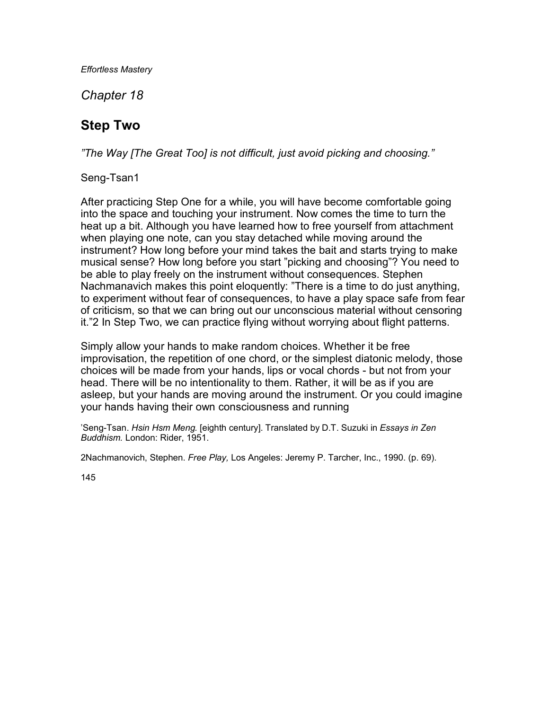*Chapter 18*

## **Step Two**

*"The Way [The Great Too] is not difficult, just avoid picking and choosing."*

Seng-Tsan1

After practicing Step One for a while, you will have become comfortable going into the space and touching your instrument. Now comes the time to turn the heat up a bit. Although you have learned how to free yourself from attachment when playing one note, can you stay detached while moving around the instrument? How long before your mind takes the bait and starts trying to make musical sense? How long before you start "picking and choosing"? You need to be able to play freely on the instrument without consequences. Stephen Nachmanavich makes this point eloquently: "There is a time to do just anything, to experiment without fear of consequences, to have a play space safe from fear of criticism, so that we can bring out our unconscious material without censoring it."2 In Step Two, we can practice flying without worrying about flight patterns.

Simply allow your hands to make random choices. Whether it be free improvisation, the repetition of one chord, or the simplest diatonic melody, those choices will be made from your hands, lips or vocal chords - but not from your head. There will be no intentionality to them. Rather, it will be as if you are asleep, but your hands are moving around the instrument. Or you could imagine your hands having their own consciousness and running

'Seng-Tsan. *Hsin Hsm Meng.* [eighth century]. Translated by D.T. Suzuki in *Essays in Zen Buddhism.* London: Rider, 1951.

2Nachmanovich, Stephen. *Free Play,* Los Angeles: Jeremy P. Tarcher, Inc., 1990. (p. 69).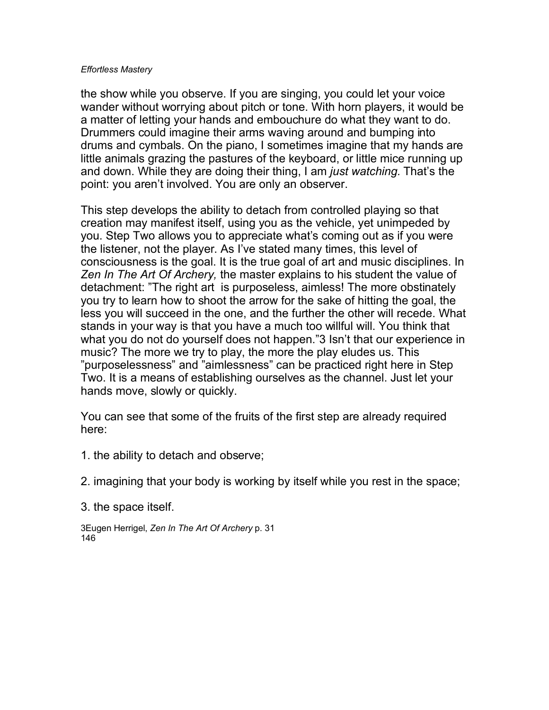the show while you observe. If you are singing, you could let your voice wander without worrying about pitch or tone. With horn players, it would be a matter of letting your hands and embouchure do what they want to do. Drummers could imagine their arms waving around and bumping into drums and cymbals. On the piano, I sometimes imagine that my hands are little animals grazing the pastures of the keyboard, or little mice running up and down. While they are doing their thing, I am *just watching.* That's the point: you aren't involved. You are only an observer.

This step develops the ability to detach from controlled playing so that creation may manifest itself, using you as the vehicle, yet unimpeded by you. Step Two allows you to appreciate what's coming out as if you were the listener, not the player. As I've stated many times, this level of consciousness is the goal. It is the true goal of art and music disciplines. In *Zen In The Art Of Archery,* the master explains to his student the value of detachment: "The right art is purposeless, aimless! The more obstinately you try to learn how to shoot the arrow for the sake of hitting the goal, the less you will succeed in the one, and the further the other will recede. What stands in your way is that you have a much too willful will. You think that what you do not do yourself does not happen."3 Isn't that our experience in music? The more we try to play, the more the play eludes us. This "purposelessness" and "aimlessness" can be practiced right here in Step Two. It is a means of establishing ourselves as the channel. Just let your hands move, slowly or quickly.

You can see that some of the fruits of the first step are already required here:

- 1. the ability to detach and observe;
- 2. imagining that your body is working by itself while you rest in the space;

3. the space itself.

```
3Eugen Herrigel, Zen In The Art Of Archery p. 31
146
```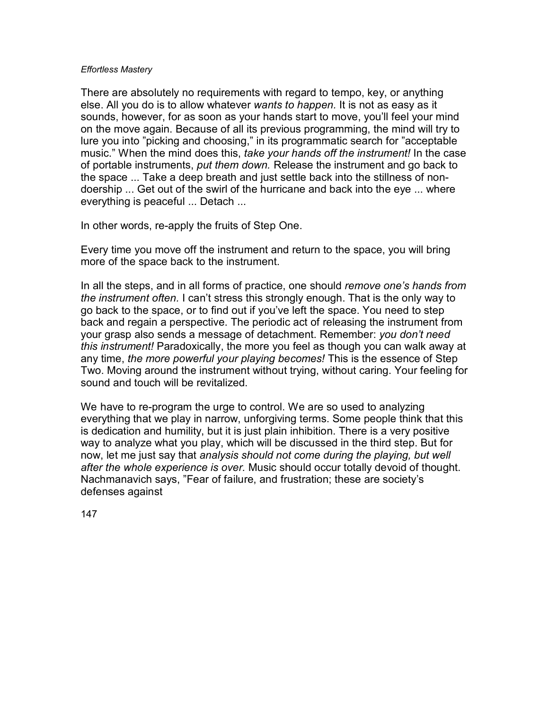There are absolutely no requirements with regard to tempo, key, or anything else. All you do is to allow whatever *wants to happen.* It is not as easy as it sounds, however, for as soon as your hands start to move, you'll feel your mind on the move again. Because of all its previous programming, the mind will try to lure you into "picking and choosing," in its programmatic search for "acceptable music." When the mind does this, *take your hands off the instrument!* In the case of portable instruments, *put them down.* Release the instrument and go back to the space ... Take a deep breath and just settle back into the stillness of nondoership ... Get out of the swirl of the hurricane and back into the eye ... where everything is peaceful ... Detach ...

In other words, re-apply the fruits of Step One.

Every time you move off the instrument and return to the space, you will bring more of the space back to the instrument.

In all the steps, and in all forms of practice, one should *remove one's hands from the instrument often.* I can't stress this strongly enough. That is the only way to go back to the space, or to find out if you've left the space. You need to step back and regain a perspective. The periodic act of releasing the instrument from your grasp also sends a message of detachment. Remember: *you don't need this instrument!* Paradoxically, the more you feel as though you can walk away at any time, *the more powerful your playing becomes!* This is the essence of Step Two. Moving around the instrument without trying, without caring. Your feeling for sound and touch will be revitalized.

We have to re-program the urge to control. We are so used to analyzing everything that we play in narrow, unforgiving terms. Some people think that this is dedication and humility, but it is just plain inhibition. There is a very positive way to analyze what you play, which will be discussed in the third step. But for now, let me just say that *analysis should not come during the playing, but well after the whole experience is over.* Music should occur totally devoid of thought. Nachmanavich says, "Fear of failure, and frustration; these are society's defenses against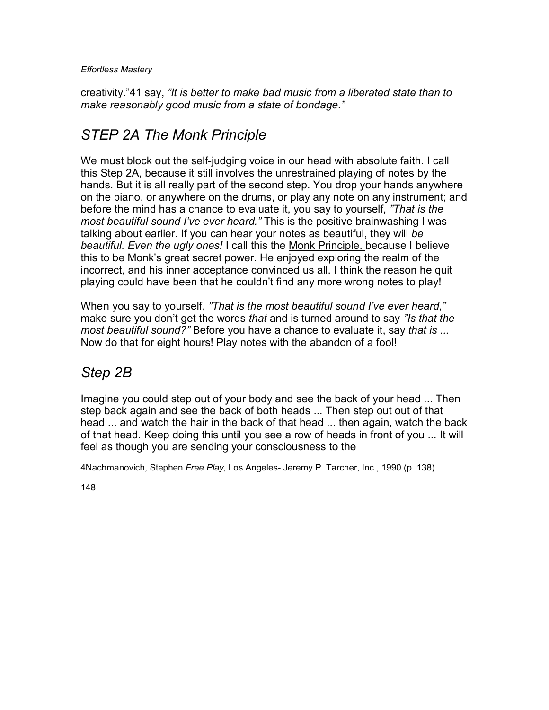creativity."41 say, *"It is better to make bad music from a liberated state than to make reasonably good music from a state of bondage."*

# *STEP 2A The Monk Principle*

We must block out the self-judging voice in our head with absolute faith. I call this Step 2A, because it still involves the unrestrained playing of notes by the hands. But it is all really part of the second step. You drop your hands anywhere on the piano, or anywhere on the drums, or play any note on any instrument; and before the mind has a chance to evaluate it, you say to yourself, *"That is the most beautiful sound I've ever heard."* This is the positive brainwashing I was talking about earlier. If you can hear your notes as beautiful, they will *be beautiful. Even the ugly ones!* I call this the Monk Principle. because I believe this to be Monk's great secret power. He enjoyed exploring the realm of the incorrect, and his inner acceptance convinced us all. I think the reason he quit playing could have been that he couldn't find any more wrong notes to play!

When you say to yourself, *"That is the most beautiful sound I've ever heard,"* make sure you don't get the words *that* and is turned around to say *"Is that the most beautiful sound?"* Before you have a chance to evaluate it, say *that is ...* Now do that for eight hours! Play notes with the abandon of a fool!

# *Step 2B*

Imagine you could step out of your body and see the back of your head ... Then step back again and see the back of both heads ... Then step out out of that head ... and watch the hair in the back of that head ... then again, watch the back of that head. Keep doing this until you see a row of heads in front of you ... It will feel as though you are sending your consciousness to the

4Nachmanovich, Stephen *Free Play,* Los Angeles- Jeremy P. Tarcher, Inc., 1990 (p. 138)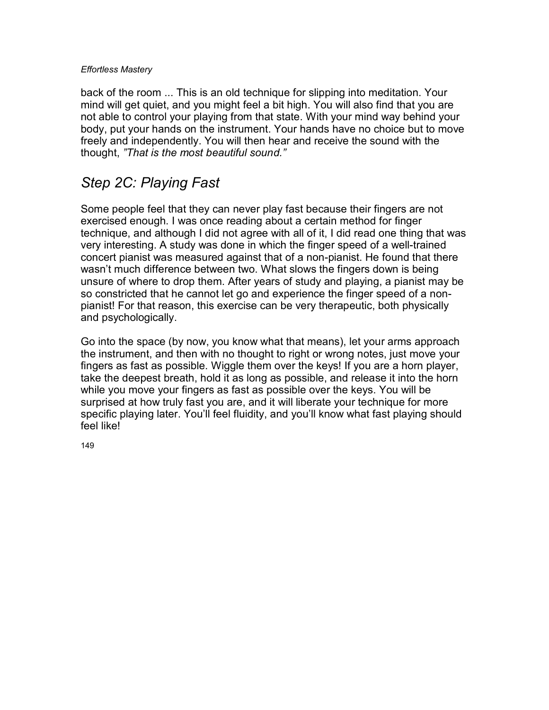back of the room ... This is an old technique for slipping into meditation. Your mind will get quiet, and you might feel a bit high. You will also find that you are not able to control your playing from that state. With your mind way behind your body, put your hands on the instrument. Your hands have no choice but to move freely and independently. You will then hear and receive the sound with the thought, *"That is the most beautiful sound."*

# *Step 2C: Playing Fast*

Some people feel that they can never play fast because their fingers are not exercised enough. I was once reading about a certain method for finger technique, and although I did not agree with all of it, I did read one thing that was very interesting. A study was done in which the finger speed of a well-trained concert pianist was measured against that of a non-pianist. He found that there wasn't much difference between two. What slows the fingers down is being unsure of where to drop them. After years of study and playing, a pianist may be so constricted that he cannot let go and experience the finger speed of a nonpianist! For that reason, this exercise can be very therapeutic, both physically and psychologically.

Go into the space (by now, you know what that means), let your arms approach the instrument, and then with no thought to right or wrong notes, just move your fingers as fast as possible. Wiggle them over the keys! If you are a horn player, take the deepest breath, hold it as long as possible, and release it into the horn while you move your fingers as fast as possible over the keys. You will be surprised at how truly fast you are, and it will liberate your technique for more specific playing later. You'll feel fluidity, and you'll know what fast playing should feel like!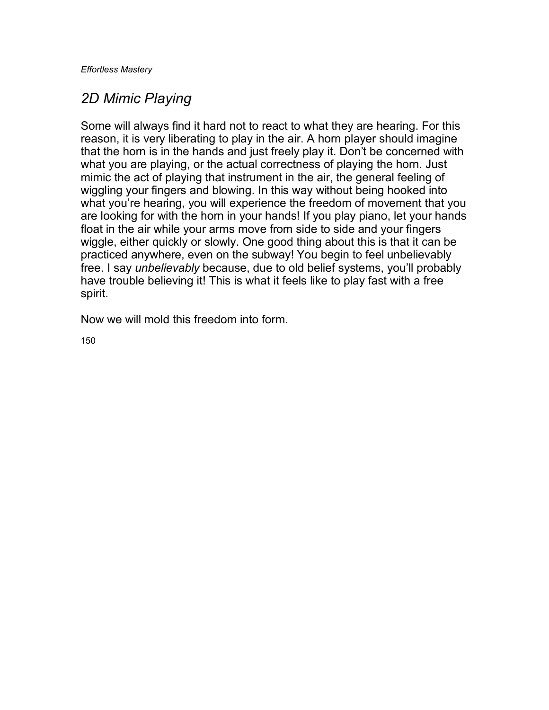# *2D Mimic Playing*

Some will always find it hard not to react to what they are hearing. For this reason, it is very liberating to play in the air. A horn player should imagine that the horn is in the hands and just freely play it. Don't be concerned with what you are playing, or the actual correctness of playing the horn. Just mimic the act of playing that instrument in the air, the general feeling of wiggling your fingers and blowing. In this way without being hooked into what you're hearing, you will experience the freedom of movement that you are looking for with the horn in your hands! If you play piano, let your hands float in the air while your arms move from side to side and your fingers wiggle, either quickly or slowly. One good thing about this is that it can be practiced anywhere, even on the subway! You begin to feel unbelievably free. I say *unbelievably* because, due to old belief systems, you'll probably have trouble believing it! This is what it feels like to play fast with a free spirit.

Now we will mold this freedom into form.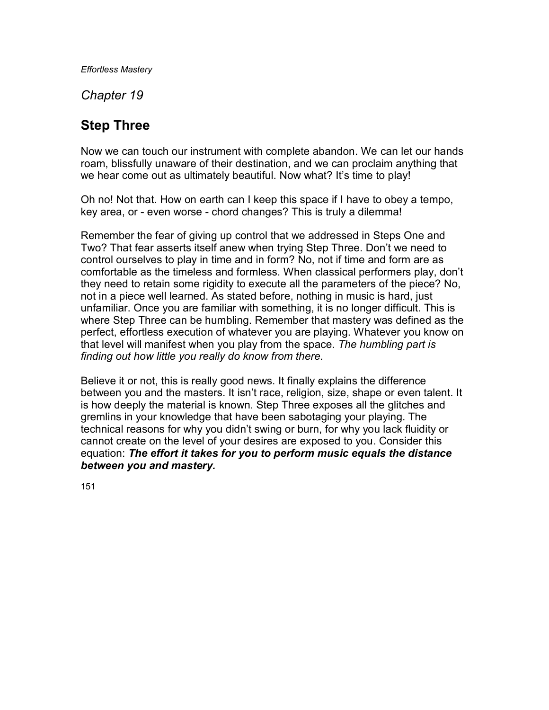*Chapter 19*

## **Step Three**

Now we can touch our instrument with complete abandon. We can let our hands roam, blissfully unaware of their destination, and we can proclaim anything that we hear come out as ultimately beautiful. Now what? It's time to play!

Oh no! Not that. How on earth can I keep this space if I have to obey a tempo, key area, or - even worse - chord changes? This is truly a dilemma!

Remember the fear of giving up control that we addressed in Steps One and Two? That fear asserts itself anew when trying Step Three. Don't we need to control ourselves to play in time and in form? No, not if time and form are as comfortable as the timeless and formless. When classical performers play, don't they need to retain some rigidity to execute all the parameters of the piece? No, not in a piece well learned. As stated before, nothing in music is hard, just unfamiliar. Once you are familiar with something, it is no longer difficult. This is where Step Three can be humbling. Remember that mastery was defined as the perfect, effortless execution of whatever you are playing. Whatever you know on that level will manifest when you play from the space. *The humbling part is finding out how little you really do know from there.*

Believe it or not, this is really good news. It finally explains the difference between you and the masters. It isn't race, religion, size, shape or even talent. It is how deeply the material is known. Step Three exposes all the glitches and gremlins in your knowledge that have been sabotaging your playing. The technical reasons for why you didn't swing or burn, for why you lack fluidity or cannot create on the level of your desires are exposed to you. Consider this equation: *The effort it takes for you to perform music equals the distance between you and mastery.*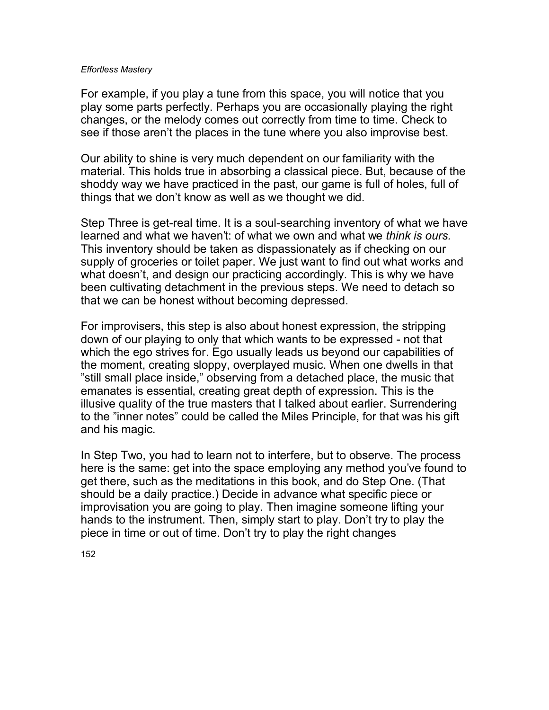For example, if you play a tune from this space, you will notice that you play some parts perfectly. Perhaps you are occasionally playing the right changes, or the melody comes out correctly from time to time. Check to see if those aren't the places in the tune where you also improvise best.

Our ability to shine is very much dependent on our familiarity with the material. This holds true in absorbing a classical piece. But, because of the shoddy way we have practiced in the past, our game is full of holes, full of things that we don't know as well as we thought we did.

Step Three is get-real time. It is a soul-searching inventory of what we have learned and what we haven't: of what we own and what we *think is ours.* This inventory should be taken as dispassionately as if checking on our supply of groceries or toilet paper. We just want to find out what works and what doesn't, and design our practicing accordingly. This is why we have been cultivating detachment in the previous steps. We need to detach so that we can be honest without becoming depressed.

For improvisers, this step is also about honest expression, the stripping down of our playing to only that which wants to be expressed - not that which the ego strives for. Ego usually leads us beyond our capabilities of the moment, creating sloppy, overplayed music. When one dwells in that "still small place inside," observing from a detached place, the music that emanates is essential, creating great depth of expression. This is the illusive quality of the true masters that I talked about earlier. Surrendering to the "inner notes" could be called the Miles Principle, for that was his gift and his magic.

In Step Two, you had to learn not to interfere, but to observe. The process here is the same: get into the space employing any method you've found to get there, such as the meditations in this book, and do Step One. (That should be a daily practice.) Decide in advance what specific piece or improvisation you are going to play. Then imagine someone lifting your hands to the instrument. Then, simply start to play. Don't try to play the piece in time or out of time. Don't try to play the right changes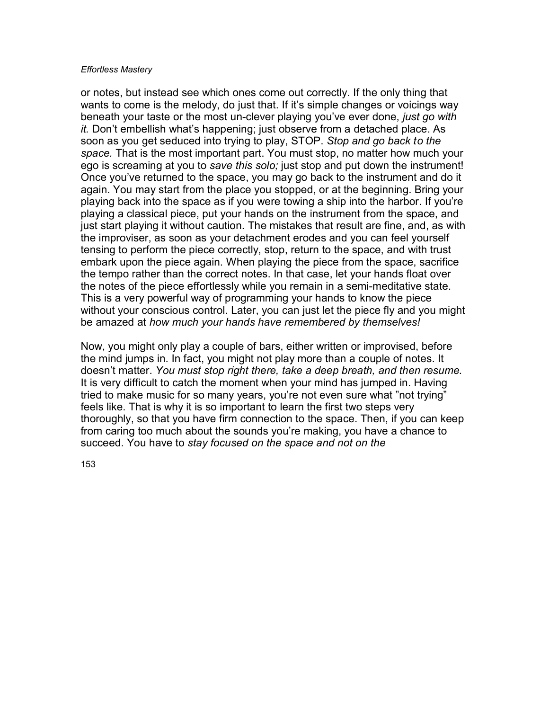or notes, but instead see which ones come out correctly. If the only thing that wants to come is the melody, do just that. If it's simple changes or voicings way beneath your taste or the most un-clever playing you've ever done, *just go with it.* Don't embellish what's happening; just observe from a detached place. As soon as you get seduced into trying to play, STOP. *Stop and go back to the space.* That is the most important part. You must stop, no matter how much your ego is screaming at you to *save this solo;* just stop and put down the instrument! Once you've returned to the space, you may go back to the instrument and do it again. You may start from the place you stopped, or at the beginning. Bring your playing back into the space as if you were towing a ship into the harbor. If you're playing a classical piece, put your hands on the instrument from the space, and just start playing it without caution. The mistakes that result are fine, and, as with the improviser, as soon as your detachment erodes and you can feel yourself tensing to perform the piece correctly, stop, return to the space, and with trust embark upon the piece again. When playing the piece from the space, sacrifice the tempo rather than the correct notes. In that case, let your hands float over the notes of the piece effortlessly while you remain in a semi-meditative state. This is a very powerful way of programming your hands to know the piece without your conscious control. Later, you can just let the piece fly and you might be amazed at *how much your hands have remembered by themselves!*

Now, you might only play a couple of bars, either written or improvised, before the mind jumps in. In fact, you might not play more than a couple of notes. It doesn't matter. *You must stop right there, take a deep breath, and then resume.* It is very difficult to catch the moment when your mind has jumped in. Having tried to make music for so many years, you're not even sure what "not trying" feels like. That is why it is so important to learn the first two steps very thoroughly, so that you have firm connection to the space. Then, if you can keep from caring too much about the sounds you're making, you have a chance to succeed. You have to *stay focused on the space and not on the*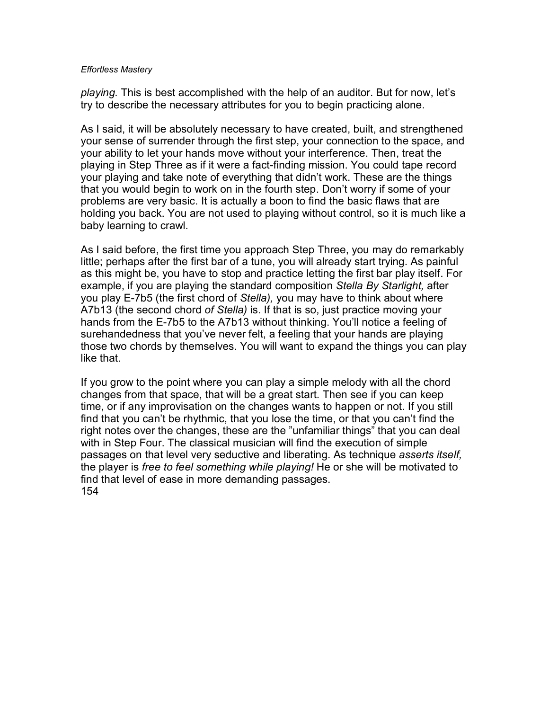*playing.* This is best accomplished with the help of an auditor. But for now, let's try to describe the necessary attributes for you to begin practicing alone.

As I said, it will be absolutely necessary to have created, built, and strengthened your sense of surrender through the first step, your connection to the space, and your ability to let your hands move without your interference. Then, treat the playing in Step Three as if it were a fact-finding mission. You could tape record your playing and take note of everything that didn't work. These are the things that you would begin to work on in the fourth step. Don't worry if some of your problems are very basic. It is actually a boon to find the basic flaws that are holding you back. You are not used to playing without control, so it is much like a baby learning to crawl.

As I said before, the first time you approach Step Three, you may do remarkably little; perhaps after the first bar of a tune, you will already start trying. As painful as this might be, you have to stop and practice letting the first bar play itself. For example, if you are playing the standard composition *Stella By Starlight,* after you play E-7b5 (the first chord of *Stella),* you may have to think about where A7b13 (the second chord *of Stella)* is. If that is so, just practice moving your hands from the E-7b5 to the A7b13 without thinking. You'll notice a feeling of surehandedness that you've never felt, a feeling that your hands are playing those two chords by themselves. You will want to expand the things you can play like that.

If you grow to the point where you can play a simple melody with all the chord changes from that space, that will be a great start. Then see if you can keep time, or if any improvisation on the changes wants to happen or not. If you still find that you can't be rhythmic, that you lose the time, or that you can't find the right notes over the changes, these are the "unfamiliar things" that you can deal with in Step Four. The classical musician will find the execution of simple passages on that level very seductive and liberating. As technique *asserts itself,* the player is *free to feel something while playing!* He or she will be motivated to find that level of ease in more demanding passages. 154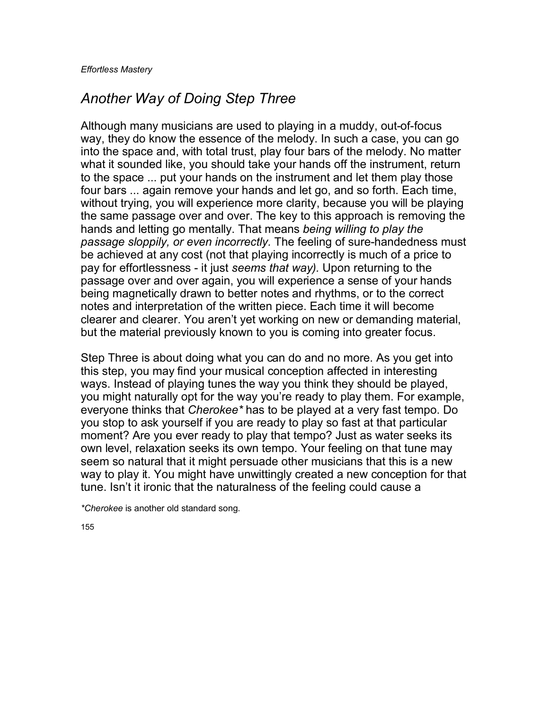# *Another Way of Doing Step Three*

Although many musicians are used to playing in a muddy, out-of-focus way, they do know the essence of the melody. In such a case, you can go into the space and, with total trust, play four bars of the melody. No matter what it sounded like, you should take your hands off the instrument, return to the space ... put your hands on the instrument and let them play those four bars ... again remove your hands and let go, and so forth. Each time, without trying, you will experience more clarity, because you will be playing the same passage over and over. The key to this approach is removing the hands and letting go mentally. That means *being willing to play the passage sloppily, or even incorrectly.* The feeling of sure-handedness must be achieved at any cost (not that playing incorrectly is much of a price to pay for effortlessness - it just *seems that way).* Upon returning to the passage over and over again, you will experience a sense of your hands being magnetically drawn to better notes and rhythms, or to the correct notes and interpretation of the written piece. Each time it will become clearer and clearer. You aren't yet working on new or demanding material, but the material previously known to you is coming into greater focus.

Step Three is about doing what you can do and no more. As you get into this step, you may find your musical conception affected in interesting ways. Instead of playing tunes the way you think they should be played, you might naturally opt for the way you're ready to play them. For example, everyone thinks that *Cherokee\** has to be played at a very fast tempo. Do you stop to ask yourself if you are ready to play so fast at that particular moment? Are you ever ready to play that tempo? Just as water seeks its own level, relaxation seeks its own tempo. Your feeling on that tune may seem so natural that it might persuade other musicians that this is a new way to play it. You might have unwittingly created a new conception for that tune. Isn't it ironic that the naturalness of the feeling could cause a

*\*Cherokee* is another old standard song.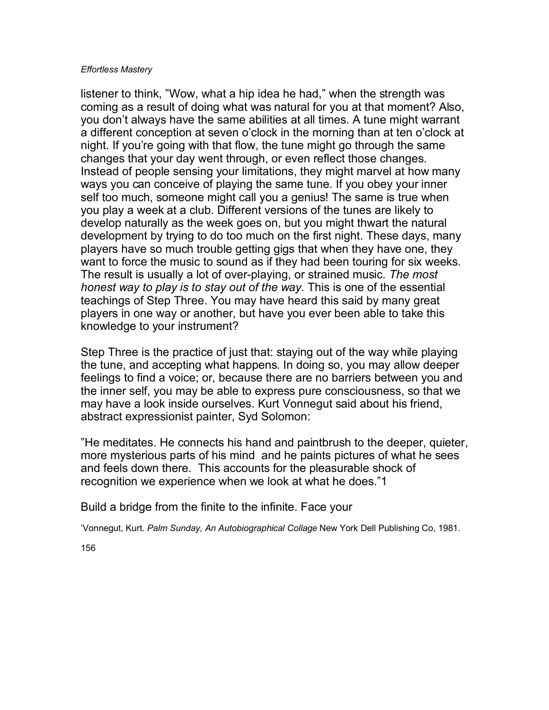listener to think, "Wow, what a hip idea he had," when the strength was coming as a result of doing what was natural for you at that moment? Also, you don't always have the same abilities at all times. A tune might warrant a different conception at seven o'clock in the morning than at ten o'clock at night. If you're going with that flow, the tune might go through the same changes that your day went through, or even reflect those changes. Instead of people sensing your limitations, they might marvel at how many ways you can conceive of playing the same tune. If you obey your inner self too much, someone might call you a genius! The same is true when you play a week at a club. Different versions of the tunes are likely to develop naturally as the week goes on, but you might thwart the natural development by trying to do too much on the first night. These days, many players have so much trouble getting gigs that when they have one, they want to force the music to sound as if they had been touring for six weeks. The result is usually a lot of over-playing, or strained music. *The most honest way to play is to stay out of the way.* This is one of the essential teachings of Step Three. You may have heard this said by many great players in one way or another, but have you ever been able to take this knowledge to your instrument?

Step Three is the practice of just that: staying out of the way while playing the tune, and accepting what happens. In doing so, you may allow deeper feelings to find a voice; or, because there are no barriers between you and the inner self, you may be able to express pure consciousness, so that we may have a look inside ourselves. Kurt Vonnegut said about his friend, abstract expressionist painter, Syd Solomon:

"He meditates. He connects his hand and paintbrush to the deeper, quieter, more mysterious parts of his mind and he paints pictures of what he sees and feels down there. This accounts for the pleasurable shock of recognition we experience when we look at what he does."1

Build a bridge from the finite to the infinite. Face your

'Vonnegut, Kurt. *Palm Sunday, An Autobiographical Collage* New York Dell Publishing Co, 1981.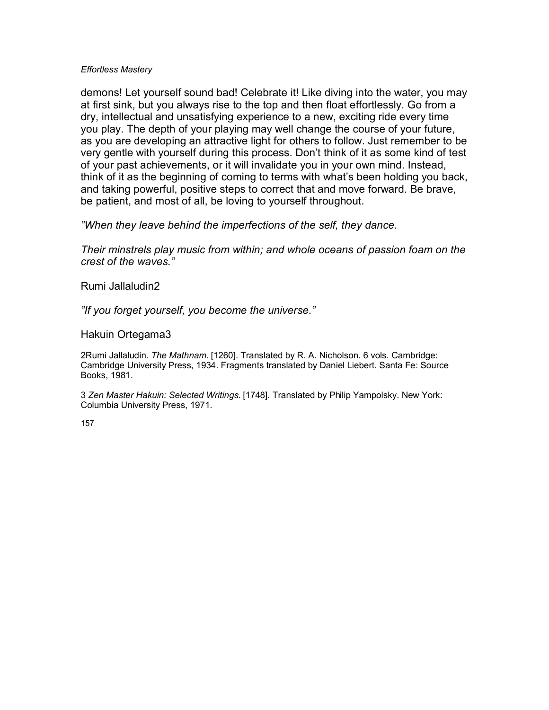demons! Let yourself sound bad! Celebrate it! Like diving into the water, you may at first sink, but you always rise to the top and then float effortlessly. Go from a dry, intellectual and unsatisfying experience to a new, exciting ride every time you play. The depth of your playing may well change the course of your future, as you are developing an attractive light for others to follow. Just remember to be very gentle with yourself during this process. Don't think of it as some kind of test of your past achievements, or it will invalidate you in your own mind. Instead, think of it as the beginning of coming to terms with what's been holding you back, and taking powerful, positive steps to correct that and move forward. Be brave, be patient, and most of all, be loving to yourself throughout.

*"When they leave behind the imperfections of the self, they dance.*

*Their minstrels play music from within; and whole oceans of passion foam on the crest of the waves."*

### Rumi Jallaludin2

*"If you forget yourself, you become the universe."*

Hakuin Ortegama3

2Rumi Jallaludin. *The Mathnam.* [1260]. Translated by R. A. Nicholson. 6 vols. Cambridge: Cambridge University Press, 1934. Fragments translated by Daniel Liebert. Santa Fe: Source Books, 1981.

3 *Zen Master Hakuin: Selected Writings.* [1748]. Translated by Philip Yampolsky. New York: Columbia University Press, 1971.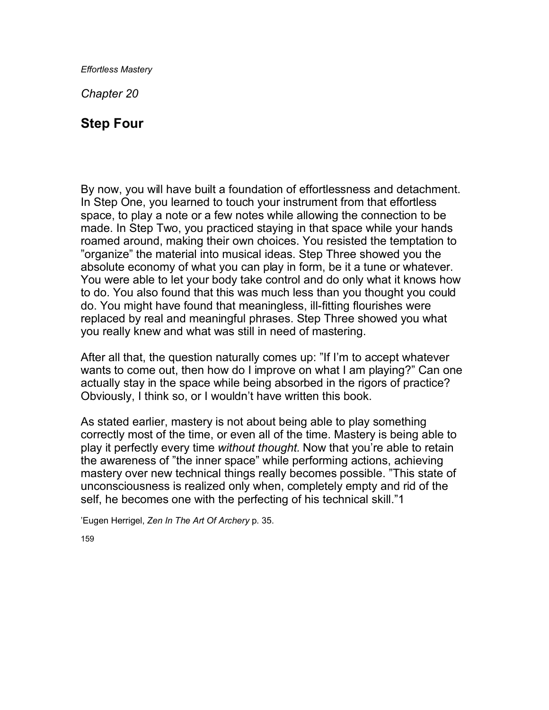*Chapter 20*

## **Step Four**

By now, you will have built a foundation of effortlessness and detachment. In Step One, you learned to touch your instrument from that effortless space, to play a note or a few notes while allowing the connection to be made. In Step Two, you practiced staying in that space while your hands roamed around, making their own choices. You resisted the temptation to "organize" the material into musical ideas. Step Three showed you the absolute economy of what you can play in form, be it a tune or whatever. You were able to let your body take control and do only what it knows how to do. You also found that this was much less than you thought you could do. You might have found that meaningless, ill-fitting flourishes were replaced by real and meaningful phrases. Step Three showed you what you really knew and what was still in need of mastering.

After all that, the question naturally comes up: "If I'm to accept whatever wants to come out, then how do I improve on what I am playing?" Can one actually stay in the space while being absorbed in the rigors of practice? Obviously, I think so, or I wouldn't have written this book.

As stated earlier, mastery is not about being able to play something correctly most of the time, or even all of the time. Mastery is being able to play it perfectly every time *without thought.* Now that you're able to retain the awareness of "the inner space" while performing actions, achieving mastery over new technical things really becomes possible. "This state of unconsciousness is realized only when, completely empty and rid of the self, he becomes one with the perfecting of his technical skill."1

'Eugen Herrigel, *Zen In The Art Of Archery* p. 35.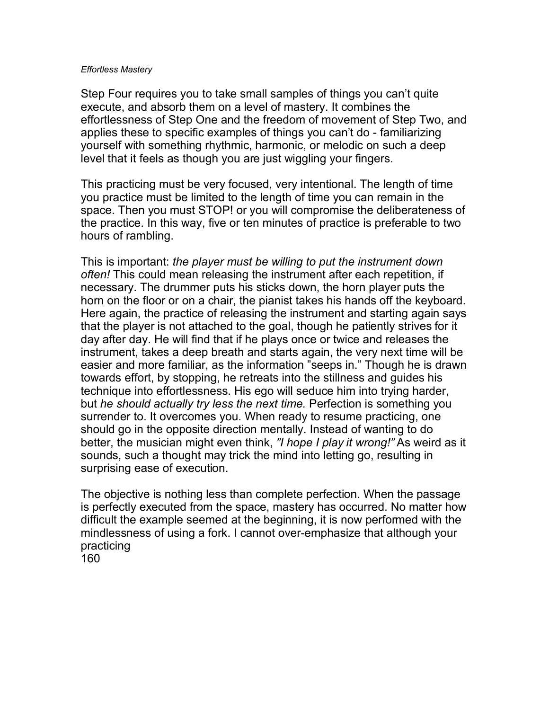Step Four requires you to take small samples of things you can't quite execute, and absorb them on a level of mastery. It combines the effortlessness of Step One and the freedom of movement of Step Two, and applies these to specific examples of things you can't do - familiarizing yourself with something rhythmic, harmonic, or melodic on such a deep level that it feels as though you are just wiggling your fingers.

This practicing must be very focused, very intentional. The length of time you practice must be limited to the length of time you can remain in the space. Then you must STOP! or you will compromise the deliberateness of the practice. In this way, five or ten minutes of practice is preferable to two hours of rambling.

This is important: *the player must be willing to put the instrument down often!* This could mean releasing the instrument after each repetition, if necessary. The drummer puts his sticks down, the horn player puts the horn on the floor or on a chair, the pianist takes his hands off the keyboard. Here again, the practice of releasing the instrument and starting again says that the player is not attached to the goal, though he patiently strives for it day after day. He will find that if he plays once or twice and releases the instrument, takes a deep breath and starts again, the very next time will be easier and more familiar, as the information "seeps in." Though he is drawn towards effort, by stopping, he retreats into the stillness and guides his technique into effortlessness. His ego will seduce him into trying harder, but *he should actually try less the next time.* Perfection is something you surrender to. It overcomes you. When ready to resume practicing, one should go in the opposite direction mentally. Instead of wanting to do better, the musician might even think, *"I hope I play it wrong!"* As weird as it sounds, such a thought may trick the mind into letting go, resulting in surprising ease of execution.

The objective is nothing less than complete perfection. When the passage is perfectly executed from the space, mastery has occurred. No matter how difficult the example seemed at the beginning, it is now performed with the mindlessness of using a fork. I cannot over-emphasize that although your practicing 160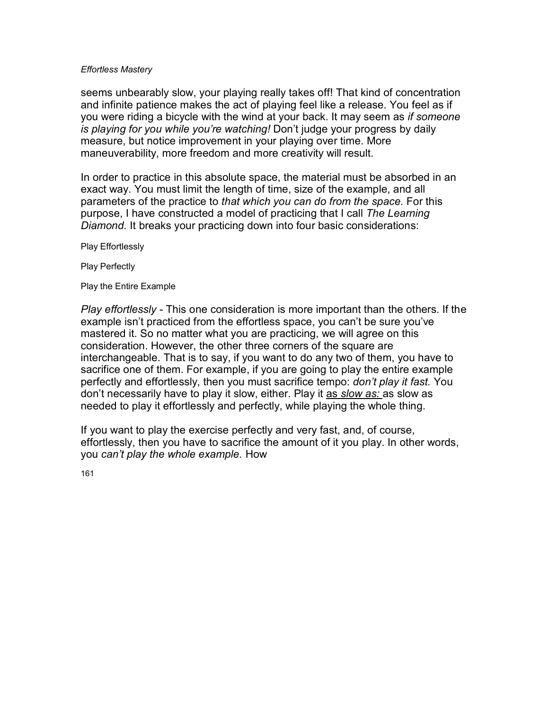seems unbearably slow, your playing really takes off! That kind of concentration and infinite patience makes the act of playing feel like a release. You feel as if you were riding a bicycle with the wind at your back. It may seem as *if someone is playing for you while you're watching!* Don't judge your progress by daily measure, but notice improvement in your playing over time. More maneuverability, more freedom and more creativity will result.

In order to practice in this absolute space, the material must be absorbed in an exact way. You must limit the length of time, size of the example, and all parameters of the practice to *that which you can do from the space.* For this purpose, I have constructed a model of practicing that I call *The Learning Diamond.* It breaks your practicing down into four basic considerations:

Play Effortlessly

Play Perfectly

Play the Entire Example

*Play effortlessly -* This one consideration is more important than the others. If the example isn't practiced from the effortless space, you can't be sure you've mastered it. So no matter what you are practicing, we will agree on this consideration. However, the other three corners of the square are interchangeable. That is to say, if you want to do any two of them, you have to sacrifice one of them. For example, if you are going to play the entire example perfectly and effortlessly, then you must sacrifice tempo: *don't play it fast.* You don't necessarily have to play it slow, either. Play it as *slow as:* as slow as needed to play it effortlessly and perfectly, while playing the whole thing.

If you want to play the exercise perfectly and very fast, and, of course, effortlessly, then you have to sacrifice the amount of it you play. In other words, you *can't play the whole example.* How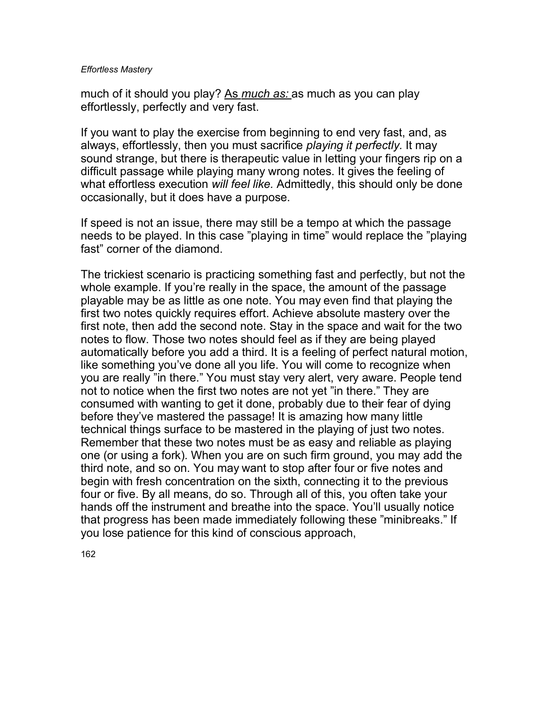much of it should you play? As *much as:* as much as you can play effortlessly, perfectly and very fast.

If you want to play the exercise from beginning to end very fast, and, as always, effortlessly, then you must sacrifice *playing it perfectly.* It may sound strange, but there is therapeutic value in letting your fingers rip on a difficult passage while playing many wrong notes. It gives the feeling of what effortless execution *will feel like.* Admittedly, this should only be done occasionally, but it does have a purpose.

If speed is not an issue, there may still be a tempo at which the passage needs to be played. In this case "playing in time" would replace the "playing fast" corner of the diamond.

The trickiest scenario is practicing something fast and perfectly, but not the whole example. If you're really in the space, the amount of the passage playable may be as little as one note. You may even find that playing the first two notes quickly requires effort. Achieve absolute mastery over the first note, then add the second note. Stay in the space and wait for the two notes to flow. Those two notes should feel as if they are being played automatically before you add a third. It is a feeling of perfect natural motion, like something you've done all you life. You will come to recognize when you are really "in there." You must stay very alert, very aware. People tend not to notice when the first two notes are not yet "in there." They are consumed with wanting to get it done, probably due to their fear of dying before they've mastered the passage! It is amazing how many little technical things surface to be mastered in the playing of just two notes. Remember that these two notes must be as easy and reliable as playing one (or using a fork). When you are on such firm ground, you may add the third note, and so on. You may want to stop after four or five notes and begin with fresh concentration on the sixth, connecting it to the previous four or five. By all means, do so. Through all of this, you often take your hands off the instrument and breathe into the space. You'll usually notice that progress has been made immediately following these "minibreaks." If you lose patience for this kind of conscious approach,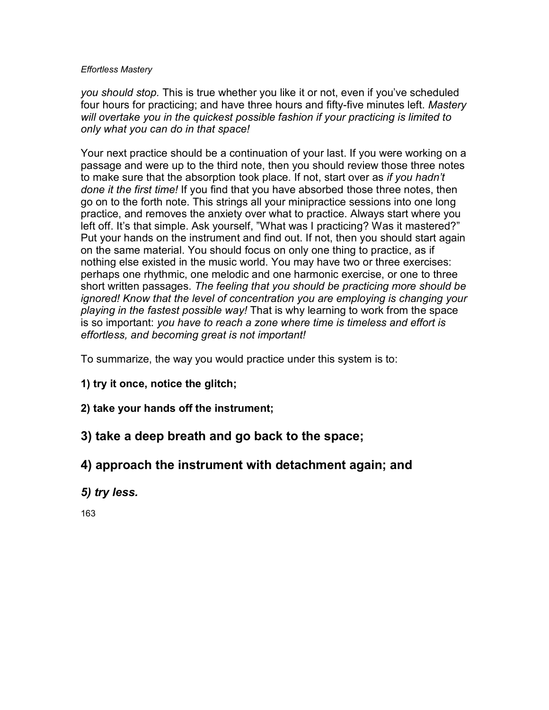*you should stop.* This is true whether you like it or not, even if you've scheduled four hours for practicing; and have three hours and fifty-five minutes left. *Mastery will overtake you in the quickest possible fashion if your practicing is limited to only what you can do in that space!*

Your next practice should be a continuation of your last. If you were working on a passage and were up to the third note, then you should review those three notes to make sure that the absorption took place. If not, start over as *if you hadn't done it the first time!* If you find that you have absorbed those three notes, then go on to the forth note. This strings all your minipractice sessions into one long practice, and removes the anxiety over what to practice. Always start where you left off. It's that simple. Ask yourself, "What was I practicing? Was it mastered?" Put your hands on the instrument and find out. If not, then you should start again on the same material. You should focus on only one thing to practice, as if nothing else existed in the music world. You may have two or three exercises: perhaps one rhythmic, one melodic and one harmonic exercise, or one to three short written passages. *The feeling that you should be practicing more should be ignored! Know that the level of concentration you are employing is changing your playing in the fastest possible way!* That is why learning to work from the space is so important: *you have to reach a zone where time is timeless and effort is effortless, and becoming great is not important!*

To summarize, the way you would practice under this system is to:

- **1) try it once, notice the glitch;**
- **2) take your hands off the instrument;**
- **3) take a deep breath and go back to the space;**
- **4) approach the instrument with detachment again; and**
- *5) try less.*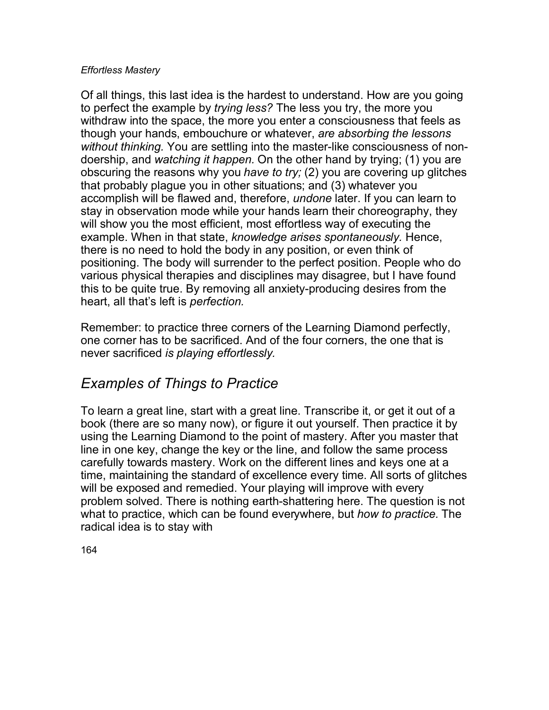Of all things, this last idea is the hardest to understand. How are you going to perfect the example by *trying less?* The less you try, the more you withdraw into the space, the more you enter a consciousness that feels as though your hands, embouchure or whatever, *are absorbing the lessons without thinking.* You are settling into the master-like consciousness of nondoership, and *watching it happen.* On the other hand by trying; (1) you are obscuring the reasons why you *have to try;* (2) you are covering up glitches that probably plague you in other situations; and (3) whatever you accomplish will be flawed and, therefore, *undone* later. If you can learn to stay in observation mode while your hands learn their choreography, they will show you the most efficient, most effortless way of executing the example. When in that state, *knowledge arises spontaneously.* Hence, there is no need to hold the body in any position, or even think of positioning. The body will surrender to the perfect position. People who do various physical therapies and disciplines may disagree, but I have found this to be quite true. By removing all anxiety-producing desires from the heart, all that's left is *perfection.*

Remember: to practice three corners of the Learning Diamond perfectly, one corner has to be sacrificed. And of the four corners, the one that is never sacrificed *is playing effortlessly.*

## *Examples of Things to Practice*

To learn a great line, start with a great line. Transcribe it, or get it out of a book (there are so many now), or figure it out yourself. Then practice it by using the Learning Diamond to the point of mastery. After you master that line in one key, change the key or the line, and follow the same process carefully towards mastery. Work on the different lines and keys one at a time, maintaining the standard of excellence every time. All sorts of glitches will be exposed and remedied. Your playing will improve with every problem solved. There is nothing earth-shattering here. The question is not what to practice, which can be found everywhere, but *how to practice.* The radical idea is to stay with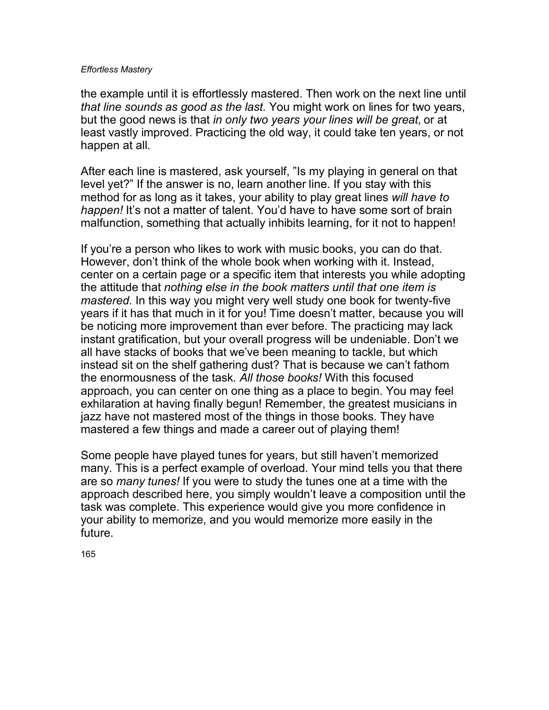the example until it is effortlessly mastered. Then work on the next line until *that line sounds as good as the last.* You might work on lines for two years, but the good news is that *in only two years your lines will be great,* or at least vastly improved. Practicing the old way, it could take ten years, or not happen at all.

After each line is mastered, ask yourself, "Is my playing in general on that level yet?" If the answer is no, learn another line. If you stay with this method for as long as it takes, your ability to play great lines *will have to happen!* It's not a matter of talent. You'd have to have some sort of brain malfunction, something that actually inhibits learning, for it not to happen!

If you're a person who likes to work with music books, you can do that. However, don't think of the whole book when working with it. Instead, center on a certain page or a specific item that interests you while adopting the attitude that *nothing else in the book matters until that one item is mastered.* In this way you might very well study one book for twenty-five years if it has that much in it for you! Time doesn't matter, because you will be noticing more improvement than ever before. The practicing may lack instant gratification, but your overall progress will be undeniable. Don't we all have stacks of books that we've been meaning to tackle, but which instead sit on the shelf gathering dust? That is because we can't fathom the enormousness of the task. *All those books!* With this focused approach, you can center on one thing as a place to begin. You may feel exhilaration at having finally begun! Remember, the greatest musicians in jazz have not mastered most of the things in those books. They have mastered a few things and made a career out of playing them!

Some people have played tunes for years, but still haven't memorized many. This is a perfect example of overload. Your mind tells you that there are so *many tunes!* If you were to study the tunes one at a time with the approach described here, you simply wouldn't leave a composition until the task was complete. This experience would give you more confidence in your ability to memorize, and you would memorize more easily in the future.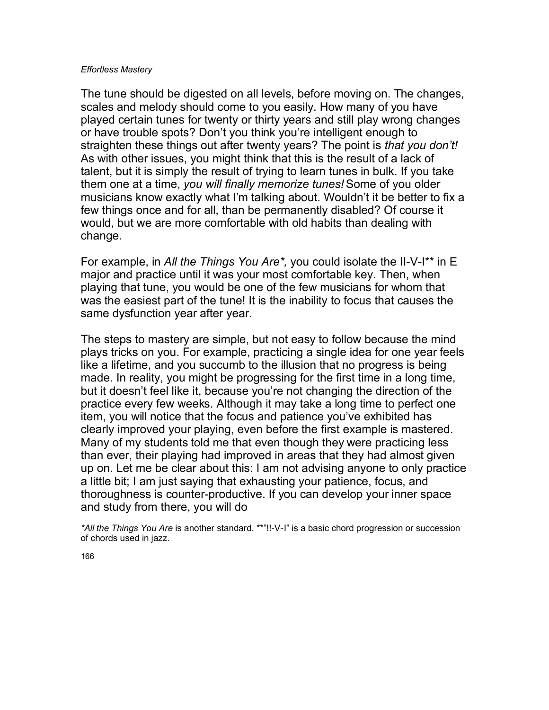The tune should be digested on all levels, before moving on. The changes, scales and melody should come to you easily. How many of you have played certain tunes for twenty or thirty years and still play wrong changes or have trouble spots? Don't you think you're intelligent enough to straighten these things out after twenty years? The point is *that you don't!* As with other issues, you might think that this is the result of a lack of talent, but it is simply the result of trying to learn tunes in bulk. If you take them one at a time, *you will finally memorize tunes!* Some of you older musicians know exactly what I'm talking about. Wouldn't it be better to fix a few things once and for all, than be permanently disabled? Of course it would, but we are more comfortable with old habits than dealing with change.

For example, in *All the Things You Are\*,* you could isolate the II-V-I\*\* in E major and practice until it was your most comfortable key. Then, when playing that tune, you would be one of the few musicians for whom that was the easiest part of the tune! It is the inability to focus that causes the same dysfunction year after year.

The steps to mastery are simple, but not easy to follow because the mind plays tricks on you. For example, practicing a single idea for one year feels like a lifetime, and you succumb to the illusion that no progress is being made. In reality, you might be progressing for the first time in a long time, but it doesn't feel like it, because you're not changing the direction of the practice every few weeks. Although it may take a long time to perfect one item, you will notice that the focus and patience you've exhibited has clearly improved your playing, even before the first example is mastered. Many of my students told me that even though they were practicing less than ever, their playing had improved in areas that they had almost given up on. Let me be clear about this: I am not advising anyone to only practice a little bit; I am just saying that exhausting your patience, focus, and thoroughness is counter-productive. If you can develop your inner space and study from there, you will do

*\*All the Things You Are* is another standard. \*\*"!!-V-I" is a basic chord progression or succession of chords used in jazz.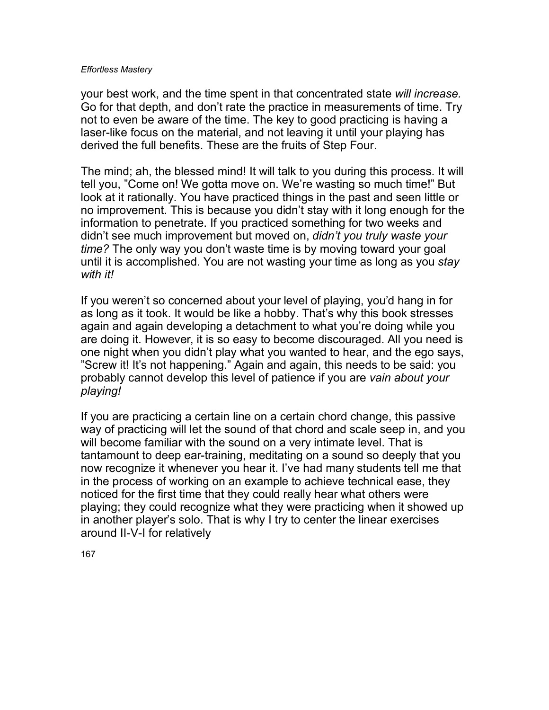your best work, and the time spent in that concentrated state *will increase.* Go for that depth, and don't rate the practice in measurements of time. Try not to even be aware of the time. The key to good practicing is having a laser-like focus on the material, and not leaving it until your playing has derived the full benefits. These are the fruits of Step Four.

The mind; ah, the blessed mind! It will talk to you during this process. It will tell you, "Come on! We gotta move on. We're wasting so much time!" But look at it rationally. You have practiced things in the past and seen little or no improvement. This is because you didn't stay with it long enough for the information to penetrate. If you practiced something for two weeks and didn't see much improvement but moved on, *didn't you truly waste your time?* The only way you don't waste time is by moving toward your goal until it is accomplished. You are not wasting your time as long as you *stay with it!*

If you weren't so concerned about your level of playing, you'd hang in for as long as it took. It would be like a hobby. That's why this book stresses again and again developing a detachment to what you're doing while you are doing it. However, it is so easy to become discouraged. All you need is one night when you didn't play what you wanted to hear, and the ego says, "Screw it! It's not happening." Again and again, this needs to be said: you probably cannot develop this level of patience if you are *vain about your playing!*

If you are practicing a certain line on a certain chord change, this passive way of practicing will let the sound of that chord and scale seep in, and you will become familiar with the sound on a very intimate level. That is tantamount to deep ear-training, meditating on a sound so deeply that you now recognize it whenever you hear it. I've had many students tell me that in the process of working on an example to achieve technical ease, they noticed for the first time that they could really hear what others were playing; they could recognize what they were practicing when it showed up in another player's solo. That is why I try to center the linear exercises around II-V-I for relatively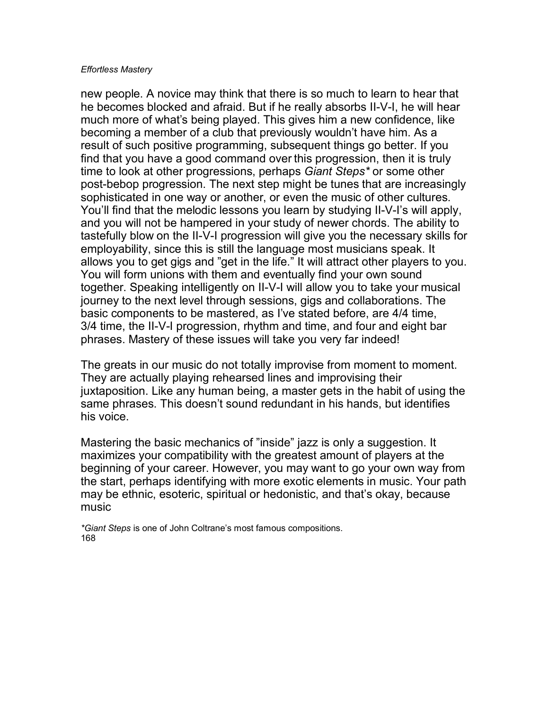new people. A novice may think that there is so much to learn to hear that he becomes blocked and afraid. But if he really absorbs II-V-I, he will hear much more of what's being played. This gives him a new confidence, like becoming a member of a club that previously wouldn't have him. As a result of such positive programming, subsequent things go better. If you find that you have a good command over this progression, then it is truly time to look at other progressions, perhaps *Giant Steps\** or some other post-bebop progression. The next step might be tunes that are increasingly sophisticated in one way or another, or even the music of other cultures. You'll find that the melodic lessons you learn by studying II-V-I's will apply, and you will not be hampered in your study of newer chords. The ability to tastefully blow on the II-V-I progression will give you the necessary skills for employability, since this is still the language most musicians speak. It allows you to get gigs and "get in the life." It will attract other players to you. You will form unions with them and eventually find your own sound together. Speaking intelligently on II-V-I will allow you to take your musical journey to the next level through sessions, gigs and collaborations. The basic components to be mastered, as I've stated before, are 4/4 time, 3/4 time, the II-V-I progression, rhythm and time, and four and eight bar phrases. Mastery of these issues will take you very far indeed!

The greats in our music do not totally improvise from moment to moment. They are actually playing rehearsed lines and improvising their juxtaposition. Like any human being, a master gets in the habit of using the same phrases. This doesn't sound redundant in his hands, but identifies his voice.

Mastering the basic mechanics of "inside" jazz is only a suggestion. It maximizes your compatibility with the greatest amount of players at the beginning of your career. However, you may want to go your own way from the start, perhaps identifying with more exotic elements in music. Your path may be ethnic, esoteric, spiritual or hedonistic, and that's okay, because music

*\*Giant Steps* is one of John Coltrane's most famous compositions. 168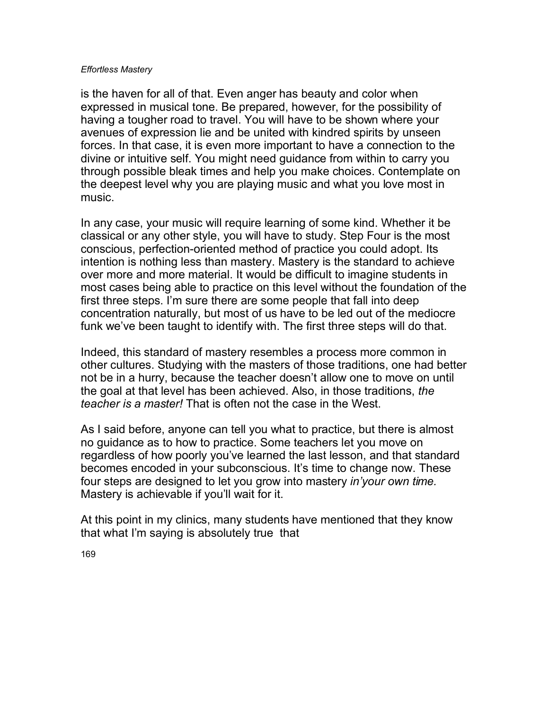is the haven for all of that. Even anger has beauty and color when expressed in musical tone. Be prepared, however, for the possibility of having a tougher road to travel. You will have to be shown where your avenues of expression lie and be united with kindred spirits by unseen forces. In that case, it is even more important to have a connection to the divine or intuitive self. You might need guidance from within to carry you through possible bleak times and help you make choices. Contemplate on the deepest level why you are playing music and what you love most in music.

In any case, your music will require learning of some kind. Whether it be classical or any other style, you will have to study. Step Four is the most conscious, perfection-oriented method of practice you could adopt. Its intention is nothing less than mastery. Mastery is the standard to achieve over more and more material. It would be difficult to imagine students in most cases being able to practice on this level without the foundation of the first three steps. I'm sure there are some people that fall into deep concentration naturally, but most of us have to be led out of the mediocre funk we've been taught to identify with. The first three steps will do that.

Indeed, this standard of mastery resembles a process more common in other cultures. Studying with the masters of those traditions, one had better not be in a hurry, because the teacher doesn't allow one to move on until the goal at that level has been achieved. Also, in those traditions, *the teacher is a master!* That is often not the case in the West.

As I said before, anyone can tell you what to practice, but there is almost no guidance as to how to practice. Some teachers let you move on regardless of how poorly you've learned the last lesson, and that standard becomes encoded in your subconscious. It's time to change now. These four steps are designed to let you grow into mastery *in'your own time.* Mastery is achievable if you'll wait for it.

At this point in my clinics, many students have mentioned that they know that what I'm saying is absolutely true that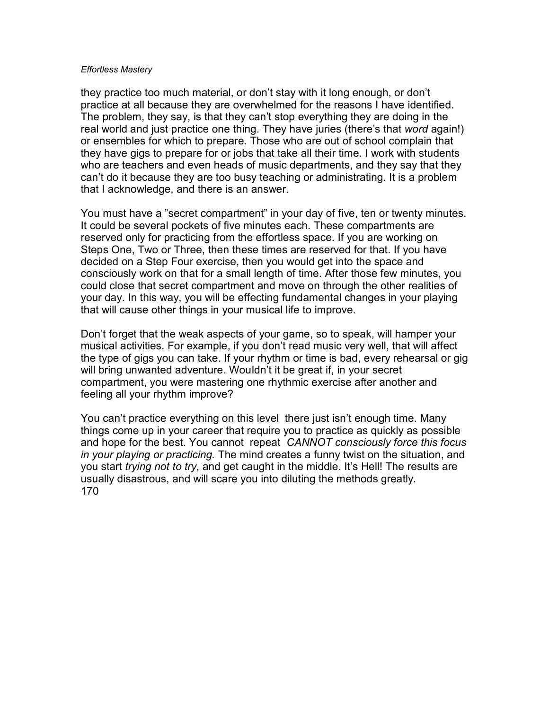they practice too much material, or don't stay with it long enough, or don't practice at all because they are overwhelmed for the reasons I have identified. The problem, they say, is that they can't stop everything they are doing in the real world and just practice one thing. They have juries (there's that *word* again!) or ensembles for which to prepare. Those who are out of school complain that they have gigs to prepare for or jobs that take all their time. I work with students who are teachers and even heads of music departments, and they say that they can't do it because they are too busy teaching or administrating. It is a problem that I acknowledge, and there is an answer.

You must have a "secret compartment" in your day of five, ten or twenty minutes. It could be several pockets of five minutes each. These compartments are reserved only for practicing from the effortless space. If you are working on Steps One, Two or Three, then these times are reserved for that. If you have decided on a Step Four exercise, then you would get into the space and consciously work on that for a small length of time. After those few minutes, you could close that secret compartment and move on through the other realities of your day. In this way, you will be effecting fundamental changes in your playing that will cause other things in your musical life to improve.

Don't forget that the weak aspects of your game, so to speak, will hamper your musical activities. For example, if you don't read music very well, that will affect the type of gigs you can take. If your rhythm or time is bad, every rehearsal or gig will bring unwanted adventure. Wouldn't it be great if, in your secret compartment, you were mastering one rhythmic exercise after another and feeling all your rhythm improve?

You can't practice everything on this level there just isn't enough time. Many things come up in your career that require you to practice as quickly as possible and hope for the best. You cannot repeat *CANNOT consciously force this focus in your playing or practicing.* The mind creates a funny twist on the situation, and you start *trying not to try,* and get caught in the middle. It's Hell! The results are usually disastrous, and will scare you into diluting the methods greatly. 170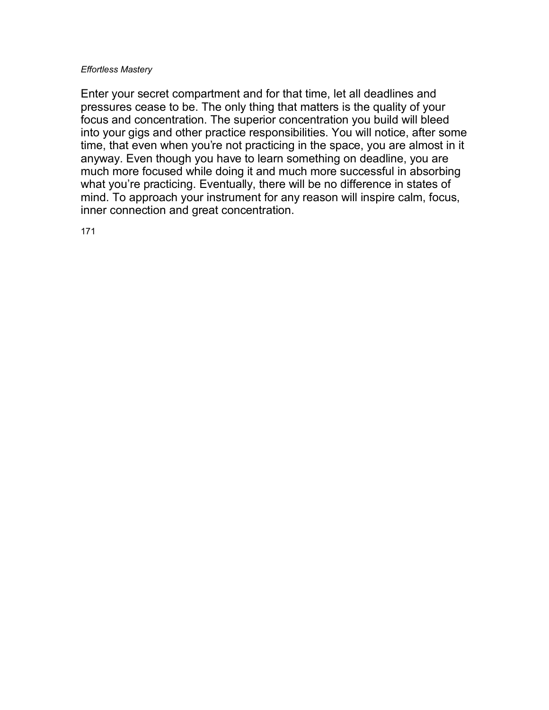Enter your secret compartment and for that time, let all deadlines and pressures cease to be. The only thing that matters is the quality of your focus and concentration. The superior concentration you build will bleed into your gigs and other practice responsibilities. You will notice, after some time, that even when you're not practicing in the space, you are almost in it anyway. Even though you have to learn something on deadline, you are much more focused while doing it and much more successful in absorbing what you're practicing. Eventually, there will be no difference in states of mind. To approach your instrument for any reason will inspire calm, focus, inner connection and great concentration.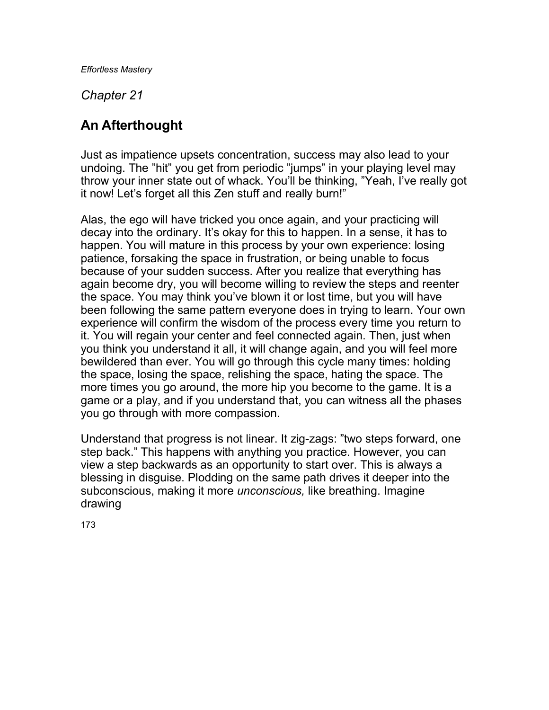*Chapter 21*

# **An Afterthought**

Just as impatience upsets concentration, success may also lead to your undoing. The "hit" you get from periodic "jumps" in your playing level may throw your inner state out of whack. You'll be thinking, "Yeah, I've really got it now! Let's forget all this Zen stuff and really burn!"

Alas, the ego will have tricked you once again, and your practicing will decay into the ordinary. It's okay for this to happen. In a sense, it has to happen. You will mature in this process by your own experience: losing patience, forsaking the space in frustration, or being unable to focus because of your sudden success. After you realize that everything has again become dry, you will become willing to review the steps and reenter the space. You may think you've blown it or lost time, but you will have been following the same pattern everyone does in trying to learn. Your own experience will confirm the wisdom of the process every time you return to it. You will regain your center and feel connected again. Then, just when you think you understand it all, it will change again, and you will feel more bewildered than ever. You will go through this cycle many times: holding the space, losing the space, relishing the space, hating the space. The more times you go around, the more hip you become to the game. It is a game or a play, and if you understand that, you can witness all the phases you go through with more compassion.

Understand that progress is not linear. It zig-zags: "two steps forward, one step back." This happens with anything you practice. However, you can view a step backwards as an opportunity to start over. This is always a blessing in disguise. Plodding on the same path drives it deeper into the subconscious, making it more *unconscious,* like breathing. Imagine drawing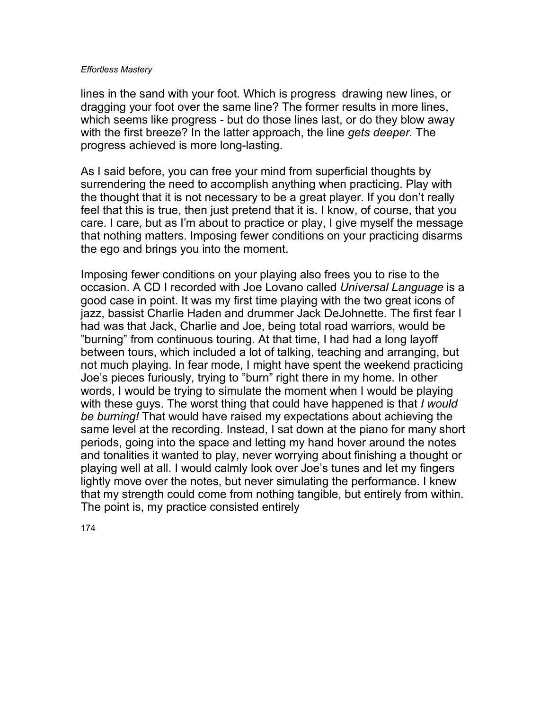lines in the sand with your foot. Which is progress drawing new lines, or dragging your foot over the same line? The former results in more lines, which seems like progress - but do those lines last, or do they blow away with the first breeze? In the latter approach, the line *gets deeper.* The progress achieved is more long-lasting.

As I said before, you can free your mind from superficial thoughts by surrendering the need to accomplish anything when practicing. Play with the thought that it is not necessary to be a great player. If you don't really feel that this is true, then just pretend that it is. I know, of course, that you care. I care, but as I'm about to practice or play, I give myself the message that nothing matters. Imposing fewer conditions on your practicing disarms the ego and brings you into the moment.

Imposing fewer conditions on your playing also frees you to rise to the occasion. A CD I recorded with Joe Lovano called *Universal Language* is a good case in point. It was my first time playing with the two great icons of jazz, bassist Charlie Haden and drummer Jack DeJohnette. The first fear I had was that Jack, Charlie and Joe, being total road warriors, would be "burning" from continuous touring. At that time, I had had a long layoff between tours, which included a lot of talking, teaching and arranging, but not much playing. In fear mode, I might have spent the weekend practicing Joe's pieces furiously, trying to "burn" right there in my home. In other words, I would be trying to simulate the moment when I would be playing with these guys. The worst thing that could have happened is that *I would be burning!* That would have raised my expectations about achieving the same level at the recording. Instead, I sat down at the piano for many short periods, going into the space and letting my hand hover around the notes and tonalities it wanted to play, never worrying about finishing a thought or playing well at all. I would calmly look over Joe's tunes and let my fingers lightly move over the notes, but never simulating the performance. I knew that my strength could come from nothing tangible, but entirely from within. The point is, my practice consisted entirely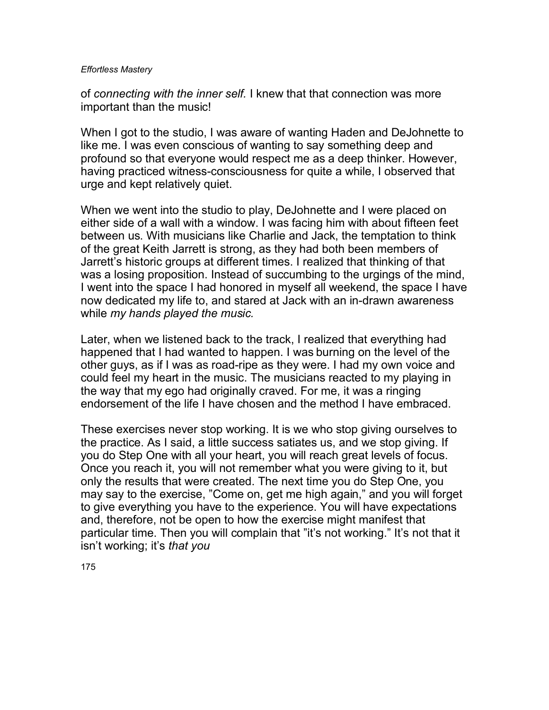of *connecting with the inner self.* I knew that that connection was more important than the music!

When I got to the studio, I was aware of wanting Haden and DeJohnette to like me. I was even conscious of wanting to say something deep and profound so that everyone would respect me as a deep thinker. However, having practiced witness-consciousness for quite a while, I observed that urge and kept relatively quiet.

When we went into the studio to play, DeJohnette and I were placed on either side of a wall with a window. I was facing him with about fifteen feet between us. With musicians like Charlie and Jack, the temptation to think of the great Keith Jarrett is strong, as they had both been members of Jarrett's historic groups at different times. I realized that thinking of that was a losing proposition. Instead of succumbing to the urgings of the mind, I went into the space I had honored in myself all weekend, the space I have now dedicated my life to, and stared at Jack with an in-drawn awareness while *my hands played the music.*

Later, when we listened back to the track, I realized that everything had happened that I had wanted to happen. I was burning on the level of the other guys, as if I was as road-ripe as they were. I had my own voice and could feel my heart in the music. The musicians reacted to my playing in the way that my ego had originally craved. For me, it was a ringing endorsement of the life I have chosen and the method I have embraced.

These exercises never stop working. It is we who stop giving ourselves to the practice. As I said, a little success satiates us, and we stop giving. If you do Step One with all your heart, you will reach great levels of focus. Once you reach it, you will not remember what you were giving to it, but only the results that were created. The next time you do Step One, you may say to the exercise, "Come on, get me high again," and you will forget to give everything you have to the experience. You will have expectations and, therefore, not be open to how the exercise might manifest that particular time. Then you will complain that "it's not working." It's not that it isn't working; it's *that you*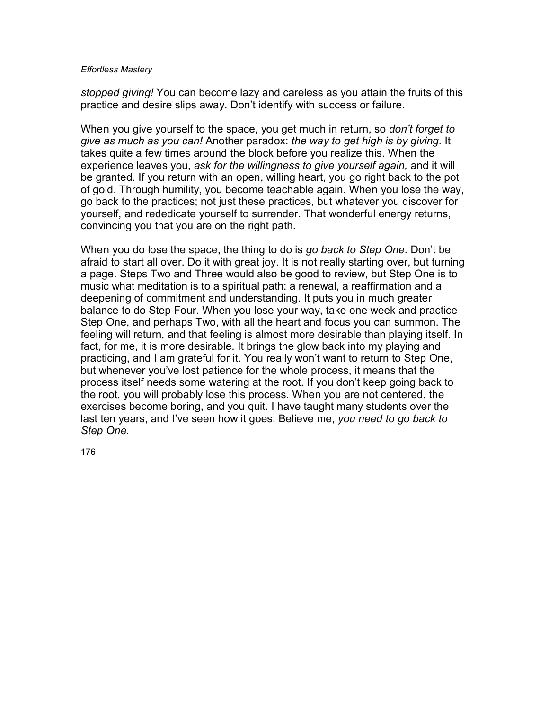*stopped giving!* You can become lazy and careless as you attain the fruits of this practice and desire slips away. Don't identify with success or failure.

When you give yourself to the space, you get much in return, so *don't forget to give as much as you can!* Another paradox: *the way to get high is by giving.* It takes quite a few times around the block before you realize this. When the experience leaves you, *ask for the willingness to give yourself again,* and it will be granted. If you return with an open, willing heart, you go right back to the pot of gold. Through humility, you become teachable again. When you lose the way, go back to the practices; not just these practices, but whatever you discover for yourself, and rededicate yourself to surrender. That wonderful energy returns, convincing you that you are on the right path.

When you do lose the space, the thing to do is *go back to Step One.* Don't be afraid to start all over. Do it with great joy. It is not really starting over, but turning a page. Steps Two and Three would also be good to review, but Step One is to music what meditation is to a spiritual path: a renewal, a reaffirmation and a deepening of commitment and understanding. It puts you in much greater balance to do Step Four. When you lose your way, take one week and practice Step One, and perhaps Two, with all the heart and focus you can summon. The feeling will return, and that feeling is almost more desirable than playing itself. In fact, for me, it is more desirable. It brings the glow back into my playing and practicing, and I am grateful for it. You really won't want to return to Step One, but whenever you've lost patience for the whole process, it means that the process itself needs some watering at the root. If you don't keep going back to the root, you will probably lose this process. When you are not centered, the exercises become boring, and you quit. I have taught many students over the last ten years, and I've seen how it goes. Believe me, *you need to go back to Step One.*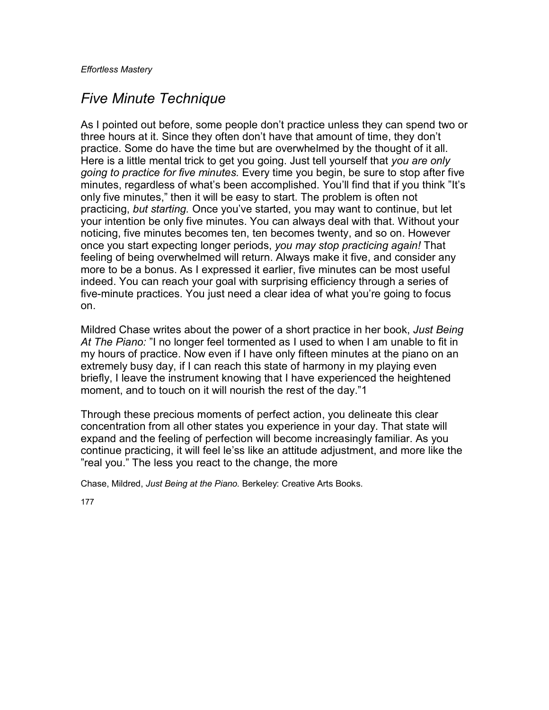## *Five Minute Technique*

As I pointed out before, some people don't practice unless they can spend two or three hours at it. Since they often don't have that amount of time, they don't practice. Some do have the time but are overwhelmed by the thought of it all. Here is a little mental trick to get you going. Just tell yourself that *you are only going to practice for five minutes.* Every time you begin, be sure to stop after five minutes, regardless of what's been accomplished. You'll find that if you think "It's only five minutes," then it will be easy to start. The problem is often not practicing, *but starting.* Once you've started, you may want to continue, but let your intention be only five minutes. You can always deal with that. Without your noticing, five minutes becomes ten, ten becomes twenty, and so on. However once you start expecting longer periods, *you may stop practicing again!* That feeling of being overwhelmed will return. Always make it five, and consider any more to be a bonus. As I expressed it earlier, five minutes can be most useful indeed. You can reach your goal with surprising efficiency through a series of five-minute practices. You just need a clear idea of what you're going to focus on.

Mildred Chase writes about the power of a short practice in her book, *Just Being At The Piano:* "I no longer feel tormented as I used to when I am unable to fit in my hours of practice. Now even if I have only fifteen minutes at the piano on an extremely busy day, if I can reach this state of harmony in my playing even briefly, I leave the instrument knowing that I have experienced the heightened moment, and to touch on it will nourish the rest of the day."1

Through these precious moments of perfect action, you delineate this clear concentration from all other states you experience in your day. That state will expand and the feeling of perfection will become increasingly familiar. As you continue practicing, it will feel le'ss like an attitude adjustment, and more like the "real you." The less you react to the change, the more

Chase, Mildred, *Just Being at the Piano.* Berkeley: Creative Arts Books.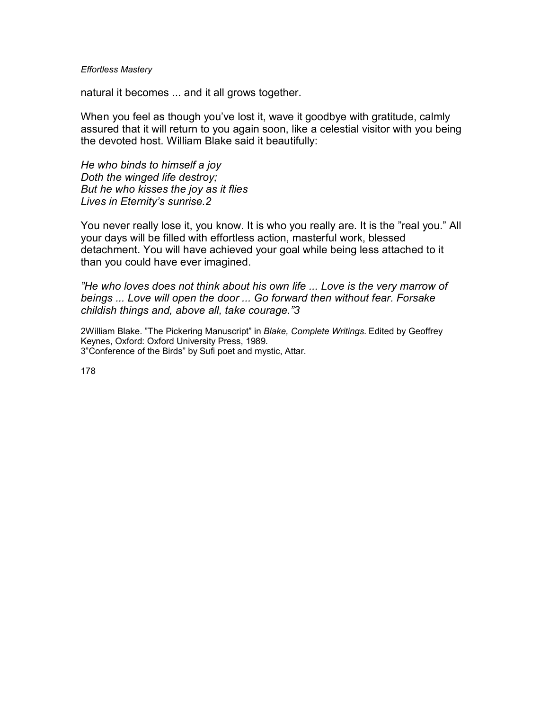natural it becomes ... and it all grows together.

When you feel as though you've lost it, wave it goodbye with gratitude, calmly assured that it will return to you again soon, like a celestial visitor with you being the devoted host. William Blake said it beautifully:

*He who binds to himself a joy Doth the winged life destroy; But he who kisses the joy as it flies Lives in Eternity's sunrise.2*

You never really lose it, you know. It is who you really are. It is the "real you." All your days will be filled with effortless action, masterful work, blessed detachment. You will have achieved your goal while being less attached to it than you could have ever imagined.

*"He who loves does not think about his own life ... Love is the very marrow of beings ... Love will open the door ... Go forward then without fear. Forsake childish things and, above all, take courage."3*

2William Blake. "The Pickering Manuscript" in *Blake, Complete Writings.* Edited by Geoffrey Keynes, Oxford: Oxford University Press, 1989. 3"Conference of the Birds" by Sufi poet and mystic, Attar.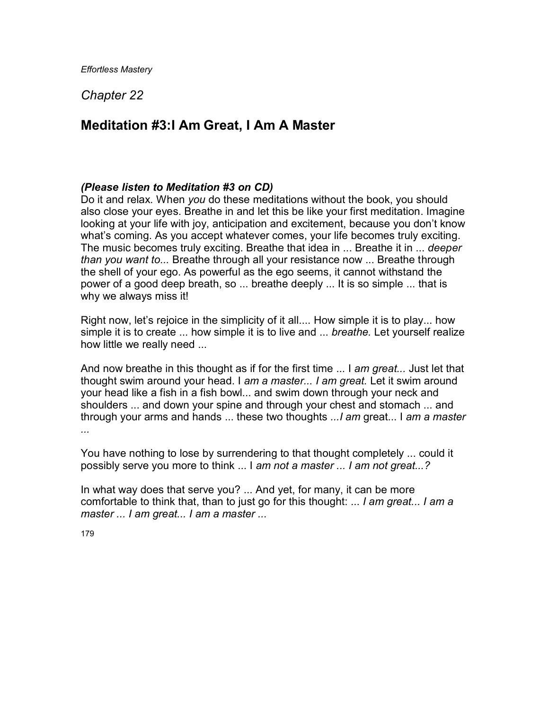*Chapter 22*

# **Meditation #3:I Am Great, I Am A Master**

### *(Please listen to Meditation #3 on CD)*

Do it and relax. When *you* do these meditations without the book, you should also close your eyes. Breathe in and let this be like your first meditation. Imagine looking at your life with joy, anticipation and excitement, because you don't know what's coming. As you accept whatever comes, your life becomes truly exciting. The music becomes truly exciting. Breathe that idea in ... Breathe it in ... *deeper than you want to...* Breathe through all your resistance now ... Breathe through the shell of your ego. As powerful as the ego seems, it cannot withstand the power of a good deep breath, so ... breathe deeply ... It is so simple ... that is why we always miss it!

Right now, let's rejoice in the simplicity of it all.... How simple it is to play... how simple it is to create ... how simple it is to live and ... *breathe.* Let yourself realize how little we really need ...

And now breathe in this thought as if for the first time ... I *am great...* Just let that thought swim around your head. I *am a master... I am great.* Let it swim around your head like a fish in a fish bowl... and swim down through your neck and shoulders ... and down your spine and through your chest and stomach ... and through your arms and hands ... these two thoughts *...I am* great... I *am a master ...*

You have nothing to lose by surrendering to that thought completely ... could it possibly serve you more to think ... I *am not a master ... I am not great...?*

In what way does that serve you? ... And yet, for many, it can be more comfortable to think that, than to just go for this thought: ... *I am great... I am a master ... I am great... I am a master ...*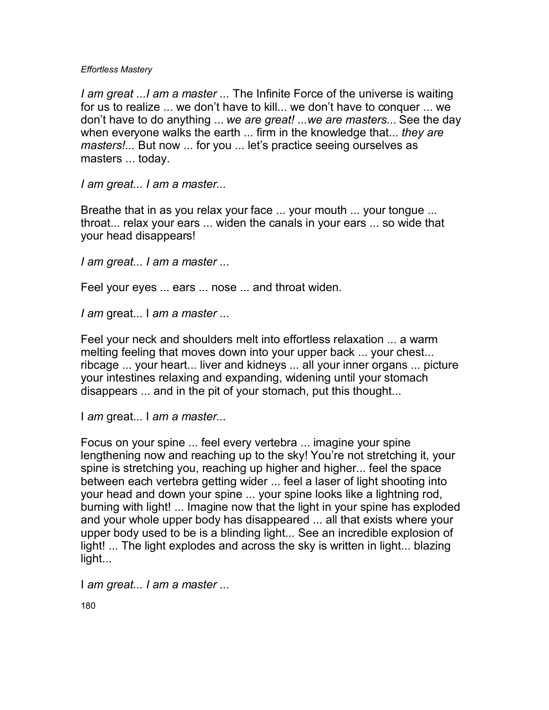*I am great ...I am a master ...* The Infinite Force of the universe is waiting for us to realize ... we don't have to kill... we don't have to conquer ... we don't have to do anything ... *we are great! ...we are masters...* See the day when everyone walks the earth ... firm in the knowledge that... *they are masters!...* But now ... for you ... let's practice seeing ourselves as masters ... today.

*I am great... I am a master...*

Breathe that in as you relax your face ... your mouth ... your tongue ... throat... relax your ears ... widen the canals in your ears ... so wide that your head disappears!

*I am great... I am a master ...*

Feel your eyes ... ears ... nose ... and throat widen.

*I am* great... I *am a master ...*

Feel your neck and shoulders melt into effortless relaxation ... a warm melting feeling that moves down into your upper back ... your chest... ribcage ... your heart... liver and kidneys ... all your inner organs ... picture your intestines relaxing and expanding, widening until your stomach disappears ... and in the pit of your stomach, put this thought...

I *am* great... I *am a master...*

Focus on your spine ... feel every vertebra ... imagine your spine lengthening now and reaching up to the sky! You're not stretching it, your spine is stretching you, reaching up higher and higher... feel the space between each vertebra getting wider ... feel a laser of light shooting into your head and down your spine ... your spine looks like a lightning rod, burning with light! ... Imagine now that the light in your spine has exploded and your whole upper body has disappeared ... all that exists where your upper body used to be is a blinding light... See an incredible explosion of light! ... The light explodes and across the sky is written in light... blazing light...

I *am great... I am a master ...*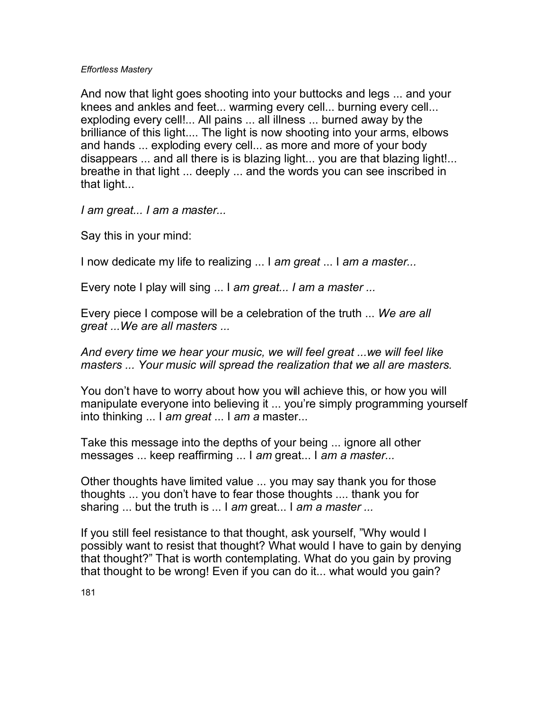And now that light goes shooting into your buttocks and legs ... and your knees and ankles and feet... warming every cell... burning every cell... exploding every cell!... All pains ... all illness ... burned away by the brilliance of this light.... The light is now shooting into your arms, elbows and hands ... exploding every cell... as more and more of your body disappears ... and all there is is blazing light... you are that blazing light!... breathe in that light ... deeply ... and the words you can see inscribed in that light...

*I am great... I am a master...*

Say this in your mind:

I now dedicate my life to realizing ... I *am great* ... I *am a master...*

Every note I play will sing ... I *am great... I am a master ...*

Every piece I compose will be a celebration of the truth ... *We are all great ...We are all masters ...*

*And every time we hear your music, we will feel great ...we will feel like masters ... Your music will spread the realization that we all are masters.*

You don't have to worry about how you will achieve this, or how you will manipulate everyone into believing it ... you're simply programming yourself into thinking ... I *am great* ... I *am a* master...

Take this message into the depths of your being ... ignore all other messages ... keep reaffirming ... I *am* great... I *am a master...*

Other thoughts have limited value ... you may say thank you for those thoughts ... you don't have to fear those thoughts .... thank you for sharing ... but the truth is ... I *am* great... I *am a master ...*

If you still feel resistance to that thought, ask yourself, "Why would I possibly want to resist that thought? What would I have to gain by denying that thought?" That is worth contemplating. What do you gain by proving that thought to be wrong! Even if you can do it... what would you gain?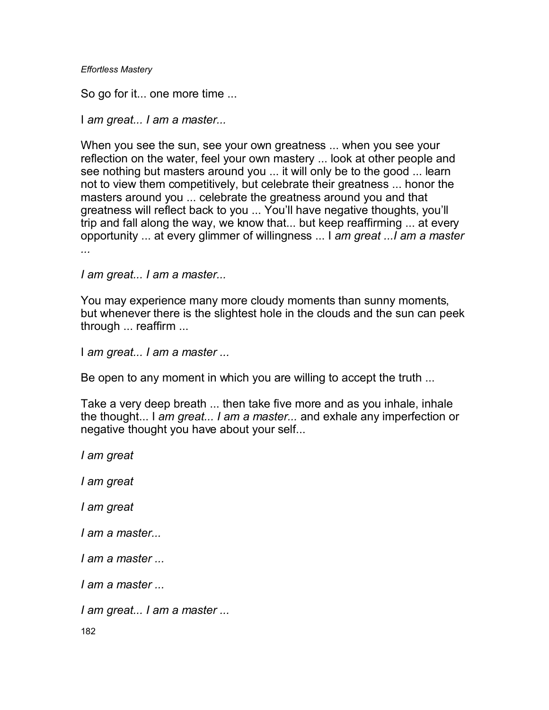So go for it... one more time ...

I *am great... I am a master...*

When you see the sun, see your own greatness ... when you see your reflection on the water, feel your own mastery ... look at other people and see nothing but masters around you ... it will only be to the good ... learn not to view them competitively, but celebrate their greatness ... honor the masters around you ... celebrate the greatness around you and that greatness will reflect back to you ... You'll have negative thoughts, you'll trip and fall along the way, we know that... but keep reaffirming ... at every opportunity ... at every glimmer of willingness ... I *am great ...I am a master ...*

*I am great... I am a master...*

You may experience many more cloudy moments than sunny moments, but whenever there is the slightest hole in the clouds and the sun can peek through ... reaffirm ...

I *am great... I am a master ...*

Be open to any moment in which you are willing to accept the truth ...

Take a very deep breath ... then take five more and as you inhale, inhale the thought... I *am great... I am a master...* and exhale any imperfection or negative thought you have about your self...

*I am great I am great I am great I am a master... I am a master ... I am a master ... I am great... I am a master ...* 182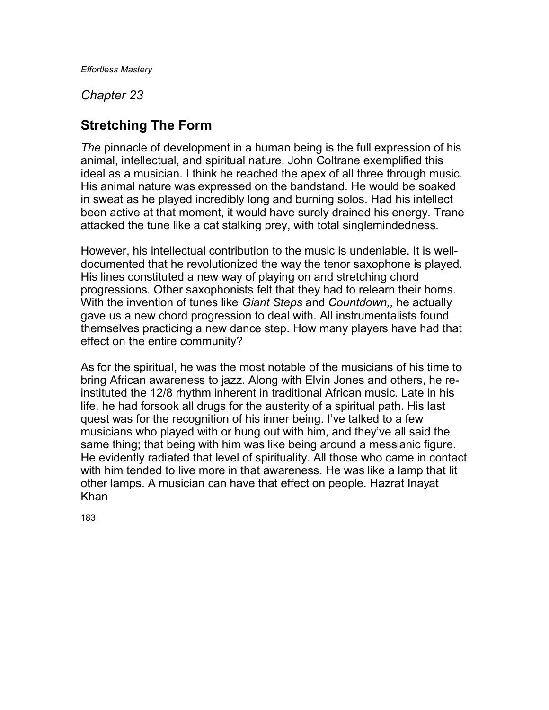## *Chapter 23*

# **Stretching The Form**

*The* pinnacle of development in a human being is the full expression of his animal, intellectual, and spiritual nature. John Coltrane exemplified this ideal as a musician. I think he reached the apex of all three through music. His animal nature was expressed on the bandstand. He would be soaked in sweat as he played incredibly long and burning solos. Had his intellect been active at that moment, it would have surely drained his energy. Trane attacked the tune like a cat stalking prey, with total singlemindedness.

However, his intellectual contribution to the music is undeniable. It is welldocumented that he revolutionized the way the tenor saxophone is played. His lines constituted a new way of playing on and stretching chord progressions. Other saxophonists felt that they had to relearn their horns. With the invention of tunes like *Giant Steps* and *Countdown,,* he actually gave us a new chord progression to deal with. All instrumentalists found themselves practicing a new dance step. How many players have had that effect on the entire community?

As for the spiritual, he was the most notable of the musicians of his time to bring African awareness to jazz. Along with Elvin Jones and others, he reinstituted the 12/8 rhythm inherent in traditional African music. Late in his life, he had forsook all drugs for the austerity of a spiritual path. His last quest was for the recognition of his inner being. I've talked to a few musicians who played with or hung out with him, and they've all said the same thing; that being with him was like being around a messianic figure. He evidently radiated that level of spirituality. All those who came in contact with him tended to live more in that awareness. He was like a lamp that lit other lamps. A musician can have that effect on people. Hazrat Inayat Khan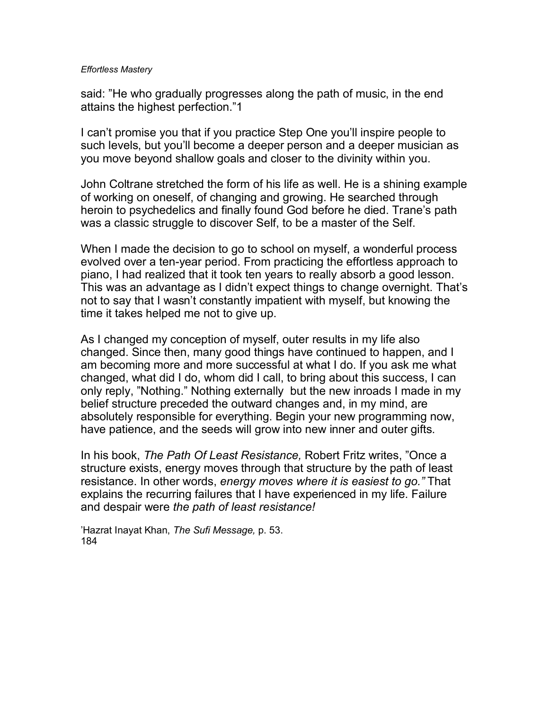said: "He who gradually progresses along the path of music, in the end attains the highest perfection."1

I can't promise you that if you practice Step One you'll inspire people to such levels, but you'll become a deeper person and a deeper musician as you move beyond shallow goals and closer to the divinity within you.

John Coltrane stretched the form of his life as well. He is a shining example of working on oneself, of changing and growing. He searched through heroin to psychedelics and finally found God before he died. Trane's path was a classic struggle to discover Self, to be a master of the Self.

When I made the decision to go to school on myself, a wonderful process evolved over a ten-year period. From practicing the effortless approach to piano, I had realized that it took ten years to really absorb a good lesson. This was an advantage as I didn't expect things to change overnight. That's not to say that I wasn't constantly impatient with myself, but knowing the time it takes helped me not to give up.

As I changed my conception of myself, outer results in my life also changed. Since then, many good things have continued to happen, and I am becoming more and more successful at what I do. If you ask me what changed, what did I do, whom did I call, to bring about this success, I can only reply, "Nothing." Nothing externally but the new inroads I made in my belief structure preceded the outward changes and, in my mind, are absolutely responsible for everything. Begin your new programming now, have patience, and the seeds will grow into new inner and outer gifts.

In his book, *The Path Of Least Resistance,* Robert Fritz writes, "Once a structure exists, energy moves through that structure by the path of least resistance. In other words, *energy moves where it is easiest to go."* That explains the recurring failures that I have experienced in my life. Failure and despair were *the path of least resistance!*

'Hazrat Inayat Khan, *The Sufi Message,* p. 53. 184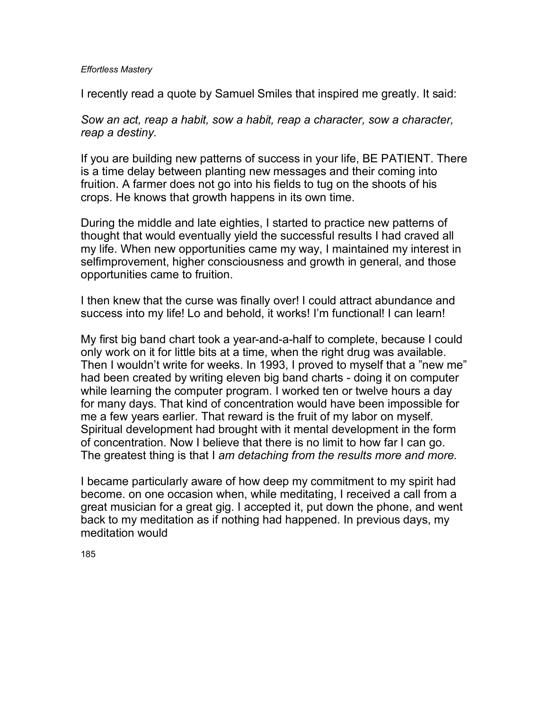I recently read a quote by Samuel Smiles that inspired me greatly. It said:

### *Sow an act, reap a habit, sow a habit, reap a character, sow a character, reap a destiny.*

If you are building new patterns of success in your life, BE PATIENT. There is a time delay between planting new messages and their coming into fruition. A farmer does not go into his fields to tug on the shoots of his crops. He knows that growth happens in its own time.

During the middle and late eighties, I started to practice new patterns of thought that would eventually yield the successful results I had craved all my life. When new opportunities came my way, I maintained my interest in selfimprovement, higher consciousness and growth in general, and those opportunities came to fruition.

I then knew that the curse was finally over! I could attract abundance and success into my life! Lo and behold, it works! I'm functional! I can learn!

My first big band chart took a year-and-a-half to complete, because I could only work on it for little bits at a time, when the right drug was available. Then I wouldn't write for weeks. In 1993, I proved to myself that a "new me" had been created by writing eleven big band charts - doing it on computer while learning the computer program. I worked ten or twelve hours a day for many days. That kind of concentration would have been impossible for me a few years earlier. That reward is the fruit of my labor on myself. Spiritual development had brought with it mental development in the form of concentration. Now I believe that there is no limit to how far I can go. The greatest thing is that I *am detaching from the results more and more.*

I became particularly aware of how deep my commitment to my spirit had become. on one occasion when, while meditating, I received a call from a great musician for a great gig. I accepted it, put down the phone, and went back to my meditation as if nothing had happened. In previous days, my meditation would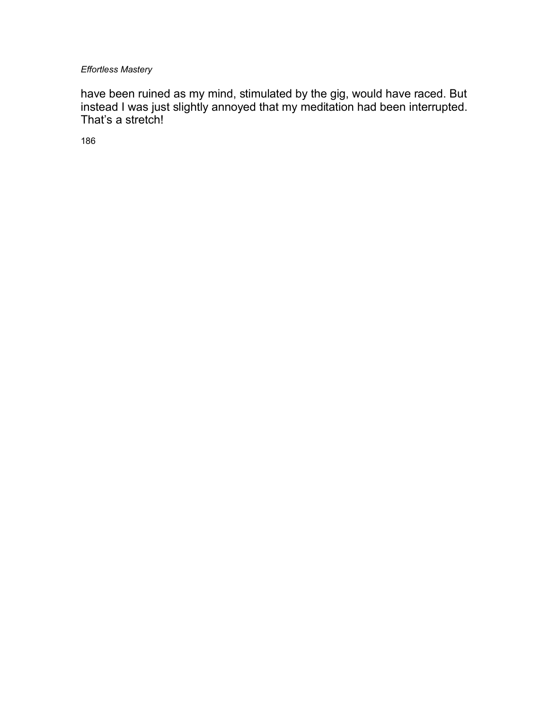have been ruined as my mind, stimulated by the gig, would have raced. But instead I was just slightly annoyed that my meditation had been interrupted. That's a stretch!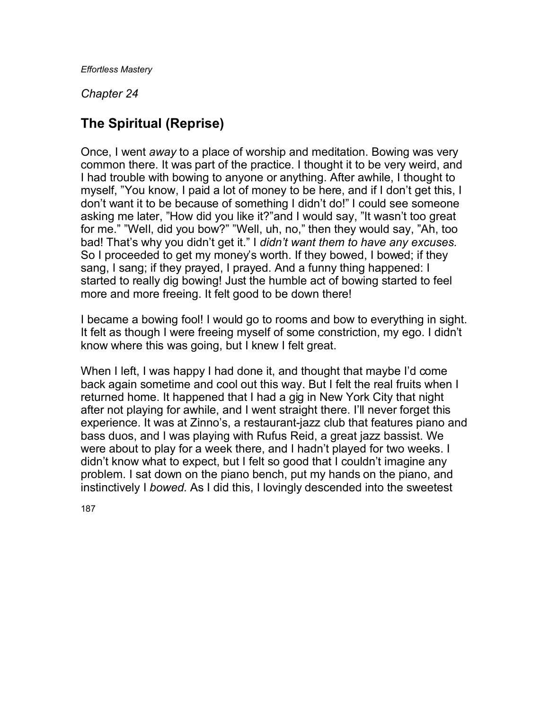*Chapter 24*

# **The Spiritual (Reprise)**

Once, I went *away* to a place of worship and meditation. Bowing was very common there. It was part of the practice. I thought it to be very weird, and I had trouble with bowing to anyone or anything. After awhile, I thought to myself, "You know, I paid a lot of money to be here, and if I don't get this, I don't want it to be because of something I didn't do!" I could see someone asking me later, "How did you like it?"and I would say, "It wasn't too great for me." "Well, did you bow?" "Well, uh, no," then they would say, "Ah, too bad! That's why you didn't get it." I *didn't want them to have any excuses.* So I proceeded to get my money's worth. If they bowed, I bowed; if they sang, I sang; if they prayed, I prayed. And a funny thing happened: I started to really dig bowing! Just the humble act of bowing started to feel more and more freeing. It felt good to be down there!

I became a bowing fool! I would go to rooms and bow to everything in sight. It felt as though I were freeing myself of some constriction, my ego. I didn't know where this was going, but I knew I felt great.

When I left, I was happy I had done it, and thought that maybe I'd come back again sometime and cool out this way. But I felt the real fruits when I returned home. It happened that I had a gig in New York City that night after not playing for awhile, and I went straight there. I'll never forget this experience. It was at Zinno's, a restaurant-jazz club that features piano and bass duos, and I was playing with Rufus Reid, a great jazz bassist. We were about to play for a week there, and I hadn't played for two weeks. I didn't know what to expect, but I felt so good that I couldn't imagine any problem. I sat down on the piano bench, put my hands on the piano, and instinctively I *bowed.* As I did this, I lovingly descended into the sweetest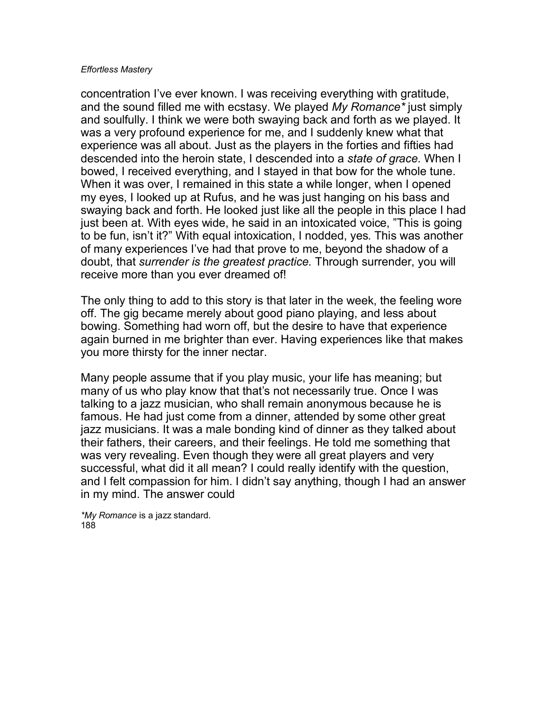concentration I've ever known. I was receiving everything with gratitude, and the sound filled me with ecstasy. We played *My Romance\** just simply and soulfully. I think we were both swaying back and forth as we played. It was a very profound experience for me, and I suddenly knew what that experience was all about. Just as the players in the forties and fifties had descended into the heroin state, I descended into a *state of grace.* When I bowed, I received everything, and I stayed in that bow for the whole tune. When it was over, I remained in this state a while longer, when I opened my eyes, I looked up at Rufus, and he was just hanging on his bass and swaying back and forth. He looked just like all the people in this place I had just been at. With eyes wide, he said in an intoxicated voice, "This is going to be fun, isn't it?" With equal intoxication, I nodded, yes. This was another of many experiences I've had that prove to me, beyond the shadow of a doubt, that *surrender is the greatest practice.* Through surrender, you will receive more than you ever dreamed of!

The only thing to add to this story is that later in the week, the feeling wore off. The gig became merely about good piano playing, and less about bowing. Something had worn off, but the desire to have that experience again burned in me brighter than ever. Having experiences like that makes you more thirsty for the inner nectar.

Many people assume that if you play music, your life has meaning; but many of us who play know that that's not necessarily true. Once I was talking to a jazz musician, who shall remain anonymous because he is famous. He had just come from a dinner, attended by some other great jazz musicians. It was a male bonding kind of dinner as they talked about their fathers, their careers, and their feelings. He told me something that was very revealing. Even though they were all great players and very successful, what did it all mean? I could really identify with the question, and I felt compassion for him. I didn't say anything, though I had an answer in my mind. The answer could

*\*My Romance* is a jazz standard. 188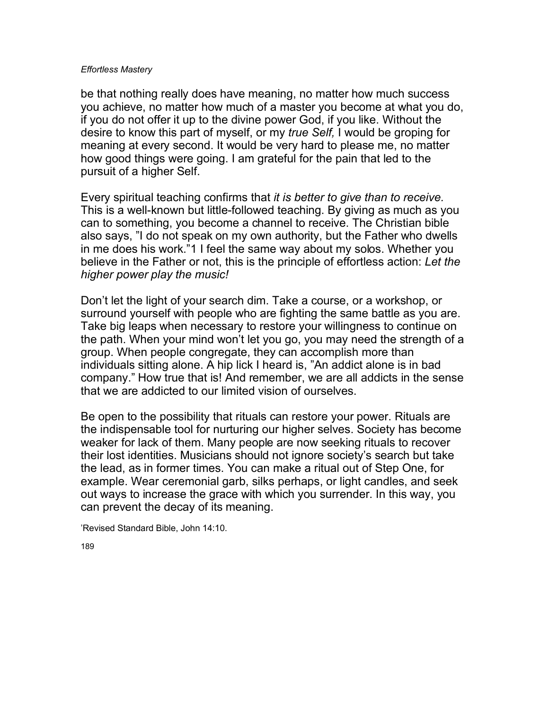be that nothing really does have meaning, no matter how much success you achieve, no matter how much of a master you become at what you do, if you do not offer it up to the divine power God, if you like. Without the desire to know this part of myself, or my *true Self,* I would be groping for meaning at every second. It would be very hard to please me, no matter how good things were going. I am grateful for the pain that led to the pursuit of a higher Self.

Every spiritual teaching confirms that *it is better to give than to receive.* This is a well-known but little-followed teaching. By giving as much as you can to something, you become a channel to receive. The Christian bible also says, "I do not speak on my own authority, but the Father who dwells in me does his work."1 I feel the same way about my solos. Whether you believe in the Father or not, this is the principle of effortless action: *Let the higher power play the music!*

Don't let the light of your search dim. Take a course, or a workshop, or surround yourself with people who are fighting the same battle as you are. Take big leaps when necessary to restore your willingness to continue on the path. When your mind won't let you go, you may need the strength of a group. When people congregate, they can accomplish more than individuals sitting alone. A hip lick I heard is, "An addict alone is in bad company." How true that is! And remember, we are all addicts in the sense that we are addicted to our limited vision of ourselves.

Be open to the possibility that rituals can restore your power. Rituals are the indispensable tool for nurturing our higher selves. Society has become weaker for lack of them. Many people are now seeking rituals to recover their lost identities. Musicians should not ignore society's search but take the lead, as in former times. You can make a ritual out of Step One, for example. Wear ceremonial garb, silks perhaps, or light candles, and seek out ways to increase the grace with which you surrender. In this way, you can prevent the decay of its meaning.

'Revised Standard Bible, John 14:10.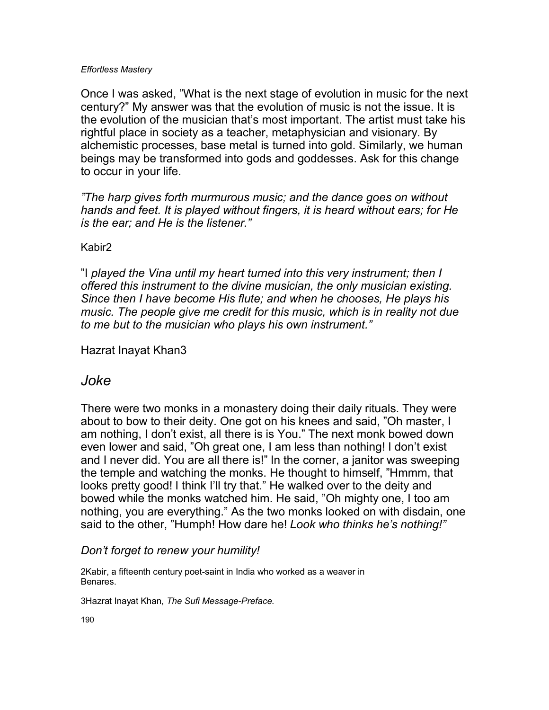Once I was asked, "What is the next stage of evolution in music for the next century?" My answer was that the evolution of music is not the issue. It is the evolution of the musician that's most important. The artist must take his rightful place in society as a teacher, metaphysician and visionary. By alchemistic processes, base metal is turned into gold. Similarly, we human beings may be transformed into gods and goddesses. Ask for this change to occur in your life.

*"The harp gives forth murmurous music; and the dance goes on without hands and feet. It is played without fingers, it is heard without ears; for He is the ear; and He is the listener."*

## Kabir2

"I *played the Vina until my heart turned into this very instrument; then I offered this instrument to the divine musician, the only musician existing. Since then I have become His flute; and when he chooses, He plays his music. The people give me credit for this music, which is in reality not due to me but to the musician who plays his own instrument."*

Hazrat Inayat Khan3

# *Joke*

There were two monks in a monastery doing their daily rituals. They were about to bow to their deity. One got on his knees and said, "Oh master, I am nothing, I don't exist, all there is is You." The next monk bowed down even lower and said, "Oh great one, I am less than nothing! I don't exist and I never did. You are all there is!" In the corner, a janitor was sweeping the temple and watching the monks. He thought to himself, "Hmmm, that looks pretty good! I think I'll try that." He walked over to the deity and bowed while the monks watched him. He said, "Oh mighty one, I too am nothing, you are everything." As the two monks looked on with disdain, one said to the other, "Humph! How dare he! *Look who thinks he's nothing!"*

## *Don't forget to renew your humility!*

2Kabir, a fifteenth century poet-saint in India who worked as a weaver in Benares.

3Hazrat Inayat Khan, *The Sufi Message-Preface.*